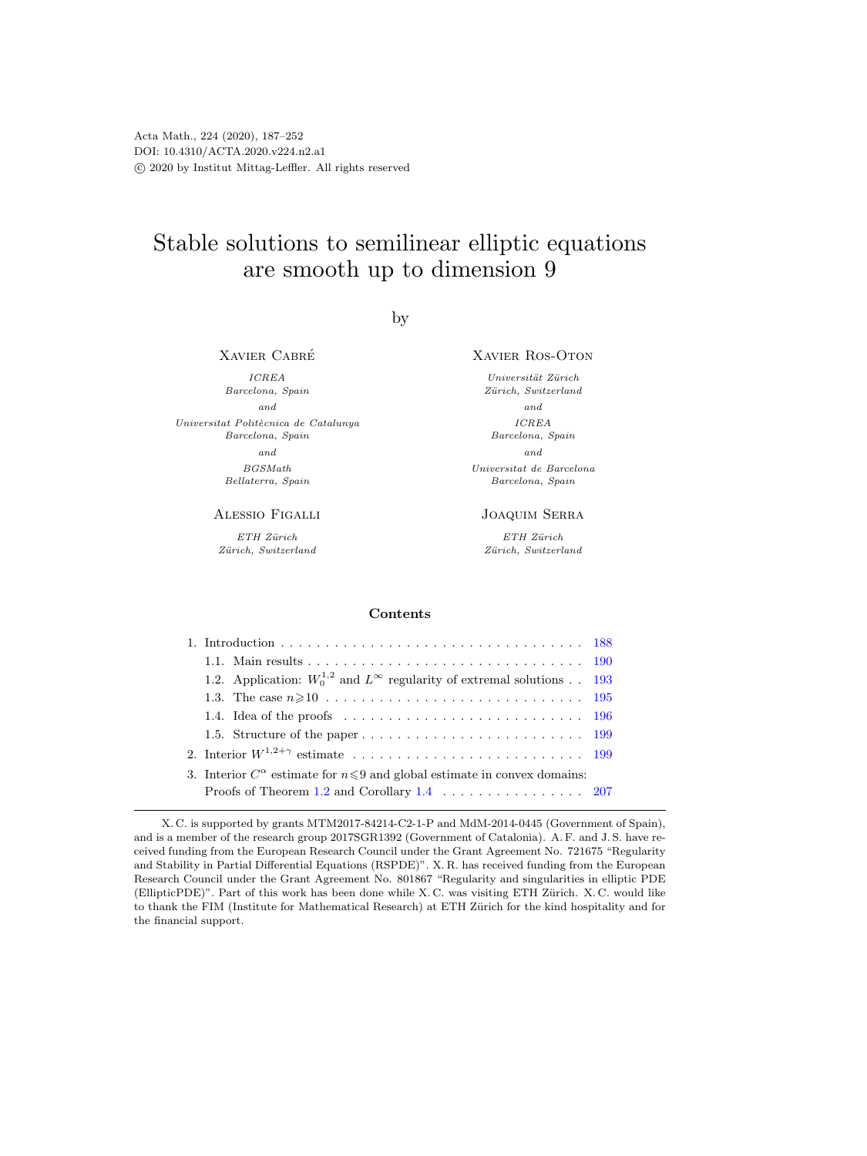# Stable solutions to semilinear elliptic equations are smooth up to dimension 9

by

Xavier Cabre´

ICREA Barcelona, Spain and Universitat Politècnica de Catalunya Barcelona, Spain and BGSMath Bellaterra, Spain

Alessio Figalli

 $ETH$  Zürich  $Zürich, Switzerland$  Xavier Ros-Oton

Universität Zürich Zürich, Switzerland and ICREA Barcelona, Spain and Universitat de Barcelona Barcelona, Spain

#### Joaquim Serra

 $ETH$  Zürich  $Zürich, Switzerland$ 

## Contents

| 1.2. Application: $W_0^{1,2}$ and $L^\infty$ regularity of extremal solutions 193       |  |
|-----------------------------------------------------------------------------------------|--|
|                                                                                         |  |
|                                                                                         |  |
|                                                                                         |  |
|                                                                                         |  |
| 3. Interior $C^{\alpha}$ estimate for $n \leq 9$ and global estimate in convex domains: |  |
| Proofs of Theorem 1.2 and Corollary $1.4 \ldots \ldots \ldots \ldots \ldots 207$        |  |

X. C. is supported by grants MTM2017-84214-C2-1-P and MdM-2014-0445 (Government of Spain), and is a member of the research group 2017SGR1392 (Government of Catalonia). A. F. and J. S. have received funding from the European Research Council under the Grant Agreement No. 721675 "Regularity and Stability in Partial Differential Equations (RSPDE)". X. R. has received funding from the European Research Council under the Grant Agreement No. 801867 "Regularity and singularities in elliptic PDE (EllipticPDE)". Part of this work has been done while X.C. was visiting ETH Zürich. X.C. would like to thank the FIM (Institute for Mathematical Research) at ETH Zürich for the kind hospitality and for the financial support.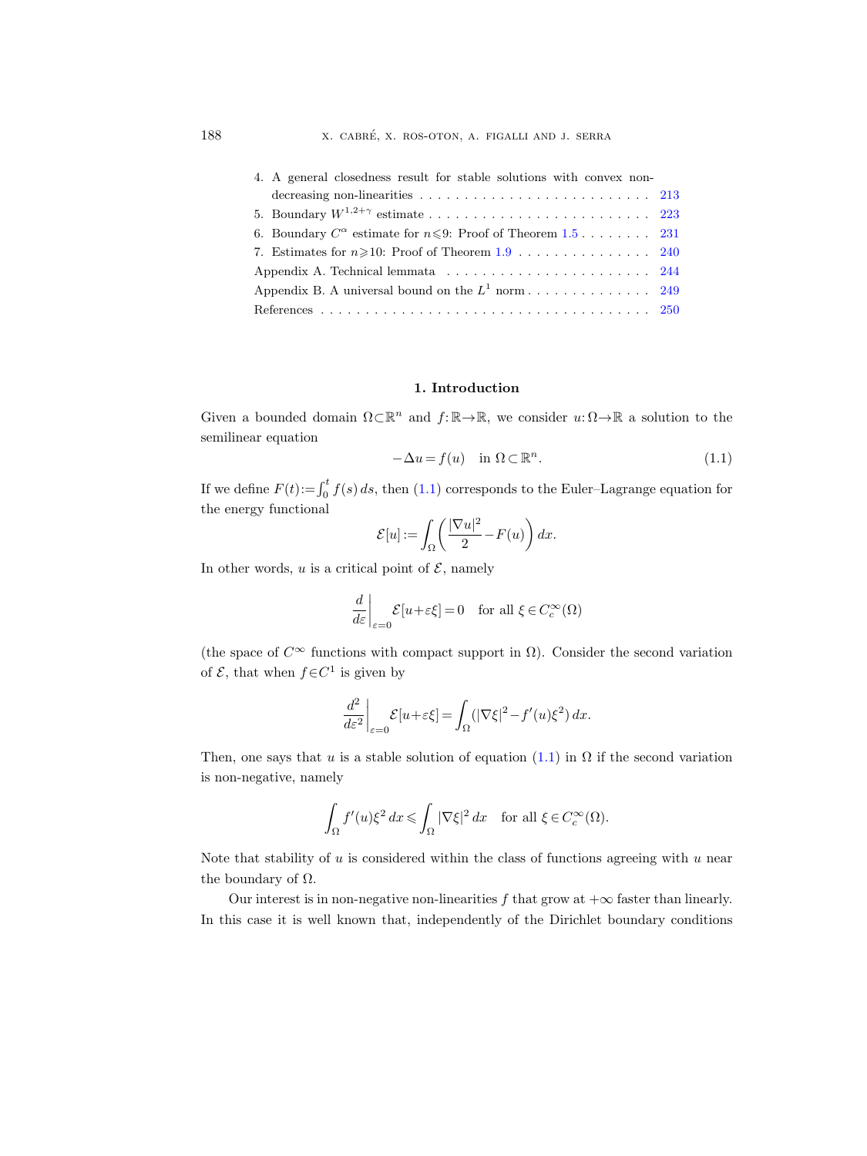| 4. A general closedness result for stable solutions with convex non-                            |  |  |  |  |  |  |  |
|-------------------------------------------------------------------------------------------------|--|--|--|--|--|--|--|
| decreasing non-linearities $\ldots \ldots \ldots \ldots \ldots \ldots \ldots \ldots \ldots 213$ |  |  |  |  |  |  |  |
|                                                                                                 |  |  |  |  |  |  |  |
| 6. Boundary $C^{\alpha}$ estimate for $n \leqslant 9$ : Proof of Theorem 1.5 231                |  |  |  |  |  |  |  |
| 7. Estimates for $n \geqslant 10$ : Proof of Theorem 1.9 240                                    |  |  |  |  |  |  |  |
|                                                                                                 |  |  |  |  |  |  |  |
|                                                                                                 |  |  |  |  |  |  |  |
|                                                                                                 |  |  |  |  |  |  |  |

#### 1. Introduction

<span id="page-1-0"></span>Given a bounded domain  $\Omega \subset \mathbb{R}^n$  and  $f: \mathbb{R} \to \mathbb{R}$ , we consider  $u: \Omega \to \mathbb{R}$  a solution to the semilinear equation

<span id="page-1-1"></span>
$$
-\Delta u = f(u) \quad \text{in } \Omega \subset \mathbb{R}^n. \tag{1.1}
$$

If we define  $F(t) := \int_0^t f(s) ds$ , then [\(1.1\)](#page-1-1) corresponds to the Euler–Lagrange equation for the energy functional

$$
\mathcal{E}[u] := \int_{\Omega} \left( \frac{|\nabla u|^2}{2} - F(u) \right) dx.
$$

In other words,  $u$  is a critical point of  $\mathcal{E}$ , namely

$$
\frac{d}{d\varepsilon}\bigg|_{\varepsilon=0} \mathcal{E}[u+\varepsilon\xi]=0 \quad \text{for all } \xi \in C_c^\infty(\Omega)
$$

(the space of  $C^{\infty}$  functions with compact support in  $\Omega$ ). Consider the second variation of  $\mathcal{E}$ , that when  $f \in C^1$  is given by

$$
\left. \frac{d^2}{d\varepsilon^2} \right|_{\varepsilon=0} \mathcal{E}[u+\varepsilon \xi] = \int_{\Omega} (|\nabla \xi|^2 - f'(u)\xi^2) \, dx.
$$

Then, one says that u is a stable solution of equation  $(1.1)$  in  $\Omega$  if the second variation is non-negative, namely

$$
\int_{\Omega} f'(u)\xi^2 dx \leqslant \int_{\Omega} |\nabla \xi|^2 dx \quad \text{for all } \xi \in C_c^{\infty}(\Omega).
$$

Note that stability of  $u$  is considered within the class of functions agreeing with  $u$  near the boundary of  $\Omega$ .

Our interest is in non-negative non-linearities f that grow at  $+\infty$  faster than linearly. In this case it is well known that, independently of the Dirichlet boundary conditions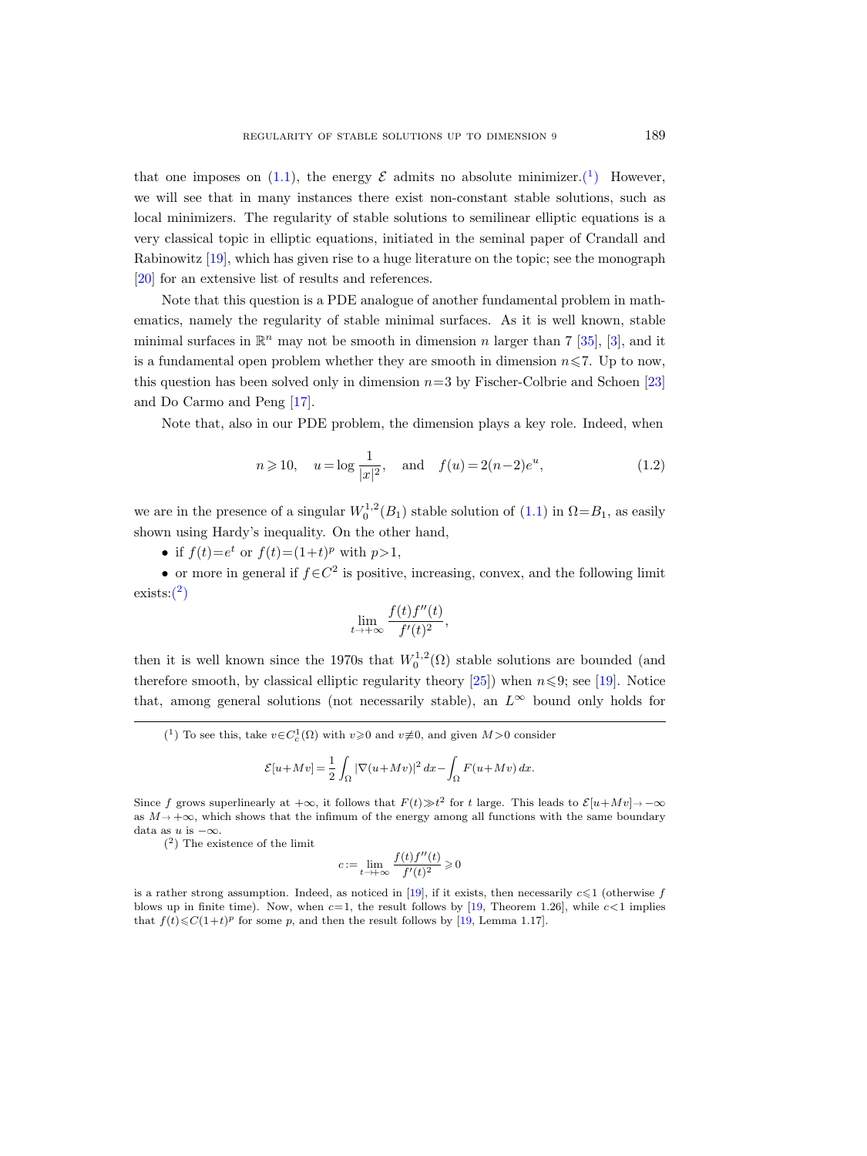that one imposes on [\(1.1\)](#page-1-1), the energy  $\mathcal E$  admits no absolute minimizer.<sup>(1</sup>) However, we will see that in many instances there exist non-constant stable solutions, such as local minimizers. The regularity of stable solutions to semilinear elliptic equations is a very classical topic in elliptic equations, initiated in the seminal paper of Crandall and Rabinowitz [\[19\]](#page-64-0), which has given rise to a huge literature on the topic; see the monograph [\[20\]](#page-64-1) for an extensive list of results and references.

Note that this question is a PDE analogue of another fundamental problem in mathematics, namely the regularity of stable minimal surfaces. As it is well known, stable minimal surfaces in  $\mathbb{R}^n$  may not be smooth in dimension n larger than 7 [\[35\]](#page-65-0), [\[3\]](#page-63-1), and it is a fundamental open problem whether they are smooth in dimension  $n \leq 7$ . Up to now, this question has been solved only in dimension  $n=3$  by Fischer-Colbrie and Schoen [\[23\]](#page-64-2) and Do Carmo and Peng [\[17\]](#page-64-3).

Note that, also in our PDE problem, the dimension plays a key role. Indeed, when

<span id="page-2-2"></span>
$$
n \ge 10
$$
,  $u = \log \frac{1}{|x|^2}$ , and  $f(u) = 2(n-2)e^u$ , (1.2)

we are in the presence of a singular  $W_0^{1,2}(B_1)$  stable solution of  $(1.1)$  in  $\Omega = B_1$ , as easily shown using Hardy's inequality. On the other hand,

• if  $f(t)=e^t$  or  $f(t)=(1+t)^p$  with  $p>1$ ,

• or more in general if  $f \in C^2$  is positive, increasing, convex, and the following limit  $exists:(^2)$  $exists:(^2)$  $exists:(^2)$ 

$$
\lim_{t \to +\infty} \frac{f(t)f''(t)}{f'(t)^2},
$$

then it is well known since the 1970s that  $W_0^{1,2}(\Omega)$  stable solutions are bounded (and therefore smooth, by classical elliptic regularity theory [\[25\]](#page-64-4)) when  $n \leq 9$ ; see [\[19\]](#page-64-0). Notice that, among general solutions (not necessarily stable), an  $L^{\infty}$  bound only holds for

$$
\mathcal{E}[u+Mv] = \frac{1}{2} \int_{\Omega} |\nabla(u+Mv)|^2 dx - \int_{\Omega} F(u+Mv) dx.
$$

Since f grows superlinearly at  $+\infty$ , it follows that  $F(t) \gg t^2$  for t large. This leads to  $\mathcal{E}[u+Mv] \rightarrow -\infty$ as  $M \rightarrow +\infty$ , which shows that the infimum of the energy among all functions with the same boundary data as u is  $-\infty$ .

<span id="page-2-1"></span>( 2 ) The existence of the limit

$$
c:=\lim_{t\to+\infty}\frac{f(t)f''(t)}{f'(t)^2}\geqslant 0
$$

is a rather strong assumption. Indeed, as noticed in [\[19\]](#page-64-0), if it exists, then necessarily  $c \leq 1$  (otherwise f blows up in finite time). Now, when  $c=1$ , the result follows by [\[19,](#page-64-0) Theorem 1.26], while  $c<1$  implies that  $f(t) \leq C(1+t)^p$  for some p, and then the result follows by [\[19,](#page-64-0) Lemma 1.17].

<span id="page-2-0"></span><sup>(&</sup>lt;sup>1</sup>) To see this, take  $v \in C_c^1(\Omega)$  with  $v \ge 0$  and  $v \ne \infty$ , and given  $M > 0$  consider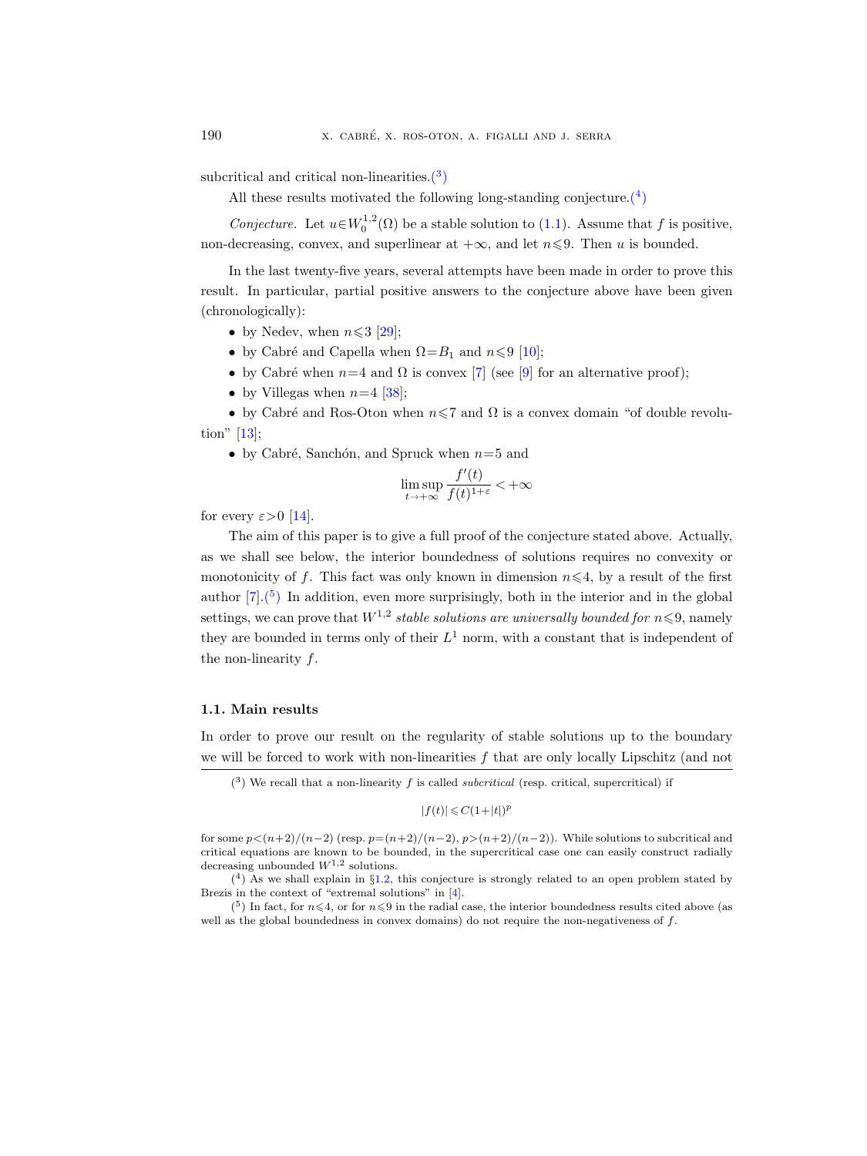subcritical and critical non-linearities. $(3)$ 

All these results motivated the following long-standing conjecture.<sup> $(4)$ </sup>

Conjecture. Let  $u \in W_0^{1,2}(\Omega)$  be a stable solution to [\(1.1\)](#page-1-1). Assume that f is positive, non-decreasing, convex, and superlinear at  $+\infty$ , and let  $n\leq 9$ . Then u is bounded.

In the last twenty-five years, several attempts have been made in order to prove this result. In particular, partial positive answers to the conjecture above have been given (chronologically):

- by Nedev, when  $n \leqslant 3$  [\[29\]](#page-64-5);
- by Cabré and Capella when  $\Omega = B_1$  and  $n \leq 9$  [\[10\]](#page-64-6);
- by Cabré when  $n=4$  and  $\Omega$  is convex [\[7\]](#page-63-2) (see [\[9\]](#page-64-7) for an alternative proof);
- by Villegas when  $n=4$  [\[38\]](#page-65-1);

• by Cabré and Ros-Oton when  $n \leq 7$  and  $\Omega$  is a convex domain "of double revolution" [\[13\]](#page-64-8);

• by Cabré, Sanchón, and Spruck when  $n=5$  and

$$
\limsup_{t\to+\infty}\frac{f'(t)}{f(t)^{1+\varepsilon}}<+\infty
$$

for every  $\varepsilon > 0$  [\[14\]](#page-64-9).

The aim of this paper is to give a full proof of the conjecture stated above. Actually, as we shall see below, the interior boundedness of solutions requires no convexity or monotonicity of f. This fact was only known in dimension  $n \leq 4$ , by a result of the first author  $[7] \cdot {\binom{5}{}}$  In addition, even more surprisingly, both in the interior and in the global settings, we can prove that  $W^{1,2}$  stable solutions are universally bounded for  $n \leq 9$ , namely they are bounded in terms only of their  $L^1$  norm, with a constant that is independent of the non-linearity  $f$ .

#### <span id="page-3-0"></span>1.1. Main results

In order to prove our result on the regularity of stable solutions up to the boundary we will be forced to work with non-linearities  $f$  that are only locally Lipschitz (and not

 $|f(t)| \leqslant C(1+|t|)^p$ 

<span id="page-3-2"></span> $(4)$  As we shall explain in §[1.2,](#page-6-0) this conjecture is strongly related to an open problem stated by Brezis in the context of "extremal solutions" in [\[4\]](#page-63-3).

<span id="page-3-3"></span> $(5)$  In fact, for  $n \leq 4$ , or for  $n \leq 9$  in the radial case, the interior boundedness results cited above (as well as the global boundedness in convex domains) do not require the non-negativeness of  $f$ .

<span id="page-3-1"></span> $(3)$  We recall that a non-linearity f is called *subcritical* (resp. critical, supercritical) if

for some  $p<(n+2)/(n-2)$  (resp.  $p=(n+2)/(n-2)$ ,  $p>(n+2)/(n-2)$ ). While solutions to subcritical and critical equations are known to be bounded, in the supercritical case one can easily construct radially decreasing unbounded  $W^{1,2}$  solutions.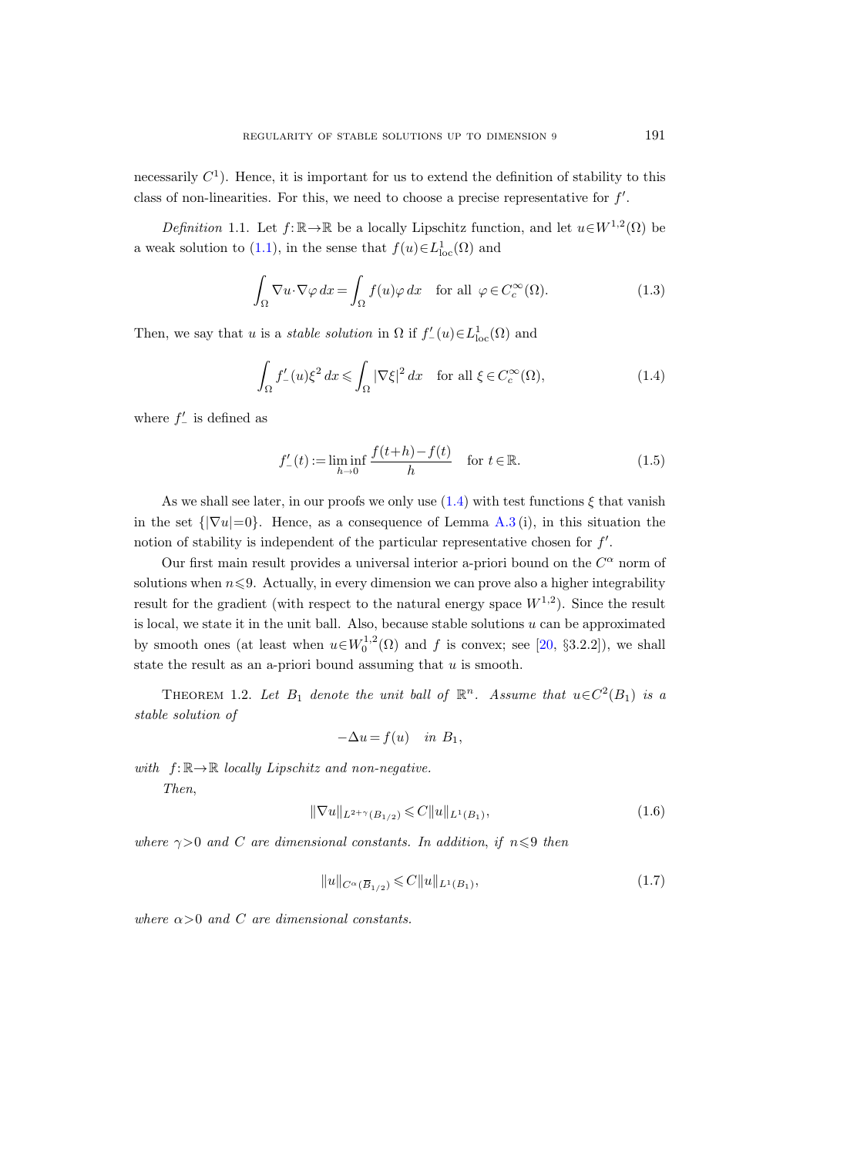necessarily  $C<sup>1</sup>$ ). Hence, it is important for us to extend the definition of stability to this class of non-linearities. For this, we need to choose a precise representative for  $f'$ .

<span id="page-4-4"></span>Definition 1.1. Let  $f: \mathbb{R} \to \mathbb{R}$  be a locally Lipschitz function, and let  $u \in W^{1,2}(\Omega)$  be a weak solution to [\(1.1\)](#page-1-1), in the sense that  $f(u) \in L^1_{loc}(\Omega)$  and

<span id="page-4-5"></span>
$$
\int_{\Omega} \nabla u \cdot \nabla \varphi \, dx = \int_{\Omega} f(u) \varphi \, dx \quad \text{for all } \varphi \in C_c^{\infty}(\Omega). \tag{1.3}
$$

Then, we say that u is a *stable solution* in  $\Omega$  if  $f'_{-}(u) \in L^{1}_{loc}(\Omega)$  and

<span id="page-4-1"></span>
$$
\int_{\Omega} f'_{-}(u)\xi^{2} dx \leq \int_{\Omega} |\nabla \xi|^{2} dx \quad \text{for all } \xi \in C_{c}^{\infty}(\Omega),
$$
\n(1.4)

where  $f'$ <sub>-</sub> is defined as

$$
f'_{-}(t) := \liminf_{h \to 0} \frac{f(t+h) - f(t)}{h} \quad \text{for } t \in \mathbb{R}.
$$
 (1.5)

As we shall see later, in our proofs we only use  $(1.4)$  with test functions  $\xi$  that vanish in the set  $\{|\nabla u|=0\}$ . Hence, as a consequence of Lemma [A.3](#page-59-0) (i), in this situation the notion of stability is independent of the particular representative chosen for  $f'$ .

Our first main result provides a universal interior a-priori bound on the  $C^{\alpha}$  norm of solutions when  $n \leq 9$ . Actually, in every dimension we can prove also a higher integrability result for the gradient (with respect to the natural energy space  $W^{1,2}$ ). Since the result is local, we state it in the unit ball. Also, because stable solutions  $u$  can be approximated by smooth ones (at least when  $u \in W_0^{1,2}(\Omega)$  and f is convex; see [\[20,](#page-64-1) §3.2.2]), we shall state the result as an a-priori bound assuming that  $u$  is smooth.

<span id="page-4-0"></span>THEOREM 1.2. Let  $B_1$  denote the unit ball of  $\mathbb{R}^n$ . Assume that  $u \in C^2(B_1)$  is a stable solution of

$$
-\Delta u = f(u) \quad in \ B_1,
$$

with  $f: \mathbb{R} \rightarrow \mathbb{R}$  locally Lipschitz and non-negative.

Then,

<span id="page-4-3"></span><span id="page-4-2"></span>
$$
\|\nabla u\|_{L^{2+\gamma}(B_{1/2})} \leqslant C \|u\|_{L^{1}(B_1)},\tag{1.6}
$$

where  $\gamma > 0$  and C are dimensional constants. In addition, if  $n \leq 9$  then

$$
\nabla u \|_{L^{2+\gamma}(B_{1/2})} \leq C \|u\|_{L^{1}(B_{1})},
$$
\n*(1.6)*\n*ional constants. In addition, if  $n \leq 9$  then*\n
$$
\|u\|_{C^{\alpha}(\overline{B}_{1/2})} \leq C \|u\|_{L^{1}(B_{1})},
$$
\n*(1.7)*

where  $\alpha > 0$  and C are dimensional constants.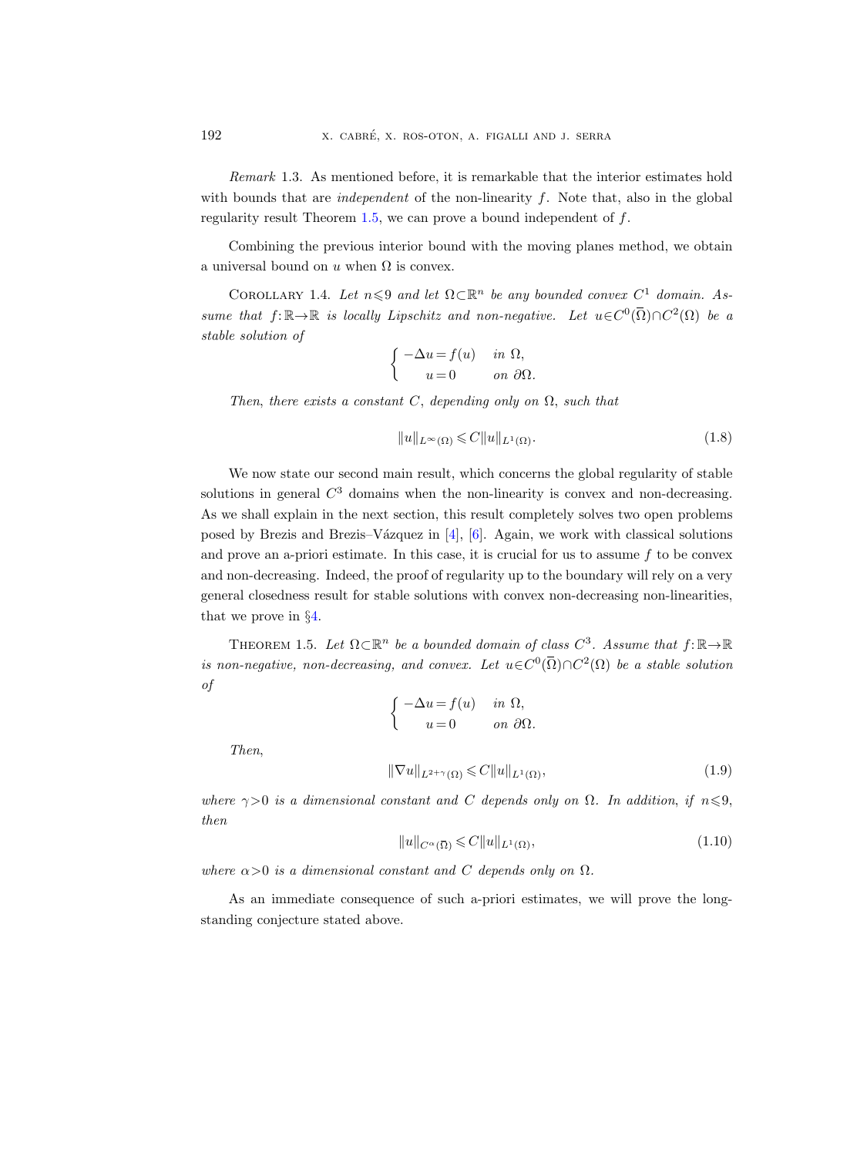Remark 1.3. As mentioned before, it is remarkable that the interior estimates hold with bounds that are *independent* of the non-linearity  $f$ . Note that, also in the global regularity result Theorem  $1.5$ , we can prove a bound independent of  $f$ .

Combining the previous interior bound with the moving planes method, we obtain a universal bound on u when  $\Omega$  is convex.

<span id="page-5-0"></span>COROLLARY 1.4. Let  $n \leq 9$  and let  $\Omega \subset \mathbb{R}^n$  be any bounded convex  $C^1$  domain. Assume that  $f: \mathbb{R} \to \mathbb{R}$  is locally Lipschitz and non-negative. Let  $u \in C^0(\overline{\Omega}) \cap C^2(\Omega)$  be a stable solution of

$$
\begin{cases}\n-\Delta u = f(u) & \text{in } \Omega, \\
u = 0 & \text{on } \partial\Omega.\n\end{cases}
$$

Then, there exists a constant C, depending only on  $\Omega$ , such that

$$
||u||_{L^{\infty}(\Omega)} \leqslant C||u||_{L^{1}(\Omega)}.
$$
\n(1.8)

We now state our second main result, which concerns the global regularity of stable solutions in general  $C<sup>3</sup>$  domains when the non-linearity is convex and non-decreasing. As we shall explain in the next section, this result completely solves two open problems posed by Brezis and Brezis–Vázquez in  $[4]$ ,  $[6]$ . Again, we work with classical solutions and prove an a-priori estimate. In this case, it is crucial for us to assume  $f$  to be convex and non-decreasing. Indeed, the proof of regularity up to the boundary will rely on a very general closedness result for stable solutions with convex non-decreasing non-linearities, that we prove in §[4.](#page-26-0)

<span id="page-5-1"></span>THEOREM 1.5. Let  $\Omega \subset \mathbb{R}^n$  be a bounded domain of class  $C^3$ . Assume that  $f: \mathbb{R} \to \mathbb{R}$ is non-negative, non-decreasing, and convex. Let  $u \in C^0(\overline{\Omega}) \cap C^2(\Omega)$  be a stable solution of

<span id="page-5-2"></span>
$$
\begin{cases}\n-\Delta u = f(u) & \text{in } \Omega, \\
u = 0 & \text{on } \partial\Omega.\n\end{cases}
$$
\n
$$
\|\nabla u\|_{L^{2+\gamma}(\Omega)} \leq C \|u\|_{L^{1}(\Omega)},
$$
\n
$$
u \text{ constant and } C \text{ depends only on } \Omega. \text{ In addition, if } n \leq 9,
$$
\n
$$
\|u\|_{C^{\alpha}(\overline{\Omega})} \leq C \|u\|_{L^{1}(\Omega)},
$$
\n
$$
(1.10)
$$

where  $\gamma > 0$  is a dimensional constant and C depends only on  $\Omega$ . In addition, if  $n \leq 9$ , then

<span id="page-5-3"></span>
$$
||u||_{C^{\alpha}(\overline{\Omega})} \leqslant C||u||_{L^{1}(\Omega)},\tag{1.10}
$$

where  $\alpha > 0$  is a dimensional constant and C depends only on  $\Omega$ .

As an immediate consequence of such a-priori estimates, we will prove the longstanding conjecture stated above.

Then,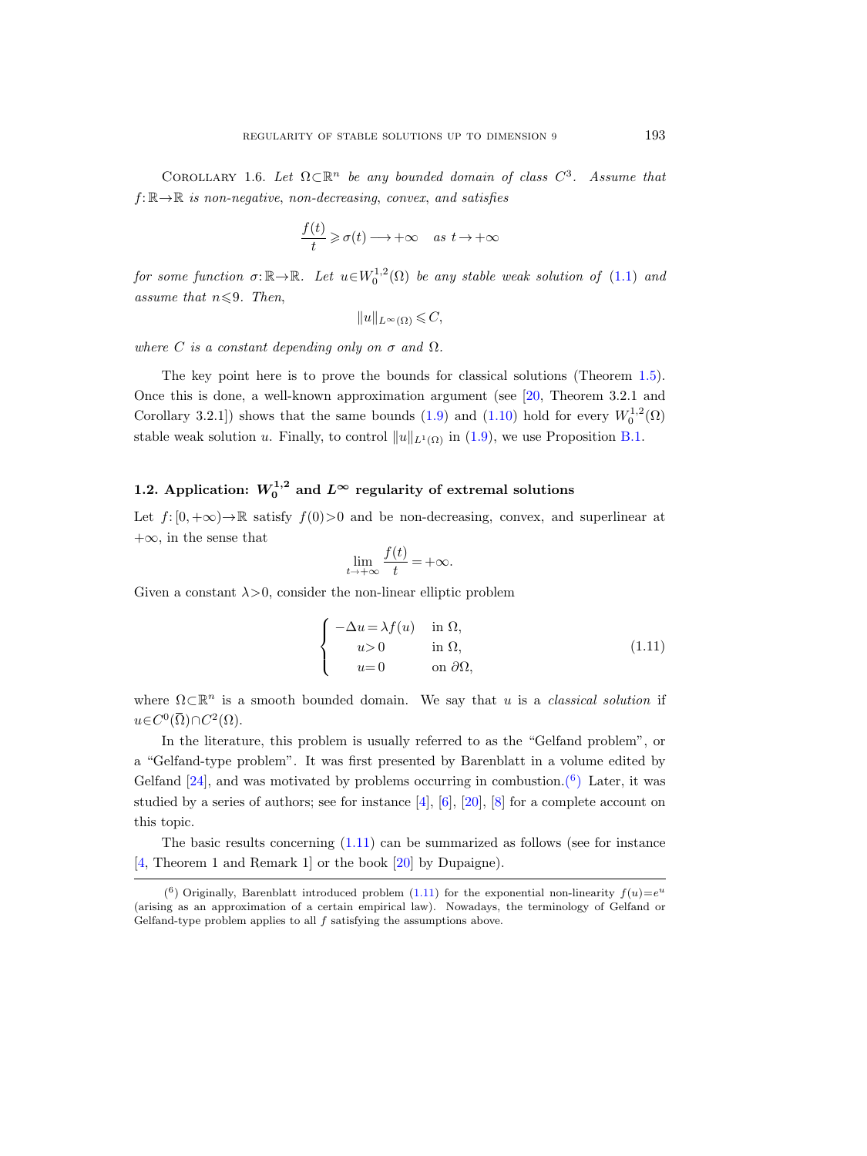<span id="page-6-3"></span>COROLLARY 1.6. Let  $\Omega \subset \mathbb{R}^n$  be any bounded domain of class  $C^3$ . Assume that  $f: \mathbb{R} \rightarrow \mathbb{R}$  is non-negative, non-decreasing, convex, and satisfies

$$
\frac{f(t)}{t} \geqslant \sigma(t) \longrightarrow +\infty \quad as \ t \to +\infty
$$

for some function  $\sigma: \mathbb{R} \to \mathbb{R}$ . Let  $u \in W_0^{1,2}(\Omega)$  be any stable weak solution of  $(1.1)$  and assume that  $n \leqslant 9$ . Then,

$$
||u||_{L^{\infty}(\Omega)} \leqslant C,
$$

where C is a constant depending only on  $\sigma$  and  $\Omega$ .

The key point here is to prove the bounds for classical solutions (Theorem [1.5\)](#page-5-1). Once this is done, a well-known approximation argument (see [\[20,](#page-64-1) Theorem 3.2.1 and Corollary 3.2.1]) shows that the same bounds [\(1.9\)](#page-5-2) and [\(1.10\)](#page-5-3) hold for every  $W_0^{1,2}(\Omega)$ stable weak solution u. Finally, to control  $||u||_{L^1(\Omega)}$  in [\(1.9\)](#page-5-2), we use Proposition [B.1.](#page-62-1)

## <span id="page-6-0"></span>1.2. Application:  $W_0^{1,2}$  and  $L^\infty$  regularity of extremal solutions

Let  $f: [0, +\infty) \to \mathbb{R}$  satisfy  $f(0) > 0$  and be non-decreasing, convex, and superlinear at  $+\infty$ , in the sense that

$$
\lim_{t \to +\infty} \frac{f(t)}{t} = +\infty.
$$

Given a constant  $\lambda > 0$ , consider the non-linear elliptic problem

<span id="page-6-2"></span>
$$
\begin{cases}\n-\Delta u = \lambda f(u) & \text{in } \Omega, \\
u > 0 & \text{in } \Omega, \\
u = 0 & \text{on } \partial\Omega,\n\end{cases}
$$
\n(1.11)

where  $\Omega \subset \mathbb{R}^n$  is a smooth bounded domain. We say that u is a *classical solution* if  $u \in C^0(\overline{\Omega}) \cap C^2(\Omega).$ 

In the literature, this problem is usually referred to as the "Gelfand problem", or a "Gelfand-type problem". It was first presented by Barenblatt in a volume edited by Gelfand  $[24]$ , and was motivated by problems occurring in combustion.<sup>(6)</sup> Later, it was studied by a series of authors; see for instance  $[4]$ ,  $[6]$ ,  $[20]$ ,  $[8]$  for a complete account on this topic.

The basic results concerning [\(1.11\)](#page-6-2) can be summarized as follows (see for instance [\[4,](#page-63-3) Theorem 1 and Remark 1] or the book [\[20\]](#page-64-1) by Dupaigne).

<span id="page-6-1"></span><sup>&</sup>lt;sup>(6</sup>) Originally, Barenblatt introduced problem [\(1.11\)](#page-6-2) for the exponential non-linearity  $f(u)=e^u$ (arising as an approximation of a certain empirical law). Nowadays, the terminology of Gelfand or Gelfand-type problem applies to all f satisfying the assumptions above.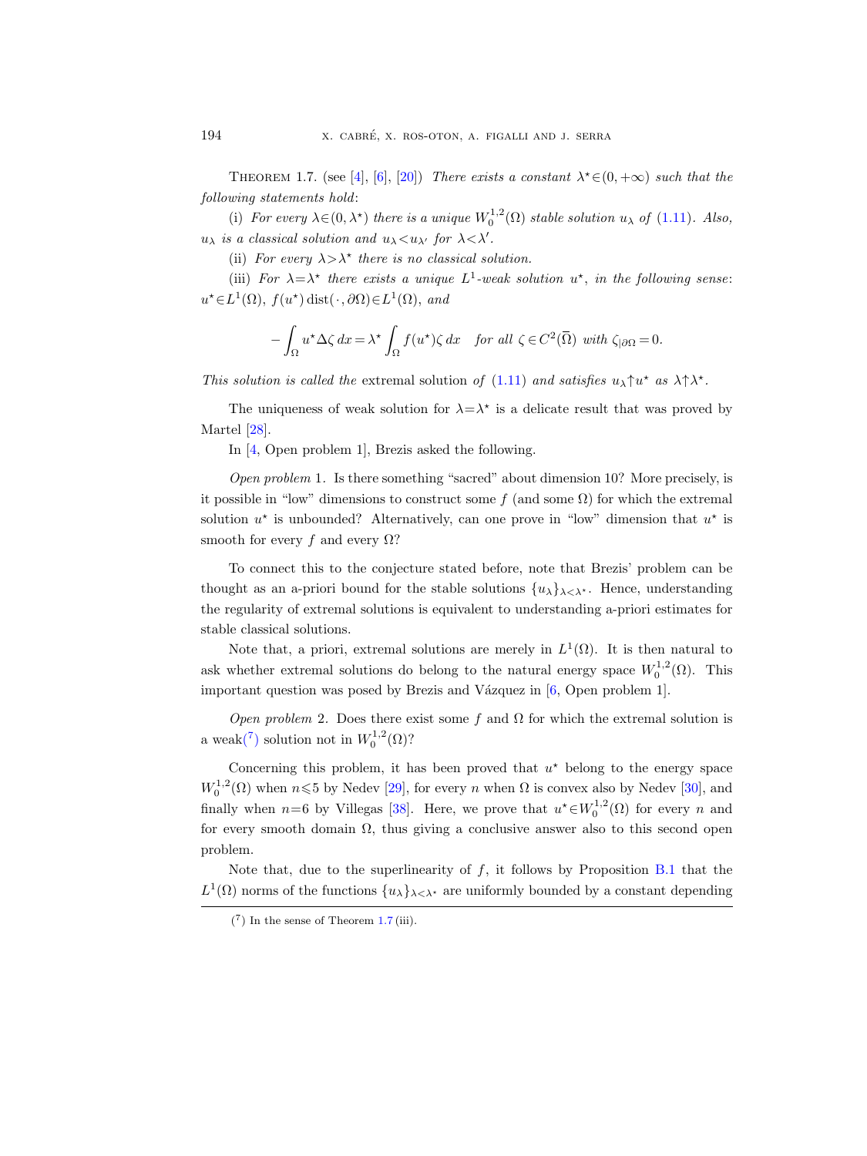<span id="page-7-1"></span>THEOREM 1.7. (see [\[4\]](#page-63-3), [\[6\]](#page-63-4), [\[20\]](#page-64-1)) There exists a constant  $\lambda^* \in (0, +\infty)$  such that the following statements hold:

(i) For every  $\lambda \in (0, \lambda^*)$  there is a unique  $W_0^{1,2}(\Omega)$  stable solution  $u_\lambda$  of [\(1.11\)](#page-6-2). Also,  $u_{\lambda}$  is a classical solution and  $u_{\lambda} < u_{\lambda'}$  for  $\lambda < \lambda'$ .

(ii) For every  $\lambda > \lambda^*$  there is no classical solution.

(iii) For  $\lambda = \lambda^*$  there exists a unique  $L^1$ -weak solution  $u^*$ , in the following sense:  $u^* \in L^1(\Omega)$ ,  $f(u^*)$  dist $(\cdot, \partial \Omega) \in L^1(\Omega)$ , and

$$
-\int_{\Omega} u^{\star} \Delta \zeta \, dx = \lambda^{\star} \int_{\Omega} f(u^{\star}) \zeta \, dx \quad \text{for all } \zeta \in C^{2}(\overline{\Omega}) \text{ with } \zeta_{|\partial\Omega} = 0.
$$

This solution is called the extremal solution of [\(1.11\)](#page-6-2) and satisfies  $u_{\lambda} \uparrow u^*$  as  $\lambda \uparrow \lambda^*$ .

The uniqueness of weak solution for  $\lambda = \lambda^*$  is a delicate result that was proved by Martel [\[28\]](#page-64-11).

In [\[4,](#page-63-3) Open problem 1], Brezis asked the following.

Open problem 1. Is there something "sacred" about dimension 10? More precisely, is it possible in "low" dimensions to construct some f (and some  $\Omega$ ) for which the extremal solution  $u^*$  is unbounded? Alternatively, can one prove in "low" dimension that  $u^*$  is smooth for every f and every  $\Omega$ ?

To connect this to the conjecture stated before, note that Brezis' problem can be thought as an a-priori bound for the stable solutions  $\{u_{\lambda}\}_{\lambda<\lambda^*}$ . Hence, understanding the regularity of extremal solutions is equivalent to understanding a-priori estimates for stable classical solutions.

Note that, a priori, extremal solutions are merely in  $L^1(\Omega)$ . It is then natural to ask whether extremal solutions do belong to the natural energy space  $W_0^{1,2}(\Omega)$ . This important question was posed by Brezis and Vázquez in  $[6,$  Open problem 1].

Open problem 2. Does there exist some f and  $\Omega$  for which the extremal solution is a wea[k\(](#page-7-0)<sup>7</sup>) solution not in  $W_0^{1,2}(\Omega)$ ?

Concerning this problem, it has been proved that  $u^*$  belong to the energy space  $W_0^{1,2}(\Omega)$  when  $n \leq 5$  by Nedev [\[29\]](#page-64-5), for every n when  $\Omega$  is convex also by Nedev [\[30\]](#page-65-2), and finally when  $n=6$  by Villegas [\[38\]](#page-65-1). Here, we prove that  $u^* \in W_0^{1,2}(\Omega)$  for every n and for every smooth domain  $\Omega$ , thus giving a conclusive answer also to this second open problem.

Note that, due to the superlinearity of  $f$ , it follows by Proposition [B.1](#page-62-1) that the  $L^1(\Omega)$  norms of the functions  $\{u_\lambda\}_{\lambda<\lambda^*}$  are uniformly bounded by a constant depending

<span id="page-7-0"></span> $(7)$  In the sense of Theorem [1.7](#page-7-1) (iii).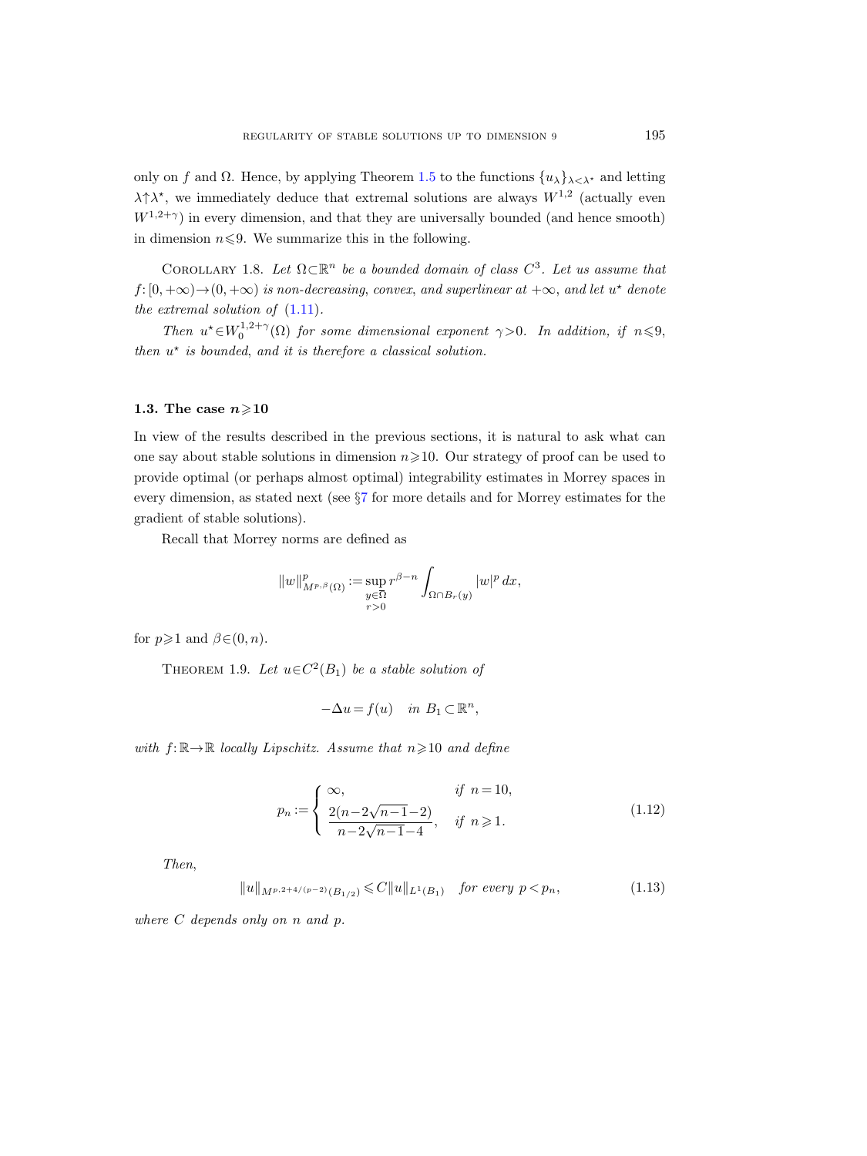only on f and  $\Omega$ . Hence, by applying Theorem [1.5](#page-5-1) to the functions  $\{u_{\lambda}\}_{\lambda<\lambda^*}$  and letting  $\lambda \uparrow \lambda^*$ , we immediately deduce that extremal solutions are always  $W^{1,2}$  (actually even  $W^{1,2+\gamma}$ ) in every dimension, and that they are universally bounded (and hence smooth) in dimension  $n \leq 9$ . We summarize this in the following.

COROLLARY 1.8. Let  $\Omega \subset \mathbb{R}^n$  be a bounded domain of class  $C^3$ . Let us assume that  $f: [0, +\infty) \rightarrow (0, +\infty)$  is non-decreasing, convex, and superlinear at  $+\infty$ , and let  $u^*$  denote the extremal solution of [\(1.11\)](#page-6-2).

Then  $u^* \in W_0^{1,2+\gamma}(\Omega)$  for some dimensional exponent  $\gamma > 0$ . In addition, if  $n \leq 9$ , then  $u^*$  is bounded, and it is therefore a classical solution.

## <span id="page-8-0"></span>1.3. The case  $n\geqslant 10$

In view of the results described in the previous sections, it is natural to ask what can one say about stable solutions in dimension  $n\geqslant 10$ . Our strategy of proof can be used to provide optimal (or perhaps almost optimal) integrability estimates in Morrey spaces in every dimension, as stated next (see §[7](#page-53-0) for more details and for Morrey estimates for the gradient of stable solutions). for<br>inection<br>sup<br> $y \in \overline{\Omega}$ 

Recall that Morrey norms are defined as

$$
||w||_{M^{p,\beta}(\Omega)}^p := \sup_{\substack{y \in \overline{\Omega} \\ r>0}} r^{\beta-n} \int_{\Omega \cap B_r(y)} |w|^p \, dx,
$$

<span id="page-8-1"></span>for  $p \geq 1$  and  $\beta \in (0, n)$ .

THEOREM 1.9. Let  $u \in C^2(B_1)$  be a stable solution of

$$
-\Delta u = f(u) \quad in \ B_1 \subset \mathbb{R}^n,
$$

with  $f: \mathbb{R} \to \mathbb{R}$  locally Lipschitz. Assume that  $n \geq 10$  and define

$$
p_n := \begin{cases} \infty, & \text{if } n = 10, \\ \frac{2(n - 2\sqrt{n - 1} - 2)}{n - 2\sqrt{n - 1} - 4}, & \text{if } n \ge 1. \end{cases}
$$
(1.12)

Then,

<span id="page-8-2"></span>
$$
||u||_{M^{p,2+4/(p-2)}(B_{1/2})} \leq C||u||_{L^{1}(B_{1})} \quad \text{for every } p < p_{n}, \tag{1.13}
$$

where C depends only on n and p.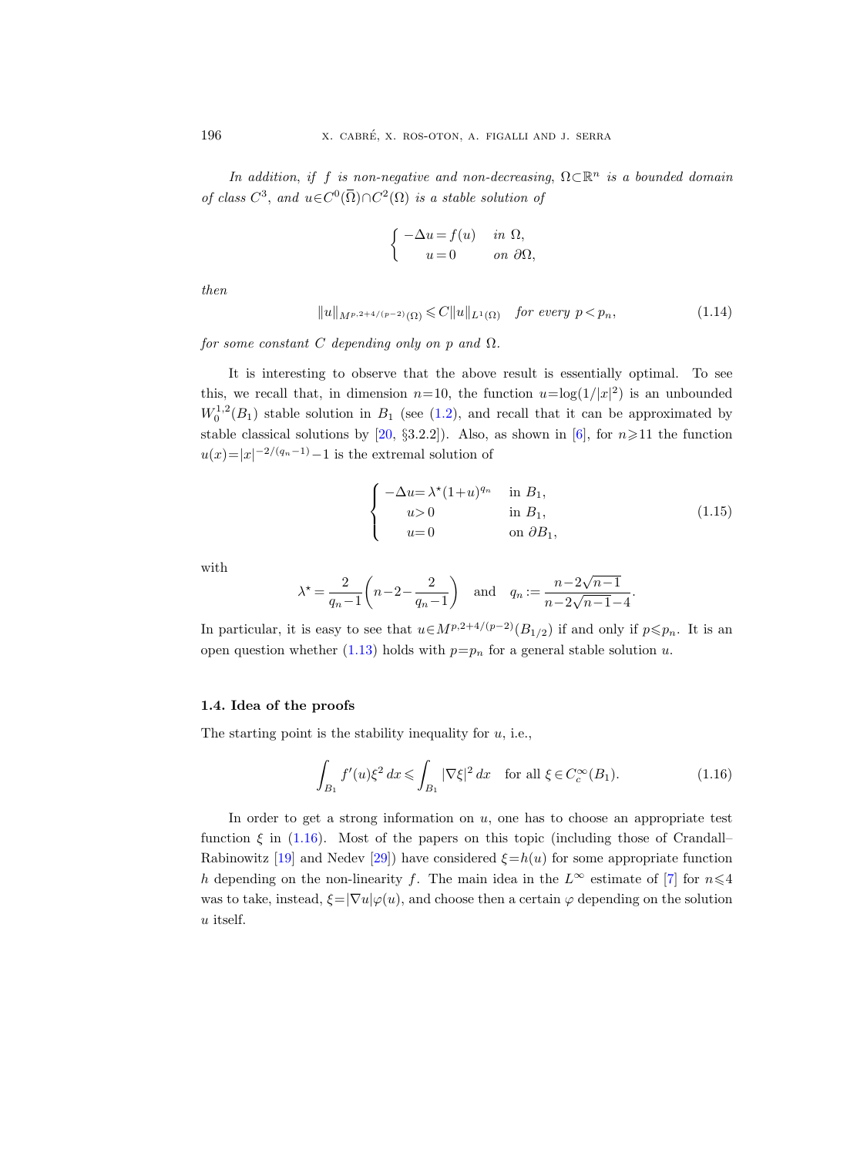In addition, if f is non-negative and non-decreasing,  $\Omega \subset \mathbb{R}^n$  is a bounded domain of class  $C^3$ , and  $u \in C^0(\overline{\Omega}) \cap C^2(\Omega)$  is a stable solution of

$$
\begin{cases}\n-\Delta u = f(u) & \text{in } \Omega, \\
u = 0 & \text{on } \partial\Omega,\n\end{cases}
$$

then

<span id="page-9-2"></span>
$$
||u||_{M^{p,2+4/(p-2)}(\Omega)} \leq C||u||_{L^{1}(\Omega)} \quad \text{for every } p < p_n,\tag{1.14}
$$

for some constant C depending only on p and  $\Omega$ .

It is interesting to observe that the above result is essentially optimal. To see this, we recall that, in dimension  $n=10$ , the function  $u=\log(1/|x|^2)$  is an unbounded  $W_0^{1,2}(B_1)$  stable solution in  $B_1$  (see [\(1.2\)](#page-2-2), and recall that it can be approximated by stable classical solutions by [\[20,](#page-64-1) §3.2.2]). Also, as shown in [\[6\]](#page-63-4), for  $n \ge 11$  the function  $u(x)=|x|^{-2/(q_n-1)}-1$  is the extremal solution of

$$
\begin{cases}\n-\Delta u = \lambda^*(1+u)^{q_n} & \text{in } B_1, \\
u > 0 & \text{in } B_1, \\
u = 0 & \text{on } \partial B_1,\n\end{cases}
$$
\n(1.15)

with

$$
\lambda^* = \frac{2}{q_n - 1} \left( n - 2 - \frac{2}{q_n - 1} \right) \quad \text{and} \quad q_n := \frac{n - 2\sqrt{n - 1}}{n - 2\sqrt{n - 1} - 4}.
$$

In particular, it is easy to see that  $u \in M^{p,2+4/(p-2)}(B_{1/2})$  if and only if  $p \leq p_n$ . It is an open question whether [\(1.13\)](#page-8-2) holds with  $p=p_n$  for a general stable solution u.

## <span id="page-9-0"></span>1.4. Idea of the proofs

The starting point is the stability inequality for  $u$ , i.e.,

<span id="page-9-1"></span>
$$
\int_{B_1} f'(u)\xi^2 \, dx \le \int_{B_1} |\nabla \xi|^2 \, dx \quad \text{for all } \xi \in C_c^{\infty}(B_1). \tag{1.16}
$$

In order to get a strong information on  $u$ , one has to choose an appropriate test function  $\xi$  in [\(1.16\)](#page-9-1). Most of the papers on this topic (including those of Crandall– Rabinowitz [\[19\]](#page-64-0) and Nedev [\[29\]](#page-64-5)) have considered  $\xi = h(u)$  for some appropriate function h depending on the non-linearity f. The main idea in the  $L^{\infty}$  estimate of [\[7\]](#page-63-2) for  $n\leq 4$ was to take, instead,  $\xi = |\nabla u| \varphi(u)$ , and choose then a certain  $\varphi$  depending on the solution u itself.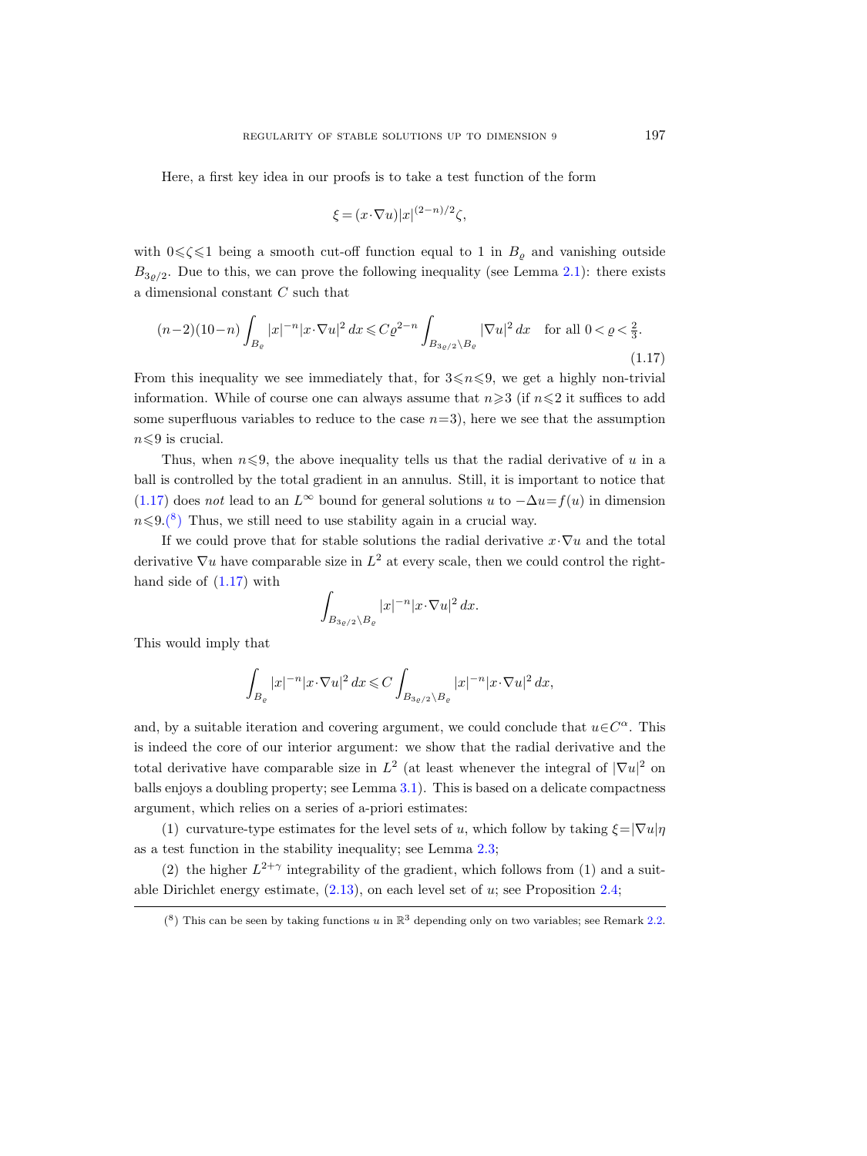Here, a first key idea in our proofs is to take a test function of the form

$$
\xi = (x \cdot \nabla u)|x|^{(2-n)/2}\zeta,
$$

with  $0 \le \zeta \le 1$  being a smooth cut-off function equal to 1 in  $B_{\rho}$  and vanishing outside  $B_{3\rho/2}$ . Due to this, we can prove the following inequality (see Lemma [2.1\)](#page-12-2): there exists a dimensional constant C such that

<span id="page-10-0"></span>
$$
(n-2)(10-n)\int_{B_{\varrho}} |x|^{-n}|x \cdot \nabla u|^2 dx \leqslant C \varrho^{2-n} \int_{B_{3\varrho/2} \backslash B_{\varrho}} |\nabla u|^2 dx \quad \text{for all } 0 < \varrho < \frac{2}{3}.
$$
\n(1.17)

From this inequality we see immediately that, for  $3\leq n\leq 9$ , we get a highly non-trivial information. While of course one can always assume that  $n\geqslant3$  (if  $n\leqslant2$  it suffices to add some superfluous variables to reduce to the case  $n=3$ ), here we see that the assumption  $n \leq 9$  is crucial.

Thus, when  $n \leq 9$ , the above inequality tells us that the radial derivative of u in a ball is controlled by the total gradient in an annulus. Still, it is important to notice that [\(1.17\)](#page-10-0) does not lead to an  $L^{\infty}$  bound for general solutions u to  $-\Delta u = f(u)$  in dimension  $n\leqslant9(\frac{8}{5})$  Thus, we still need to use stability again in a crucial way.

If we could prove that for stable solutions the radial derivative  $x \cdot \nabla u$  and the total derivative  $\nabla u$  have comparable size in  $L^2$  at every scale, then we could control the righthand side of [\(1.17\)](#page-10-0) with

$$
\int_{B_{3\varrho/2}\setminus B_{\varrho}} |x|^{-n} |x \cdot \nabla u|^2 \, dx.
$$

This would imply that

$$
\int_{B_{\varrho}} |x|^{-n} |x\cdot\nabla u|^2\,dx \leqslant C \int_{B_{3\varrho/2}\setminus B_{\varrho}} |x|^{-n} |x\cdot\nabla u|^2\,dx,
$$

and, by a suitable iteration and covering argument, we could conclude that  $u \in C^{\alpha}$ . This is indeed the core of our interior argument: we show that the radial derivative and the total derivative have comparable size in  $L^2$  (at least whenever the integral of  $|\nabla u|^2$  on balls enjoys a doubling property; see Lemma [3.1\)](#page-20-1). This is based on a delicate compactness argument, which relies on a series of a-priori estimates:

(1) curvature-type estimates for the level sets of u, which follow by taking  $\xi = |\nabla u| \eta$ as a test function in the stability inequality; see Lemma [2.3;](#page-15-0)

(2) the higher  $L^{2+\gamma}$  integrability of the gradient, which follows from (1) and a suitable Dirichlet energy estimate,  $(2.13)$ , on each level set of u; see Proposition [2.4;](#page-16-0)

<span id="page-10-1"></span><sup>(&</sup>lt;sup>8</sup>) This can be seen by taking functions u in  $\mathbb{R}^3$  depending only on two variables; see Remark [2.2.](#page-14-0)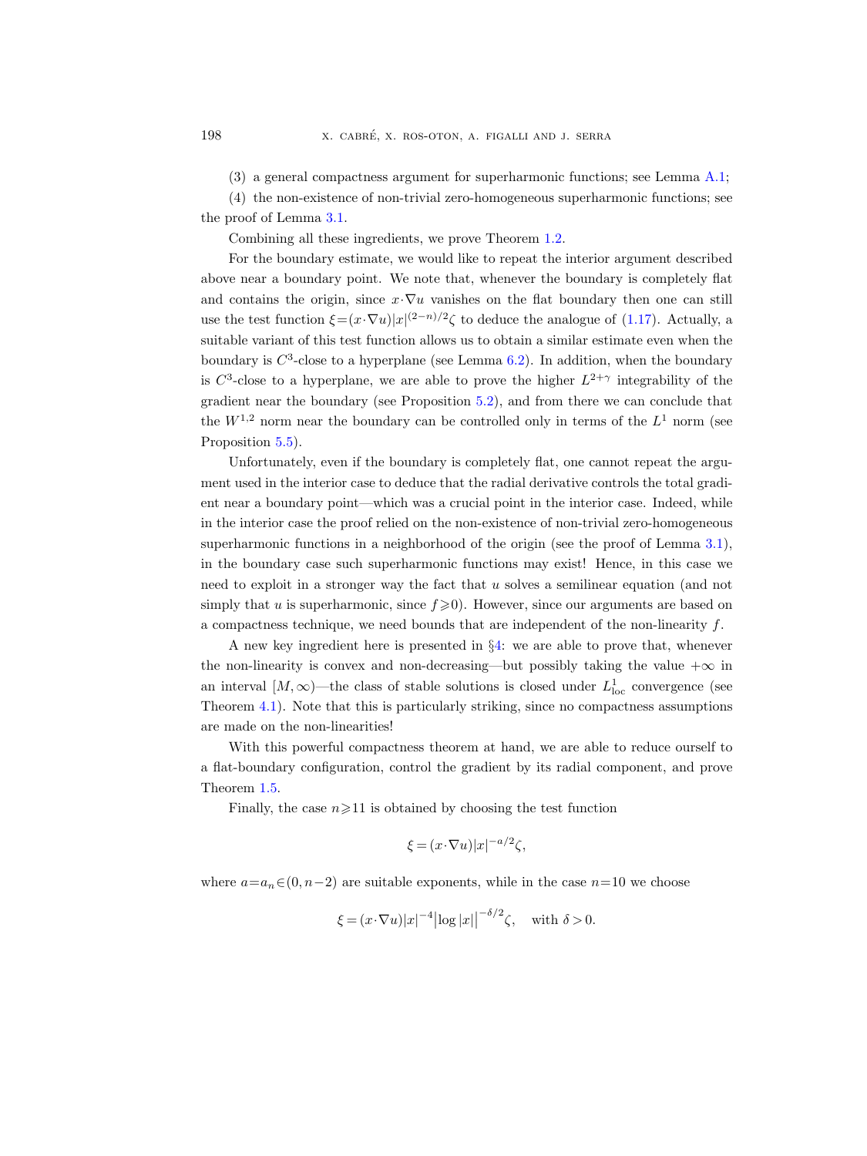(3) a general compactness argument for superharmonic functions; see Lemma [A.1;](#page-57-1)

(4) the non-existence of non-trivial zero-homogeneous superharmonic functions; see

the proof of Lemma [3.1.](#page-20-1)

Combining all these ingredients, we prove Theorem [1.2.](#page-4-0)

For the boundary estimate, we would like to repeat the interior argument described above near a boundary point. We note that, whenever the boundary is completely flat and contains the origin, since  $x \cdot \nabla u$  vanishes on the flat boundary then one can still use the test function  $\xi = (x \cdot \nabla u)|x|^{(2-n)/2}\zeta$  to deduce the analogue of [\(1.17\)](#page-10-0). Actually, a suitable variant of this test function allows us to obtain a similar estimate even when the boundary is  $C^3$ -close to a hyperplane (see Lemma [6.2\)](#page-45-0). In addition, when the boundary is  $C^3$ -close to a hyperplane, we are able to prove the higher  $L^{2+\gamma}$  integrability of the gradient near the boundary (see Proposition [5.2\)](#page-37-0), and from there we can conclude that the  $W^{1,2}$  norm near the boundary can be controlled only in terms of the  $L^1$  norm (see Proposition [5.5\)](#page-44-1).

Unfortunately, even if the boundary is completely flat, one cannot repeat the argument used in the interior case to deduce that the radial derivative controls the total gradient near a boundary point—which was a crucial point in the interior case. Indeed, while in the interior case the proof relied on the non-existence of non-trivial zero-homogeneous superharmonic functions in a neighborhood of the origin (see the proof of Lemma [3.1\)](#page-20-1), in the boundary case such superharmonic functions may exist! Hence, in this case we need to exploit in a stronger way the fact that u solves a semilinear equation (and not simply that u is superharmonic, since  $f \ge 0$ . However, since our arguments are based on a compactness technique, we need bounds that are independent of the non-linearity  $f$ .

A new key ingredient here is presented in §[4:](#page-26-0) we are able to prove that, whenever the non-linearity is convex and non-decreasing—but possibly taking the value  $+\infty$  in an interval  $[M, \infty)$ —the class of stable solutions is closed under  $L^1_{loc}$  convergence (see Theorem [4.1\)](#page-27-0). Note that this is particularly striking, since no compactness assumptions are made on the non-linearities!

With this powerful compactness theorem at hand, we are able to reduce ourself to a flat-boundary configuration, control the gradient by its radial component, and prove Theorem [1.5.](#page-5-1)

Finally, the case  $n \geq 11$  is obtained by choosing the test function

$$
\xi = (x \cdot \nabla u)|x|^{-a/2}\zeta,
$$

where  $a=a_n \in (0, n-2)$  are suitable exponents, while in the case  $n=10$  we choose

$$
\xi = (x \cdot \nabla u)|x|^{-4} |\log |x||^{-\delta/2} \zeta, \quad \text{with } \delta > 0.
$$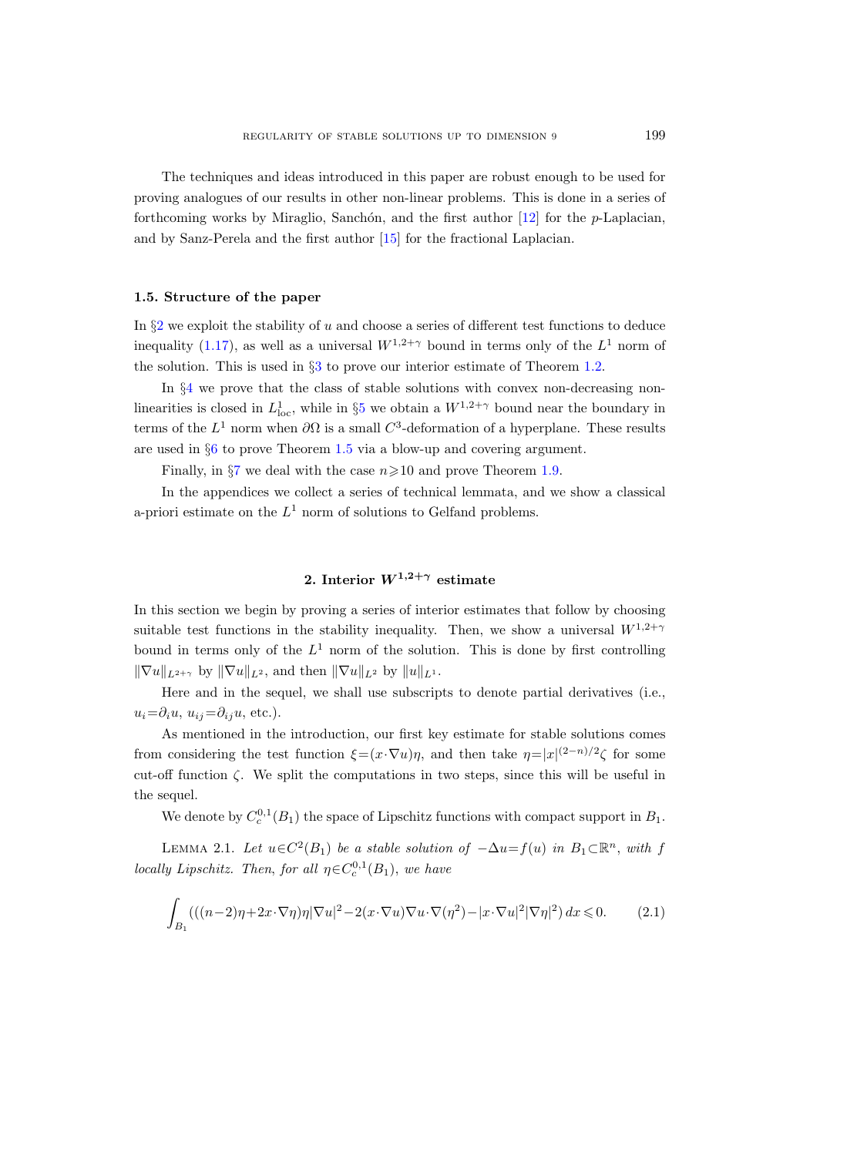The techniques and ideas introduced in this paper are robust enough to be used for proving analogues of our results in other non-linear problems. This is done in a series of forthcoming works by Miraglio, Sanchón, and the first author  $[12]$  for the *p*-Laplacian, and by Sanz-Perela and the first author [\[15\]](#page-64-13) for the fractional Laplacian.

## <span id="page-12-0"></span>1.5. Structure of the paper

In  $\S2$  $\S2$  we exploit the stability of u and choose a series of different test functions to deduce inequality [\(1.17\)](#page-10-0), as well as a universal  $W^{1,2+\gamma}$  bound in terms only of the  $L^1$  norm of the solution. This is used in §[3](#page-20-0) to prove our interior estimate of Theorem [1.2.](#page-4-0)

In §[4](#page-26-0) we prove that the class of stable solutions with convex non-decreasing nonlinearities is closed in  $L^1_{\text{loc}}$ , while in §[5](#page-36-0) we obtain a  $W^{1,2+\gamma}$  bound near the boundary in terms of the  $L^1$  norm when  $\partial\Omega$  is a small  $C^3$ -deformation of a hyperplane. These results are used in §[6](#page-44-0) to prove Theorem [1.5](#page-5-1) via a blow-up and covering argument.

Finally, in  $\S7$  $\S7$  we deal with the case  $n\geq 10$  and prove Theorem [1.9.](#page-8-1)

In the appendices we collect a series of technical lemmata, and we show a classical a-priori estimate on the  $L^1$  norm of solutions to Gelfand problems.

## 2. Interior  $W^{1,2+\gamma}$  estimate

<span id="page-12-1"></span>In this section we begin by proving a series of interior estimates that follow by choosing suitable test functions in the stability inequality. Then, we show a universal  $W^{1,2+\gamma}$ bound in terms only of the  $L^1$  norm of the solution. This is done by first controlling  $\|\nabla u\|_{L^{2+\gamma}}$  by  $\|\nabla u\|_{L^2}$ , and then  $\|\nabla u\|_{L^2}$  by  $\|u\|_{L^1}$ .

Here and in the sequel, we shall use subscripts to denote partial derivatives (i.e.,  $u_i=\partial_i u, u_{ij}=\partial_{ij} u$ , etc.).

As mentioned in the introduction, our first key estimate for stable solutions comes from considering the test function  $\xi = (x \cdot \nabla u)\eta$ , and then take  $\eta = |x|^{(2-n)/2}\zeta$  for some cut-off function  $\zeta$ . We split the computations in two steps, since this will be useful in the sequel.

We denote by  $C_c^{0,1}(B_1)$  the space of Lipschitz functions with compact support in  $B_1$ .

<span id="page-12-2"></span>LEMMA 2.1. Let  $u \in C^2(B_1)$  be a stable solution of  $-\Delta u = f(u)$  in  $B_1 \subset \mathbb{R}^n$ , with f locally Lipschitz. Then, for all  $\eta \in C_c^{0,1}(B_1)$ , we have

<span id="page-12-3"></span>
$$
\int_{B_1} \left( \left( (n-2)\eta + 2\mathbf{x} \cdot \nabla \eta \right) \eta |\nabla u|^2 - 2(\mathbf{x} \cdot \nabla u) \nabla u \cdot \nabla (\eta^2) - |\mathbf{x} \cdot \nabla u|^2 |\nabla \eta|^2 \right) dx \leqslant 0. \tag{2.1}
$$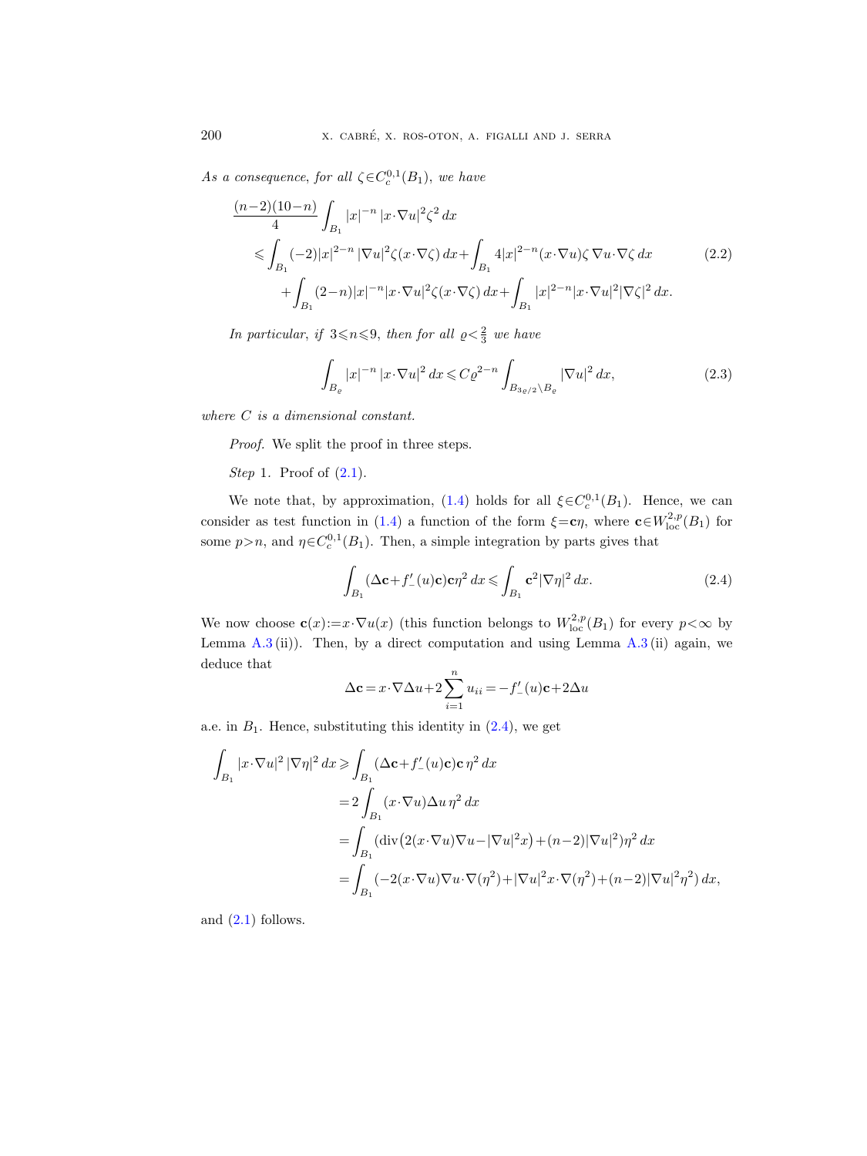As a consequence, for all  $\zeta \in C_c^{0,1}(B_1)$ , we have

<span id="page-13-1"></span>
$$
\frac{(n-2)(10-n)}{4} \int_{B_1} |x|^{-n} |x \cdot \nabla u|^2 \zeta^2 dx
$$
\n
$$
\leqslant \int_{B_1} (-2)|x|^{2-n} |\nabla u|^2 \zeta(x \cdot \nabla \zeta) dx + \int_{B_1} 4|x|^{2-n} (x \cdot \nabla u) \zeta \nabla u \cdot \nabla \zeta dx \qquad (2.2)
$$
\n
$$
+ \int_{B_1} (2-n)|x|^{-n} |x \cdot \nabla u|^2 \zeta(x \cdot \nabla \zeta) dx + \int_{B_1} |x|^{2-n} |x \cdot \nabla u|^2 |\nabla \zeta|^2 dx.
$$

In particular, if  $3 \le n \le 9$ , then for all  $\varrho < \frac{2}{3}$  we have

<span id="page-13-2"></span>
$$
\int_{B_{\varrho}} |x|^{-n} |x \cdot \nabla u|^2 dx \leqslant C \varrho^{2-n} \int_{B_{3\varrho/2} \backslash B_{\varrho}} |\nabla u|^2 dx,
$$
\n(2.3)

where C is a dimensional constant.

Proof. We split the proof in three steps.

## Step 1. Proof of  $(2.1)$ .

We note that, by approximation, [\(1.4\)](#page-4-1) holds for all  $\xi \in C_c^{0,1}(B_1)$ . Hence, we can consider as test function in [\(1.4\)](#page-4-1) a function of the form  $\xi = c\eta$ , where  $c \in W^{2,p}_{loc}(B_1)$  for some  $p > n$ , and  $\eta \in C_c^{0,1}(B_1)$ . Then, a simple integration by parts gives that

<span id="page-13-0"></span>
$$
\int_{B_1} (\Delta \mathbf{c} + f'_{-}(u)\mathbf{c}) \mathbf{c} \eta^2 dx \le \int_{B_1} \mathbf{c}^2 |\nabla \eta|^2 dx.
$$
\n(2.4)

We now choose  $\mathbf{c}(x) := x \cdot \nabla u(x)$  (this function belongs to  $W^{2,p}_{loc}(B_1)$  for every  $p < \infty$  by Lemma  $A.3$  (ii)). Then, by a direct computation and using Lemma  $A.3$  (ii) again, we deduce that

$$
\Delta \mathbf{c} = x \cdot \nabla \Delta u + 2 \sum_{i=1}^{n} u_{ii} = -f'_{-}(u)\mathbf{c} + 2\Delta u
$$

a.e. in  $B_1$ . Hence, substituting this identity in  $(2.4)$ , we get

$$
\int_{B_1} |x \cdot \nabla u|^2 |\nabla \eta|^2 dx \ge \int_{B_1} (\Delta \mathbf{c} + f'_{-}(u)\mathbf{c}) \mathbf{c} \eta^2 dx
$$
  
\n
$$
= 2 \int_{B_1} (x \cdot \nabla u) \Delta u \eta^2 dx
$$
  
\n
$$
= \int_{B_1} (\text{div} (2(x \cdot \nabla u) \nabla u - |\nabla u|^2 x) + (n-2)|\nabla u|^2) \eta^2 dx
$$
  
\n
$$
= \int_{B_1} (-2(x \cdot \nabla u) \nabla u \cdot \nabla (\eta^2) + |\nabla u|^2 x \cdot \nabla (\eta^2) + (n-2)|\nabla u|^2 \eta^2) dx,
$$

and  $(2.1)$  follows.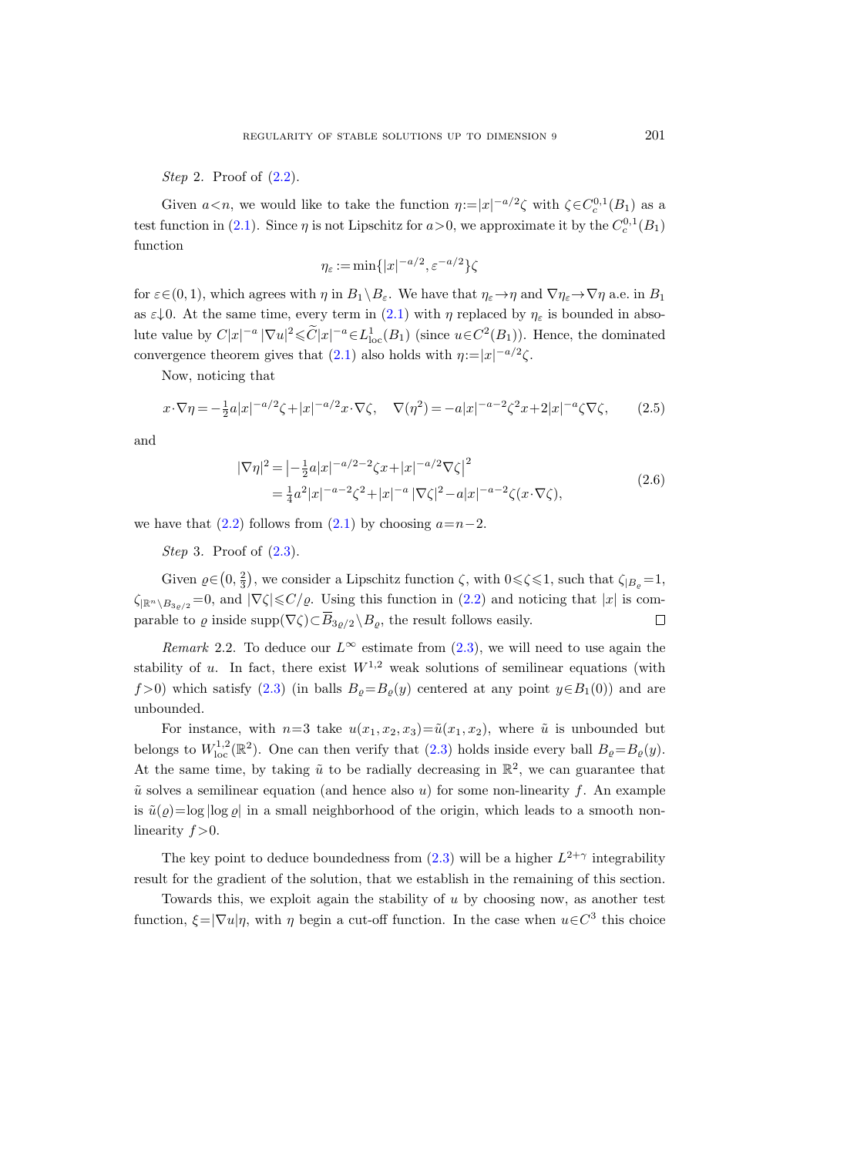Step 2. Proof of  $(2.2)$ .

Given  $a < n$ , we would like to take the function  $\eta := |x|^{-a/2}\zeta$  with  $\zeta \in C_c^{0,1}(B_1)$  as a test function in [\(2.1\)](#page-12-3). Since  $\eta$  is not Lipschitz for  $a > 0$ , we approximate it by the  $C_c^{0,1}(B_1)$ function

$$
\eta_{\varepsilon} := \min\{|x|^{-a/2}, \varepsilon^{-a/2}\}\zeta
$$

for  $\varepsilon \in (0, 1)$ , which agrees with  $\eta$  in  $B_1 \setminus B_\varepsilon$ . We have that  $\eta_{\varepsilon} \to \eta$  and  $\nabla \eta_{\varepsilon} \to \nabla \eta$  a.e. in  $B_1$ as  $\varepsilon \downarrow 0$ . At the same time, every term in [\(2.1\)](#page-12-3) with  $\eta$  replaced by  $\eta_{\varepsilon}$  is bounded in absolute value by  $C|x|^{-a} |\nabla u|^2 \leq \widetilde{C}|x|^{-a} \in L^1_{loc}(B_1)$  (since  $u \in C^2(B_1)$ ). Hence, the dominated convergence theorem gives that [\(2.1\)](#page-12-3) also holds with  $\eta := |x|^{-a/2}\zeta$ .

Now, noticing that

$$
x \cdot \nabla \eta = -\frac{1}{2} a|x|^{-a/2} \zeta + |x|^{-a/2} x \cdot \nabla \zeta, \quad \nabla(\eta^2) = -a|x|^{-a-2} \zeta^2 x + 2|x|^{-a} \zeta \nabla \zeta,
$$
 (2.5)

and

$$
|\nabla \eta|^2 = \left| -\frac{1}{2} a |x|^{-a/2 - 2} \zeta x + |x|^{-a/2} \nabla \zeta \right|^2
$$
  
=  $\frac{1}{4} a^2 |x|^{-a - 2} \zeta^2 + |x|^{-a} |\nabla \zeta|^2 - a |x|^{-a - 2} \zeta (x \cdot \nabla \zeta),$  (2.6)

we have that  $(2.2)$  follows from  $(2.1)$  by choosing  $a=n-2$ .

Step 3. Proof of  $(2.3)$ .

Given  $\varrho \in (0, \frac{2}{3})$ , we consider a Lipschitz function  $\zeta$ , with  $0 \leq \zeta \leq 1$ , such that  $\zeta_{|B_{\varrho}} = 1$ ,  $\zeta_{\mathbb{R}^n\setminus B_{3\alpha/2}}=0$ , and  $|\nabla \zeta|\leqslant C/\varrho$ . Using this function in  $(2.2)$  and noticing that  $|x|$  is comparable to  $\varrho$  inside supp $(\nabla \zeta) \subset \overline{B}_{3\rho/2} \setminus B_{\varrho}$ , the result follows easily.  $\Box$ 

<span id="page-14-0"></span>Remark 2.2. To deduce our  $L^{\infty}$  estimate from [\(2.3\)](#page-13-2), we will need to use again the stability of u. In fact, there exist  $W^{1,2}$  weak solutions of semilinear equations (with f >0) which satisfy [\(2.3\)](#page-13-2) (in balls  $B_o = B_o(y)$  centered at any point  $y \in B_1(0)$ ) and are unbounded.

For instance, with  $n=3$  take  $u(x_1, x_2, x_3)=\tilde{u}(x_1, x_2)$ , where  $\tilde{u}$  is unbounded but belongs to  $W^{1,2}_{loc}(\mathbb{R}^2)$ . One can then verify that [\(2.3\)](#page-13-2) holds inside every ball  $B_{\varrho} = B_{\varrho}(y)$ . At the same time, by taking  $\tilde{u}$  to be radially decreasing in  $\mathbb{R}^2$ , we can guarantee that  $\tilde{u}$  solves a semilinear equation (and hence also u) for some non-linearity f. An example is  $\tilde{u}(\varrho) = \log |\log \varrho|$  in a small neighborhood of the origin, which leads to a smooth nonlinearity  $f > 0$ .

The key point to deduce boundedness from  $(2.3)$  will be a higher  $L^{2+\gamma}$  integrability result for the gradient of the solution, that we establish in the remaining of this section.

Towards this, we exploit again the stability of  $u$  by choosing now, as another test function,  $\xi = |\nabla u| \eta$ , with  $\eta$  begin a cut-off function. In the case when  $u \in C^3$  this choice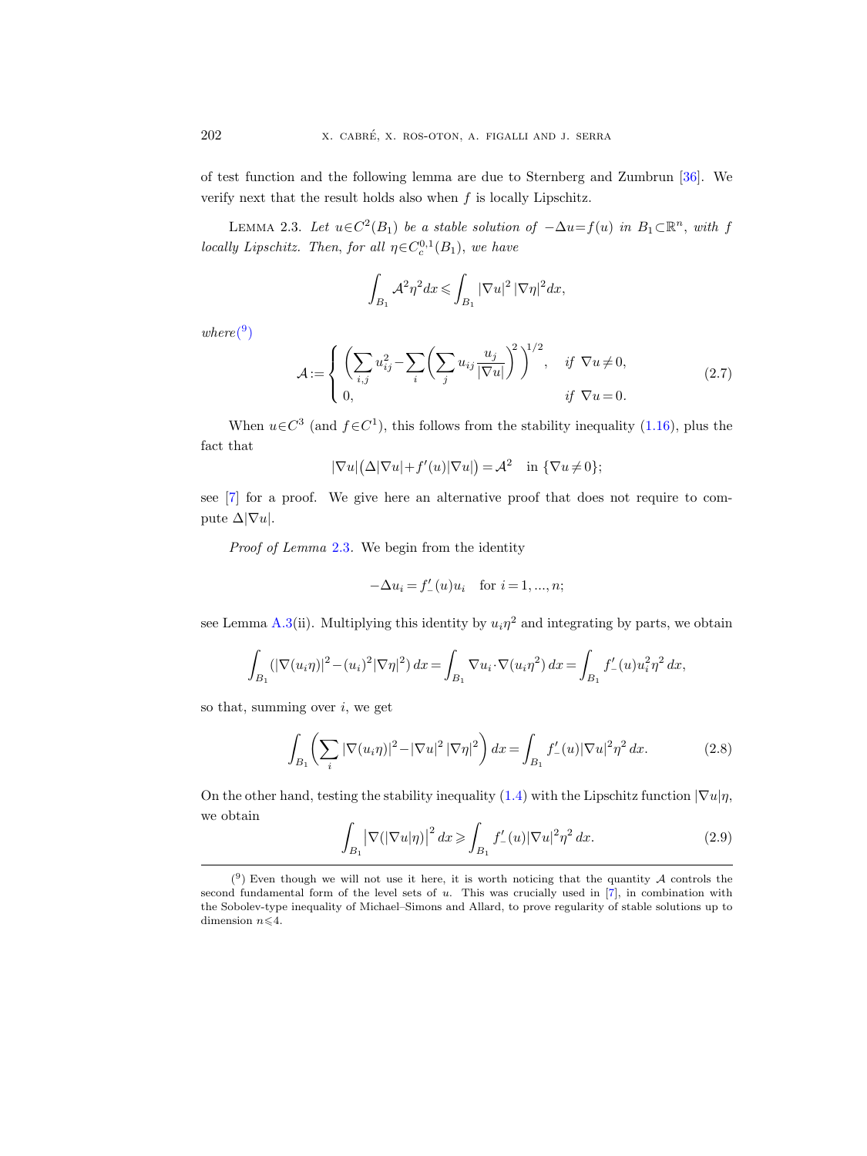of test function and the following lemma are due to Sternberg and Zumbrun [\[36\]](#page-65-3). We verify next that the result holds also when  $f$  is locally Lipschitz.

<span id="page-15-0"></span>LEMMA 2.3. Let  $u \in C^2(B_1)$  be a stable solution of  $-\Delta u = f(u)$  in  $B_1 \subset \mathbb{R}^n$ , with f locally Lipschitz. Then, for all  $\eta \in C_c^{0,1}(B_1)$ , we have

$$
\int_{B_1} \mathcal{A}^2 \eta^2 dx \leqslant \int_{B_1} |\nabla u|^2 |\nabla \eta|^2 dx,
$$

 $where (9)$  $where (9)$  $where (9)$ 

<span id="page-15-4"></span>
$$
\mathcal{A} := \begin{cases} \left( \sum_{i,j} u_{ij}^2 - \sum_i \left( \sum_j u_{ij} \frac{u_j}{|\nabla u|} \right)^2 \right)^{1/2}, & \text{if } \nabla u \neq 0, \\ 0, & \text{if } \nabla u = 0. \end{cases} \tag{2.7}
$$

When  $u \in C^3$  (and  $f \in C^1$ ), this follows from the stability inequality [\(1.16\)](#page-9-1), plus the fact that

$$
|\nabla u|(\Delta|\nabla u| + f'(u)|\nabla u|) = \mathcal{A}^2 \quad \text{in } \{\nabla u \neq 0\};
$$

see [\[7\]](#page-63-2) for a proof. We give here an alternative proof that does not require to compute  $\Delta |\nabla u|$ .

Proof of Lemma [2.3](#page-15-0). We begin from the identity

$$
-\Delta u_i = f'_{-}(u)u_i \quad \text{for } i = 1, ..., n;
$$

see Lemma [A.3\(](#page-59-0)ii). Multiplying this identity by  $u_i \eta^2$  and integrating by parts, we obtain

$$
\int_{B_1} (|\nabla(u_i\eta)|^2 - (u_i)^2 |\nabla \eta|^2) dx = \int_{B_1} \nabla u_i \cdot \nabla(u_i\eta^2) dx = \int_{B_1} f'_-(u) u_i^2 \eta^2 dx,
$$

so that, summing over  $i$ , we get

<span id="page-15-2"></span>
$$
\int_{B_1} \left( \sum_i |\nabla(u_i \eta)|^2 - |\nabla u|^2 |\nabla \eta|^2 \right) dx = \int_{B_1} f'_{-}(u) |\nabla u|^2 \eta^2 dx.
$$
 (2.8)

On the other hand, testing the stability inequality [\(1.4\)](#page-4-1) with the Lipschitz function  $|\nabla u| \eta$ , we obtain

<span id="page-15-3"></span>
$$
\int_{B_1} \left| \nabla (|\nabla u|\eta) \right|^2 dx \geqslant \int_{B_1} f'_{-}(u) |\nabla u|^2 \eta^2 dx. \tag{2.9}
$$

<span id="page-15-1"></span> $(9)$  Even though we will not use it here, it is worth noticing that the quantity A controls the second fundamental form of the level sets of  $u$ . This was crucially used in  $[7]$ , in combination with the Sobolev-type inequality of Michael–Simons and Allard, to prove regularity of stable solutions up to dimension  $n \leq 4$ .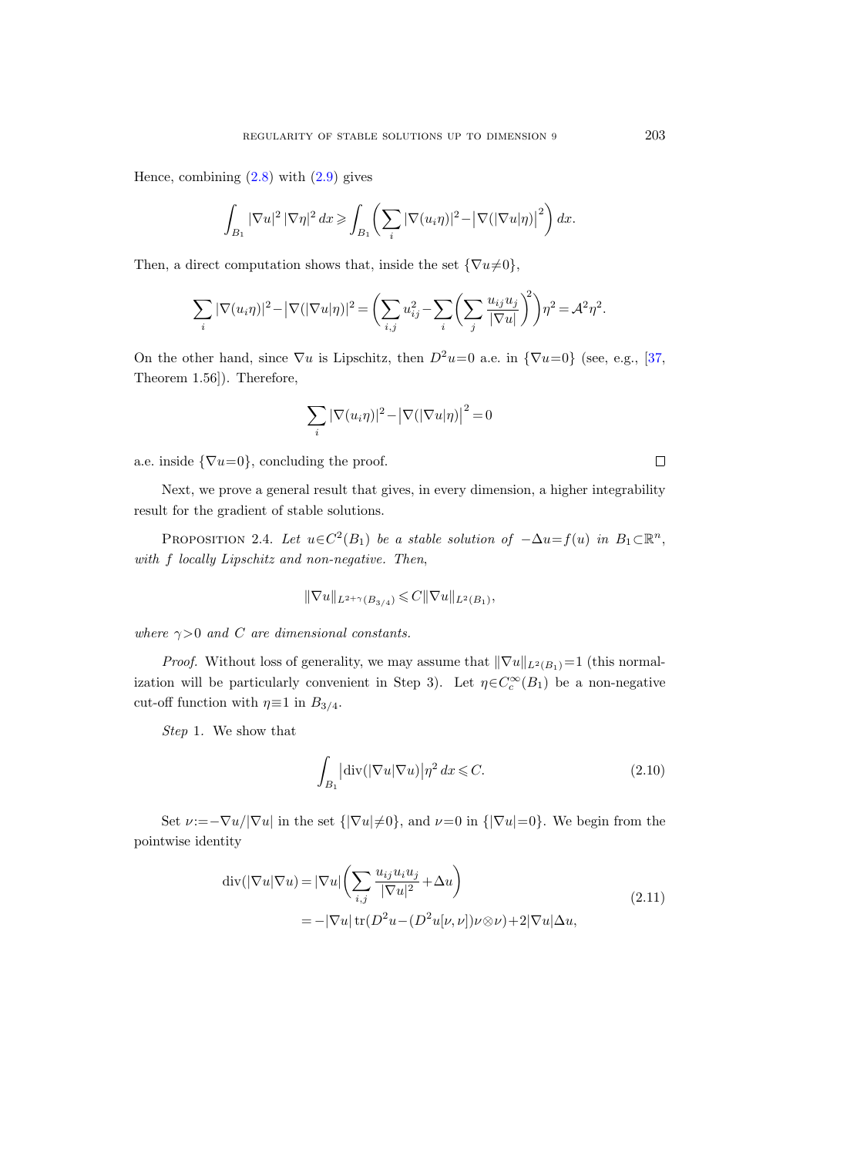Hence, combining  $(2.8)$  with  $(2.9)$  gives

$$
\int_{B_1} |\nabla u|^2 \, |\nabla \eta|^2 \, dx \geqslant \int_{B_1} \left( \sum_i |\nabla (u_i \eta)|^2 - \left| \nabla (|\nabla u| \eta)|^2 \right) \right) dx.
$$

Then, a direct computation shows that, inside the set  ${\nabla u \neq 0}$ ,

$$
\sum_{i} |\nabla(u_{i}\eta)|^{2} - |\nabla(|\nabla u|\eta)|^{2} = \left(\sum_{i,j} u_{ij}^{2} - \sum_{i} \left(\sum_{j} \frac{u_{ij}u_{j}}{|\nabla u|}\right)^{2}\right)\eta^{2} = \mathcal{A}^{2}\eta^{2}.
$$

On the other hand, since  $\nabla u$  is Lipschitz, then  $D^2u=0$  a.e. in  ${\nabla u=0}$  (see, e.g., [\[37,](#page-65-4) Theorem 1.56]). Therefore,

$$
\sum_i |\nabla(u_i\eta)|^2 - \left|\nabla(|\nabla u|\eta)\right|^2 = 0
$$

a.e. inside  $\{\nabla u=0\}$ , concluding the proof.

Next, we prove a general result that gives, in every dimension, a higher integrability result for the gradient of stable solutions.

<span id="page-16-0"></span>PROPOSITION 2.4. Let  $u \in C^2(B_1)$  be a stable solution of  $-\Delta u = f(u)$  in  $B_1 \subset \mathbb{R}^n$ , with f locally Lipschitz and non-negative. Then,

$$
\|\nabla u\|_{L^{2+\gamma}(B_{3/4})} \leqslant C\|\nabla u\|_{L^{2}(B_1)},
$$

where  $\gamma > 0$  and C are dimensional constants.

*Proof.* Without loss of generality, we may assume that  $\|\nabla u\|_{L^2(B_1)}=1$  (this normalization will be particularly convenient in Step 3). Let  $\eta \in C_c^{\infty}(B_1)$  be a non-negative cut-off function with  $\eta \equiv 1$  in  $B_{3/4}$ .

Step 1. We show that

<span id="page-16-2"></span>
$$
\int_{B_1} \left| \operatorname{div} (\left| \nabla u \right| \nabla u) \right| \eta^2 dx \leqslant C. \tag{2.10}
$$

<span id="page-16-1"></span>Set  $\nu:=-\nabla u/|\nabla u|$  in the set  ${|\nabla u| \neq 0}$ , and  $\nu=0$  in  ${|\nabla u|=0}$ . We begin from the pointwise identity

$$
\operatorname{div}(|\nabla u|\nabla u) = |\nabla u| \left(\sum_{i,j} \frac{u_{ij} u_i u_j}{|\nabla u|^2} + \Delta u\right)
$$
  
= -|\nabla u| \operatorname{tr}(D^2 u - (D^2 u[\nu, \nu]) \nu \otimes \nu) + 2|\nabla u| \Delta u, (2.11)

 $\Box$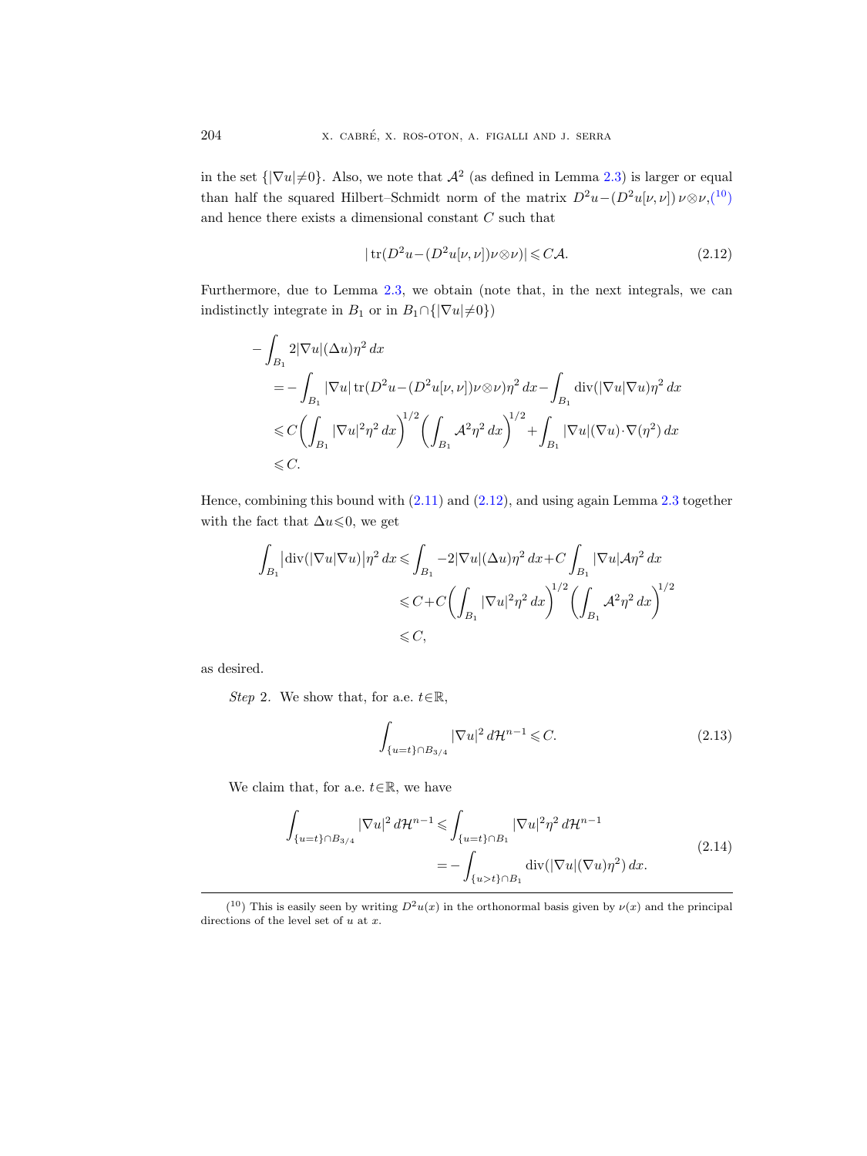in the set  $\{|\nabla u|\neq0\}$ . Also, we note that  $\mathcal{A}^2$  (as defined in Lemma [2.3\)](#page-15-0) is larger or equal than half the squared Hilbert–Schmidt norm of the matrix  $D^2u-(D^2u|\nu,\nu|)\nu\otimes\nu,(^{10})$  $D^2u-(D^2u|\nu,\nu|)\nu\otimes\nu,(^{10})$  $D^2u-(D^2u|\nu,\nu|)\nu\otimes\nu,(^{10})$ and hence there exists a dimensional constant  $C$  such that

<span id="page-17-2"></span>
$$
|\operatorname{tr}(D^2 u - (D^2 u[\nu, \nu])\nu \otimes \nu)| \leq C \mathcal{A}.
$$
\n(2.12)

Furthermore, due to Lemma [2.3,](#page-15-0) we obtain (note that, in the next integrals, we can indistinctly integrate in B<sub>1</sub> or in B<sub>1</sub>∩{ $|\nabla u| \neq 0$ })

$$
-\int_{B_1} 2|\nabla u|(\Delta u)\eta^2 dx
$$
  
=  $-\int_{B_1} |\nabla u| \operatorname{tr}(D^2 u - (D^2 u[\nu, \nu])\nu \otimes \nu)\eta^2 dx - \int_{B_1} \operatorname{div}(|\nabla u|\nabla u)\eta^2 dx$   
 $\leq C \Biggl(\int_{B_1} |\nabla u|^2 \eta^2 dx\Biggr)^{1/2} \Biggl(\int_{B_1} \mathcal{A}^2 \eta^2 dx\Biggr)^{1/2} + \int_{B_1} |\nabla u|(\nabla u) \cdot \nabla (\eta^2) dx$   
 $\leq C.$ 

Hence, combining this bound with [\(2.11\)](#page-16-1) and [\(2.12\)](#page-17-2), and using again Lemma [2.3](#page-15-0) together with the fact that  $\Delta u \leq 0$ , we get

$$
\int_{B_1} |\text{div}(|\nabla u|\nabla u)| \eta^2 dx \le \int_{B_1} -2|\nabla u| (\Delta u) \eta^2 dx + C \int_{B_1} |\nabla u| A \eta^2 dx
$$
  

$$
\le C + C \left( \int_{B_1} |\nabla u|^2 \eta^2 dx \right)^{1/2} \left( \int_{B_1} A^2 \eta^2 dx \right)^{1/2}
$$
  

$$
\le C,
$$

as desired.

Step 2. We show that, for a.e.  $t \in \mathbb{R}$ ,

<span id="page-17-0"></span>
$$
\int_{\{u=t\}\cap B_{3/4}} |\nabla u|^2 d\mathcal{H}^{n-1} \leq C.
$$
\n(2.13)

<span id="page-17-3"></span>We claim that, for a.e.  $t \in \mathbb{R}$ , we have

$$
\int_{\{u=t\}\cap B_{3/4}} |\nabla u|^2 d\mathcal{H}^{n-1} \leq \int_{\{u=t\}\cap B_1} |\nabla u|^2 \eta^2 d\mathcal{H}^{n-1}
$$
\n
$$
= -\int_{\{u>t\}\cap B_1} \operatorname{div}(|\nabla u|(\nabla u)\eta^2) dx.
$$
\n(2.14)

<span id="page-17-1"></span><sup>(&</sup>lt;sup>10</sup>) This is easily seen by writing  $D^2u(x)$  in the orthonormal basis given by  $\nu(x)$  and the principal directions of the level set of  $u$  at  $x$ .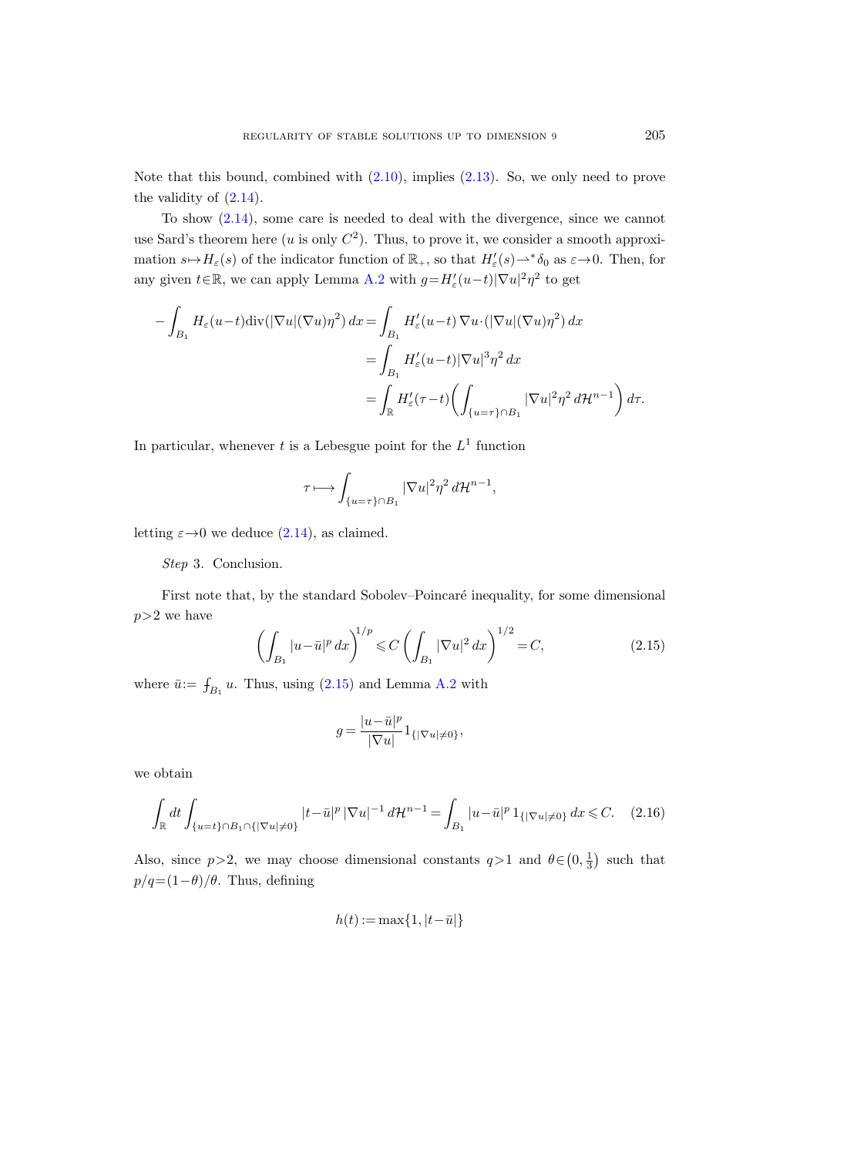Note that this bound, combined with  $(2.10)$ , implies  $(2.13)$ . So, we only need to prove the validity of [\(2.14\)](#page-17-3).

To show [\(2.14\)](#page-17-3), some care is needed to deal with the divergence, since we cannot use Sard's theorem here  $(u \text{ is only } C^2)$ . Thus, to prove it, we consider a smooth approximation  $s \mapsto H_{\varepsilon}(s)$  of the indicator function of  $\mathbb{R}_+$ , so that  $H'_{\varepsilon}(s) \to^* \delta_0$  as  $\varepsilon \to 0$ . Then, for any given  $t \in \mathbb{R}$ , we can apply Lemma [A.2](#page-59-1) with  $g = H'_{\varepsilon}(u-t)|\nabla u|^2 \eta^2$  to get

$$
-\int_{B_1} H_{\varepsilon}(u-t) \operatorname{div}(|\nabla u|(\nabla u)\eta^2) dx = \int_{B_1} H'_{\varepsilon}(u-t) \nabla u \cdot (|\nabla u|(\nabla u)\eta^2) dx
$$
  

$$
= \int_{B_1} H'_{\varepsilon}(u-t) |\nabla u|^3 \eta^2 dx
$$
  

$$
= \int_{\mathbb{R}} H'_{\varepsilon}(\tau-t) \left( \int_{\{u=\tau\} \cap B_1} |\nabla u|^2 \eta^2 d\mathcal{H}^{n-1} \right) d\tau.
$$

In particular, whenever t is a Lebesgue point for the  $L^1$  function

$$
\tau \longmapsto \int_{\{u=\tau\}\cap B_1} |\nabla u|^2 \eta^2 d\mathcal{H}^{n-1},
$$

letting  $\varepsilon \rightarrow 0$  we deduce [\(2.14\)](#page-17-3), as claimed.

Step 3. Conclusion.

First note that, by the standard Sobolev–Poincaré inequality, for some dimensional  $p>2$  we have

<span id="page-18-0"></span>
$$
\left(\int_{B_1} |u - \bar{u}|^p \, dx\right)^{1/p} \leqslant C \left(\int_{B_1} |\nabla u|^2 \, dx\right)^{1/2} = C,\tag{2.15}
$$

where  $\bar{u}$ :=  $\int_{B_1} u$ . Thus, using [\(2.15\)](#page-18-0) and Lemma [A.2](#page-59-1) with

$$
g=\frac{|u-\bar u|^p}{|\nabla u|}1_{\{|\nabla u|\neq 0\}},
$$

we obtain

<span id="page-18-1"></span>
$$
\int_{\mathbb{R}} dt \int_{\{u=t\} \cap B_1 \cap \{|\nabla u| \neq 0\}} |t-\bar{u}|^p \, |\nabla u|^{-1} \, d\mathcal{H}^{n-1} = \int_{B_1} |u-\bar{u}|^p \, 1_{\{|\nabla u| \neq 0\}} \, dx \leq C. \tag{2.16}
$$

Also, since  $p>2$ , we may choose dimensional constants  $q>1$  and  $\theta \in (0, \frac{1}{3})$  such that  $p/q = (1-\theta)/\theta$ . Thus, defining

$$
h(t):=\max\{1,|t-\bar{u}|\}
$$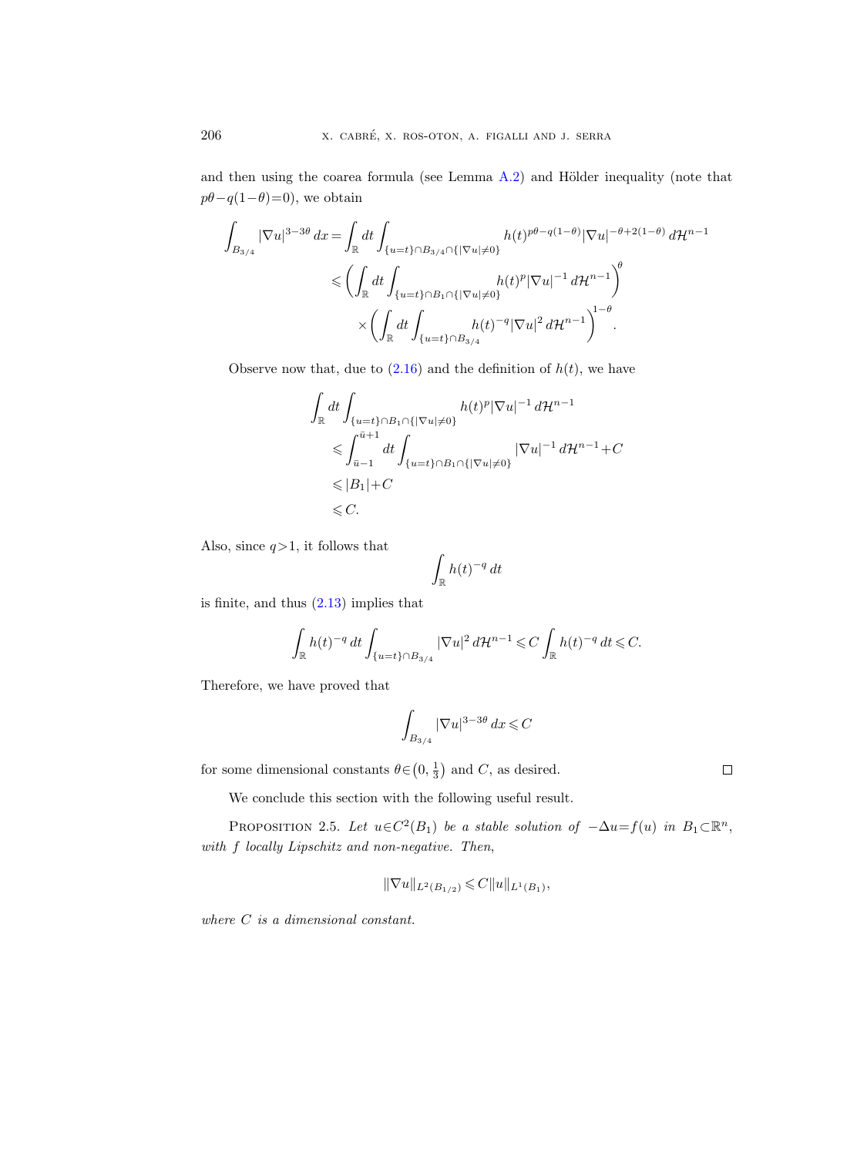and then using the coarea formula (see Lemma  $(A.2)$  $(A.2)$ ) and Hölder inequality (note that  $p\theta - q(1-\theta)=0$ , we obtain

$$
\int_{B_{3/4}} |\nabla u|^{3-3\theta} dx = \int_{\mathbb{R}} dt \int_{\{u=t\} \cap B_{3/4} \cap \{|\nabla u| \neq 0\}} h(t)^{p\theta - q(1-\theta)} |\nabla u|^{-\theta + 2(1-\theta)} d\mathcal{H}^{n-1}
$$
  

$$
\leqslant \left( \int_{\mathbb{R}} dt \int_{\{u=t\} \cap B_1 \cap \{|\nabla u| \neq 0\}} h(t)^p |\nabla u|^{-1} d\mathcal{H}^{n-1} \right)^{\theta}
$$
  

$$
\times \left( \int_{\mathbb{R}} dt \int_{\{u=t\} \cap B_{3/4}} h(t)^{-q} |\nabla u|^2 d\mathcal{H}^{n-1} \right)^{1-\theta}.
$$

Observe now that, due to  $(2.16)$  and the definition of  $h(t)$ , we have

$$
\int_{\mathbb{R}} dt \int_{\{u=t\}\cap B_1\cap\{|\nabla u|\neq 0\}} h(t)^p |\nabla u|^{-1} d\mathcal{H}^{n-1}
$$
\n
$$
\leqslant \int_{\bar{u}-1}^{\bar{u}+1} dt \int_{\{u=t\}\cap B_1\cap\{|\nabla u|\neq 0\}} |\nabla u|^{-1} d\mathcal{H}^{n-1} + C
$$
\n
$$
\leqslant |B_1| + C
$$
\n
$$
\leqslant C.
$$

Also, since  $q>1$ , it follows that

$$
\int_{\mathbb{R}} h(t)^{-q}\,dt
$$

is finite, and thus [\(2.13\)](#page-17-0) implies that

$$
\int_{\mathbb{R}} h(t)^{-q} dt \int_{\{u=t\}\cap B_{3/4}} |\nabla u|^2 d\mathcal{H}^{n-1} \leqslant C \int_{\mathbb{R}} h(t)^{-q} dt \leqslant C.
$$

Therefore, we have proved that

$$
\int_{B_{3/4}} |\nabla u|^{3-3\theta} dx \leqslant C
$$

for some dimensional constants  $\theta \in (0, \frac{1}{3})$  and C, as desired.

We conclude this section with the following useful result.

<span id="page-19-0"></span>PROPOSITION 2.5. Let  $u \in C^2(B_1)$  be a stable solution of  $-\Delta u = f(u)$  in  $B_1 \subset \mathbb{R}^n$ , with f locally Lipschitz and non-negative. Then,

$$
\|\nabla u\|_{L^2(B_{1/2})}\leqslant C\|u\|_{L^1(B_1)},
$$

where  $C$  is a dimensional constant.

 $\Box$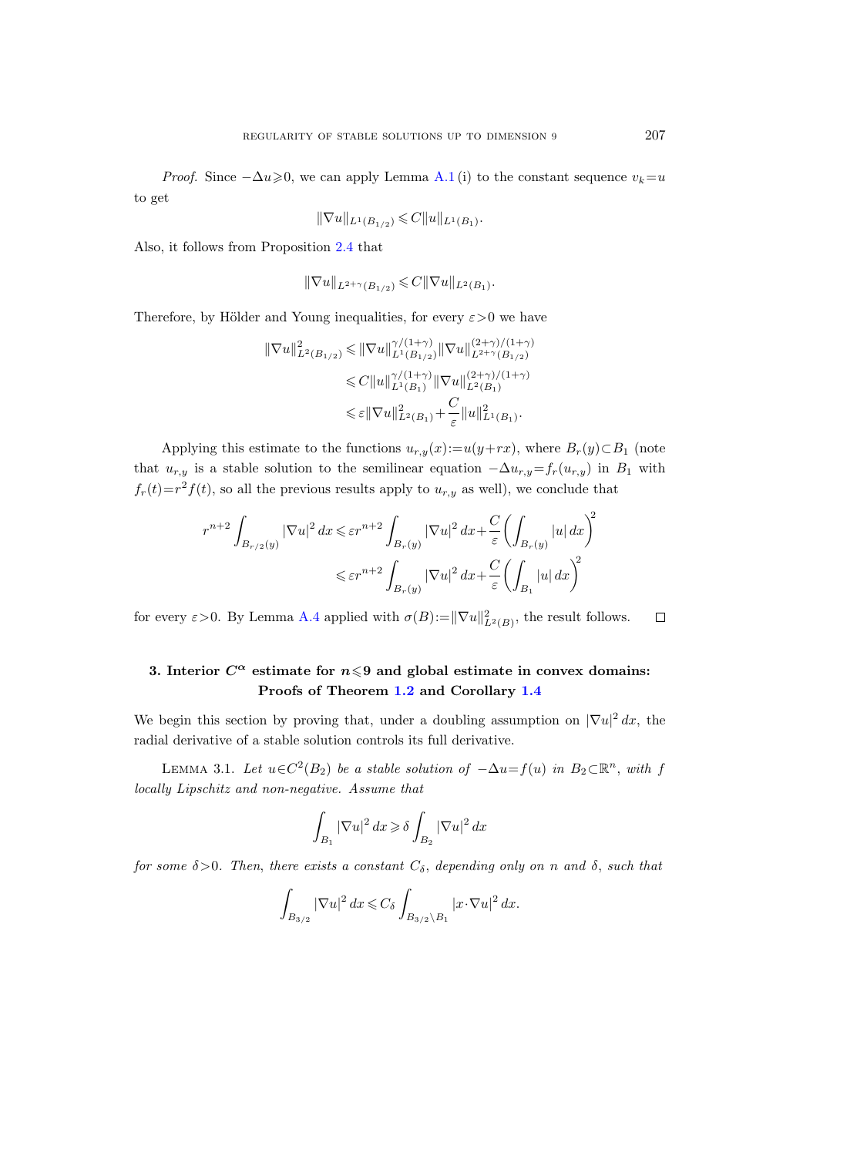*Proof.* Since  $-\Delta u \ge 0$ , we can apply Lemma [A.1](#page-57-1) (i) to the constant sequence  $v_k = u$ to get

$$
\|\nabla u\|_{L^1(B_{1/2})} \leqslant C \|u\|_{L^1(B_1)}.
$$

Also, it follows from Proposition [2.4](#page-16-0) that

$$
\|\nabla u\|_{L^{2+\gamma}(B_{1/2})} \leqslant C\|\nabla u\|_{L^{2}(B_1)}.
$$

Therefore, by Hölder and Young inequalities, for every  $\varepsilon > 0$  we have

$$
\begin{aligned} \|\nabla u\|_{L^2(B_{1/2})}^2 &\leqslant \|\nabla u\|_{L^1(B_{1/2})}^{\gamma/(1+\gamma)} \|\nabla u\|_{L^{2+\gamma}(B_{1/2})}^{(2+\gamma)/(1+\gamma)} \\ &\leqslant C \|u\|_{L^1(B_1)}^{\gamma/(1+\gamma)} \|\nabla u\|_{L^2(B_1)}^{(2+\gamma)/(1+\gamma)} \\ &\leqslant \varepsilon \|\nabla u\|_{L^2(B_1)}^2 + \frac{C}{\varepsilon} \|u\|_{L^1(B_1)}^2. \end{aligned}
$$

Applying this estimate to the functions  $u_{r,y}(x) := u(y+rx)$ , where  $B_r(y) \subset B_1$  (note that  $u_{r,y}$  is a stable solution to the semilinear equation  $-\Delta u_{r,y}=f_r(u_{r,y})$  in B<sub>1</sub> with  $f_r(t)=r^2f(t)$ , so all the previous results apply to  $u_{r,y}$  as well), we conclude that

$$
r^{n+2} \int_{B_{r/2}(y)} |\nabla u|^2 dx \leq \varepsilon r^{n+2} \int_{B_r(y)} |\nabla u|^2 dx + \frac{C}{\varepsilon} \left( \int_{B_r(y)} |u| dx \right)^2
$$
  

$$
\leq \varepsilon r^{n+2} \int_{B_r(y)} |\nabla u|^2 dx + \frac{C}{\varepsilon} \left( \int_{B_1} |u| dx \right)^2
$$

for every  $\varepsilon > 0$ . By Lemma [A.4](#page-61-0) applied with  $\sigma(B) := ||\nabla u||^2_{L^2(B)}$ , the result follows.  $\Box$ 

## <span id="page-20-0"></span>3. Interior  $C^{\alpha}$  estimate for  $n \leq 9$  and global estimate in convex domains: Proofs of Theorem [1.2](#page-4-0) and Corollary [1.4](#page-5-0)

We begin this section by proving that, under a doubling assumption on  $|\nabla u|^2 dx$ , the radial derivative of a stable solution controls its full derivative.

<span id="page-20-1"></span>LEMMA 3.1. Let  $u \in C^2(B_2)$  be a stable solution of  $-\Delta u = f(u)$  in  $B_2 \subset \mathbb{R}^n$ , with f locally Lipschitz and non-negative. Assume that

$$
\int_{B_1} |\nabla u|^2\,dx\!\geqslant\delta \int_{B_2} |\nabla u|^2\,dx
$$

for some  $\delta > 0$ . Then, there exists a constant  $C_{\delta}$ , depending only on n and  $\delta$ , such that

$$
\int_{B_{3/2}} |\nabla u|^2 dx \leqslant C_\delta \int_{B_{3/2} \setminus B_1} |x \cdot \nabla u|^2 dx.
$$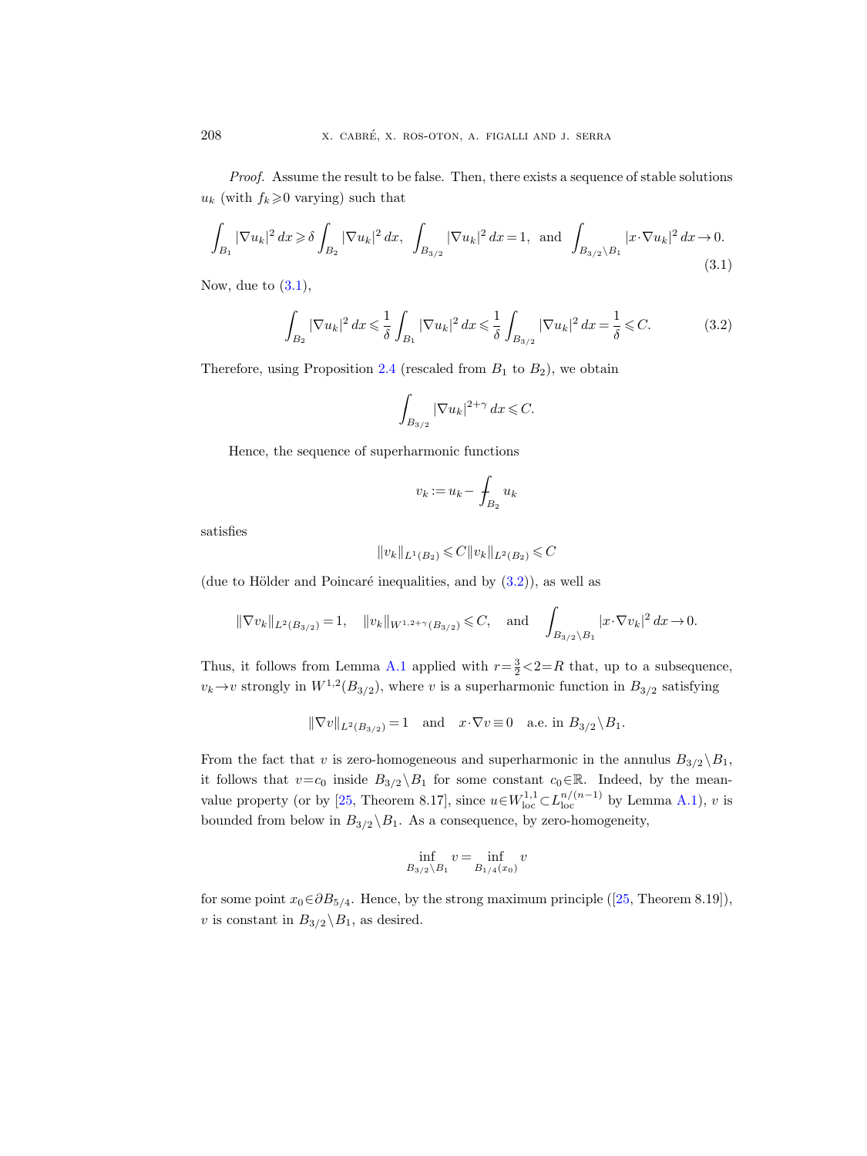Proof. Assume the result to be false. Then, there exists a sequence of stable solutions  $u_k$  (with  $f_k \geq 0$  varying) such that

<span id="page-21-0"></span>
$$
\int_{B_1} |\nabla u_k|^2 \, dx \ge \delta \int_{B_2} |\nabla u_k|^2 \, dx, \quad \int_{B_{3/2}} |\nabla u_k|^2 \, dx = 1, \text{ and } \int_{B_{3/2} \setminus B_1} |x \cdot \nabla u_k|^2 \, dx \to 0. \tag{3.1}
$$

Now, due to  $(3.1)$ ,

<span id="page-21-1"></span>
$$
\int_{B_2} |\nabla u_k|^2 \, dx \le \frac{1}{\delta} \int_{B_1} |\nabla u_k|^2 \, dx \le \frac{1}{\delta} \int_{B_{3/2}} |\nabla u_k|^2 \, dx = \frac{1}{\delta} \le C. \tag{3.2}
$$

Therefore, using Proposition [2.4](#page-16-0) (rescaled from  $B_1$  to  $B_2$ ), we obtain

$$
\int_{B_{3/2}} |\nabla u_k|^{2+\gamma} dx \leqslant C.
$$

Hence, the sequence of superharmonic functions

$$
v_k := u_k - \int_{B_2} u_k
$$

satisfies

$$
||v_k||_{L^1(B_2)} \leqslant C||v_k||_{L^2(B_2)} \leqslant C
$$

(due to Hölder and Poincaré inequalities, and by  $(3.2)$ ), as well as

$$
\|\nabla v_k\|_{L^2(B_{3/2})}=1
$$
,  $\|v_k\|_{W^{1,2+\gamma}(B_{3/2})} \leq C$ , and  $\int_{B_{3/2}\setminus B_1} |x \cdot \nabla v_k|^2 dx \to 0$ .

Thus, it follows from Lemma [A.1](#page-57-1) applied with  $r = \frac{3}{2} \lt 2 = R$  that, up to a subsequence,  $v_k \to v$  strongly in  $W^{1,2}(B_{3/2})$ , where v is a superharmonic function in  $B_{3/2}$  satisfying

$$
\|\nabla v\|_{L^2(B_{3/2})} = 1 \quad \text{and} \quad x \cdot \nabla v \equiv 0 \quad \text{a.e. in } B_{3/2} \backslash B_1.
$$

From the fact that v is zero-homogeneous and superharmonic in the annulus  $B_{3/2} \backslash B_1$ , it follows that  $v=c_0$  inside  $B_{3/2} \backslash B_1$  for some constant  $c_0 \in \mathbb{R}$ . Indeed, by the mean-value property (or by [\[25,](#page-64-4) Theorem 8.17], since  $u \in W^{1,1}_{loc} \subset L^{n/(n-1)}_{loc}$  by Lemma [A.1\)](#page-57-1), v is bounded from below in  $B_{3/2} \backslash B_1$ . As a consequence, by zero-homogeneity,

$$
\inf_{B_{3/2}\setminus B_1} v = \inf_{B_{1/4}(x_0)} v
$$

forsome point  $x_0 \in \partial B_{5/4}$ . Hence, by the strong maximum principle ([\[25,](#page-64-4) Theorem 8.19]), v is constant in  $B_{3/2} \backslash B_1$ , as desired.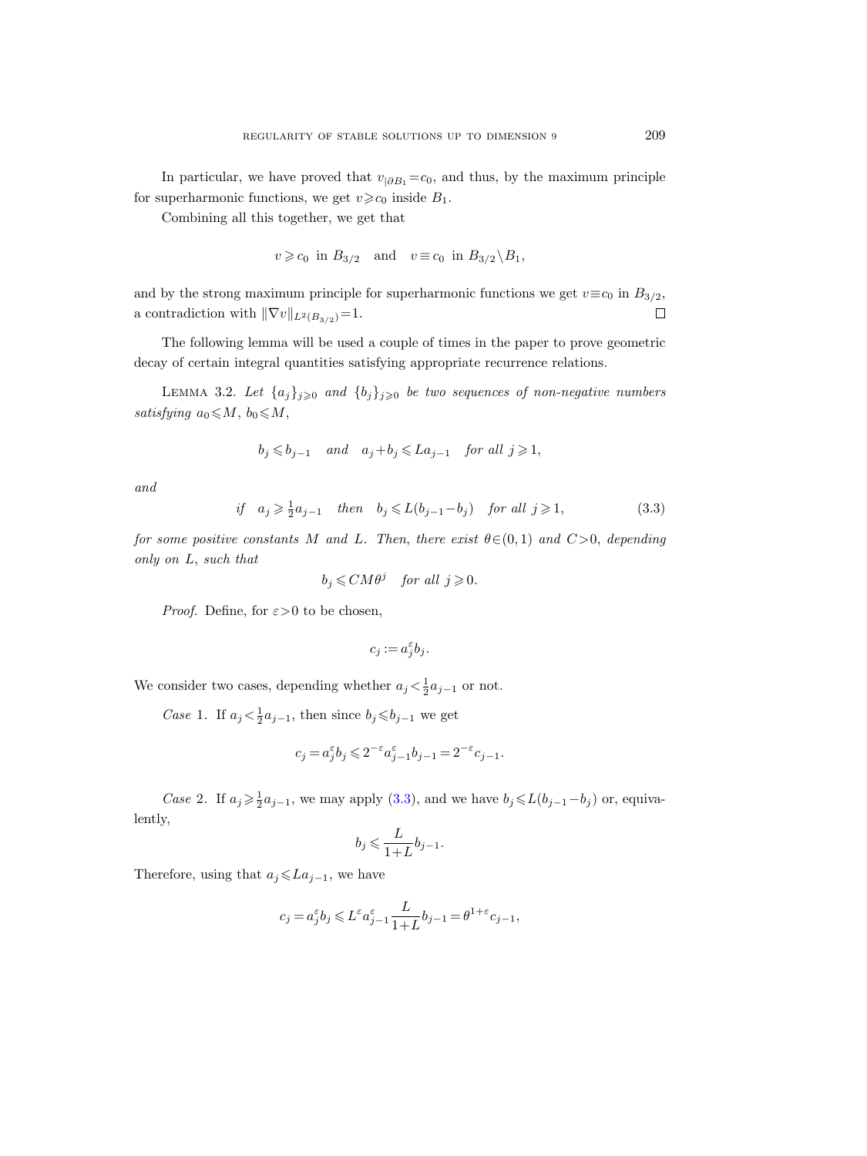In particular, we have proved that  $v_{|\partial B_1} = c_0$ , and thus, by the maximum principle for superharmonic functions, we get  $v \geq c_0$  inside  $B_1$ .

Combining all this together, we get that

$$
v \geqslant c_0 \text{ in } B_{3/2} \quad \text{and} \quad v \equiv c_0 \text{ in } B_{3/2} \backslash B_1,
$$

and by the strong maximum principle for superharmonic functions we get  $v \equiv c_0$  in  $B_{3/2}$ , a contradiction with  $\|\nabla v\|_{L^2(B_{3/2})}=1.$  $\Box$ 

The following lemma will be used a couple of times in the paper to prove geometric decay of certain integral quantities satisfying appropriate recurrence relations.

<span id="page-22-1"></span>LEMMA 3.2. Let  $\{a_j\}_{j\geqslant 0}$  and  $\{b_j\}_{j\geqslant 0}$  be two sequences of non-negative numbers satisfying  $a_0 \leqslant M$ ,  $b_0 \leqslant M$ ,

$$
b_j \leq b_{j-1}
$$
 and  $a_j + b_j \leq L a_{j-1}$  for all  $j \geq 1$ ,

and

<span id="page-22-0"></span>
$$
if \quad a_j \geqslant \frac{1}{2}a_{j-1} \quad then \quad b_j \leqslant L(b_{j-1} - b_j) \quad for \ all \ j \geqslant 1,
$$
\n
$$
(3.3)
$$

for some positive constants M and L. Then, there exist  $\theta \in (0,1)$  and  $C>0$ , depending only on L, such that

$$
b_j \leq C M \theta^j
$$
 for all  $j \geq 0$ .

*Proof.* Define, for  $\varepsilon > 0$  to be chosen,

$$
c_j := a_j^{\varepsilon} b_j.
$$

We consider two cases, depending whether  $a_j < \frac{1}{2}a_{j-1}$  or not.

*Case* 1. If  $a_j < \frac{1}{2}a_{j-1}$ , then since  $b_j \leq b_{j-1}$  we get

$$
c_j = a_j^{\varepsilon} b_j \leqslant 2^{-\varepsilon} a_{j-1}^{\varepsilon} b_{j-1} = 2^{-\varepsilon} c_{j-1}.
$$

Case 2. If  $a_j \geq \frac{1}{2}a_{j-1}$ , we may apply [\(3.3\)](#page-22-0), and we have  $b_j \leq L(b_{j-1}-b_j)$  or, equivalently,

$$
b_j \leqslant \frac{L}{1+L} b_{j-1}.
$$

Therefore, using that  $a_j \leq L a_{j-1}$ , we have

$$
c_j = a_j^\varepsilon b_j \leqslant L^\varepsilon a_{j-1}^\varepsilon \frac{L}{1+L} b_{j-1} = \theta^{1+\varepsilon} c_{j-1},
$$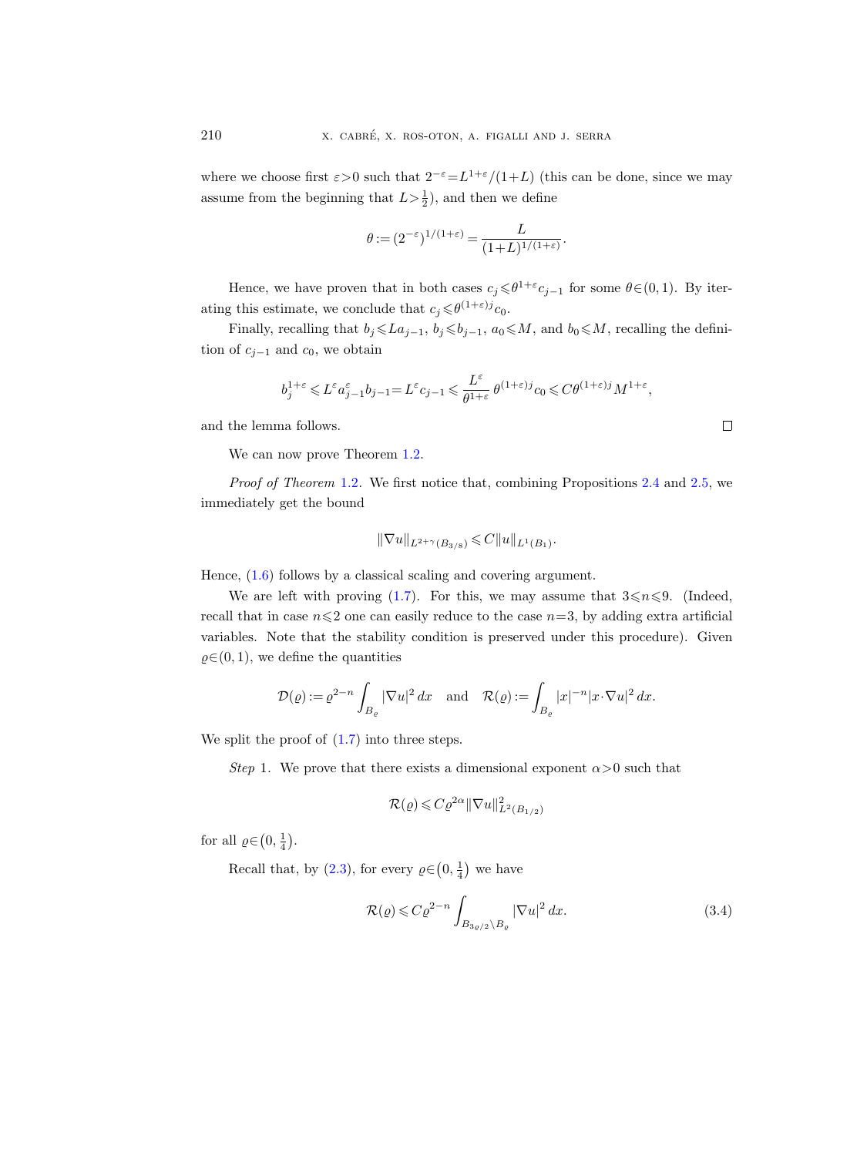where we choose first  $\varepsilon > 0$  such that  $2^{-\varepsilon} = L^{1+\varepsilon}/(1+L)$  (this can be done, since we may assume from the beginning that  $L > \frac{1}{2}$ , and then we define

$$
\theta := (2^{-\varepsilon})^{1/(1+\varepsilon)} = \frac{L}{(1+L)^{1/(1+\varepsilon)}}.
$$

Hence, we have proven that in both cases  $c_j \leq \theta^{1+\varepsilon} c_{j-1}$  for some  $\theta \in (0,1)$ . By iterating this estimate, we conclude that  $c_j \leq \theta^{(1+\varepsilon)j} c_0$ .

Finally, recalling that  $b_j \leq L a_{j-1}, b_j \leq b_{j-1}, a_0 \leq M$ , and  $b_0 \leq M$ , recalling the definition of  $c_{j-1}$  and  $c_0$ , we obtain

$$
b_j^{1+\varepsilon}\leqslant L^{\varepsilon} a_{j-1}^{\varepsilon}b_{j-1}\!=\!L^{\varepsilon} c_{j-1}\leqslant \frac{L^{\varepsilon}}{\theta^{1+\varepsilon}}\,\theta^{(1+\varepsilon)j}c_0\!\leqslant\! C\theta^{(1+\varepsilon)j}M^{1+\varepsilon},
$$

and the lemma follows.

We can now prove Theorem [1.2.](#page-4-0)

Proof of Theorem [1.2](#page-4-0). We first notice that, combining Propositions [2.4](#page-16-0) and [2.5,](#page-19-0) we immediately get the bound

$$
\|\nabla u\|_{L^{2+\gamma}(B_{3/8})} \leqslant C \|u\|_{L^1(B_1)}.
$$

Hence, [\(1.6\)](#page-4-2) follows by a classical scaling and covering argument.

We are left with proving [\(1.7\)](#page-4-3). For this, we may assume that  $3 \le n \le 9$ . (Indeed, recall that in case  $n\leq 2$  one can easily reduce to the case  $n=3$ , by adding extra artificial variables. Note that the stability condition is preserved under this procedure). Given  $\varrho \in (0, 1)$ , we define the quantities

$$
\mathcal{D}(\varrho) := \varrho^{2-n} \int_{B_{\varrho}} |\nabla u|^2 \, dx \quad \text{and} \quad \mathcal{R}(\varrho) := \int_{B_{\varrho}} |x|^{-n} |x \cdot \nabla u|^2 \, dx.
$$

We split the proof of  $(1.7)$  into three steps.

Step 1. We prove that there exists a dimensional exponent  $\alpha > 0$  such that

$$
\mathcal{R}(\varrho) \leqslant C\varrho^{2\alpha} \|\nabla u\|_{L^2(B_{1/2})}^2
$$

for all  $\varrho \in (0, \frac{1}{4})$ .

Recall that, by [\(2.3\)](#page-13-2), for every  $\rho \in (0, \frac{1}{4})$  we have

<span id="page-23-0"></span>
$$
\mathcal{R}(\varrho) \leqslant C\varrho^{2-n} \int_{B_{3\varrho/2}\setminus B_{\varrho}} |\nabla u|^2 \, dx. \tag{3.4}
$$

 $\Box$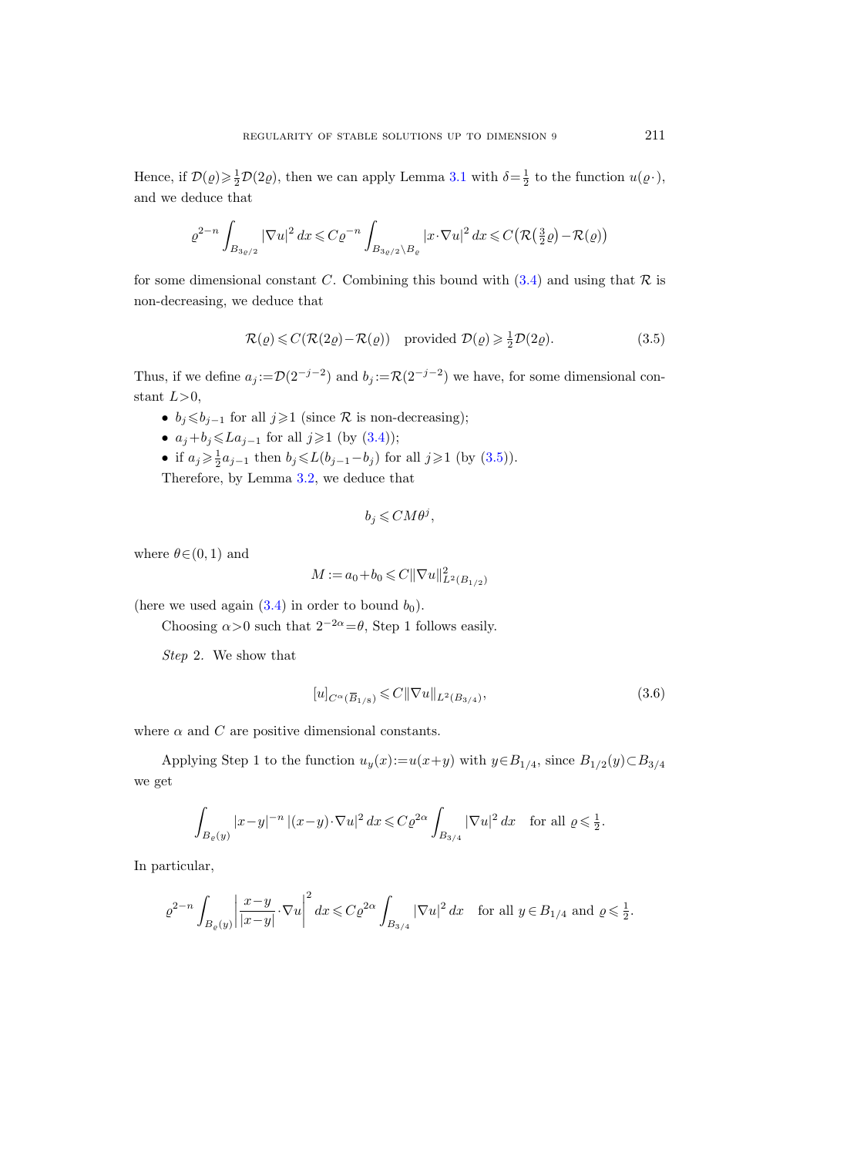Hence, if  $\mathcal{D}(\varrho) \ge \frac{1}{2}\mathcal{D}(2\varrho)$ , then we can apply Lemma [3.1](#page-20-1) with  $\delta = \frac{1}{2}$  to the function  $u(\varrho)$ , and we deduce that

$$
\varrho^{2-n} \int_{B_{3\varrho/2}} |\nabla u|^2 \, dx \leqslant C \varrho^{-n} \int_{B_{3\varrho/2} \backslash B_{\varrho}} |x \cdot \nabla u|^2 \, dx \leqslant C \big( \mathcal{R} \big( \frac{3}{2} \varrho \big) - \mathcal{R}(\varrho) \big)
$$

for some dimensional constant C. Combining this bound with  $(3.4)$  and using that R is non-decreasing, we deduce that

<span id="page-24-0"></span>
$$
\mathcal{R}(\varrho) \leq C(\mathcal{R}(2\varrho) - \mathcal{R}(\varrho)) \quad \text{provided } \mathcal{D}(\varrho) \geq \frac{1}{2}\mathcal{D}(2\varrho). \tag{3.5}
$$

Thus, if we define  $a_j := \mathcal{D}(2^{-j-2})$  and  $b_j := \mathcal{R}(2^{-j-2})$  we have, for some dimensional constant  $L>0$ ,

- $b_i \leq b_{i-1}$  for all  $j \geq 1$  (since  $\mathcal R$  is non-decreasing);
- $a_j+b_j \leq L a_{j-1}$  for all  $j \geq 1$  (by [\(3.4\)](#page-23-0));
- if  $a_j \ge \frac{1}{2}a_{j-1}$  then  $b_j \le L(b_{j-1}-b_j)$  for all  $j \ge 1$  (by  $(3.5)$ ).

Therefore, by Lemma [3.2,](#page-22-1) we deduce that

$$
b_j \leqslant C M \theta^j,
$$

where  $\theta \in (0, 1)$  and

$$
M := a_0 + b_0 \leqslant C ||\nabla u||^2_{L^2(B_{1/2})}
$$

(here we used again  $(3.4)$  in order to bound  $b_0$ ).

Choosing  $\alpha > 0$  such that  $2^{-2\alpha} = \theta$ , Step 1 follows easily.

Step 2. We show that

<span id="page-24-1"></span>order to bound 
$$
b_0
$$
).

\n
$$
2^{-2\alpha} = \theta, \text{ Step 1 follows easily.}
$$
\n
$$
[u]_{C^{\alpha}(\overline{B}_{1/8})} \leq C \|\nabla u\|_{L^{2}(B_{3/4})},
$$
\n
$$
(3.6)
$$

where  $\alpha$  and  $C$  are positive dimensional constants.

Applying Step 1 to the function  $u_y(x) := u(x+y)$  with  $y \in B_{1/4}$ , since  $B_{1/2}(y) \subset B_{3/4}$ we get

$$
\int_{B_{\varrho}(y)} |x-y|^{-n} |(x-y) \cdot \nabla u|^2 dx \leq C \varrho^{2\alpha} \int_{B_{3/4}} |\nabla u|^2 dx \quad \text{for all } \varrho \leq \frac{1}{2}.
$$

In particular,

$$
\varrho^{2-n}\int_{B_{\varrho}(y)}\left|\frac{x-y}{|x-y|}\cdot\nabla u\right|^2dx\leqslant C\varrho^{2\alpha}\int_{B_{3/4}}|\nabla u|^2\,dx\quad\text{for all }y\in B_{1/4}\text{ and }\varrho\leqslant\frac{1}{2}.
$$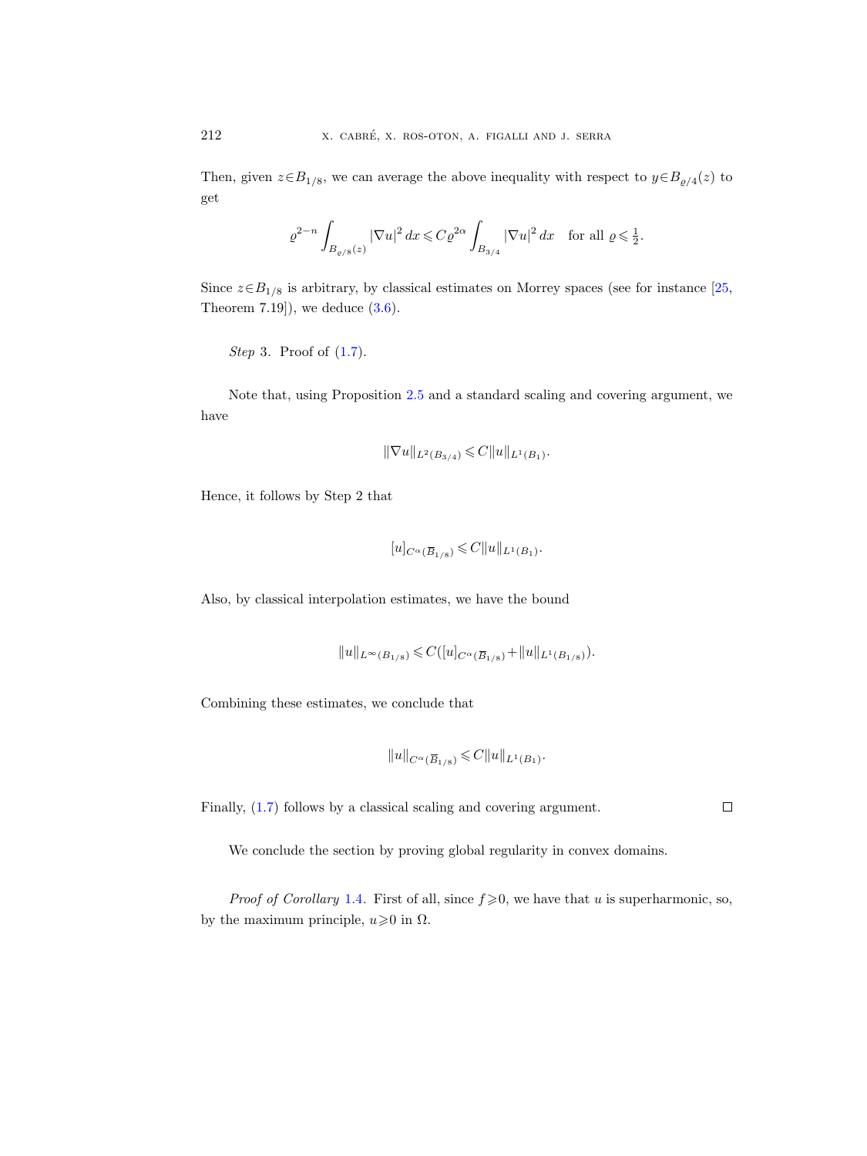Then, given  $z \in B_{1/8}$ , we can average the above inequality with respect to  $y \in B_{\rho/4}(z)$  to get

$$
\varrho^{2-n}\int_{B_{\varrho/8}(z)}|\nabla u|^2\,dx\leqslant C\varrho^{2\alpha}\int_{B_{3/4}}|\nabla u|^2\,dx\quad\text{for all }\varrho\leqslant\tfrac{1}{2}.
$$

Since  $z \in B_{1/8}$  is arbitrary, by classical estimates on Morrey spaces (see for instance [\[25,](#page-64-4) Theorem 7.19]), we deduce  $(3.6)$ .

Step 3. Proof of 
$$
(1.7)
$$
.

Note that, using Proposition [2.5](#page-19-0) and a standard scaling and covering argument, we have

$$
\|\nabla u\|_{L^2(B_{3/4})}\leqslant C\|u\|_{L^1(B_1)}.
$$
 at  
 
$$
[u]_{C^{\alpha}(\overline{B}_{1/8})}\leqslant C\|u\|_{L^1(B_1)}.
$$

Hence, it follows by Step 2 that

$$
[u]_{C^{\alpha}(\overline{B}_{1/8})}\leqslant C\|u\|_{L^1(B_1)}.
$$

Also, by classical interpolation estimates, we have the bound

$$
[u]_{C^{\alpha}}(\overline{B}_{1/8}) \leq C ||u||_{L^{1}(B_{1})}.
$$
  
polation estimates, we have the bound  

$$
||u||_{L^{\infty}(B_{1/8})} \leq C([u]_{C^{\alpha}(\overline{B}_{1/8})} + ||u||_{L^{1}(B_{1/8})}).
$$

Combining these estimates, we conclude that  $k_{1/8}$ )  $\leq C$ <br>conclud $||u||_{C^{\alpha}(\overline{B})}$ 

$$
||u||_{C^{\alpha}(\overline{B}_{1/8})} \leqslant C||u||_{L^{1}(B_{1})}.
$$

Finally, [\(1.7\)](#page-4-3) follows by a classical scaling and covering argument.

We conclude the section by proving global regularity in convex domains.

*Proof of Corollary* [1.4](#page-5-0). First of all, since  $f \ge 0$ , we have that u is superharmonic, so, by the maximum principle,  $u \ge 0$  in  $\Omega$ .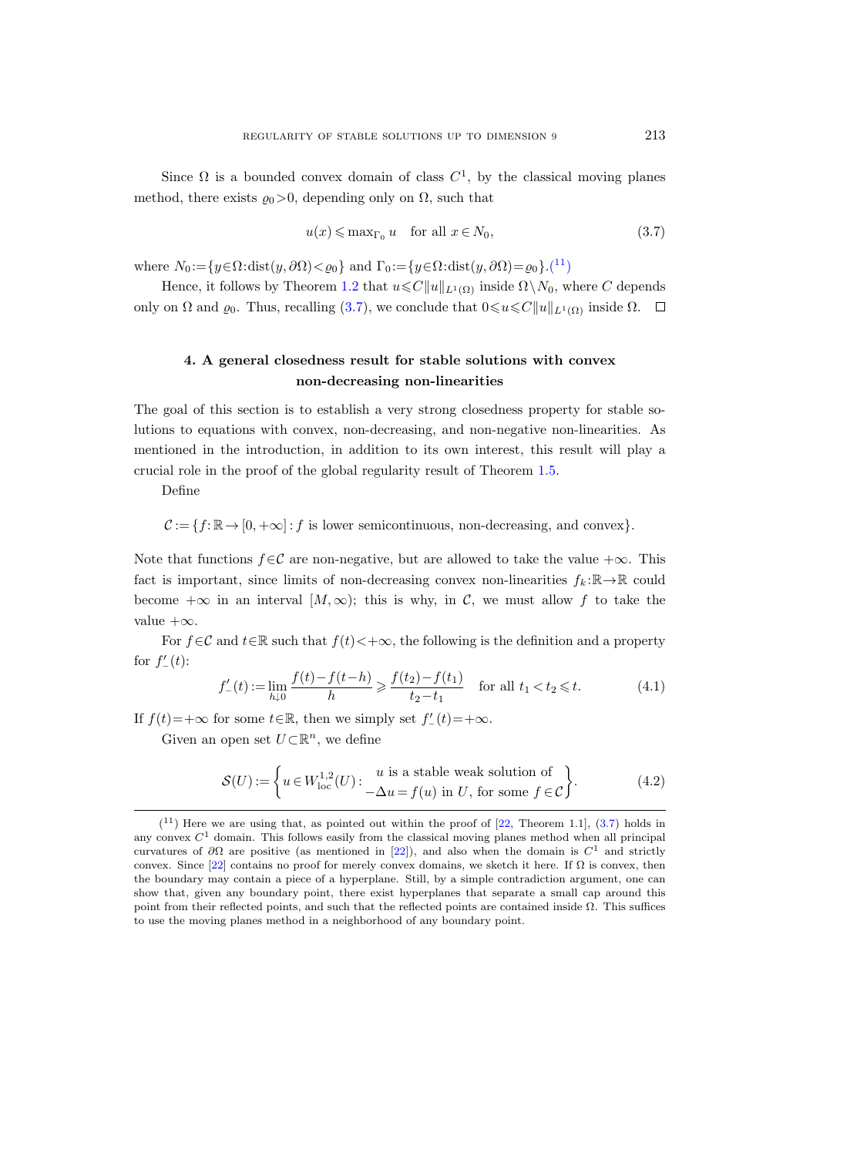Since  $\Omega$  is a bounded convex domain of class  $C^1$ , by the classical moving planes method, there exists  $\varrho_0 > 0$ , depending only on  $\Omega$ , such that

<span id="page-26-2"></span>
$$
u(x) \leqslant \max_{\Gamma_0} u \quad \text{for all } x \in N_0,
$$
\n
$$
(3.7)
$$

where  $N_0 := \{y \in \Omega : \text{dist}(y, \partial \Omega) < \varrho_0\}$  and  $\Gamma_0 := \{y \in \Omega : \text{dist}(y, \partial \Omega) = \varrho_0\}$ .(<sup>[11](#page-26-1)</sup>)

Hence, it follows by Theorem [1.2](#page-4-0) that  $u \leq C||u||_{L^1(\Omega)}$  inside  $\Omega \setminus N_0$ , where C depends only on  $\Omega$  and  $\varrho_0$ . Thus, recalling [\(3.7\)](#page-26-2), we conclude that  $0 \le u \le C||u||_{L^1(\Omega)}$  inside  $\Omega$ .  $\Box$ 

## <span id="page-26-0"></span>4. A general closedness result for stable solutions with convex non-decreasing non-linearities

The goal of this section is to establish a very strong closedness property for stable solutions to equations with convex, non-decreasing, and non-negative non-linearities. As mentioned in the introduction, in addition to its own interest, this result will play a crucial role in the proof of the global regularity result of Theorem [1.5.](#page-5-1)

Define

 $\mathcal{C} := \{f : \mathbb{R} \to [0, +\infty] : f \text{ is lower semicontinuous, non-decreasing, and convex}\}.$ 

Note that functions  $f \in \mathcal{C}$  are non-negative, but are allowed to take the value  $+\infty$ . This fact is important, since limits of non-decreasing convex non-linearities  $f_k : \mathbb{R} \to \mathbb{R}$  could become  $+\infty$  in an interval  $[M,\infty)$ ; this is why, in C, we must allow f to take the value  $+\infty$ .

For  $f \in \mathcal{C}$  and  $t \in \mathbb{R}$  such that  $f(t) < +\infty$ , the following is the definition and a property for  $f'_{-}(t)$ :

<span id="page-26-4"></span>
$$
f'_{-}(t) := \lim_{h \downarrow 0} \frac{f(t) - f(t - h)}{h} \ge \frac{f(t_2) - f(t_1)}{t_2 - t_1} \quad \text{for all } t_1 < t_2 \le t. \tag{4.1}
$$

If  $f(t) = +\infty$  for some  $t \in \mathbb{R}$ , then we simply set  $f'_{-}(t) = +\infty$ .

Given an open set  $U\subset\mathbb{R}^n$ , we define

<span id="page-26-3"></span>
$$
\mathcal{S}(U) := \left\{ u \in W^{1,2}_{\text{loc}}(U) : \begin{array}{c} u \text{ is a stable weak solution of} \\ -\Delta u = f(u) \text{ in } U, \text{ for some } f \in \mathcal{C} \end{array} \right\}.
$$
 (4.2)

<span id="page-26-1"></span> $(11)$  Here we are using that, as pointed out within the proof of [\[22,](#page-64-14) Theorem 1.1], [\(3.7\)](#page-26-2) holds in any convex  $C<sup>1</sup>$  domain. This follows easily from the classical moving planes method when all principal curvatures of  $\partial\Omega$  are positive (as mentioned in [\[22\]](#page-64-14)), and also when the domain is  $C^1$  and strictly convex. Since [\[22\]](#page-64-14) contains no proof for merely convex domains, we sketch it here. If  $\Omega$  is convex, then the boundary may contain a piece of a hyperplane. Still, by a simple contradiction argument, one can show that, given any boundary point, there exist hyperplanes that separate a small cap around this point from their reflected points, and such that the reflected points are contained inside  $Ω$ . This suffices to use the moving planes method in a neighborhood of any boundary point.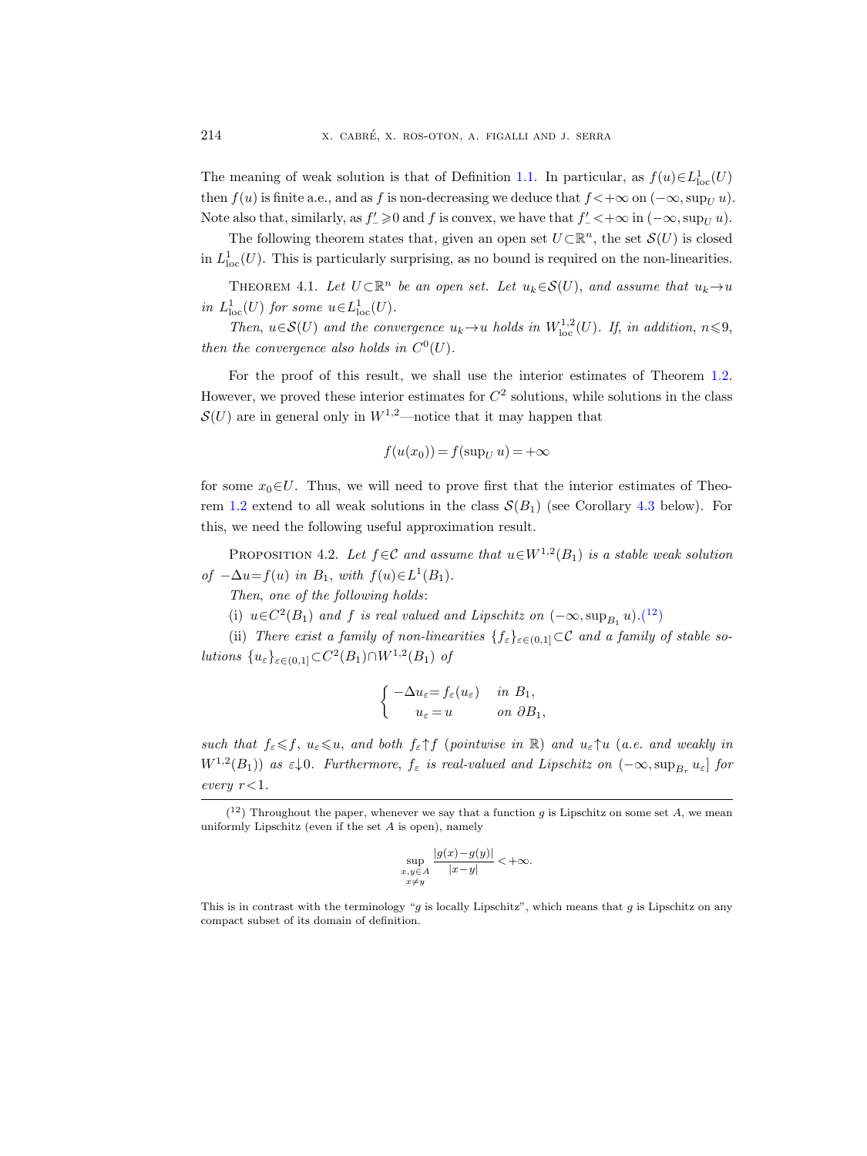The meaning of weak solution is that of Definition [1.1.](#page-4-4) In particular, as  $f(u) \in L^1_{loc}(U)$ then  $f(u)$  is finite a.e., and as f is non-decreasing we deduce that  $f < +\infty$  on  $(-\infty, \sup_U u)$ . Note also that, similarly, as  $f' \geq 0$  and f is convex, we have that  $f'_{-} < +\infty$  in  $(-\infty, \sup_{U} u)$ .

The following theorem states that, given an open set  $U\subset\mathbb{R}^n$ , the set  $\mathcal{S}(U)$  is closed in  $L^1_{loc}(U)$ . This is particularly surprising, as no bound is required on the non-linearities.

<span id="page-27-0"></span>THEOREM 4.1. Let  $U \subset \mathbb{R}^n$  be an open set. Let  $u_k \in \mathcal{S}(U)$ , and assume that  $u_k \to u$ in  $L^1_{loc}(U)$  for some  $u \in L^1_{loc}(U)$ .

Then,  $u \in \mathcal{S}(U)$  and the convergence  $u_k \to u$  holds in  $W^{1,2}_{loc}(U)$ . If, in addition,  $n \leq 9$ , then the convergence also holds in  $C^0(U)$ .

For the proof of this result, we shall use the interior estimates of Theorem [1.2.](#page-4-0) However, we proved these interior estimates for  $C<sup>2</sup>$  solutions, while solutions in the class  $\mathcal{S}(U)$  are in general only in  $W^{1,2}$ —notice that it may happen that

$$
f(u(x_0)) = f(\sup_U u) = +\infty
$$

for some  $x_0 \in U$ . Thus, we will need to prove first that the interior estimates of Theo-rem [1.2](#page-4-0) extend to all weak solutions in the class  $\mathcal{S}(B_1)$  (see Corollary [4.3](#page-31-0) below). For this, we need the following useful approximation result.

<span id="page-27-2"></span>PROPOSITION 4.2. Let  $f \in \mathcal{C}$  and assume that  $u \in W^{1,2}(B_1)$  is a stable weak solution of  $-\Delta u = f(u)$  in  $B_1$ , with  $f(u) \in L^1(B_1)$ .

Then, one of the following holds:

(i)  $u \in C^2(B_1)$  and f is real valued and Lipschitz on  $(-\infty, \sup_{B_1} u)$ .(<sup>[12](#page-27-1)</sup>)

(ii) There exist a family of non-linearities  $\{f_{\varepsilon}\}_{{\varepsilon}\in(0,1]}$  ⊂C and a family of stable solutions  $\{u_{\varepsilon}\}_{{\varepsilon \in (0,1]}} \subset C^2(B_1) \cap W^{1,2}(B_1)$  of

$$
\begin{cases}\n-\Delta u_{\varepsilon} = f_{\varepsilon}(u_{\varepsilon}) & \text{in } B_1, \\
u_{\varepsilon} = u & \text{on } \partial B_1,\n\end{cases}
$$

such that  $f_{\varepsilon} \leq f$ ,  $u_{\varepsilon} \leq u$ , and both  $f_{\varepsilon} \uparrow f$  (pointwise in  $\mathbb{R}$ ) and  $u_{\varepsilon} \uparrow u$  (a.e. and weakly in  $W^{1,2}(B_1)$ ) as  $\varepsilon\downarrow 0$ . Furthermore,  $f_{\varepsilon}$  is real-valued and Lipschitz on  $(-\infty, \sup_{B_r} u_{\varepsilon}]$  for every  $r<1$ .

$$
\sup_{\substack{x,y\in A\\x\neq y}}\frac{|g(x)-g(y)|}{|x-y|}<+\infty.
$$

This is in contrast with the terminology "q is locally Lipschitz", which means that q is Lipschitz on any compact subset of its domain of definition.

<span id="page-27-1"></span> $(1^2)$  Throughout the paper, whenever we say that a function g is Lipschitz on some set A, we mean uniformly Lipschitz (even if the set  $A$  is open), namely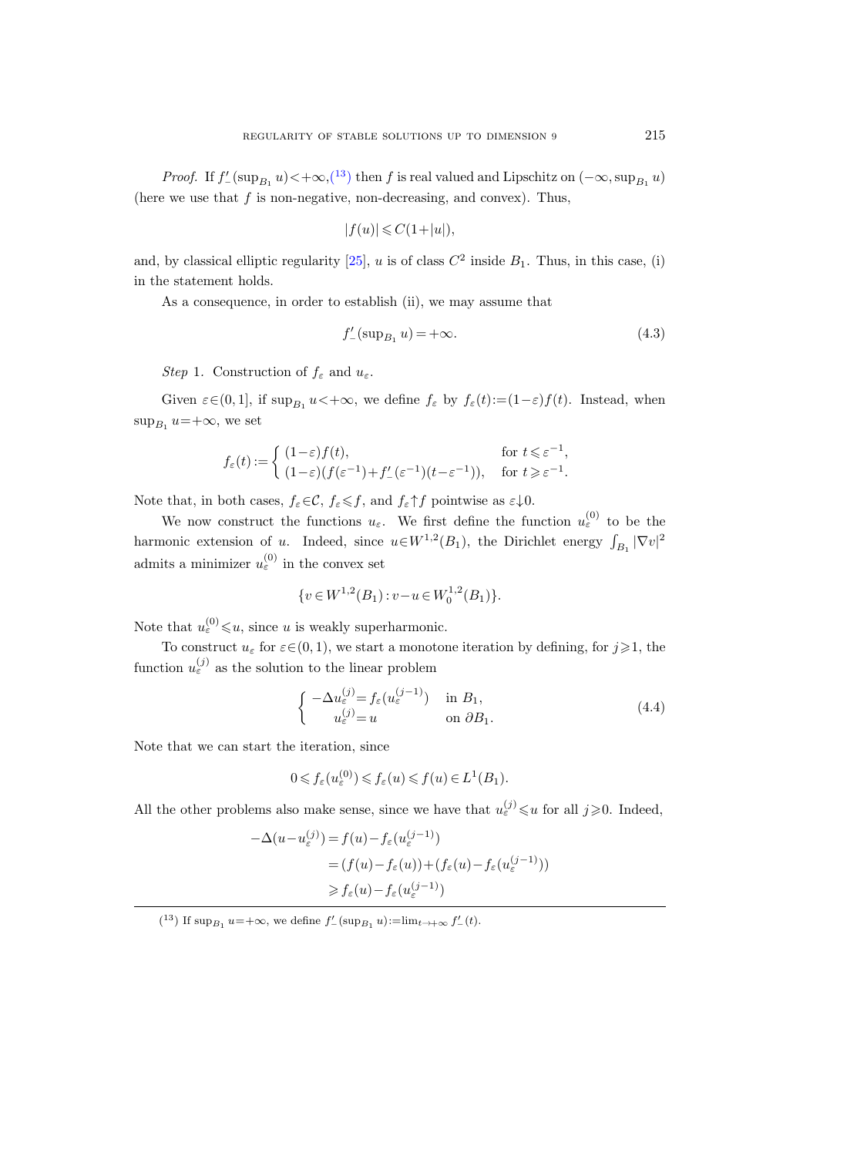*Proof.* If  $f'_{-}(\sup_{B_1} u) < +\infty$ ,  $\left(\begin{matrix}13\\1\end{matrix}\right)$  $\left(\begin{matrix}13\\1\end{matrix}\right)$  $\left(\begin{matrix}13\\1\end{matrix}\right)$  then f is real valued and Lipschitz on  $(-\infty, \sup_{B_1} u)$ (here we use that  $f$  is non-negative, non-decreasing, and convex). Thus,

$$
|f(u)| \leqslant C(1+|u|),
$$

and, by classical elliptic regularity [\[25\]](#page-64-4), u is of class  $C^2$  inside  $B_1$ . Thus, in this case, (i) in the statement holds.

As a consequence, in order to establish (ii), we may assume that

<span id="page-28-1"></span>
$$
f'_{-}(\sup_{B_1} u) = +\infty.
$$
\n(4.3)

Step 1. Construction of  $f_{\varepsilon}$  and  $u_{\varepsilon}$ .

Given  $\varepsilon \in (0, 1]$ , if  $\sup_{B_1} u < +\infty$ , we define  $f_{\varepsilon}$  by  $f_{\varepsilon}(t) := (1 - \varepsilon)f(t)$ . Instead, when  $\sup_{B_1} u = +\infty$ , we set

$$
f_{\varepsilon}(t):=\left\{\begin{array}{ll} (1-\varepsilon)f(t), & \text{for}\ t\leqslant \varepsilon^{-1},\\ (1-\varepsilon)(f(\varepsilon^{-1})+f_{-}'(\varepsilon^{-1})(t-\varepsilon^{-1})), & \text{for}\ t\geqslant \varepsilon^{-1}. \end{array}\right.
$$

Note that, in both cases,  $f_{\varepsilon} \in \mathcal{C}$ ,  $f_{\varepsilon} \leq f$ , and  $f_{\varepsilon} \uparrow f$  pointwise as  $\varepsilon \downarrow 0$ .

We now construct the functions  $u_{\varepsilon}$ . We first define the function  $u_{\varepsilon}^{(0)}$  to be the harmonic extension of u. Indeed, since  $u \in W^{1,2}(B_1)$ , the Dirichlet energy  $\int_{B_1} |\nabla v|^2$ admits a minimizer  $u_{\varepsilon}^{(0)}$  in the convex set

$$
\{v \in W^{1,2}(B_1) : v - u \in W_0^{1,2}(B_1)\}.
$$

Note that  $u_{\varepsilon}^{(0)} \leq u$ , since u is weakly superharmonic.

To construct  $u_{\varepsilon}$  for  $\varepsilon \in (0, 1)$ , we start a monotone iteration by defining, for  $j \geq 1$ , the function  $u_{\varepsilon}^{(j)}$  as the solution to the linear problem

<span id="page-28-2"></span>
$$
\begin{cases}\n-\Delta u_{\varepsilon}^{(j)} = f_{\varepsilon}(u_{\varepsilon}^{(j-1)}) & \text{in } B_1, \\
u_{\varepsilon}^{(j)} = u & \text{on } \partial B_1.\n\end{cases}
$$
\n(4.4)

Note that we can start the iteration, since

$$
0 \leqslant f_{\varepsilon}(u_{\varepsilon}^{(0)}) \leqslant f_{\varepsilon}(u) \leqslant f(u) \in L^{1}(B_{1}).
$$

All the other problems also make sense, since we have that  $u_{\varepsilon}^{(j)} \leq u$  for all  $j \geq 0$ . Indeed,

$$
-\Delta(u - u_{\varepsilon}^{(j)}) = f(u) - f_{\varepsilon}(u_{\varepsilon}^{(j-1)})
$$
  

$$
= (f(u) - f_{\varepsilon}(u)) + (f_{\varepsilon}(u) - f_{\varepsilon}(u_{\varepsilon}^{(j-1)}))
$$
  

$$
\geq f_{\varepsilon}(u) - f_{\varepsilon}(u_{\varepsilon}^{(j-1)})
$$

<span id="page-28-0"></span><sup>(&</sup>lt;sup>13</sup>) If  $\sup_{B_1} u = +\infty$ , we define  $f'_{-}(\sup_{B_1} u) := \lim_{t \to +\infty} f'_{-}(t)$ .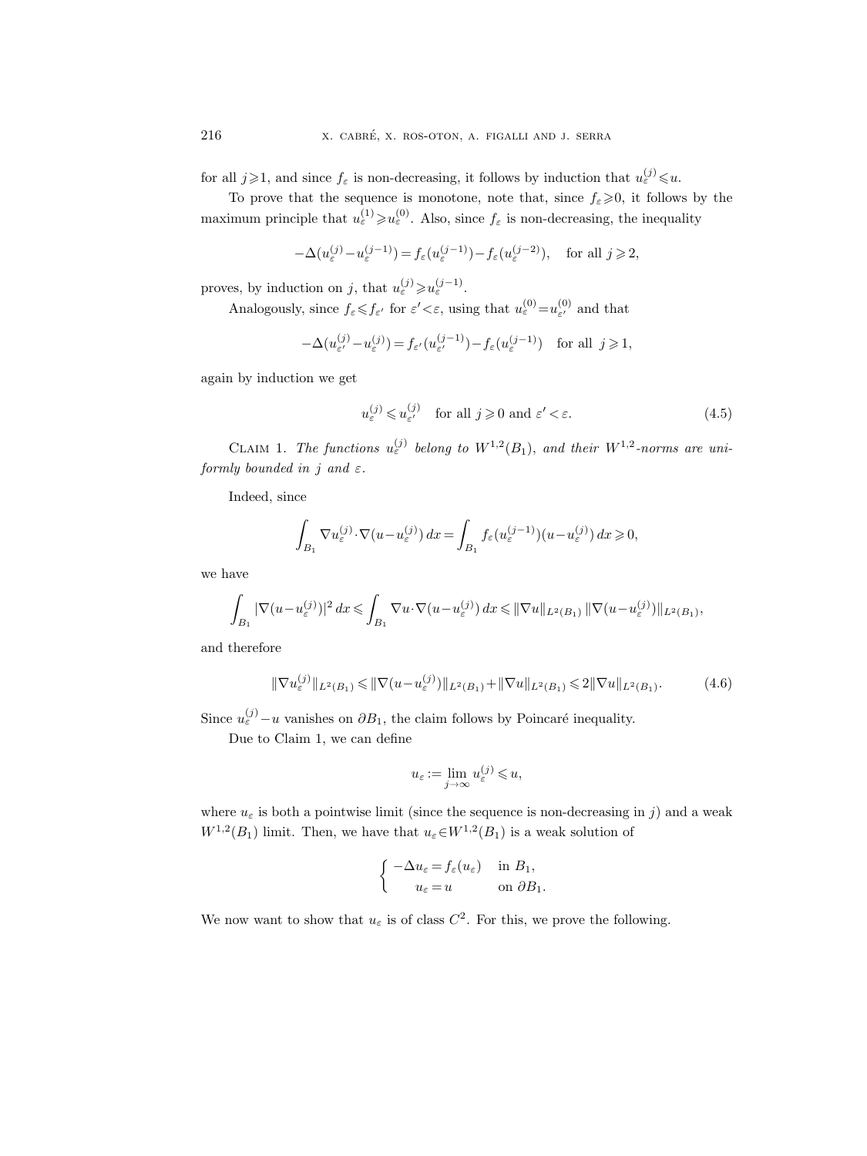for all  $j \geqslant 1$ , and since  $f_{\varepsilon}$  is non-decreasing, it follows by induction that  $u_{\varepsilon}^{(j)} \leqslant u$ .

To prove that the sequence is monotone, note that, since  $f_{\varepsilon} \geqslant 0$ , it follows by the maximum principle that  $u_{\varepsilon}^{(1)} \geq u_{\varepsilon}^{(0)}$ . Also, since  $f_{\varepsilon}$  is non-decreasing, the inequality

$$
-\Delta(u_{\varepsilon}^{(j)}-u_{\varepsilon}^{(j-1)})=f_{\varepsilon}(u_{\varepsilon}^{(j-1)})-f_{\varepsilon}(u_{\varepsilon}^{(j-2)}),\quad\text{for all }j\geqslant 2,
$$

proves, by induction on j, that  $u_{\varepsilon}^{(j)} \geq u_{\varepsilon}^{(j-1)}$ .

Analogously, since  $f_{\varepsilon} \leqslant f_{\varepsilon'}$  for  $\varepsilon' < \varepsilon$ , using that  $u_{\varepsilon}^{(0)} = u_{\varepsilon'}^{(0)}$  $\epsilon$ <sup>(0)</sup> and that

$$
-\Delta(u_{\varepsilon'}^{(j)} - u_{\varepsilon}^{(j)}) = f_{\varepsilon'}(u_{\varepsilon'}^{(j-1)}) - f_{\varepsilon}(u_{\varepsilon}^{(j-1)}) \quad \text{for all } j \ge 1,
$$

again by induction we get

<span id="page-29-1"></span>
$$
u_{\varepsilon}^{(j)} \leqslant u_{\varepsilon'}^{(j)} \quad \text{for all } j \geqslant 0 \text{ and } \varepsilon' < \varepsilon. \tag{4.5}
$$

CLAIM 1. The functions  $u_{\varepsilon}^{(j)}$  belong to  $W^{1,2}(B_1)$ , and their  $W^{1,2}$ -norms are uniformly bounded in j and  $\varepsilon$ .

Indeed, since

$$
\int_{B_1} \nabla u_{\varepsilon}^{(j)} \cdot \nabla (u - u_{\varepsilon}^{(j)}) dx = \int_{B_1} f_{\varepsilon} (u_{\varepsilon}^{(j-1)}) (u - u_{\varepsilon}^{(j)}) dx \geq 0,
$$

we have

$$
\int_{B_1} |\nabla (u - u_\varepsilon^{(j)})|^2 dx \leqslant \int_{B_1} \nabla u \cdot \nabla (u - u_\varepsilon^{(j)}) dx \leqslant ||\nabla u||_{L^2(B_1)} ||\nabla (u - u_\varepsilon^{(j)})||_{L^2(B_1)},
$$

and therefore

<span id="page-29-0"></span>
$$
\|\nabla u_{\varepsilon}^{(j)}\|_{L^{2}(B_{1})} \leq \|\nabla(u - u_{\varepsilon}^{(j)})\|_{L^{2}(B_{1})} + \|\nabla u\|_{L^{2}(B_{1})} \leq 2\|\nabla u\|_{L^{2}(B_{1})}.
$$
 (4.6)

Since  $u_{\varepsilon}^{(j)}-u$  vanishes on  $\partial B_1$ , the claim follows by Poincaré inequality.

Due to Claim 1, we can define

$$
u_{\varepsilon} := \lim_{j \to \infty} u_{\varepsilon}^{(j)} \leqslant u,
$$

where  $u_{\varepsilon}$  is both a pointwise limit (since the sequence is non-decreasing in j) and a weak  $W^{1,2}(B_1)$  limit. Then, we have that  $u_{\varepsilon} \in W^{1,2}(B_1)$  is a weak solution of

$$
\begin{cases}\n-\Delta u_{\varepsilon} = f_{\varepsilon}(u_{\varepsilon}) & \text{in } B_1, \\
u_{\varepsilon} = u & \text{on } \partial B_1.\n\end{cases}
$$

We now want to show that  $u_{\varepsilon}$  is of class  $C^2$ . For this, we prove the following.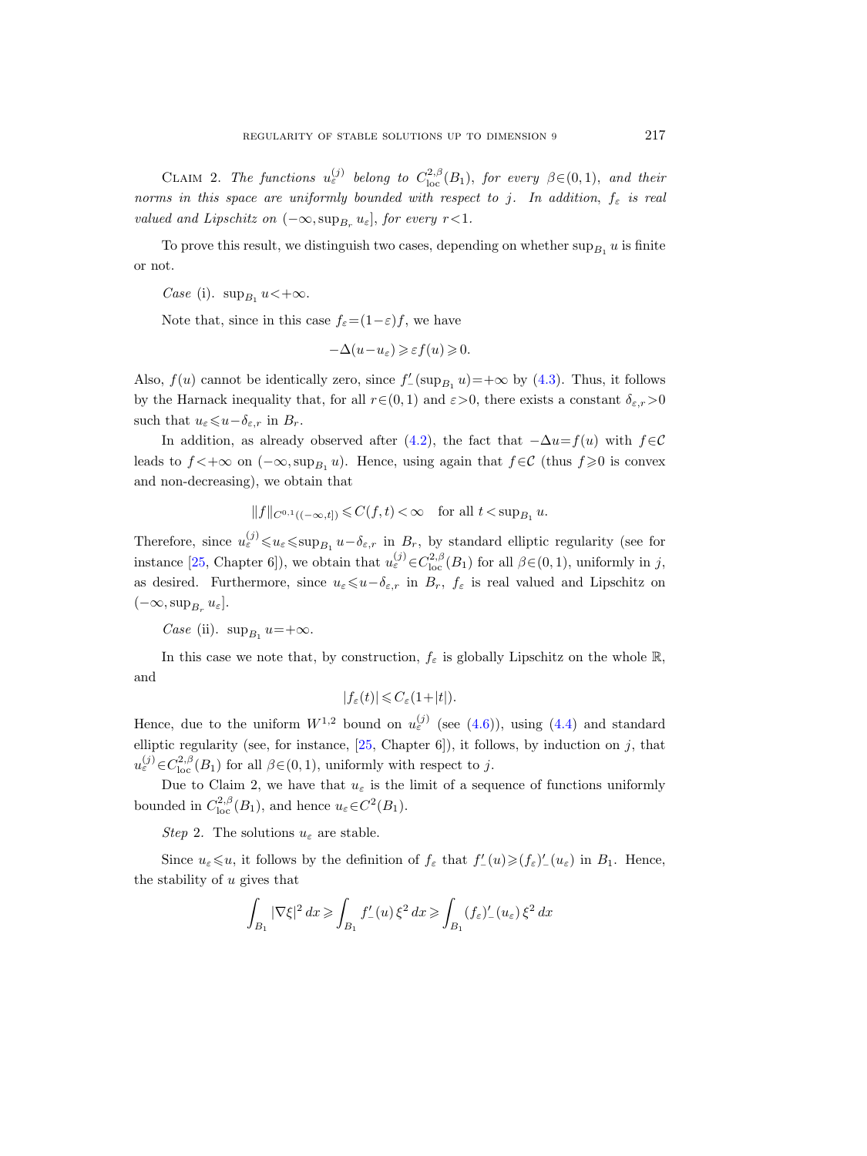CLAIM 2. The functions  $u_{\varepsilon}^{(j)}$  belong to  $C_{\text{loc}}^{2,\beta}(B_1)$ , for every  $\beta \in (0,1)$ , and their norms in this space are uniformly bounded with respect to j. In addition,  $f_{\varepsilon}$  is real valued and Lipschitz on  $(-\infty, \sup_{B_r} u_{\varepsilon}],$  for every  $r < 1$ .

To prove this result, we distinguish two cases, depending on whether  $\sup_{B_1} u$  is finite or not.

Case (i).  $\sup_{B_1} u < +\infty$ .

Note that, since in this case  $f_{\varepsilon} = (1 - \varepsilon)f$ , we have

$$
-\Delta(u - u_{\varepsilon}) \geqslant \varepsilon f(u) \geqslant 0.
$$

Also,  $f(u)$  cannot be identically zero, since  $f'_{-}(\sup_{B_1} u) = +\infty$  by [\(4.3\)](#page-28-1). Thus, it follows by the Harnack inequality that, for all  $r \in (0, 1)$  and  $\varepsilon > 0$ , there exists a constant  $\delta_{\varepsilon,r} > 0$ such that  $u_{\varepsilon} \leqslant u - \delta_{\varepsilon,r}$  in  $B_r$ .

In addition, as already observed after [\(4.2\)](#page-26-3), the fact that  $-\Delta u = f(u)$  with  $f \in \mathcal{C}$ leads to  $f$ <+ $\infty$  on  $(-\infty, \sup_{B_1} u)$ . Hence, using again that  $f \in \mathcal{C}$  (thus  $f \geq 0$  is convex and non-decreasing), we obtain that

$$
\|f\|_{C^{0,1}((-\infty,t])}\leqslant C(f,t)<\infty\quad \text{for all }t<\sup_{B_1}u.
$$

Therefore, since  $u_{\varepsilon}^{(j)} \leq u_{\varepsilon} \leq \sup_{B_1} u - \delta_{\varepsilon,r}$  in  $B_r$ , by standard elliptic regularity (see for instance [\[25,](#page-64-4) Chapter 6]), we obtain that  $u_{\varepsilon}^{(j)} \in C_{\text{loc}}^{2,\beta}(B_1)$  for all  $\beta \in (0,1)$ , uniformly in j, as desired. Furthermore, since  $u_{\varepsilon} \leq u-\delta_{\varepsilon,r}$  in  $B_r$ ,  $f_{\varepsilon}$  is real valued and Lipschitz on  $(-\infty, \sup_{B_r} u_\varepsilon].$ 

*Case* (ii).  $\sup_{B_1} u = +\infty$ .

In this case we note that, by construction,  $f_{\varepsilon}$  is globally Lipschitz on the whole R, and

$$
|f_{\varepsilon}(t)| \leqslant C_{\varepsilon}(1+|t|).
$$

Hence, due to the uniform  $W^{1,2}$  bound on  $u_{\varepsilon}^{(j)}$  (see [\(4.6\)](#page-29-0)), using [\(4.4\)](#page-28-2) and standard elliptic regularity (see, for instance,  $[25, Chapter 6]$ ), it follows, by induction on j, that  $u_{\varepsilon}^{(j)} \in C_{\text{loc}}^{2,\beta}(B_1)$  for all  $\beta \in (0,1)$ , uniformly with respect to j.

Due to Claim 2, we have that  $u_{\varepsilon}$  is the limit of a sequence of functions uniformly bounded in  $C^{2,\beta}_{\text{loc}}(B_1)$ , and hence  $u_{\varepsilon} \in C^2(B_1)$ .

Step 2. The solutions  $u_{\varepsilon}$  are stable.

Since  $u_{\varepsilon} \leq u$ , it follows by the definition of  $f_{\varepsilon}$  that  $f'_{-}(u) \geq f_{\varepsilon}'/u_{\varepsilon}$  in  $B_1$ . Hence, the stability of  $u$  gives that

$$
\int_{B_1} |\nabla \xi|^2 dx \ge \int_{B_1} f_-'(u) \xi^2 dx \ge \int_{B_1} (f_\varepsilon)'_-(u_\varepsilon) \xi^2 dx
$$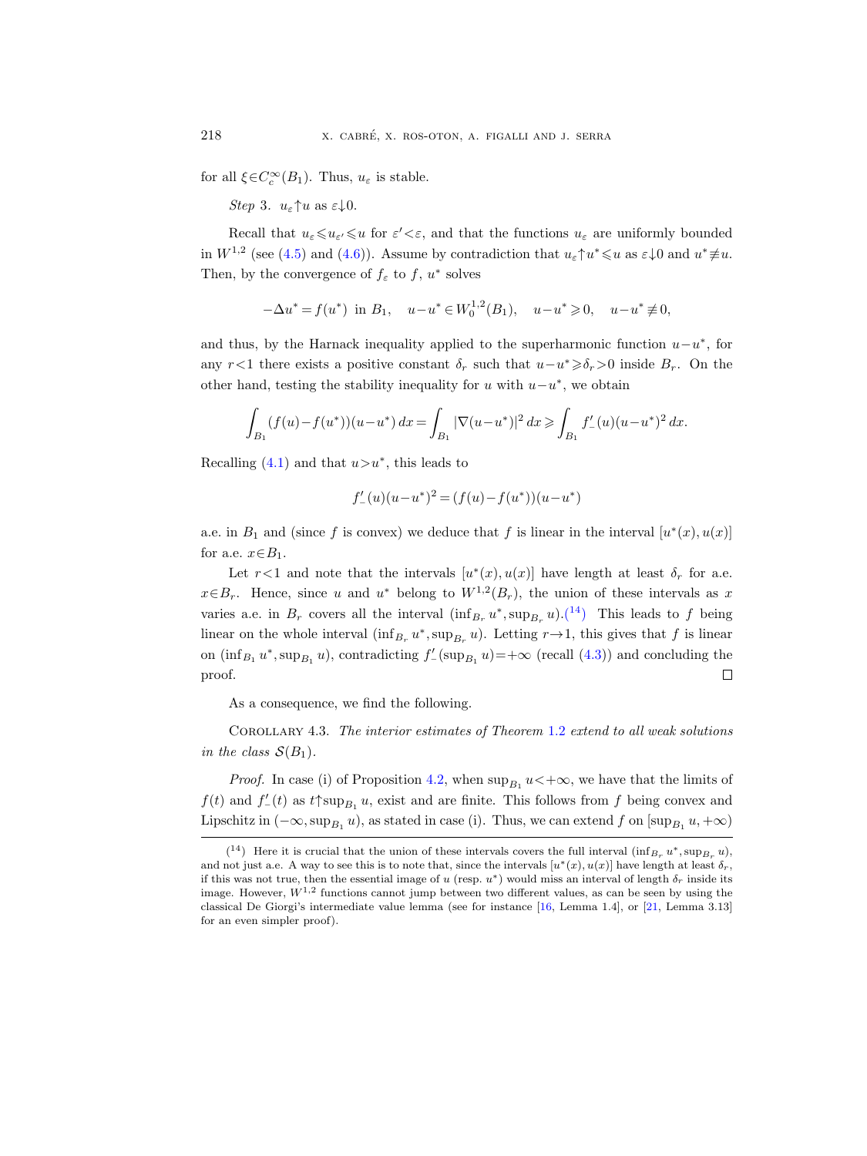for all  $\xi \in C_c^{\infty}(B_1)$ . Thus,  $u_{\varepsilon}$  is stable.

Step 3.  $u_{\varepsilon} \uparrow u$  as  $\varepsilon \downarrow 0$ .

Recall that  $u_{\varepsilon} \leq u_{\varepsilon} \leq u$  for  $\varepsilon' < \varepsilon$ , and that the functions  $u_{\varepsilon}$  are uniformly bounded in  $W^{1,2}$  (see [\(4.5\)](#page-29-1) and [\(4.6\)](#page-29-0)). Assume by contradiction that  $u_{\varepsilon} \uparrow u^* \leq u$  as  $\varepsilon \downarrow 0$  and  $u^* \neq u$ . Then, by the convergence of  $f_{\varepsilon}$  to  $f, u^*$  solves

$$
-\Delta u^* = f(u^*) \text{ in } B_1, \quad u - u^* \in W_0^{1,2}(B_1), \quad u - u^* \ge 0, \quad u - u^* \ne 0,
$$

and thus, by the Harnack inequality applied to the superharmonic function  $u-u^*$ , for any r <1 there exists a positive constant  $\delta_r$  such that  $u-u^* \geq \delta_r > 0$  inside  $B_r$ . On the other hand, testing the stability inequality for u with  $u-u^*$ , we obtain

$$
\int_{B_1} (f(u) - f(u^*)) (u - u^*) dx = \int_{B_1} |\nabla (u - u^*)|^2 dx \ge \int_{B_1} f'_-(u) (u - u^*)^2 dx.
$$

Recalling  $(4.1)$  and that  $u > u^*$ , this leads to

$$
f'_{-}(u)(u-u^*)^2 = (f(u)-f(u^*))(u-u^*)
$$

a.e. in  $B_1$  and (since f is convex) we deduce that f is linear in the interval  $[u^*(x), u(x)]$ for a.e.  $x \in B_1$ .

Let  $r < 1$  and note that the intervals  $[u^*(x), u(x)]$  have length at least  $\delta_r$  for a.e.  $x \in B_r$ . Hence, since u and u<sup>\*</sup> belong to  $W^{1,2}(B_r)$ , the union of these intervals as x varies a.e. in  $B_r$  covers all the interval  $(\inf_{B_r} u^*, \sup_{B_r} u)$ .<sup>([14](#page-31-1)</sup>) This leads to f being linear on the whole interval  $(\inf_{B_r} u^*, \sup_{B_r} u)$ . Letting  $r \to 1$ , this gives that f is linear on  $(\inf_{B_1} u^*, \sup_{B_1} u)$ , contradicting  $f'_{-}(\sup_{B_1} u) = +\infty$  (recall  $(4.3)$ ) and concluding the proof.  $\Box$ 

As a consequence, we find the following.

<span id="page-31-0"></span>Corollary 4.3. The interior estimates of Theorem [1.2](#page-4-0) extend to all weak solutions in the class  $S(B_1)$ .

*Proof.* In case (i) of Proposition [4.2,](#page-27-2) when  $\sup_{B_1} u$  < + $\infty$ , we have that the limits of  $f(t)$  and  $f'_{-}(t)$  as  $t \uparrow \sup_{B_1} u$ , exist and are finite. This follows from f being convex and Lipschitz in  $(-\infty, \sup_{B_1} u)$ , as stated in case (i). Thus, we can extend f on  $[\sup_{B_1} u, +\infty)$ 

<span id="page-31-1"></span> $(14)$  Here it is crucial that the union of these intervals covers the full interval  $(\inf_{B_r} u^*, \sup_{B_r} u)$ , and not just a.e. A way to see this is to note that, since the intervals  $[u^*(x), u(x)]$  have length at least  $\delta_r$ , if this was not true, then the essential image of u (resp.  $u^*$ ) would miss an interval of length  $\delta_r$  inside its image. However,  $W^{1,2}$  functions cannot jump between two different values, as can be seen by using the classical De Giorgi's intermediate value lemma (see for instance [\[16,](#page-64-15) Lemma 1.4], or [\[21,](#page-64-16) Lemma 3.13] for an even simpler proof).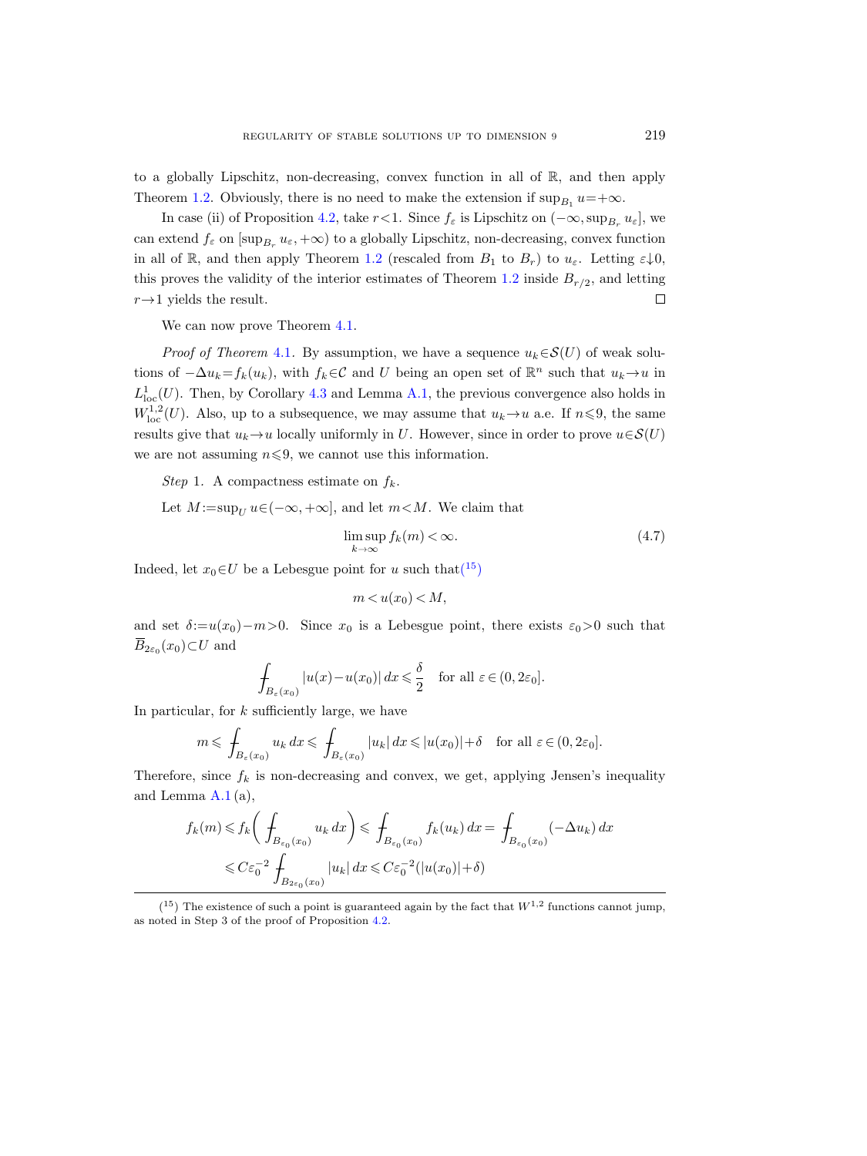to a globally Lipschitz, non-decreasing, convex function in all of  $\mathbb{R}$ , and then apply Theorem [1.2.](#page-4-0) Obviously, there is no need to make the extension if  $\sup_{B_1} u = +\infty$ .

In case (ii) of Proposition [4.2,](#page-27-2) take  $r < 1$ . Since  $f_{\varepsilon}$  is Lipschitz on  $(-\infty, \sup_{B_r} u_{\varepsilon}]$ , we can extend  $f_{\varepsilon}$  on  $[\sup_{B_r} u_{\varepsilon}, +\infty)$  to a globally Lipschitz, non-decreasing, convex function in all of R, and then apply Theorem [1.2](#page-4-0) (rescaled from  $B_1$  to  $B_r$ ) to  $u_{\varepsilon}$ . Letting  $\varepsilon \downarrow 0$ , this proves the validity of the interior estimates of Theorem [1.2](#page-4-0) inside  $B_{r/2}$ , and letting  $r \rightarrow 1$  yields the result.  $\Box$ 

We can now prove Theorem [4.1.](#page-27-0)

*Proof of Theorem* [4.1](#page-27-0). By assumption, we have a sequence  $u_k \in \mathcal{S}(U)$  of weak solutions of  $-\Delta u_k = f_k(u_k)$ , with  $f_k \in \mathcal{C}$  and U being an open set of  $\mathbb{R}^n$  such that  $u_k \to u$  in  $L^1_{loc}(U)$ . Then, by Corollary [4.3](#page-31-0) and Lemma [A.1,](#page-57-1) the previous convergence also holds in  $W^{1,2}_{\text{loc}}(U)$ . Also, up to a subsequence, we may assume that  $u_k \to u$  a.e. If  $n \leq 9$ , the same results give that  $u_k \to u$  locally uniformly in U. However, since in order to prove  $u \in \mathcal{S}(U)$ we are not assuming  $n \leq 9$ , we cannot use this information.

Step 1. A compactness estimate on  $f_k$ .

Let  $M := \sup_{U} u \in (-\infty, +\infty]$ , and let  $m < M$ . We claim that

<span id="page-32-1"></span>
$$
\limsup_{k \to \infty} f_k(m) < \infty. \tag{4.7}
$$

Indeed, let  $x_0 \in U$  be a Lebesgue point for u such that  $(15)$  $(15)$  $(15)$ 

$$
m < u(x_0) < M,
$$

and set  $\delta:=u(x_0)-m>0$ . Since  $x_0$  is a Lebesgue point, there exists  $\varepsilon_0>0$  such that  $\overline{B}_{2\varepsilon_0}(x_0)$   $\subset U$  and

$$
\int_{B_{\varepsilon}(x_0)} |u(x) - u(x_0)| dx \leq \frac{\delta}{2} \quad \text{for all } \varepsilon \in (0, 2\varepsilon_0].
$$

In particular, for  $k$  sufficiently large, we have

$$
m \leq \int_{B_{\varepsilon}(x_0)} u_k dx \leq \int_{B_{\varepsilon}(x_0)} |u_k| dx \leq |u(x_0)| + \delta \quad \text{for all } \varepsilon \in (0, 2\varepsilon_0].
$$

Therefore, since  $f_k$  is non-decreasing and convex, we get, applying Jensen's inequality and Lemma [A.1](#page-57-1) (a),

$$
f_k(m) \le f_k\bigg(\int_{B_{\varepsilon_0}(x_0)} u_k dx\bigg) \le \int_{B_{\varepsilon_0}(x_0)} f_k(u_k) dx = \int_{B_{\varepsilon_0}(x_0)} (-\Delta u_k) dx
$$
  

$$
\le C\varepsilon_0^{-2} \int_{B_{2\varepsilon_0}(x_0)} |u_k| dx \le C\varepsilon_0^{-2} (|u(x_0)| + \delta)
$$

<span id="page-32-0"></span> $(15)$  The existence of such a point is guaranteed again by the fact that  $W^{1,2}$  functions cannot jump, as noted in Step 3 of the proof of Proposition [4.2.](#page-27-2)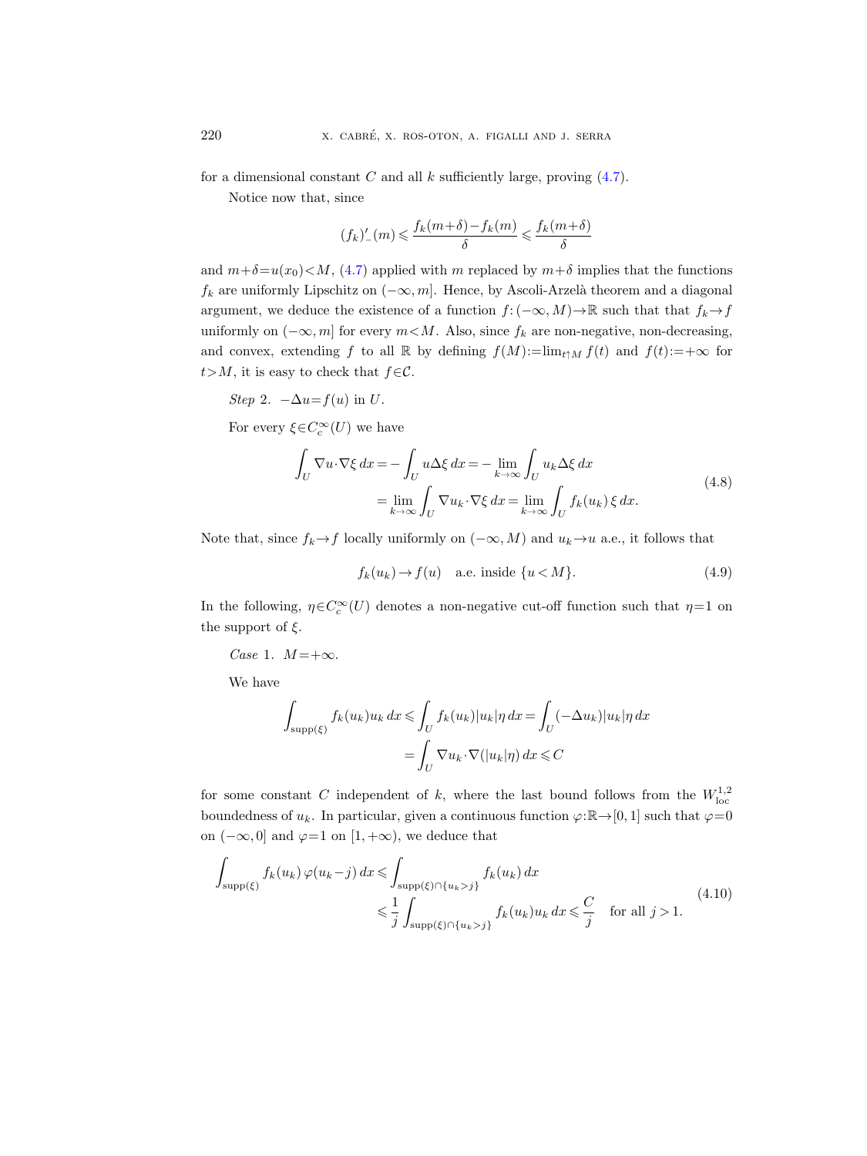for a dimensional constant C and all k sufficiently large, proving  $(4.7)$ .

Notice now that, since

$$
(f_k)'_-(m) \leqslant \frac{f_k(m+\delta)-f_k(m)}{\delta} \leqslant \frac{f_k(m+\delta)}{\delta}
$$

and  $m+\delta=u(x_0)\lt M$ , [\(4.7\)](#page-32-1) applied with m replaced by  $m+\delta$  implies that the functions  $f_k$  are uniformly Lipschitz on  $(-\infty, m]$ . Hence, by Ascoli-Arzelà theorem and a diagonal argument, we deduce the existence of a function  $f: (-\infty, M) \to \mathbb{R}$  such that that  $f_k \to f$ uniformly on  $(-\infty, m]$  for every  $m < M$ . Also, since  $f_k$  are non-negative, non-decreasing, and convex, extending f to all R by defining  $f(M)=\lim_{t\uparrow M} f(t)$  and  $f(t):=+\infty$  for  $t > M$ , it is easy to check that  $f \in \mathcal{C}$ .

Step 2.  $-\Delta u = f(u)$  in U.

<span id="page-33-2"></span>For every  $\xi \in C_c^{\infty}(U)$  we have

$$
\int_{U} \nabla u \cdot \nabla \xi \, dx = -\int_{U} u \Delta \xi \, dx = -\lim_{k \to \infty} \int_{U} u_{k} \Delta \xi \, dx
$$
\n
$$
= \lim_{k \to \infty} \int_{U} \nabla u_{k} \cdot \nabla \xi \, dx = \lim_{k \to \infty} \int_{U} f_{k}(u_{k}) \, \xi \, dx. \tag{4.8}
$$

Note that, since  $f_k \to f$  locally uniformly on  $(-\infty, M)$  and  $u_k \to u$  a.e., it follows that

<span id="page-33-0"></span>
$$
f_k(u_k) \to f(u) \quad \text{a.e. inside } \{u < M\}. \tag{4.9}
$$

In the following,  $\eta \in C_c^{\infty}(U)$  denotes a non-negative cut-off function such that  $\eta = 1$  on the support of  $\xi$ .

Case 1.  $M = +\infty$ .

We have

$$
\int_{\text{supp}(\xi)} f_k(u_k) u_k \, dx \le \int_U f_k(u_k) |u_k| \eta \, dx = \int_U (-\Delta u_k) |u_k| \eta \, dx
$$

$$
= \int_U \nabla u_k \cdot \nabla(|u_k| \eta) \, dx \le C
$$

for some constant C independent of k, where the last bound follows from the  $W^{1,2}_{loc}$ boundedness of  $u_k$ . In particular, given a continuous function  $\varphi:\mathbb{R}\to[0, 1]$  such that  $\varphi=0$ on  $(-\infty, 0]$  and  $\varphi=1$  on  $[1, +\infty)$ , we deduce that

<span id="page-33-1"></span>
$$
\int_{\text{supp}(\xi)} f_k(u_k) \,\varphi(u_k - j) \, dx \le \int_{\text{supp}(\xi) \cap \{u_k > j\}} f_k(u_k) \, dx
$$
\n
$$
\le \frac{1}{j} \int_{\text{supp}(\xi) \cap \{u_k > j\}} f_k(u_k) u_k \, dx \le \frac{C}{j} \quad \text{for all } j > 1.
$$
\n
$$
(4.10)
$$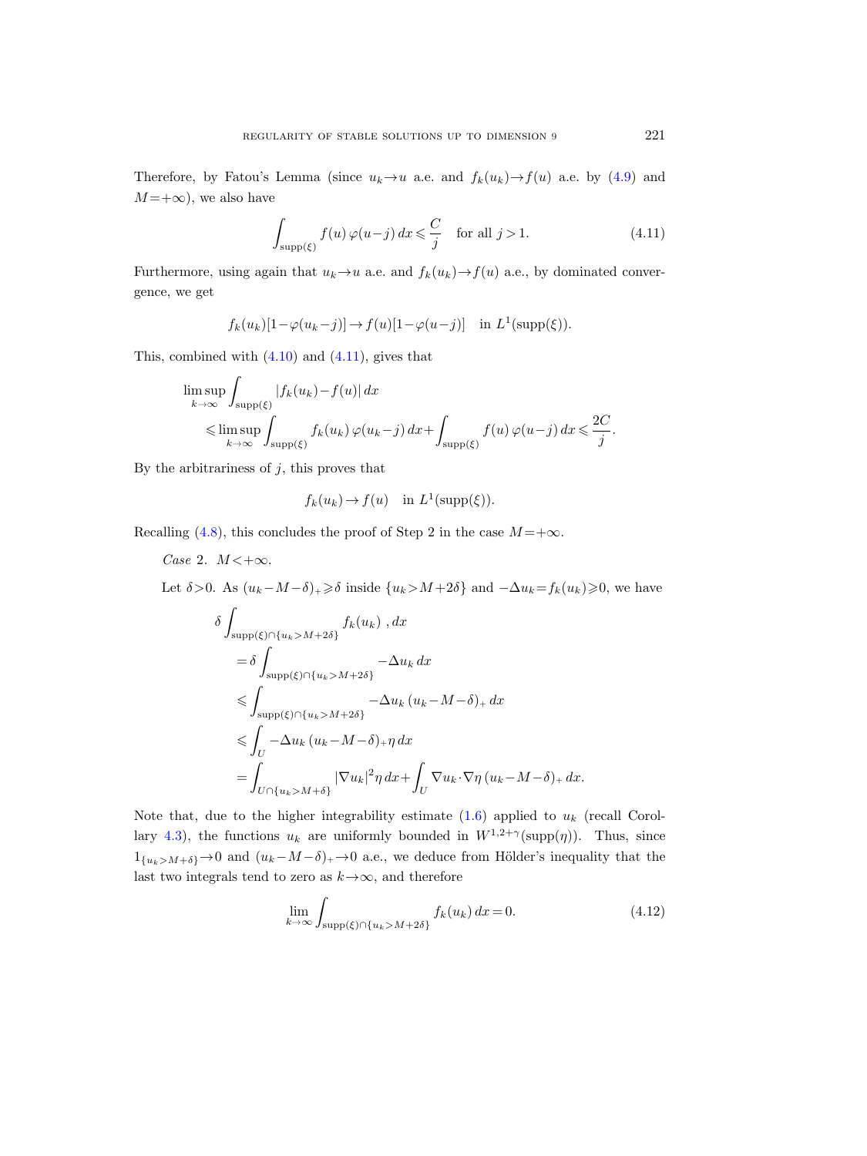Therefore, by Fatou's Lemma (since  $u_k \to u$  a.e. and  $f_k(u_k) \to f(u)$  a.e. by [\(4.9\)](#page-33-0) and  $M = +\infty$ , we also have

<span id="page-34-0"></span>
$$
\int_{\text{supp}(\xi)} f(u)\,\varphi(u-j)\,dx \leqslant \frac{C}{j} \quad \text{for all } j > 1. \tag{4.11}
$$

Furthermore, using again that  $u_k \to u$  a.e. and  $f_k(u_k) \to f(u)$  a.e., by dominated convergence, we get

$$
f_k(u_k)[1-\varphi(u_k-j)] \to f(u)[1-\varphi(u-j)]
$$
 in  $L^1(\text{supp}(\xi))$ .

This, combined with  $(4.10)$  and  $(4.11)$ , gives that

$$
\limsup_{k \to \infty} \int_{\text{supp}(\xi)} |f_k(u_k) - f(u)| dx
$$
\n
$$
\leq \limsup_{k \to \infty} \int_{\text{supp}(\xi)} f_k(u_k) \, \varphi(u_k - j) \, dx + \int_{\text{supp}(\xi)} f(u) \, \varphi(u - j) \, dx \leq \frac{2C}{j}.
$$

By the arbitrariness of  $j$ , this proves that

$$
f_k(u_k) \to f(u)
$$
 in  $L^1(\text{supp}(\xi))$ .

Recalling [\(4.8\)](#page-33-2), this concludes the proof of Step 2 in the case  $M = +\infty$ .

Case 2.  $M < +\infty$ .

Let  $\delta > 0$ . As  $(u_k - M - \delta)$ + $\geq \delta$  inside  $\{u_k > M + 2\delta\}$  and  $-\Delta u_k = f_k(u_k) \geq 0$ , we have

$$
\delta \int_{\text{supp}(\xi)\cap\{u_k>M+2\delta\}} f_k(u_k) \, dx
$$
\n
$$
= \delta \int_{\text{supp}(\xi)\cap\{u_k>M+2\delta\}} -\Delta u_k \, dx
$$
\n
$$
\leq \int_{\text{supp}(\xi)\cap\{u_k>M+2\delta\}} -\Delta u_k \, (u_k - M - \delta)_+ \, dx
$$
\n
$$
\leq \int_U -\Delta u_k \, (u_k - M - \delta)_+ \eta \, dx
$$
\n
$$
= \int_{U \cap \{u_k>M+\delta\}} |\nabla u_k|^2 \eta \, dx + \int_U \nabla u_k \cdot \nabla \eta \, (u_k - M - \delta)_+ \, dx.
$$

Note that, due to the higher integrability estimate  $(1.6)$  applied to  $u_k$  (recall Corol-lary [4.3\)](#page-31-0), the functions  $u_k$  are uniformly bounded in  $W^{1,2+\gamma}(\text{supp}(\eta))$ . Thus, since  $1_{\{u_k>M+\delta\}} \to 0$  and  $(u_k-M-\delta)_+ \to 0$  a.e., we deduce from Hölder's inequality that the last two integrals tend to zero as  $k \rightarrow \infty$ , and therefore

<span id="page-34-1"></span>
$$
\lim_{k \to \infty} \int_{\text{supp}(\xi) \cap \{u_k > M + 2\delta\}} f_k(u_k) \, dx = 0. \tag{4.12}
$$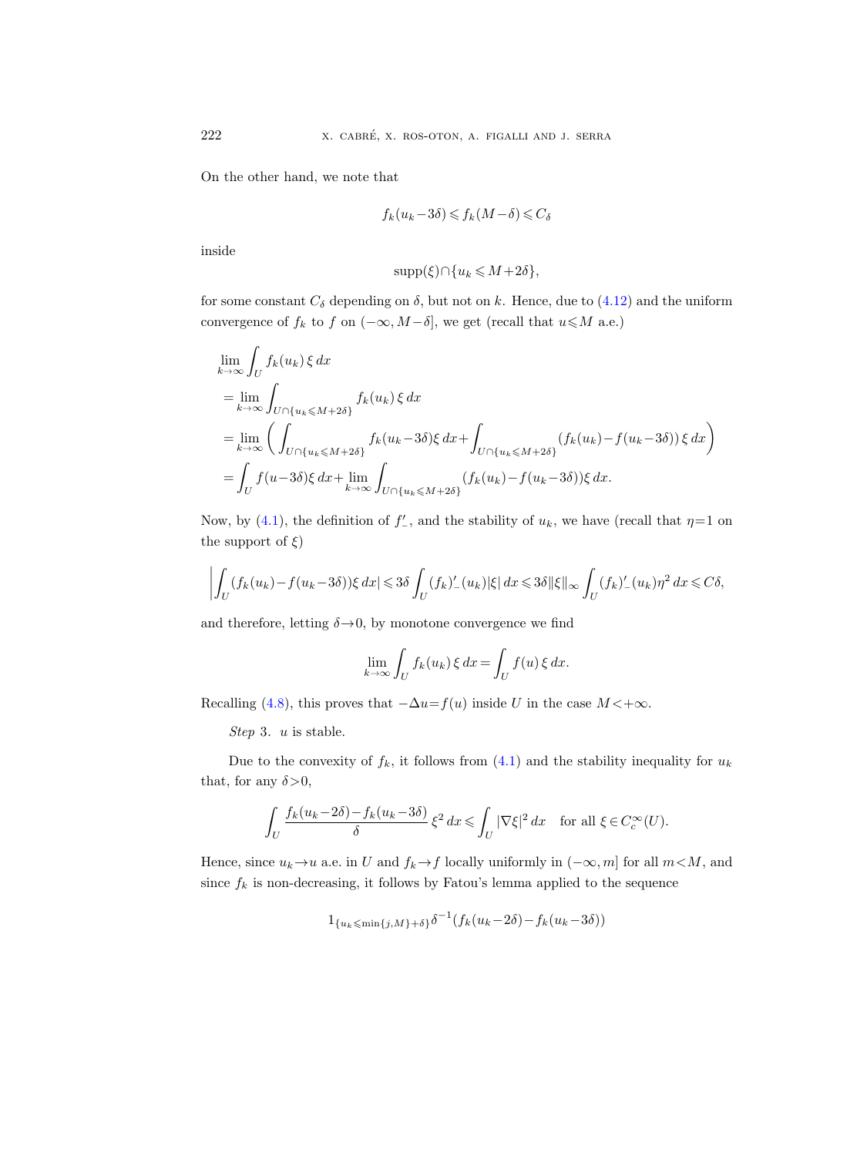On the other hand, we note that

$$
f_k(u_k - 3\delta) \leqslant f_k(M - \delta) \leqslant C_\delta
$$

inside

$$
supp(\xi)\cap \{u_k\leqslant M+2\delta\},\
$$

for some constant  $C_{\delta}$  depending on  $\delta$ , but not on k. Hence, due to [\(4.12\)](#page-34-1) and the uniform convergence of  $f_k$  to f on  $(-\infty, M-\delta]$ , we get (recall that  $u \leqslant M$  a.e.)

$$
\lim_{k \to \infty} \int_{U} f_k(u_k) \xi \, dx
$$
\n
$$
= \lim_{k \to \infty} \int_{U \cap \{u_k \le M + 2\delta\}} f_k(u_k) \xi \, dx
$$
\n
$$
= \lim_{k \to \infty} \left( \int_{U \cap \{u_k \le M + 2\delta\}} f_k(u_k - 3\delta) \xi \, dx + \int_{U \cap \{u_k \le M + 2\delta\}} (f_k(u_k) - f(u_k - 3\delta)) \xi \, dx \right)
$$
\n
$$
= \int_{U} f(u - 3\delta) \xi \, dx + \lim_{k \to \infty} \int_{U \cap \{u_k \le M + 2\delta\}} (f_k(u_k) - f(u_k - 3\delta)) \xi \, dx.
$$

Now, by [\(4.1\)](#page-26-4), the definition of  $f'_{-}$ , and the stability of  $u_k$ , we have (recall that  $\eta=1$  on the support of  $\xi$ )

$$
\left| \int_U (f_k(u_k) - f(u_k - 3\delta)) \xi \, dx \right| \leqslant 3\delta \int_U (f_k)'_-(u_k) |\xi| \, dx \leqslant 3\delta \|\xi\|_\infty \int_U (f_k)'_-(u_k) \eta^2 \, dx \leqslant C\delta,
$$

and therefore, letting  $\delta \rightarrow 0$ , by monotone convergence we find

$$
\lim_{k \to \infty} \int_U f_k(u_k) \, \xi \, dx = \int_U f(u) \, \xi \, dx.
$$

Recalling [\(4.8\)](#page-33-2), this proves that  $-\Delta u = f(u)$  inside U in the case  $M < +\infty$ .

Step 3. u is stable.

Due to the convexity of  $f_k$ , it follows from  $(4.1)$  and the stability inequality for  $u_k$ that, for any  $\delta > 0$ ,

$$
\int_U \frac{f_k(u_k-2\delta)-f_k(u_k-3\delta)}{\delta} \, \xi^2 \, dx \leqslant \int_U |\nabla \xi|^2 \, dx \quad \text{for all } \xi \in C^\infty_c(U).
$$

Hence, since  $u_k \to u$  a.e. in U and  $f_k \to f$  locally uniformly in  $(-\infty, m]$  for all  $m < M$ , and since  $f_k$  is non-decreasing, it follows by Fatou's lemma applied to the sequence

$$
1_{\{u_k \leq \min\{j,M\}+\delta\}} \delta^{-1}(f_k(u_k - 2\delta) - f_k(u_k - 3\delta))
$$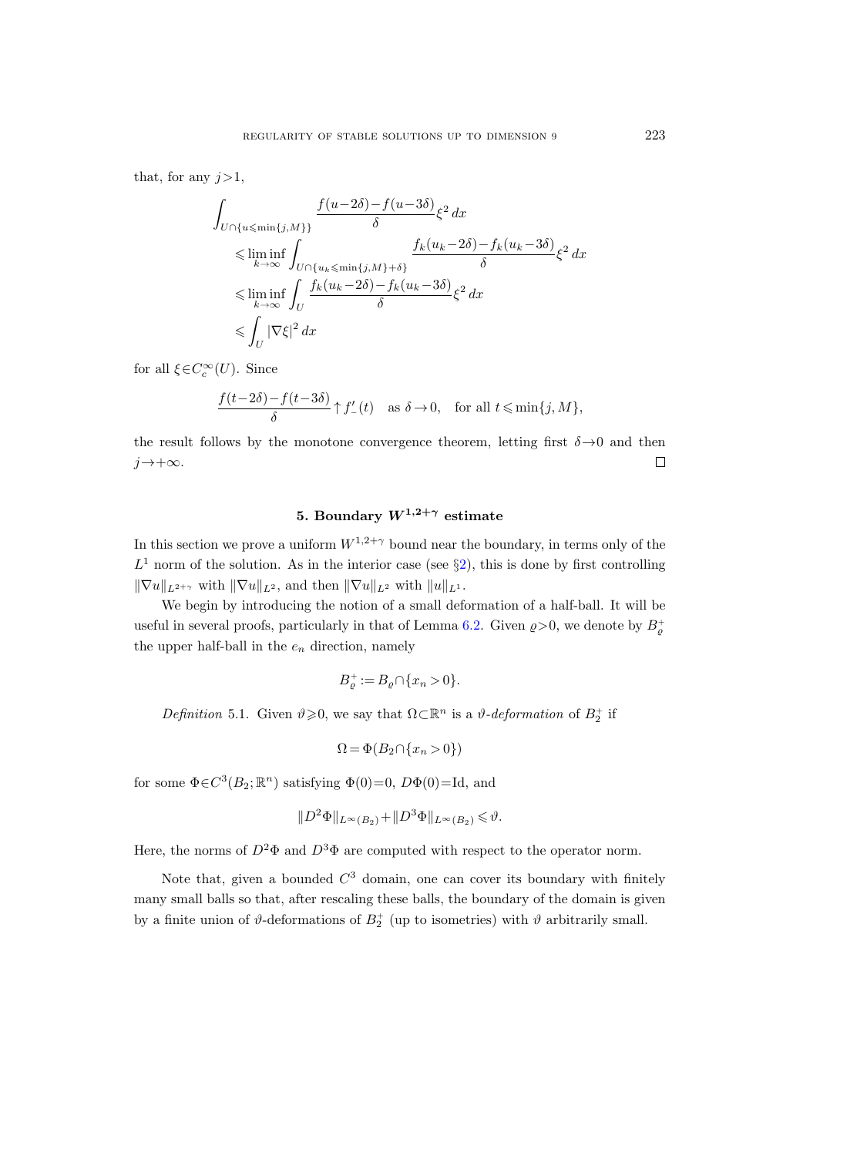that, for any  $j>1$ ,

$$
\int_{U \cap \{u \le \min\{j,M\}\}} \frac{f(u-2\delta) - f(u-3\delta)}{\delta} \xi^2 dx
$$
\n
$$
\le \liminf_{k \to \infty} \int_{U \cap \{u_k \le \min\{j,M\} + \delta\}} \frac{f_k(u_k - 2\delta) - f_k(u_k - 3\delta)}{\delta} \xi^2 dx
$$
\n
$$
\le \liminf_{k \to \infty} \int_{U} \frac{f_k(u_k - 2\delta) - f_k(u_k - 3\delta)}{\delta} \xi^2 dx
$$
\n
$$
\le \int_{U} |\nabla \xi|^2 dx
$$

for all  $\xi \in C_c^{\infty}(U)$ . Since

$$
\frac{f(t-2\delta)-f(t-3\delta)}{\delta} \uparrow f_-'(t) \quad \text{as} \ \delta \to 0, \quad \text{for all} \ t \leqslant \min\{j,M\},
$$

the result follows by the monotone convergence theorem, letting first  $\delta \rightarrow 0$  and then  $j \rightarrow +\infty$ .  $\Box$ 

## 5. Boundary  $W^{1,2+\gamma}$  estimate

<span id="page-36-0"></span>In this section we prove a uniform  $W^{1,2+\gamma}$  bound near the boundary, in terms only of the  $L^1$  norm of the solution. As in the interior case (see §[2\)](#page-12-1), this is done by first controlling  $\|\nabla u\|_{L^{2+\gamma}}$  with  $\|\nabla u\|_{L^2}$ , and then  $\|\nabla u\|_{L^2}$  with  $\|u\|_{L^1}$ .

We begin by introducing the notion of a small deformation of a half-ball. It will be useful in several proofs, particularly in that of Lemma [6.2.](#page-45-0) Given  $\rho > 0$ , we denote by  $B_{\varrho}^+$ the upper half-ball in the  $e_n$  direction, namely

$$
B^+_{\varrho}:=B_{\varrho}\cap \{x_n>0\}.
$$

<span id="page-36-1"></span>Definition 5.1. Given  $\vartheta \geqslant 0$ , we say that  $\Omega \subset \mathbb{R}^n$  is a  $\vartheta$ -deformation of  $B_2^+$  if

$$
\Omega = \Phi(B_2 \cap \{x_n > 0\})
$$

for some  $\Phi \in C^3(B_2; \mathbb{R}^n)$  satisfying  $\Phi(0)=0$ ,  $D\Phi(0)=Id$ , and

$$
||D^2\Phi||_{L^{\infty}(B_2)} + ||D^3\Phi||_{L^{\infty}(B_2)} \leq \vartheta.
$$

Here, the norms of  $D^2\Phi$  and  $D^3\Phi$  are computed with respect to the operator norm.

Note that, given a bounded  $C^3$  domain, one can cover its boundary with finitely many small balls so that, after rescaling these balls, the boundary of the domain is given by a finite union of  $\vartheta$ -deformations of  $B_2^+$  (up to isometries) with  $\vartheta$  arbitrarily small.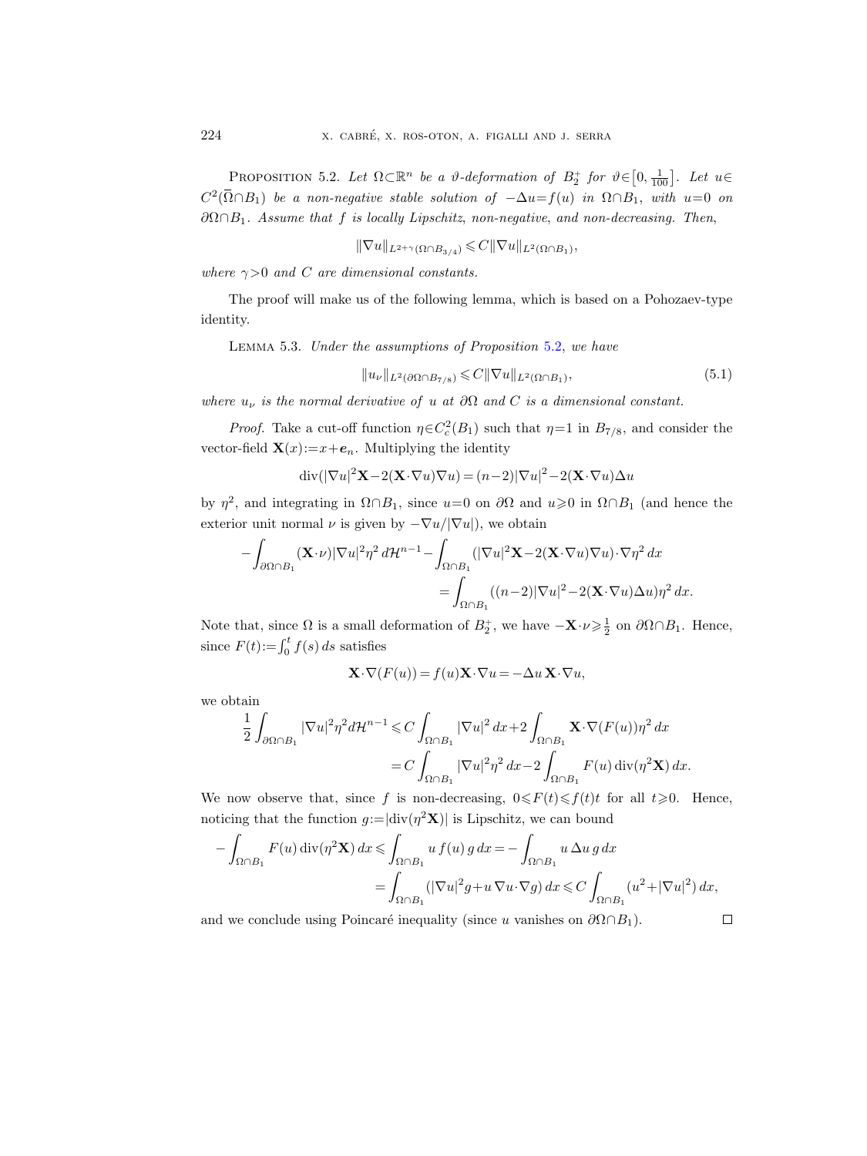<span id="page-37-0"></span>PROPOSITION 5.2. Let  $\Omega \subset \mathbb{R}^n$  be a  $\vartheta$ -deformation of  $B_2^+$  for  $\vartheta \in [0, \frac{1}{100}]$ . Let  $u \in$  $C^2(\overline{\Omega}\cap B_1)$  be a non-negative stable solution of  $-\Delta u = f(u)$  in  $\Omega\cap B_1$ , with  $u=0$  on  $\partial\Omega \cap B_1$ . Assume that f is locally Lipschitz, non-negative, and non-decreasing. Then,

 $\|\nabla u\|_{L^{2+\gamma}(\Omega \cap B_{3/4})} \leqslant C\|\nabla u\|_{L^2(\Omega \cap B_1)},$ 

where  $\gamma > 0$  and C are dimensional constants.

The proof will make us of the following lemma, which is based on a Pohozaev-type identity.

<span id="page-37-1"></span>Lemma 5.3. Under the assumptions of Proposition [5.2,](#page-37-0) we have

$$
||u_{\nu}||_{L^{2}(\partial\Omega\cap B_{7/8})} \leqslant C||\nabla u||_{L^{2}(\Omega\cap B_{1})},
$$
\n(5.1)

where  $u_{\nu}$  is the normal derivative of u at  $\partial\Omega$  and C is a dimensional constant.

*Proof.* Take a cut-off function  $\eta \in C_c^2(B_1)$  such that  $\eta=1$  in  $B_{7/8}$ , and consider the vector-field  $\mathbf{X}(x) := x + e_n$ . Multiplying the identity

$$
\operatorname{div}(|\nabla u|^2 \mathbf{X} - 2(\mathbf{X} \cdot \nabla u) \nabla u) = (n-2)|\nabla u|^2 - 2(\mathbf{X} \cdot \nabla u) \Delta u
$$

by  $\eta^2$ , and integrating in  $\Omega \cap B_1$ , since  $u=0$  on  $\partial \Omega$  and  $u \geq 0$  in  $\Omega \cap B_1$  (and hence the exterior unit normal  $\nu$  is given by  $-\nabla u/|\nabla u|$ , we obtain

$$
-\int_{\partial\Omega\cap B_1} (\mathbf{X}\cdot\nu)|\nabla u|^2 \eta^2 d\mathcal{H}^{n-1} - \int_{\Omega\cap B_1} (|\nabla u|^2 \mathbf{X} - 2(\mathbf{X}\cdot\nabla u)\nabla u) \cdot \nabla \eta^2 dx
$$
  
= 
$$
\int_{\Omega\cap B_1} ((n-2)|\nabla u|^2 - 2(\mathbf{X}\cdot\nabla u)\Delta u) \eta^2 dx.
$$

Note that, since  $\Omega$  is a small deformation of  $B_2^+$ , we have  $-\mathbf{X}\cdot\nu \geq \frac{1}{2}$  on  $\partial\Omega \cap B_1$ . Hence, since  $F(t) := \int_0^t f(s) \, ds$  satisfies

$$
\mathbf{X}\cdot\nabla(F(u))=f(u)\mathbf{X}\cdot\nabla u=-\Delta u\,\mathbf{X}\cdot\nabla u,
$$

we obtain

$$
\frac{1}{2} \int_{\partial\Omega \cap B_1} |\nabla u|^2 \eta^2 d\mathcal{H}^{n-1} \leq C \int_{\Omega \cap B_1} |\nabla u|^2 dx + 2 \int_{\Omega \cap B_1} \mathbf{X} \cdot \nabla (F(u)) \eta^2 dx
$$
  
= 
$$
C \int_{\Omega \cap B_1} |\nabla u|^2 \eta^2 dx - 2 \int_{\Omega \cap B_1} F(u) \operatorname{div}(\eta^2 \mathbf{X}) dx.
$$

We now observe that, since f is non-decreasing,  $0 \leq F(t) \leq f(t)t$  for all  $t \geq 0$ . Hence, noticing that the function  $g = |div(\eta^2 \mathbf{X})|$  is Lipschitz, we can bound

$$
-\int_{\Omega \cap B_1} F(u) \operatorname{div}(\eta^2 \mathbf{X}) dx \le \int_{\Omega \cap B_1} u f(u) g dx = -\int_{\Omega \cap B_1} u \Delta u g dx
$$
  
= 
$$
\int_{\Omega \cap B_1} (|\nabla u|^2 g + u \nabla u \cdot \nabla g) dx \le C \int_{\Omega \cap B_1} (u^2 + |\nabla u|^2) dx,
$$

and we conclude using Poincaré inequality (since u vanishes on  $\partial\Omega \cap B_1$ ).

$$
\sqcup
$$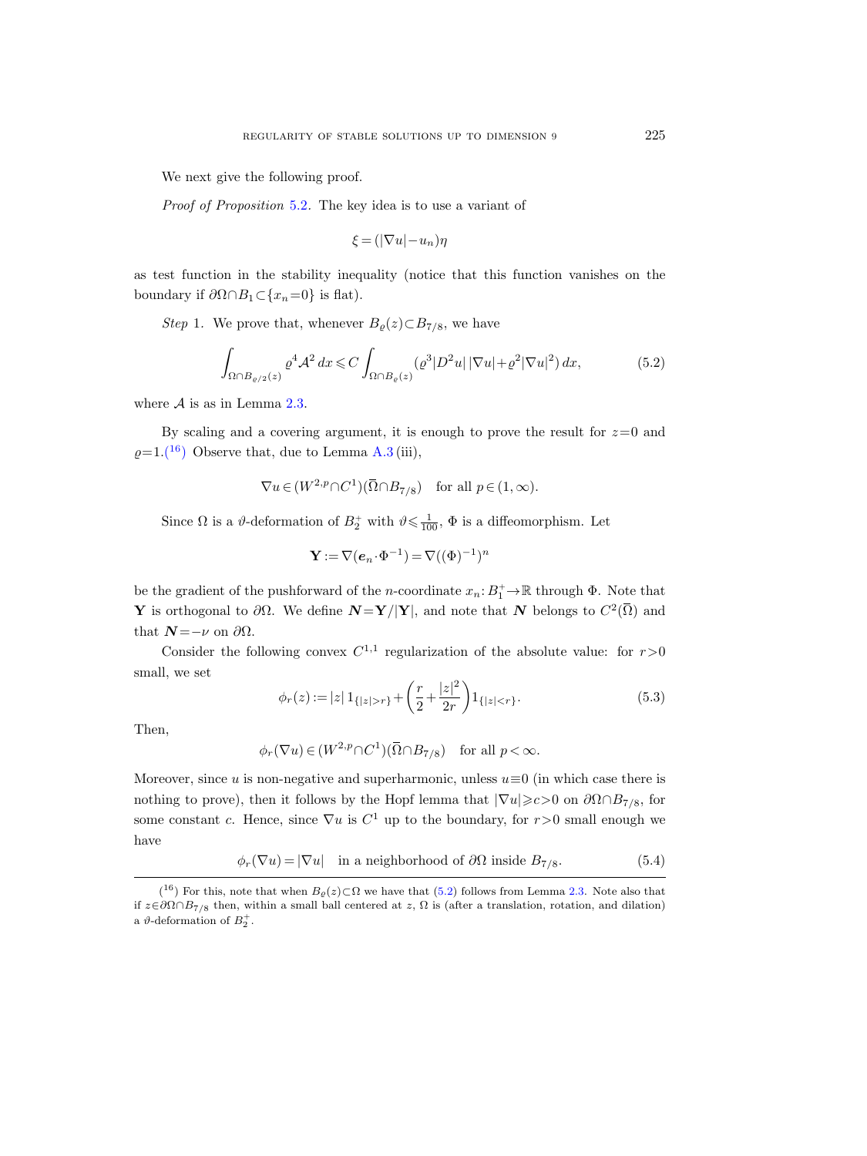We next give the following proof.

Proof of Proposition [5.2](#page-37-0). The key idea is to use a variant of

$$
\xi = (|\nabla u| - u_n)\eta
$$

as test function in the stability inequality (notice that this function vanishes on the boundary if  $\partial \Omega \cap B_1 \subset \{x_n=0\}$  is flat).

Step 1. We prove that, whenever  $B_{\varrho}(z) \subset B_{7/8}$ , we have

<span id="page-38-1"></span>
$$
\int_{\Omega \cap B_{\varrho/2}(z)} \varrho^4 \mathcal{A}^2 dx \leqslant C \int_{\Omega \cap B_{\varrho}(z)} (\varrho^3 |D^2 u| |\nabla u| + \varrho^2 |\nabla u|^2) dx, \tag{5.2}
$$

where  $A$  is as in Lemma [2.3.](#page-15-0)

By scaling and a covering argument, it is enough to prove the result for  $z=0$  and  $\rho=1.(16)$  $\rho=1.(16)$  $\rho=1.(16)$  Observe that, due to Lemma [A.3](#page-59-0) (iii),

$$
\nabla u \in (W^{2,p} \cap C^1)(\overline{\Omega} \cap B_{7/8}) \quad \text{for all } p \in (1,\infty).
$$

Since  $\Omega$  is a  $\vartheta$ -deformation of  $B_2^+$  with  $\vartheta \leq \frac{1}{100}$ ,  $\Phi$  is a diffeomorphism. Let

$$
\mathbf{Y}:=\nabla(\boldsymbol{e}_n\!\cdot\!\boldsymbol{\Phi}^{-1})=\nabla((\boldsymbol{\Phi})^{-1})^n
$$

be the gradient of the pushforward of the *n*-coordinate  $x_n: B_1^+ \to \mathbb{R}$  through  $\Phi$ . Note that **Y** is orthogonal to ∂Ω. We define  $N = Y/|Y|$ , and note that N belongs to  $C^2(\overline{\Omega})$  and that  $N = -\nu$  on  $\partial\Omega$ .

Consider the following convex  $C^{1,1}$  regularization of the absolute value: for  $r>0$ small, we set

$$
\phi_r(z) := |z| \, 1_{\{|z|>r\}} + \left(\frac{r}{2} + \frac{|z|^2}{2r}\right) 1_{\{|z|
$$

Then,

$$
\phi_r(\nabla u) \in (W^{2,p} \cap C^1)(\overline{\Omega} \cap B_{7/8}) \quad \text{for all } p < \infty.
$$

Moreover, since u is non-negative and superharmonic, unless  $u \equiv 0$  (in which case there is nothing to prove), then it follows by the Hopf lemma that  $|\nabla u| \geq c > 0$  on  $\partial \Omega \cap B_{7/8}$ , for some constant c. Hence, since  $\nabla u$  is  $C^1$  up to the boundary, for  $r > 0$  small enough we have

<span id="page-38-2"></span>
$$
\phi_r(\nabla u) = |\nabla u| \quad \text{in a neighborhood of } \partial\Omega \text{ inside } B_{7/8}.
$$
 (5.4)

<span id="page-38-0"></span><sup>(&</sup>lt;sup>16</sup>) For this, note that when  $B_{\varrho}(z) \subset \Omega$  we have that [\(5.2\)](#page-38-1) follows from Lemma [2.3.](#page-15-0) Note also that if  $z \in \partial \Omega \cap B_{7/8}$  then, within a small ball centered at z, Ω is (after a translation, rotation, and dilation) a  $\vartheta$ -deformation of  $B_2^+$ .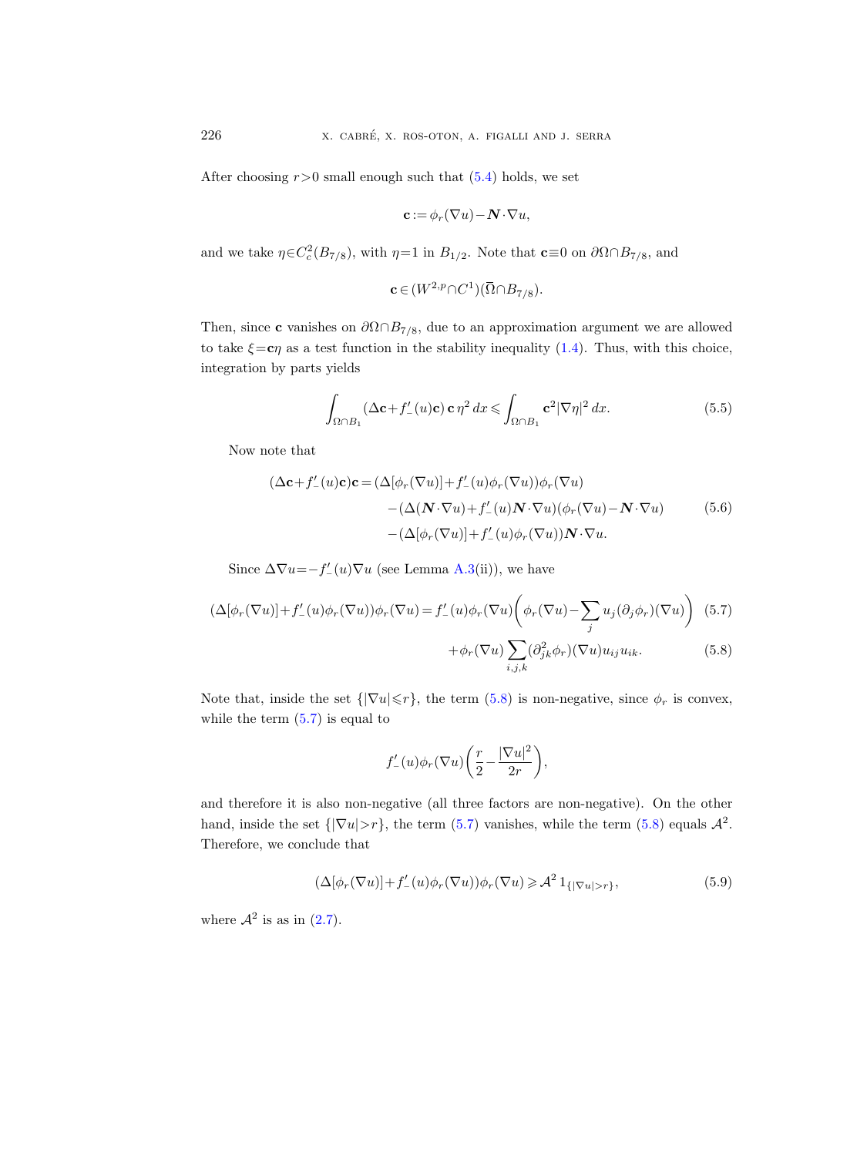After choosing  $r>0$  small enough such that  $(5.4)$  holds, we set

$$
\mathbf{c} := \phi_r(\nabla u) - \mathbf{N} \cdot \nabla u,
$$

and we take  $\eta \in C_c^2(B_{7/8})$ , with  $\eta=1$  in  $B_{1/2}$ . Note that  $\mathbf{c}\equiv 0$  on  $\partial \Omega \cap B_{7/8}$ , and

$$
\mathbf{c} \in (W^{2,p} \cap C^1)(\overline{\Omega} \cap B_{7/8}).
$$

Then, since **c** vanishes on  $\partial \Omega \cap B_{7/8}$ , due to an approximation argument we are allowed to take  $\xi = c\eta$  as a test function in the stability inequality [\(1.4\)](#page-4-1). Thus, with this choice, integration by parts yields

<span id="page-39-3"></span>
$$
\int_{\Omega \cap B_1} (\Delta \mathbf{c} + f'_{-}(u)\mathbf{c}) \mathbf{c} \eta^2 dx \leq \int_{\Omega \cap B_1} \mathbf{c}^2 |\nabla \eta|^2 dx.
$$
 (5.5)

<span id="page-39-2"></span>Now note that

$$
(\Delta \mathbf{c} + f'_{-}(u)\mathbf{c})\mathbf{c} = (\Delta[\phi_r(\nabla u)] + f'_{-}(u)\phi_r(\nabla u))\phi_r(\nabla u)
$$

$$
-(\Delta(\mathbf{N}\cdot\nabla u) + f'_{-}(u)\mathbf{N}\cdot\nabla u)(\phi_r(\nabla u) - \mathbf{N}\cdot\nabla u)
$$

$$
-(\Delta[\phi_r(\nabla u)] + f'_{-}(u)\phi_r(\nabla u))\mathbf{N}\cdot\nabla u.
$$
(5.6)

Since  $\Delta \nabla u = -f'_{-}(u)\nabla u$  (see Lemma [A.3\(](#page-59-0)ii)), we have

$$
(\Delta[\phi_r(\nabla u)] + f'_{-}(u)\phi_r(\nabla u))\phi_r(\nabla u) = f'_{-}(u)\phi_r(\nabla u)\left(\phi_r(\nabla u) - \sum_j u_j(\partial_j \phi_r)(\nabla u)\right) (5.7)
$$

$$
+ \phi_r(\nabla u) \sum_{i,j,k} (\partial^2_{jk}\phi_r)(\nabla u)u_{ij}u_{ik}. \tag{5.8}
$$

Note that, inside the set  $\{|\nabla u| \leq r\}$ , the term [\(5.8\)](#page-39-0) is non-negative, since  $\phi_r$  is convex, while the term  $(5.7)$  is equal to

<span id="page-39-1"></span><span id="page-39-0"></span>
$$
f'_-(u)\phi_r(\nabla u)\bigg(\frac{r}{2}\!-\!\frac{|\nabla u|^2}{2r}\bigg),
$$

and therefore it is also non-negative (all three factors are non-negative). On the other hand, inside the set  $\{|\nabla u| > r\}$ , the term  $(5.7)$  vanishes, while the term  $(5.8)$  equals  $\mathcal{A}^2$ . Therefore, we conclude that

<span id="page-39-4"></span>
$$
(\Delta[\phi_r(\nabla u)] + f'_{-}(u)\phi_r(\nabla u))\phi_r(\nabla u) \geq \mathcal{A}^2 \mathbf{1}_{\{|\nabla u| > r\}},
$$
\n(5.9)

where  $\mathcal{A}^2$  is as in [\(2.7\)](#page-15-4).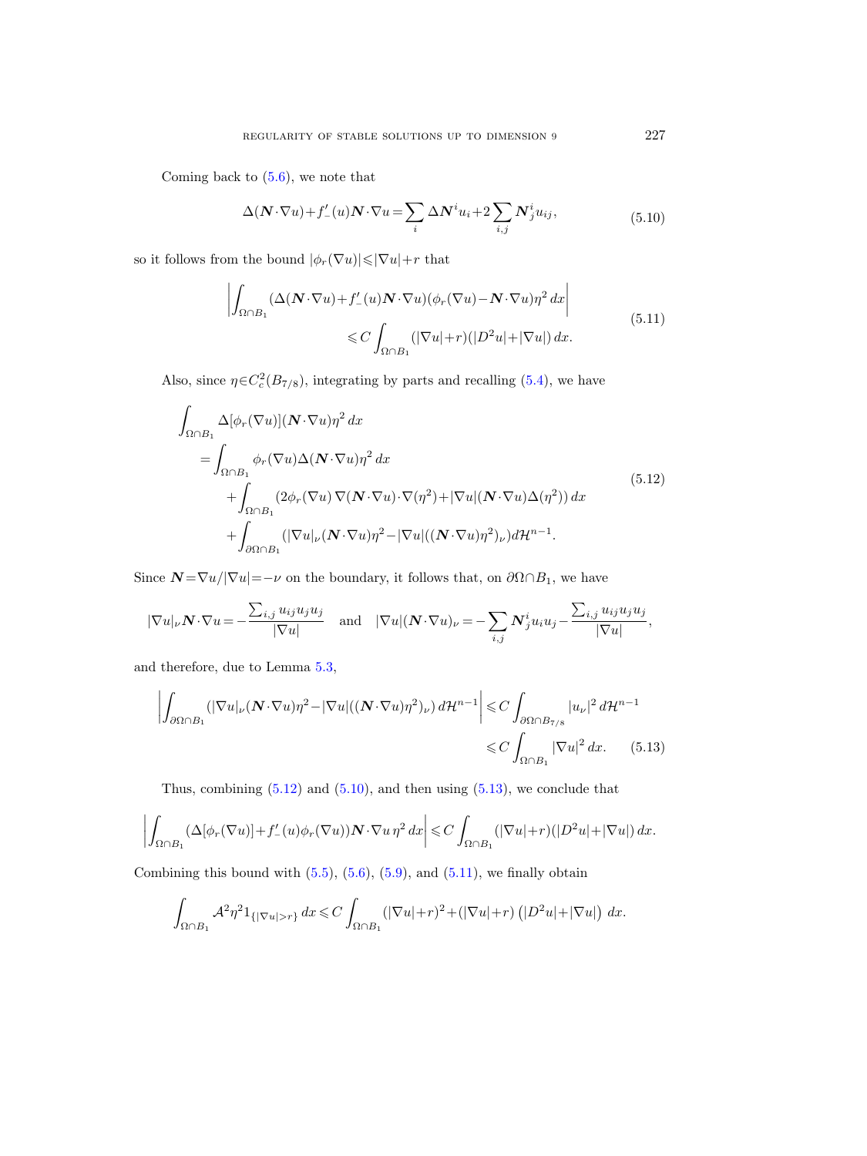<span id="page-40-1"></span>Coming back to  $(5.6)$ , we note that

$$
\Delta(\mathbf{N} \cdot \nabla u) + f'_{-}(u)\mathbf{N} \cdot \nabla u = \sum_{i} \Delta \mathbf{N}^{i} u_{i} + 2 \sum_{i,j} \mathbf{N}_{j}^{i} u_{ij}, \qquad (5.10)
$$

<span id="page-40-3"></span>so it follows from the bound  $|\phi_r(\nabla u)|{\leqslant}|\nabla u|{+}r$  that

$$
\left| \int_{\Omega \cap B_1} (\Delta(N \cdot \nabla u) + f'_{-}(u) N \cdot \nabla u) (\phi_r(\nabla u) - N \cdot \nabla u) \eta^2 dx \right|
$$
  

$$
\leq C \int_{\Omega \cap B_1} (|\nabla u| + r)(|D^2 u| + |\nabla u|) dx.
$$
 (5.11)

Also, since  $\eta \in C_c^2(B_{7/8})$ , integrating by parts and recalling [\(5.4\)](#page-38-2), we have

<span id="page-40-0"></span>
$$
\int_{\Omega \cap B_1} \Delta[\phi_r(\nabla u)] (\mathbf{N} \cdot \nabla u) \eta^2 dx
$$
\n
$$
= \int_{\Omega \cap B_1} \phi_r(\nabla u) \Delta(\mathbf{N} \cdot \nabla u) \eta^2 dx
$$
\n
$$
+ \int_{\Omega \cap B_1} (2\phi_r(\nabla u) \nabla (\mathbf{N} \cdot \nabla u) \cdot \nabla (\eta^2) + |\nabla u| (\mathbf{N} \cdot \nabla u) \Delta(\eta^2)) dx
$$
\n
$$
+ \int_{\partial \Omega \cap B_1} (|\nabla u|_{\nu} (\mathbf{N} \cdot \nabla u) \eta^2 - |\nabla u| ((\mathbf{N} \cdot \nabla u) \eta^2)_{\nu}) d\mathcal{H}^{n-1}.
$$
\n(5.12)

Since  $\bm{N} = \nabla u / |\nabla u| = -\nu$  on the boundary, it follows that, on  $\partial \Omega \cap B_1$ , we have

$$
|\nabla u|_{\nu} \mathbf{N} \cdot \nabla u = -\frac{\sum_{i,j} u_{ij} u_j u_j}{|\nabla u|} \quad \text{and} \quad |\nabla u| (\mathbf{N} \cdot \nabla u)_{\nu} = -\sum_{i,j} \mathbf{N}_j^i u_i u_j - \frac{\sum_{i,j} u_{ij} u_j u_j}{|\nabla u|},
$$

and therefore, due to Lemma [5.3,](#page-37-1)

<span id="page-40-2"></span>
$$
\left| \int_{\partial \Omega \cap B_1} (|\nabla u|_{\nu} (\mathbf{N} \cdot \nabla u) \eta^2 - |\nabla u| ((\mathbf{N} \cdot \nabla u) \eta^2)_{\nu}) d\mathcal{H}^{n-1} \right| \leq C \int_{\partial \Omega \cap B_{7/8}} |u_{\nu}|^2 d\mathcal{H}^{n-1} \leq C \int_{\Omega \cap B_1} |\nabla u|^2 dx. \tag{5.13}
$$

Thus, combining  $(5.12)$  and  $(5.10)$ , and then using  $(5.13)$ , we conclude that

$$
\left| \int_{\Omega \cap B_1} (\Delta[\phi_r(\nabla u)] + f_-'(u)\phi_r(\nabla u)) \mathbf{N} \cdot \nabla u \, \eta^2 \, dx \right| \leqslant C \int_{\Omega \cap B_1} (|\nabla u| + r)(|D^2 u| + |\nabla u|) \, dx.
$$

Combining this bound with  $(5.5)$ ,  $(5.6)$ ,  $(5.9)$ , and  $(5.11)$ , we finally obtain

$$
\int_{\Omega \cap B_1} \mathcal{A}^2 \eta^2 1_{\{|\nabla u| > r\}} dx \leqslant C \int_{\Omega \cap B_1} (|\nabla u| + r)^2 + (|\nabla u| + r) (|D^2 u| + |\nabla u|) dx.
$$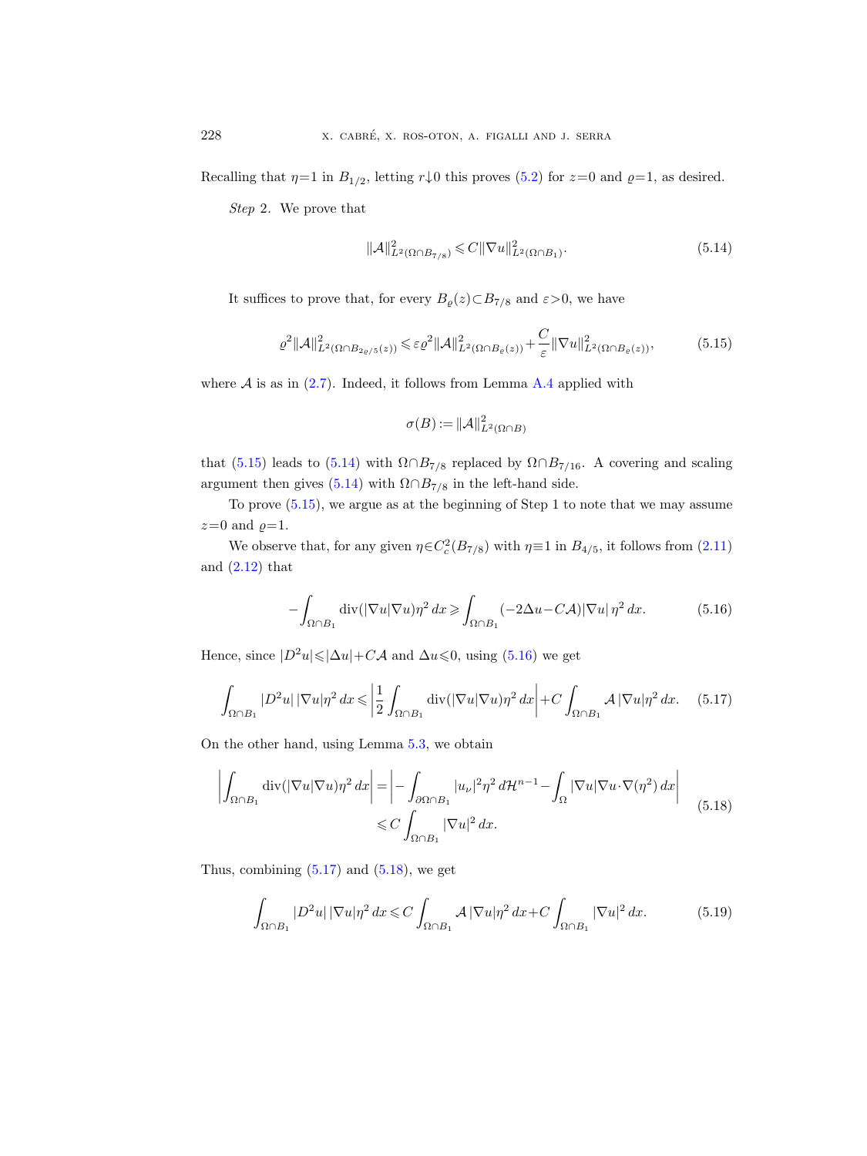Recalling that  $\eta=1$  in  $B_{1/2}$ , letting  $r\downarrow 0$  this proves [\(5.2\)](#page-38-1) for  $z=0$  and  $\varrho=1$ , as desired.

Step 2. We prove that

<span id="page-41-1"></span>
$$
\|\mathcal{A}\|_{L^2(\Omega \cap B_{7/8})}^2 \leq C \|\nabla u\|_{L^2(\Omega \cap B_1)}^2.
$$
\n(5.14)

It suffices to prove that, for every  $B_{\varrho}(z) \subset B_{7/8}$  and  $\varepsilon > 0$ , we have

<span id="page-41-0"></span>
$$
\varrho^2 \|\mathcal{A}\|_{L^2(\Omega \cap B_{2\varrho/5}(z))}^2 \leqslant \varepsilon \varrho^2 \|\mathcal{A}\|_{L^2(\Omega \cap B_{\varrho}(z))}^2 + \frac{C}{\varepsilon} \|\nabla u\|_{L^2(\Omega \cap B_{\varrho}(z))}^2, \tag{5.15}
$$

where  $A$  is as in  $(2.7)$ . Indeed, it follows from Lemma [A.4](#page-61-0) applied with

$$
\sigma(B) := \|\mathcal{A}\|_{L^2(\Omega \cap B)}^2
$$

that [\(5.15\)](#page-41-0) leads to [\(5.14\)](#page-41-1) with  $\Omega \cap B_{7/8}$  replaced by  $\Omega \cap B_{7/16}$ . A covering and scaling argument then gives [\(5.14\)](#page-41-1) with  $\Omega \cap B_{7/8}$  in the left-hand side.

To prove [\(5.15\)](#page-41-0), we argue as at the beginning of Step 1 to note that we may assume  $z=0$  and  $\varrho=1$ .

We observe that, for any given  $\eta \in C_c^2(B_{7/8})$  with  $\eta \equiv 1$  in  $B_{4/5}$ , it follows from  $(2.11)$ and  $(2.12)$  that

<span id="page-41-2"></span>
$$
-\int_{\Omega \cap B_1} \operatorname{div}(|\nabla u|\nabla u)\eta^2 dx \geq \int_{\Omega \cap B_1} (-2\Delta u - C\mathcal{A})|\nabla u|\eta^2 dx. \tag{5.16}
$$

Hence, since  $|D^2u|\leq |\Delta u|+C\mathcal{A}$  and  $\Delta u\leq 0$ , using [\(5.16\)](#page-41-2) we get

<span id="page-41-3"></span>
$$
\int_{\Omega \cap B_1} |D^2 u| \left| \nabla u \right| \eta^2 dx \leqslant \left| \frac{1}{2} \int_{\Omega \cap B_1} \text{div} \left( |\nabla u| \nabla u \right) \eta^2 dx \right| + C \int_{\Omega \cap B_1} \mathcal{A} \left| \nabla u \right| \eta^2 dx. \tag{5.17}
$$

On the other hand, using Lemma [5.3,](#page-37-1) we obtain

<span id="page-41-4"></span>
$$
\left| \int_{\Omega \cap B_1} \operatorname{div} (|\nabla u| \nabla u) \eta^2 dx \right| = \left| - \int_{\partial \Omega \cap B_1} |u_\nu|^2 \eta^2 d\mathcal{H}^{n-1} - \int_{\Omega} |\nabla u| \nabla u \cdot \nabla (\eta^2) dx \right|
$$
\n
$$
\leq C \int_{\Omega \cap B_1} |\nabla u|^2 dx. \tag{5.18}
$$

Thus, combining  $(5.17)$  and  $(5.18)$ , we get

<span id="page-41-5"></span>
$$
\int_{\Omega \cap B_1} |D^2 u| \left| \nabla u \right| \eta^2 dx \leqslant C \int_{\Omega \cap B_1} \mathcal{A} \left| \nabla u \right| \eta^2 dx + C \int_{\Omega \cap B_1} |\nabla u|^2 dx. \tag{5.19}
$$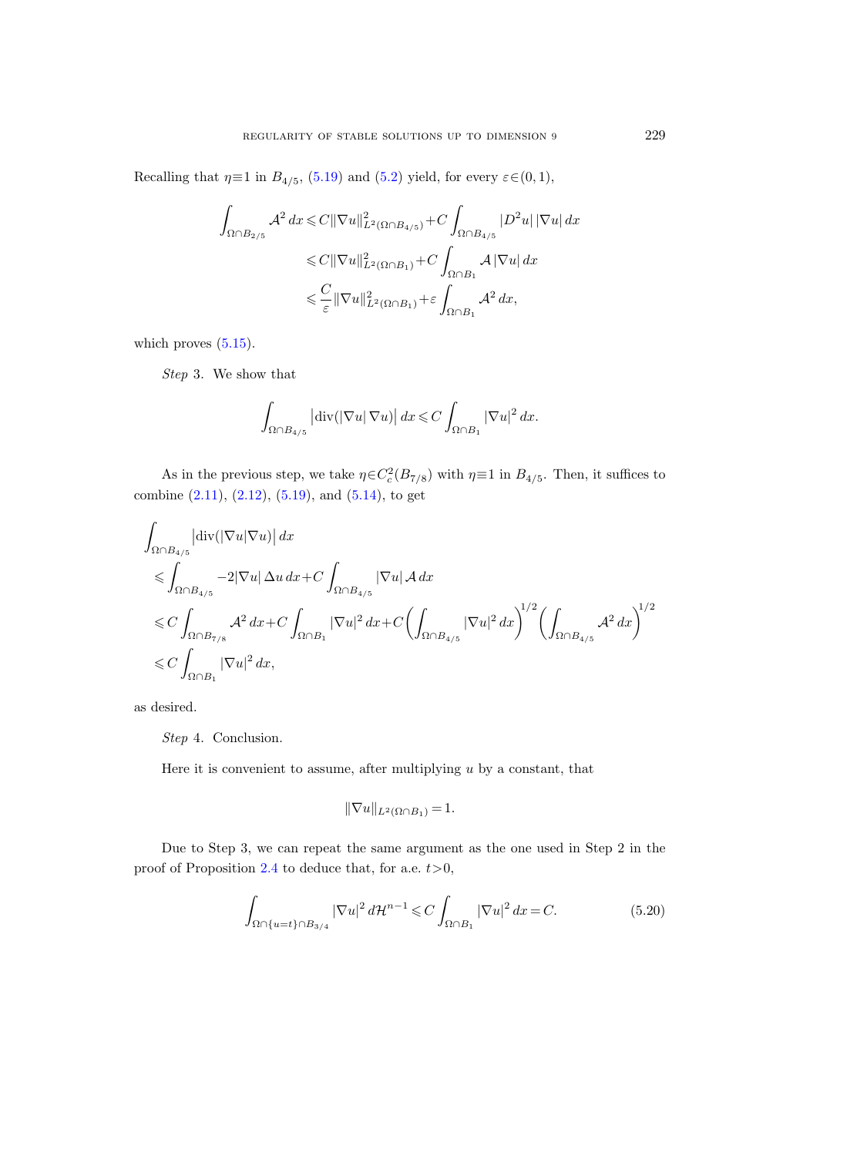Recalling that  $\eta \equiv 1$  in  $B_{4/5}$ , [\(5.19\)](#page-41-5) and [\(5.2\)](#page-38-1) yield, for every  $\varepsilon \in (0,1)$ ,

$$
\int_{\Omega \cap B_{2/5}} \mathcal{A}^2 dx \leq C \|\nabla u\|_{L^2(\Omega \cap B_{4/5})}^2 + C \int_{\Omega \cap B_{4/5}} |D^2 u| |\nabla u| dx
$$
  

$$
\leq C \|\nabla u\|_{L^2(\Omega \cap B_1)}^2 + C \int_{\Omega \cap B_1} \mathcal{A} |\nabla u| dx
$$
  

$$
\leq \frac{C}{\varepsilon} \|\nabla u\|_{L^2(\Omega \cap B_1)}^2 + \varepsilon \int_{\Omega \cap B_1} \mathcal{A}^2 dx,
$$

which proves  $(5.15)$ .

Step 3. We show that

$$
\int_{\Omega \cap B_{4/5}} |\text{div}(|\nabla u| \nabla u)| dx \leqslant C \int_{\Omega \cap B_1} |\nabla u|^2 dx.
$$

As in the previous step, we take  $\eta \in C_c^2(B_{7/8})$  with  $\eta \equiv 1$  in  $B_{4/5}$ . Then, it suffices to combine  $(2.11)$ ,  $(2.12)$ ,  $(5.19)$ , and  $(5.14)$ , to get

$$
\int_{\Omega \cap B_{4/5}} \left| \operatorname{div} (\left| \nabla u \right| \nabla u) \right| dx
$$
\n
$$
\leq \int_{\Omega \cap B_{4/5}} -2|\nabla u| \, \Delta u \, dx + C \int_{\Omega \cap B_{4/5}} |\nabla u| \, A \, dx
$$
\n
$$
\leq C \int_{\Omega \cap B_{7/8}} A^2 \, dx + C \int_{\Omega \cap B_1} |\nabla u|^2 \, dx + C \left( \int_{\Omega \cap B_{4/5}} |\nabla u|^2 \, dx \right)^{1/2} \left( \int_{\Omega \cap B_{4/5}} A^2 \, dx \right)^{1/2}
$$
\n
$$
\leq C \int_{\Omega \cap B_1} |\nabla u|^2 \, dx,
$$

as desired.

Step 4. Conclusion.

Here it is convenient to assume, after multiplying  $u$  by a constant, that

$$
\|\nabla u\|_{L^2(\Omega \cap B_1)} = 1.
$$

Due to Step 3, we can repeat the same argument as the one used in Step 2 in the proof of Proposition [2.4](#page-16-0) to deduce that, for a.e.  $t>0$ ,

<span id="page-42-0"></span>
$$
\int_{\Omega \cap \{u=t\} \cap B_{3/4}} |\nabla u|^2 d\mathcal{H}^{n-1} \leqslant C \int_{\Omega \cap B_1} |\nabla u|^2 dx = C. \tag{5.20}
$$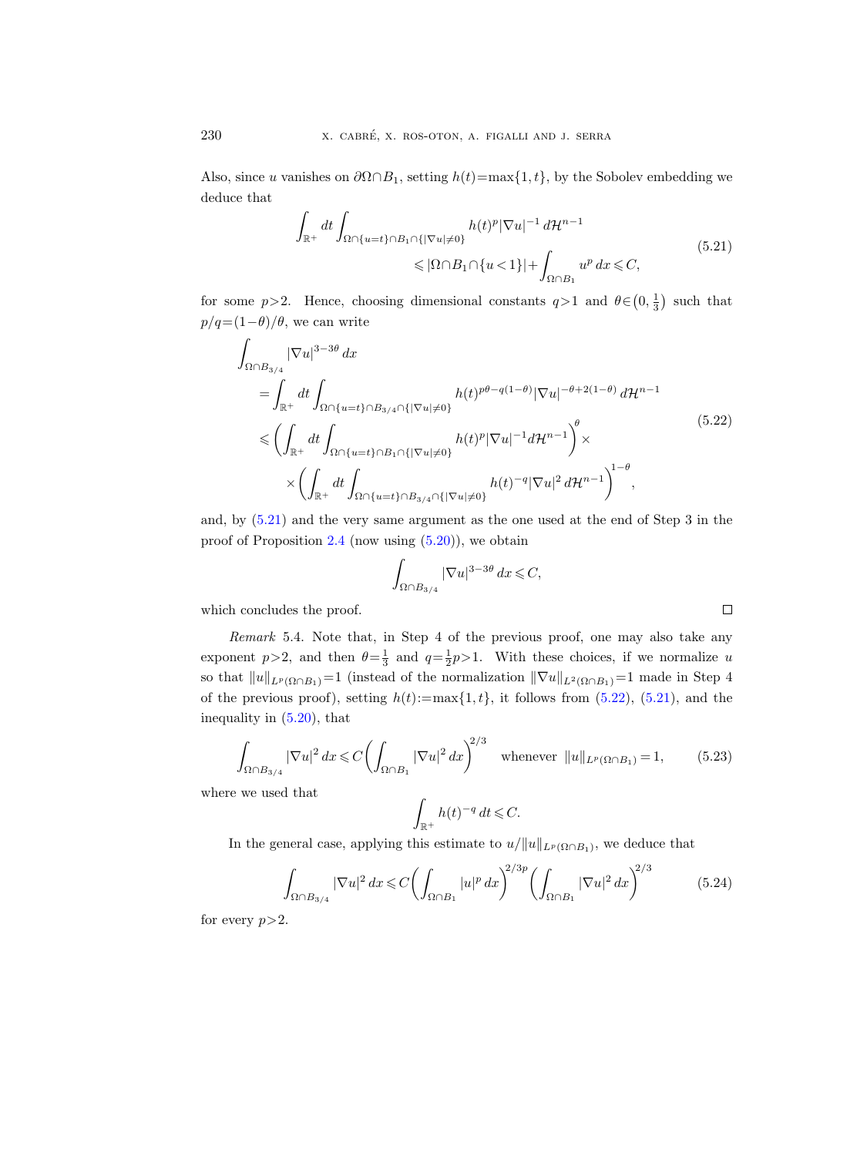Also, since u vanishes on  $\partial \Omega \cap B_1$ , setting  $h(t) = \max\{1, t\}$ , by the Sobolev embedding we deduce that

$$
\int_{\mathbb{R}^+} dt \int_{\Omega \cap \{u=t\} \cap B_1 \cap \{|\nabla u| \neq 0\}} h(t)^p |\nabla u|^{-1} d\mathcal{H}^{n-1} \leq |\Omega \cap B_1 \cap \{u < 1\}| + \int_{\Omega \cap B_1} u^p dx \leq C,
$$
\n
$$
(5.21)
$$

<span id="page-43-0"></span>for some  $p>2$ . Hence, choosing dimensional constants  $q>1$  and  $\theta \in (0, \frac{1}{3})$  such that  $p/q = (1-\theta)/\theta$ , we can write

<span id="page-43-1"></span>
$$
\int_{\Omega \cap B_{3/4}} |\nabla u|^{3-3\theta} dx
$$
\n
$$
= \int_{\mathbb{R}^+} dt \int_{\Omega \cap \{u=t\} \cap B_{3/4} \cap \{|\nabla u| \neq 0\}} h(t)^{p\theta - q(1-\theta)} |\nabla u|^{-\theta + 2(1-\theta)} d\mathcal{H}^{n-1}
$$
\n
$$
\leq \left( \int_{\mathbb{R}^+} dt \int_{\Omega \cap \{u=t\} \cap B_1 \cap \{|\nabla u| \neq 0\}} h(t)^p |\nabla u|^{-1} d\mathcal{H}^{n-1} \right)^{\theta} \times
$$
\n
$$
\times \left( \int_{\mathbb{R}^+} dt \int_{\Omega \cap \{u=t\} \cap B_{3/4} \cap \{|\nabla u| \neq 0\}} h(t)^{-q} |\nabla u|^2 d\mathcal{H}^{n-1} \right)^{1-\theta},
$$
\n(5.22)

and, by [\(5.21\)](#page-43-0) and the very same argument as the one used at the end of Step 3 in the proof of Proposition  $2.4$  (now using  $(5.20)$ ), we obtain

$$
\int_{\Omega \cap B_{3/4}} |\nabla u|^{3-3\theta} dx \leqslant C,
$$

which concludes the proof.

<span id="page-43-2"></span>Remark 5.4. Note that, in Step 4 of the previous proof, one may also take any exponent  $p > 2$ , and then  $\theta = \frac{1}{3}$  and  $q = \frac{1}{2}p > 1$ . With these choices, if we normalize u so that  $||u||_{L^p(\Omega \cap B_1)}=1$  (instead of the normalization  $||\nabla u||_{L^2(\Omega \cap B_1)}=1$  made in Step 4 of the previous proof), setting  $h(t) := \max\{1, t\}$ , it follows from [\(5.22\)](#page-43-1), [\(5.21\)](#page-43-0), and the inequality in [\(5.20\)](#page-42-0), that

$$
\int_{\Omega \cap B_{3/4}} |\nabla u|^2 dx \leq C \left( \int_{\Omega \cap B_1} |\nabla u|^2 dx \right)^{2/3} \quad \text{whenever} \quad ||u||_{L^p(\Omega \cap B_1)} = 1,\tag{5.23}
$$

where we used that

$$
\int_{\mathbb{R}^+} h(t)^{-q} \, dt \leqslant C.
$$

In the general case, applying this estimate to  $u/||u||_{L^p(\Omega \cap B_1)}$ , we deduce that

$$
\int_{\Omega \cap B_{3/4}} |\nabla u|^2 dx \leq C \left( \int_{\Omega \cap B_1} |u|^p dx \right)^{2/3p} \left( \int_{\Omega \cap B_1} |\nabla u|^2 dx \right)^{2/3} \tag{5.24}
$$

for every  $p>2$ .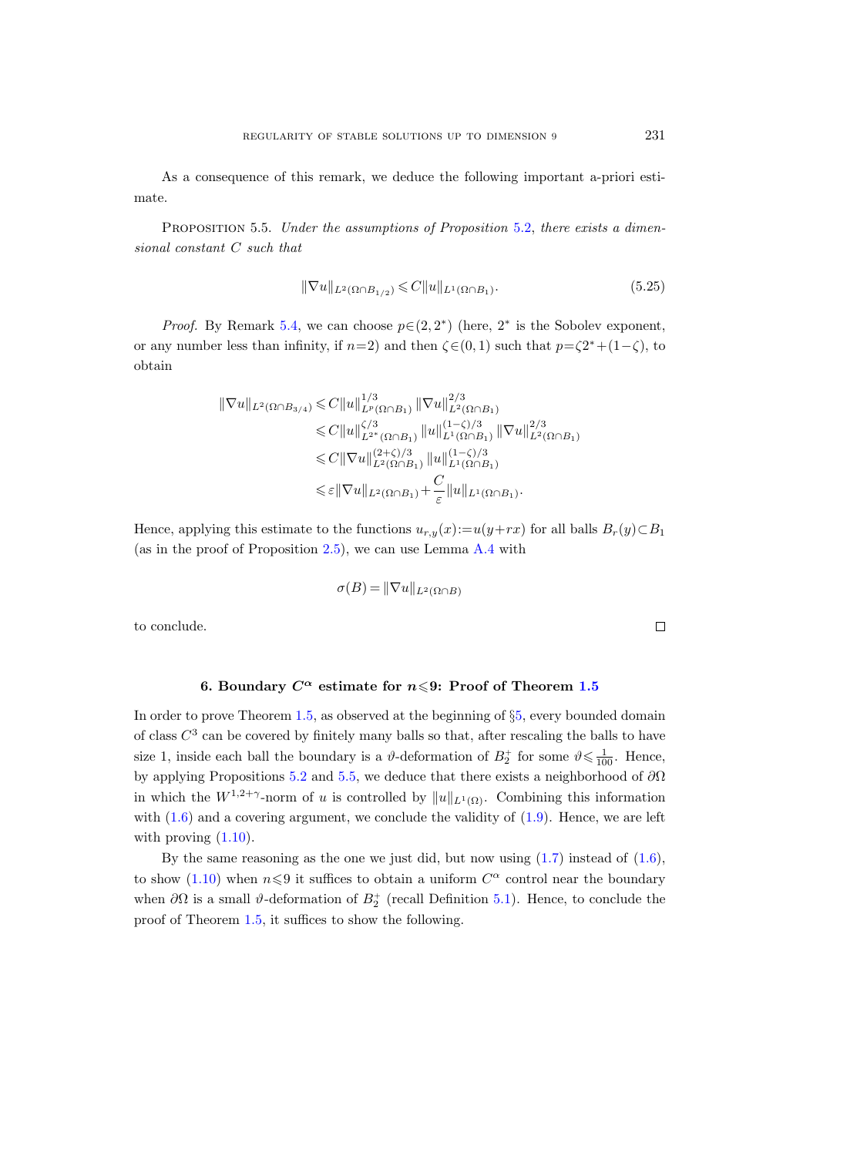As a consequence of this remark, we deduce the following important a-priori estimate.

<span id="page-44-1"></span>PROPOSITION 5.5. Under the assumptions of Proposition [5.2,](#page-37-0) there exists a dimensional constant C such that

$$
\|\nabla u\|_{L^2(\Omega \cap B_{1/2})} \leqslant C \|u\|_{L^1(\Omega \cap B_1)}.
$$
\n(5.25)

*Proof.* By Remark [5.4,](#page-43-2) we can choose  $p \in (2, 2^*)$  (here,  $2^*$  is the Sobolev exponent, or any number less than infinity, if  $n=2$ ) and then  $\zeta \in (0,1)$  such that  $p=\zeta 2^* + (1-\zeta)$ , to obtain

$$
\|\nabla u\|_{L^{2}(\Omega\cap B_{3/4})} \leq C \|u\|_{L^{p}(\Omega\cap B_{1})}^{1/3} \|\nabla u\|_{L^{2}(\Omega\cap B_{1})}^{2/3}
$$
  
\n
$$
\leq C \|u\|_{L^{2^{*}}(\Omega\cap B_{1})}^{c/3} \|u\|_{L^{1}(\Omega\cap B_{1})}^{(1-\zeta)/3} \|\nabla u\|_{L^{2}(\Omega\cap B_{1})}^{2/3}
$$
  
\n
$$
\leq C \|\nabla u\|_{L^{2}(\Omega\cap B_{1})}^{(2+\zeta)/3} \|u\|_{L^{1}(\Omega\cap B_{1})}^{(1-\zeta)/3}
$$
  
\n
$$
\leq \varepsilon \|\nabla u\|_{L^{2}(\Omega\cap B_{1})} + \frac{C}{\varepsilon} \|u\|_{L^{1}(\Omega\cap B_{1})}.
$$

Hence, applying this estimate to the functions  $u_{r,y}(x) := u(y+rx)$  for all balls  $B_r(y) \subset B_1$ (as in the proof of Proposition [2.5\)](#page-19-0), we can use Lemma [A.4](#page-61-0) with

$$
\sigma(B) = \|\nabla u\|_{L^2(\Omega \cap B)}
$$

to conclude.

#### 6. Boundary  $C^{\alpha}$  estimate for  $n \leq 9$ : Proof of Theorem [1.5](#page-5-1)

<span id="page-44-0"></span>In order to prove Theorem [1.5,](#page-5-1) as observed at the beginning of §[5,](#page-36-0) every bounded domain of class  $C<sup>3</sup>$  can be covered by finitely many balls so that, after rescaling the balls to have size 1, inside each ball the boundary is a  $\vartheta$ -deformation of  $B_2^+$  for some  $\vartheta \leq \frac{1}{100}$ . Hence, by applying Propositions [5.2](#page-37-0) and [5.5,](#page-44-1) we deduce that there exists a neighborhood of  $\partial\Omega$ in which the  $W^{1,2+\gamma}$ -norm of u is controlled by  $||u||_{L^1(\Omega)}$ . Combining this information with  $(1.6)$  and a covering argument, we conclude the validity of  $(1.9)$ . Hence, we are left with proving  $(1.10)$ .

By the same reasoning as the one we just did, but now using  $(1.7)$  instead of  $(1.6)$ , to show [\(1.10\)](#page-5-3) when  $n \leq 9$  it suffices to obtain a uniform  $C^{\alpha}$  control near the boundary when  $\partial\Omega$  is a small  $\vartheta$ -deformation of  $B_2^+$  (recall Definition [5.1\)](#page-36-1). Hence, to conclude the proof of Theorem [1.5,](#page-5-1) it suffices to show the following.

 $\Box$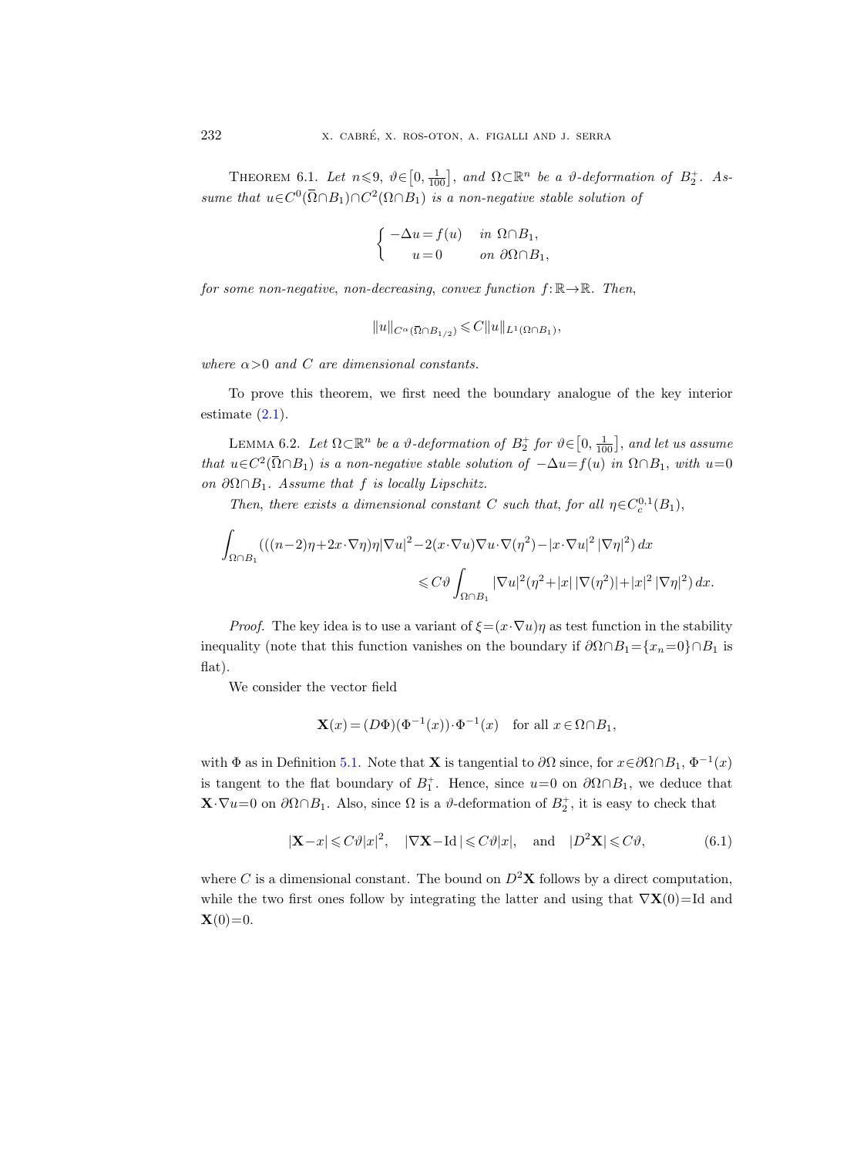<span id="page-45-2"></span>THEOREM 6.1. Let  $n \leq 9$ ,  $\vartheta \in [0, \frac{1}{100}]$ , and  $\Omega \subset \mathbb{R}^n$  be a  $\vartheta$ -deformation of  $B_2^+$ . Assume that  $u \in C^0(\overline{\Omega} \cap B_1) \cap C^2(\Omega \cap B_1)$  is a non-negative stable solution of

$$
\begin{cases}\n-\Delta u = f(u) & \text{in } \Omega \cap B_1, \\
u = 0 & \text{on } \partial \Omega \cap B_1,\n\end{cases}
$$
\ndecreasing, convex function  $f: \mathbb{R}$ \n
$$
||u||_{C^{\alpha}(\overline{\Omega} \cap B_{1/2})} \leq C ||u||_{L^{1}(\Omega \cap B_1)}
$$

for some non-negative, non-decreasing, convex function  $f: \mathbb{R} \to \mathbb{R}$ . Then,

$$
||u||_{C^{\alpha}(\overline{\Omega}\cap B_{1/2})} \leqslant C||u||_{L^{1}(\Omega\cap B_{1})},
$$

where  $\alpha > 0$  and C are dimensional constants.

To prove this theorem, we first need the boundary analogue of the key interior estimate  $(2.1)$ .

<span id="page-45-0"></span>LEMMA 6.2. Let  $\Omega \subset \mathbb{R}^n$  be a  $\vartheta$ -deformation of  $B_2^+$  for  $\vartheta \in [0, \frac{1}{100}]$ , and let us assume that  $u \in C^2(\overline{\Omega} \cap B_1)$  is a non-negative stable solution of  $-\Delta u = f(u)$  in  $\Omega \cap B_1$ , with  $u=0$ on  $\partial \Omega \cap B_1$ . Assume that f is locally Lipschitz.

Then, there exists a dimensional constant C such that, for all  $\eta \in C_c^{0,1}(B_1)$ ,

$$
\int_{\Omega \cap B_1} \left( ((n-2)\eta + 2x \cdot \nabla \eta) \eta |\nabla u|^2 - 2(x \cdot \nabla u) \nabla u \cdot \nabla (\eta^2) - |x \cdot \nabla u|^2 |\nabla \eta|^2 \right) dx
$$
  

$$
\leq C \vartheta \int_{\Omega \cap B_1} |\nabla u|^2 (\eta^2 + |x| |\nabla (\eta^2)| + |x|^2 |\nabla \eta|^2) dx.
$$

*Proof.* The key idea is to use a variant of  $\xi = (x \cdot \nabla u)\eta$  as test function in the stability inequality (note that this function vanishes on the boundary if  $\partial \Omega \cap B_1 = \{x_n=0\} \cap B_1$  is flat).

We consider the vector field

$$
\mathbf{X}(x) = (D\Phi)(\Phi^{-1}(x)) \cdot \Phi^{-1}(x) \quad \text{for all } x \in \Omega \cap B_1,
$$

with  $\Phi$  as in Definition [5.1.](#page-36-1) Note that **X** is tangential to  $\partial\Omega$  since, for  $x \in \partial\Omega \cap B_1$ ,  $\Phi^{-1}(x)$ is tangent to the flat boundary of  $B_1^+$ . Hence, since  $u=0$  on  $\partial\Omega \cap B_1$ , we deduce that  $\mathbf{X}\cdot\nabla u=0$  on  $\partial\Omega\cap B_1$ . Also, since  $\Omega$  is a  $\vartheta$ -deformation of  $B_2^+$ , it is easy to check that

<span id="page-45-1"></span>
$$
|\mathbf{X} - x| \leqslant C\vartheta |x|^2, \quad |\nabla \mathbf{X} - \text{Id}| \leqslant C\vartheta |x|, \quad \text{and} \quad |D^2 \mathbf{X}| \leqslant C\vartheta,\tag{6.1}
$$

where C is a dimensional constant. The bound on  $D^2\mathbf{X}$  follows by a direct computation, while the two first ones follow by integrating the latter and using that  $\nabla \mathbf{X}(0)$ =Id and  ${\bf X}(0)=0.$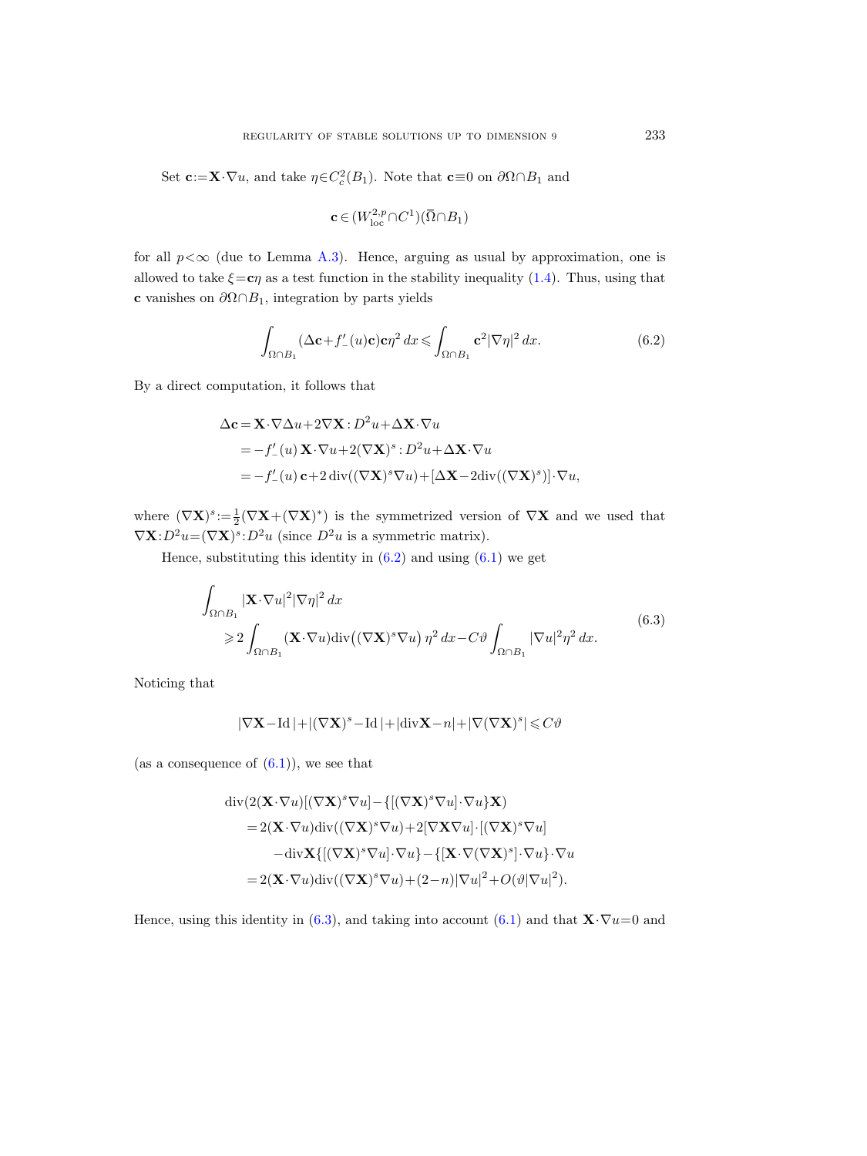Set  $\mathbf{c} := \mathbf{X} \cdot \nabla u$ , and take  $\eta \in C_c^2(B_1)$ . Note that  $\mathbf{c} \equiv 0$  on  $\partial \Omega \cap B_1$  and

$$
\mathbf{c} \in (W^{2,p}_{\mathrm{loc}} \cap C^1)(\overline{\Omega} \cap B_1)
$$

for all  $p < \infty$  (due to Lemma [A.3\)](#page-59-0). Hence, arguing as usual by approximation, one is allowed to take  $\xi = c\eta$  as a test function in the stability inequality [\(1.4\)](#page-4-1). Thus, using that c vanishes on  $\partial \Omega \cap B_1$ , integration by parts yields

<span id="page-46-0"></span>
$$
\int_{\Omega \cap B_1} (\Delta \mathbf{c} + f'_{-}(u)\mathbf{c}) \mathbf{c} \eta^2 dx \leq \int_{\Omega \cap B_1} \mathbf{c}^2 |\nabla \eta|^2 dx.
$$
 (6.2)

By a direct computation, it follows that

$$
\Delta \mathbf{c} = \mathbf{X} \cdot \nabla \Delta u + 2 \nabla \mathbf{X} : D^2 u + \Delta \mathbf{X} \cdot \nabla u
$$
  
=  $-f'_{-}(u) \mathbf{X} \cdot \nabla u + 2(\nabla \mathbf{X})^s : D^2 u + \Delta \mathbf{X} \cdot \nabla u$   
=  $-f'_{-}(u) \mathbf{c} + 2 \operatorname{div}((\nabla \mathbf{X})^s \nabla u) + [\Delta \mathbf{X} - 2 \operatorname{div}((\nabla \mathbf{X})^s)] \cdot \nabla u,$ 

where  $(\nabla \mathbf{X})^s := \frac{1}{2} (\nabla \mathbf{X} + (\nabla \mathbf{X})^*)$  is the symmetrized version of  $\nabla \mathbf{X}$  and we used that  $\nabla \mathbf{X}: D^2u = (\nabla \mathbf{X})^s : D^2u$  (since  $D^2u$  is a symmetric matrix).

<span id="page-46-1"></span>Hence, substituting this identity in  $(6.2)$  and using  $(6.1)$  we get

$$
\int_{\Omega \cap B_1} |\mathbf{X} \cdot \nabla u|^2 |\nabla \eta|^2 dx
$$
\n
$$
\geq 2 \int_{\Omega \cap B_1} (\mathbf{X} \cdot \nabla u) \text{div}((\nabla \mathbf{X})^s \nabla u) \eta^2 dx - C \vartheta \int_{\Omega \cap B_1} |\nabla u|^2 \eta^2 dx.
$$
\n(6.3)

Noticing that

$$
|\nabla \mathbf{X}-\text{Id}\,|+|(\nabla \mathbf{X})^s-\text{Id}\,|+|\text{div}\mathbf{X}-n|+|\nabla(\nabla \mathbf{X})^s|\leqslant C\vartheta
$$

(as a consequence of  $(6.1)$ ), we see that

$$
\begin{aligned}\n\operatorname{div}(2(\mathbf{X}\cdot\nabla u)[(\nabla \mathbf{X})^s\nabla u] - \{[(\nabla \mathbf{X})^s\nabla u]\cdot\nabla u\}\mathbf{X}) \\
&= 2(\mathbf{X}\cdot\nabla u)\operatorname{div}((\nabla \mathbf{X})^s\nabla u) + 2[\nabla \mathbf{X}\nabla u]\cdot[(\nabla \mathbf{X})^s\nabla u] \\
&- \operatorname{div}\mathbf{X}\{[(\nabla \mathbf{X})^s\nabla u]\cdot\nabla u\} - \{[\mathbf{X}\cdot\nabla(\nabla \mathbf{X})^s]\cdot\nabla u\}\cdot\nabla u \\
&= 2(\mathbf{X}\cdot\nabla u)\operatorname{div}((\nabla \mathbf{X})^s\nabla u) + (2-n)|\nabla u|^2 + O(\vartheta|\nabla u|^2).\n\end{aligned}
$$

Hence, using this identity in [\(6.3\)](#page-46-1), and taking into account [\(6.1\)](#page-45-1) and that  $\mathbf{X}\cdot\nabla u=0$  and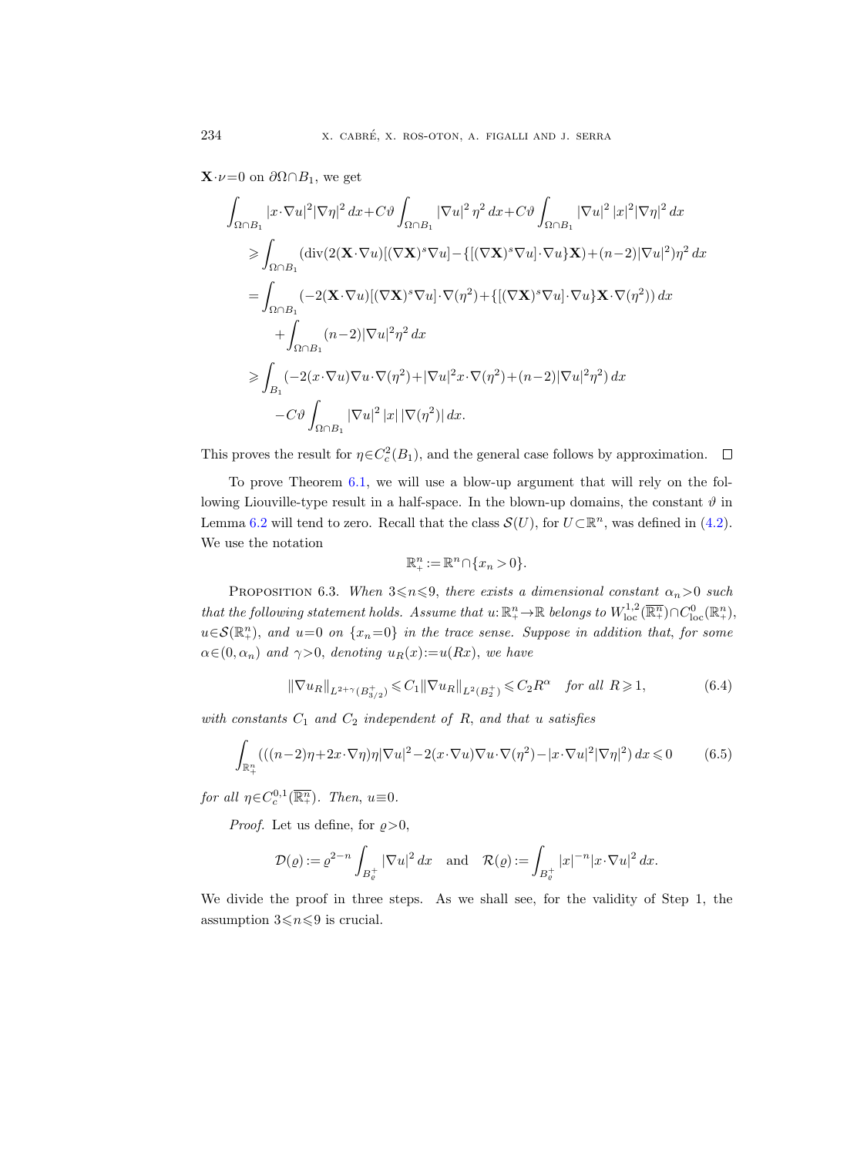$\mathbf{X}\cdot \nu=0$  on  $\partial\Omega\cap B_1$ , we get

$$
\int_{\Omega \cap B_1} |x \cdot \nabla u|^2 |\nabla \eta|^2 dx + C \vartheta \int_{\Omega \cap B_1} |\nabla u|^2 \eta^2 dx + C \vartheta \int_{\Omega \cap B_1} |\nabla u|^2 |x|^2 |\nabla \eta|^2 dx
$$
\n
$$
\geq \int_{\Omega \cap B_1} (\text{div}(2(\mathbf{X} \cdot \nabla u)[(\nabla \mathbf{X})^s \nabla u] - \{[(\nabla \mathbf{X})^s \nabla u] \cdot \nabla u\} \mathbf{X}) + (n-2) |\nabla u|^2) \eta^2 dx
$$
\n
$$
= \int_{\Omega \cap B_1} (-2(\mathbf{X} \cdot \nabla u)[(\nabla \mathbf{X})^s \nabla u] \cdot \nabla (\eta^2) + \{[(\nabla \mathbf{X})^s \nabla u] \cdot \nabla u\} \mathbf{X} \cdot \nabla (\eta^2)) dx
$$
\n
$$
+ \int_{\Omega \cap B_1} (n-2) |\nabla u|^2 \eta^2 dx
$$
\n
$$
\geq \int_{B_1} (-2(x \cdot \nabla u) \nabla u \cdot \nabla (\eta^2) + |\nabla u|^2 x \cdot \nabla (\eta^2) + (n-2) |\nabla u|^2 \eta^2) dx
$$
\n
$$
- C \vartheta \int_{\Omega \cap B_1} |\nabla u|^2 |x| |\nabla (\eta^2) | dx.
$$

This proves the result for  $\eta \in C_c^2(B_1)$ , and the general case follows by approximation.

To prove Theorem [6.1,](#page-45-2) we will use a blow-up argument that will rely on the following Liouville-type result in a half-space. In the blown-up domains, the constant  $\vartheta$  in Lemma [6.2](#page-45-0) will tend to zero. Recall that the class  $\mathcal{S}(U)$ , for  $U \subset \mathbb{R}^n$ , was defined in [\(4.2\)](#page-26-3). We use the notation

$$
\mathbb{R}^n_+ := \mathbb{R}^n \cap \{x_n > 0\}.
$$

<span id="page-47-2"></span>PROPOSITION 6.3. When  $3\le n\le 9$ , there exists a dimensional constant  $\alpha_n>0$  such that the following statement holds. Assume that  $u: \mathbb{R}^n_+ \to \mathbb{R}$  belongs to  $W^{1,2}_{loc}(\overline{\mathbb{R}^n_+}) \cap C^0_{loc}(\mathbb{R}^n_+)$ ,  $u \in \mathcal{S}(\mathbb{R}^n_+)$ , and  $u=0$  on  $\{x_n=0\}$  in the trace sense. Suppose in addition that, for some  $\alpha \in (0, \alpha_n)$  and  $\gamma > 0$ , denoting  $u_R(x) := u(Rx)$ , we have

<span id="page-47-1"></span>
$$
\|\nabla u_R\|_{L^{2+\gamma}(B_{3/2}^+)} \leq C_1 \|\nabla u_R\|_{L^2(B_2^+)} \leq C_2 R^{\alpha} \quad \text{for all } R \geq 1,
$$
 (6.4)

with constants  $C_1$  and  $C_2$  independent of  $R$ , and that u satisfies

<span id="page-47-0"></span>
$$
\int_{\mathbb{R}_+^n} \left( \left( (n-2)\eta + 2x \cdot \nabla \eta \right) \eta |\nabla u|^2 - 2(x \cdot \nabla u) \nabla u \cdot \nabla (\eta^2) - |x \cdot \nabla u|^2 |\nabla \eta|^2 \right) dx \leqslant 0 \tag{6.5}
$$

for all  $\eta \in C_c^{0,1}(\overline{\mathbb{R}^n_+})$ . Then,  $u \equiv 0$ .

*Proof.* Let us define, for  $\rho > 0$ ,

$$
\mathcal{D}(\varrho) := \varrho^{2-n} \int_{B_{\varrho}^+} |\nabla u|^2 dx \quad \text{and} \quad \mathcal{R}(\varrho) := \int_{B_{\varrho}^+} |x|^{-n} |x \cdot \nabla u|^2 dx.
$$

We divide the proof in three steps. As we shall see, for the validity of Step 1, the assumption  $3 \le n \le 9$  is crucial.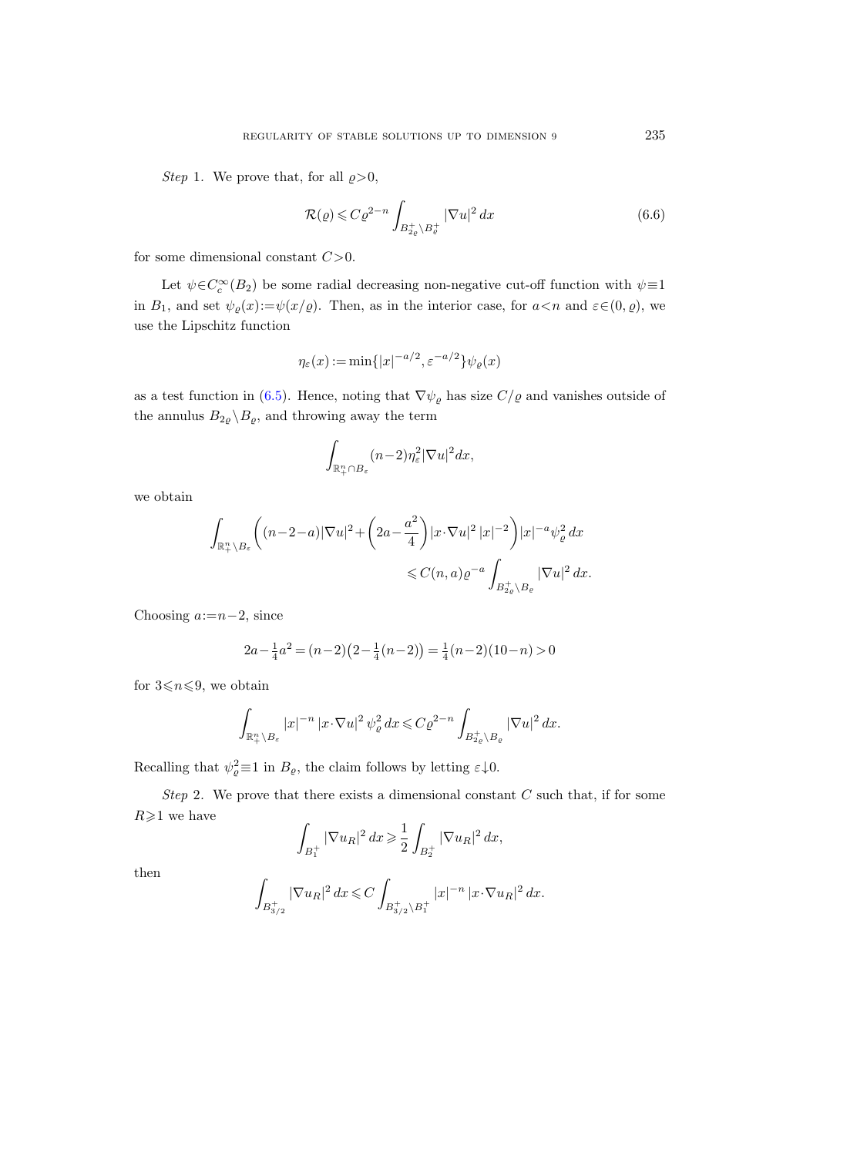*Step* 1. We prove that, for all  $\rho > 0$ ,

$$
\mathcal{R}(\varrho) \leqslant C\varrho^{2-n} \int_{B_{2\varrho}^+\backslash B_{\varrho}^+} |\nabla u|^2 \, dx \tag{6.6}
$$

for some dimensional constant  $C>0$ .

Let  $\psi \in C_c^{\infty}(B_2)$  be some radial decreasing non-negative cut-off function with  $\psi \equiv 1$ in  $B_1$ , and set  $\psi_{\varrho}(x) := \psi(x/\varrho)$ . Then, as in the interior case, for  $a < n$  and  $\varepsilon \in (0, \varrho)$ , we use the Lipschitz function

$$
\eta_{\varepsilon}(x) := \min\{|x|^{-a/2}, \varepsilon^{-a/2}\}\psi_{\varrho}(x)
$$

as a test function in [\(6.5\)](#page-47-0). Hence, noting that  $\nabla \psi_{\varrho}$  has size  $C/\varrho$  and vanishes outside of the annulus  $B_{2\varrho} \backslash B_{\varrho},$  and throwing away the term

$$
\int_{\mathbb{R}^n_+\cap B_{\varepsilon}} (n-2)\eta_{\varepsilon}^2 |\nabla u|^2 dx,
$$

we obtain

$$
\int_{\mathbb{R}^n_+\setminus B_\varepsilon} \left( (n-2-a) |\nabla u|^2 + \left( 2a - \frac{a^2}{4} \right) |x \cdot \nabla u|^2 |x|^{-2} \right) |x|^{-a} \psi_\varrho^2 dx
$$
  

$$
\leq C(n, a) \varrho^{-a} \int_{B_{2\varrho}^+\setminus B_\varrho} |\nabla u|^2 dx.
$$

Choosing  $a:=n-2$ , since

$$
2a - \frac{1}{4}a^2 = (n-2)(2 - \frac{1}{4}(n-2)) = \frac{1}{4}(n-2)(10-n) > 0
$$

for  $3 \le n \le 9$ , we obtain

$$
\int_{\mathbb{R}^n_+\setminus B_{\varepsilon}} |x|^{-n} |x \cdot \nabla u|^2 \, \psi_{\varrho}^2 \, dx \leqslant C \varrho^{2-n} \int_{B_{2\varrho}^+\setminus B_{\varrho}} |\nabla u|^2 \, dx.
$$

Recalling that  $\psi_{\varrho}^2 \equiv 1$  in  $B_{\varrho}$ , the claim follows by letting  $\varepsilon \downarrow 0$ .

Step 2. We prove that there exists a dimensional constant  $C$  such that, if for some  $R\geqslant 1$  we have

$$
\int_{B_1^+} |\nabla u_R|^2 \, dx \ge \frac{1}{2} \int_{B_2^+} |\nabla u_R|^2 \, dx,
$$

then

$$
\int_{B_{3/2}^+} |\nabla u_R|^2 \, dx \leqslant C \int_{B_{3/2}^+ \backslash B_1^+} |x|^{-n} \, |x \cdot \nabla u_R|^2 \, dx.
$$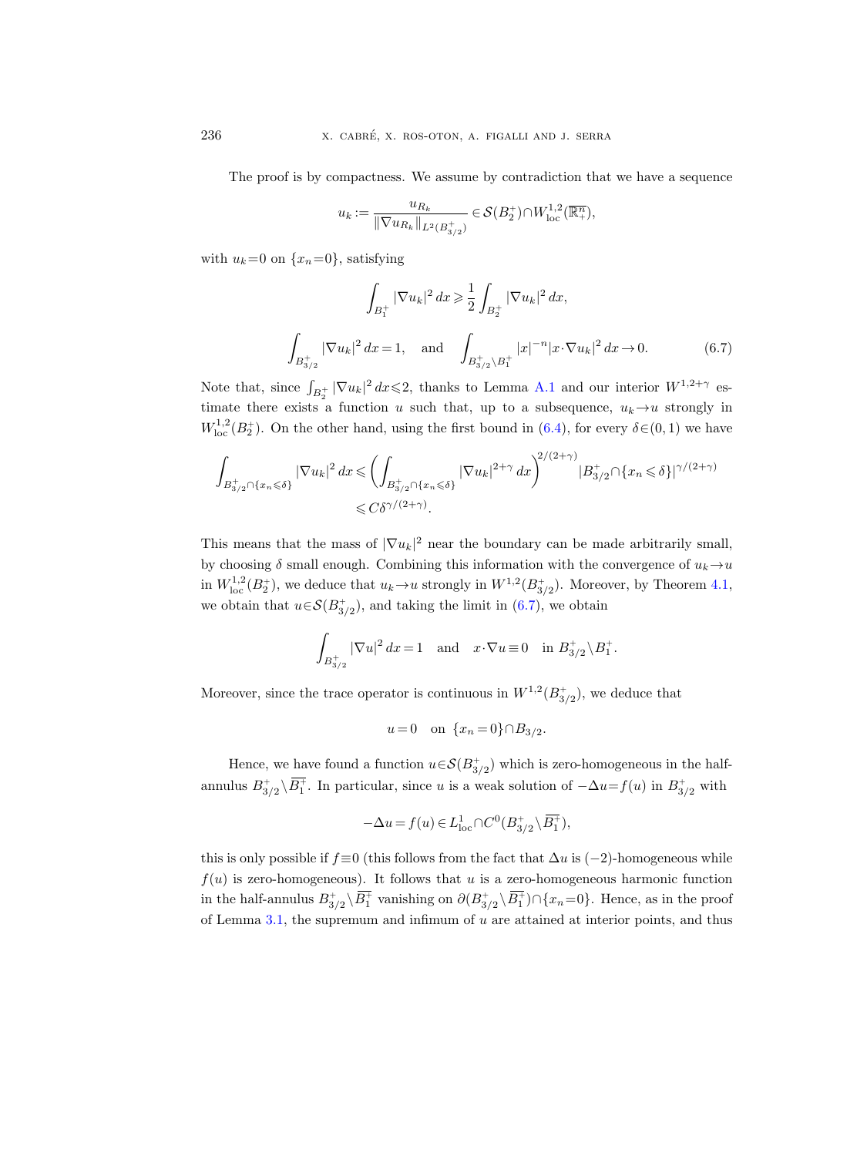The proof is by compactness. We assume by contradiction that we have a sequence

$$
u_k:=\frac{u_{R_k}}{\|\nabla u_{R_k}\|_{L^2(B_{3/2}^+)}}\in \mathcal{S}(B_2^+)\cap W^{1,2}_{\rm loc}(\overline{\mathbb{R}^n_+}),
$$

with  $u_k=0$  on  $\{x_n=0\}$ , satisfying

<span id="page-49-0"></span>
$$
\int_{B_1^+} |\nabla u_k|^2 dx \ge \frac{1}{2} \int_{B_2^+} |\nabla u_k|^2 dx,
$$
\n
$$
\int_{B_{3/2}^+} |\nabla u_k|^2 dx = 1, \text{ and } \int_{B_{3/2}^+ \backslash B_1^+} |x|^{-n} |x \cdot \nabla u_k|^2 dx \to 0.
$$
\n(6.7)

Note that, since  $\int_{B_2^+} |\nabla u_k|^2 dx \leq 2$ , thanks to Lemma [A.1](#page-57-1) and our interior  $W^{1,2+\gamma}$  estimate there exists a function u such that, up to a subsequence,  $u_k \rightarrow u$  strongly in  $W^{1,2}_{\text{loc}}(B_2^+)$ . On the other hand, using the first bound in [\(6.4\)](#page-47-1), for every  $\delta \in (0,1)$  we have

$$
\int_{B_{3/2}^+\cap\{x_n\leqslant\delta\}}|\nabla u_k|^2\,dx\leqslant \left(\int_{B_{3/2}^+\cap\{x_n\leqslant\delta\}}|\nabla u_k|^{2+\gamma}\,dx\right)^{2/(2+\gamma)}|B_{3/2}^+\cap\{x_n\leqslant\delta\}|^{\gamma/(2+\gamma)}\leqslant C\delta^{\gamma/(2+\gamma)}.
$$

This means that the mass of  $|\nabla u_k|^2$  near the boundary can be made arbitrarily small, by choosing  $\delta$  small enough. Combining this information with the convergence of  $u_k \rightarrow u$ in  $W^{1,2}_{loc}(B_2^+)$ , we deduce that  $u_k \to u$  strongly in  $W^{1,2}(B_{3/2}^+)$ . Moreover, by Theorem [4.1,](#page-27-0) we obtain that  $u \in \mathcal{S}(B_{3/2}^+)$ , and taking the limit in [\(6.7\)](#page-49-0), we obtain

$$
\int_{B_{3/2}^+} |\nabla u|^2 dx = 1 \quad \text{and} \quad x \cdot \nabla u \equiv 0 \quad \text{in } B_{3/2}^+ \setminus B_1^+.
$$

Moreover, since the trace operator is continuous in  $W^{1,2}(B_{3/2}^+)$ , we deduce that

$$
u=0
$$
 on  $\{x_n=0\} \cap B_{3/2}$ .

Hence, we have found a function  $u \in \mathcal{S}(B^+_{3/2})$  which is zero-homogeneous in the halfannulus  $B_{3/2}^+ \backslash B_1^+$ . In particular, since u is a weak solution of  $-\Delta u = f(u)$  in  $B_{3/2}^+$  with

$$
-\Delta u = f(u) \in L^1_{loc} \cap C^0(B_{3/2}^+ \backslash \overline{B_1^+}),
$$

this is only possible if  $f \equiv 0$  (this follows from the fact that  $\Delta u$  is (−2)-homogeneous while  $f(u)$  is zero-homogeneous). It follows that u is a zero-homogeneous harmonic function in the half-annulus  $B_{3/2}^+ \backslash B_1^+$  vanishing on  $\partial (B_{3/2}^+ \backslash B_1^+) \cap \{x_n=0\}$ . Hence, as in the proof of Lemma [3.1,](#page-20-1) the supremum and infimum of  $u$  are attained at interior points, and thus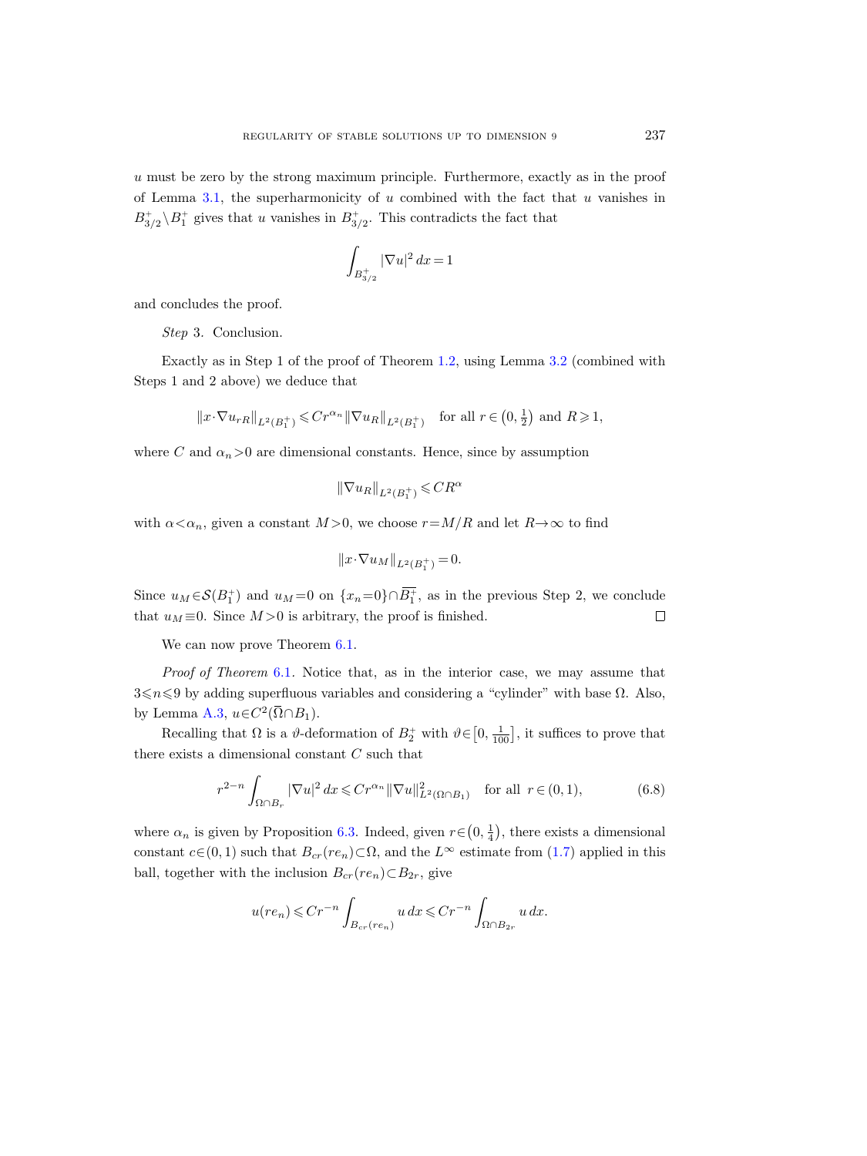u must be zero by the strong maximum principle. Furthermore, exactly as in the proof of Lemma [3.1,](#page-20-1) the superharmonicity of  $u$  combined with the fact that  $u$  vanishes in  $B_{3/2}^+ \backslash B_1^+$  gives that u vanishes in  $B_{3/2}^+$ . This contradicts the fact that

$$
\int_{B_{3/2}^+} |\nabla u|^2 \, dx = 1
$$

and concludes the proof.

Step 3. Conclusion.

Exactly as in Step 1 of the proof of Theorem [1.2,](#page-4-0) using Lemma [3.2](#page-22-1) (combined with Steps 1 and 2 above) we deduce that

$$
||x \cdot \nabla u_{rR}||_{L^2(B_1^+)} \leq C r^{\alpha_n} ||\nabla u_R||_{L^2(B_1^+)}
$$
 for all  $r \in (0, \frac{1}{2})$  and  $R \geq 1$ ,

where C and  $\alpha_n>0$  are dimensional constants. Hence, since by assumption

$$
\|\nabla u_R\|_{L^2(B_1^+)}\leqslant CR^{\alpha}
$$

with  $\alpha < \alpha_n$ , given a constant  $M > 0$ , we choose  $r = M/R$  and let  $R \to \infty$  to find

$$
||x \cdot \nabla u_M||_{L^2(B_1^+)} = 0.
$$

Since  $u_M \in \mathcal{S}(B_1^+)$  and  $u_M = 0$  on  $\{x_n = 0\} \cap B_1^+$ , as in the previous Step 2, we conclude that  $u_M \equiv 0$ . Since  $M > 0$  is arbitrary, the proof is finished.  $\Box$ 

We can now prove Theorem  $6.1$ .

Proof of Theorem [6.1](#page-45-2). Notice that, as in the interior case, we may assume that  $3\leq n\leq 9$  by adding superfluous variables and considering a "cylinder" with base  $\Omega$ . Also, by Lemma [A.3,](#page-59-0)  $u \in C^2(\overline{\Omega} \cap B_1)$ .

Recalling that  $\Omega$  is a  $\vartheta$ -deformation of  $B_2^+$  with  $\vartheta \in [0, \frac{1}{100}]$ , it suffices to prove that there exists a dimensional constant C such that

<span id="page-50-0"></span>
$$
r^{2-n} \int_{\Omega \cap B_r} |\nabla u|^2 dx \leqslant Cr^{\alpha_n} \|\nabla u\|_{L^2(\Omega \cap B_1)}^2 \quad \text{for all } r \in (0,1),\tag{6.8}
$$

where  $\alpha_n$  is given by Proposition [6.3.](#page-47-2) Indeed, given  $r \in (0, \frac{1}{4})$ , there exists a dimensional constant  $c \in (0, 1)$  such that  $B_{cr}(re_n) \subset \Omega$ , and the  $L^{\infty}$  estimate from [\(1.7\)](#page-4-3) applied in this ball, together with the inclusion  $B_{cr}(re_n) \subset B_{2r}$ , give

$$
u(re_n) \leqslant Cr^{-n} \int_{B_{cr}(re_n)} u \, dx \leqslant Cr^{-n} \int_{\Omega \cap B_{2r}} u \, dx.
$$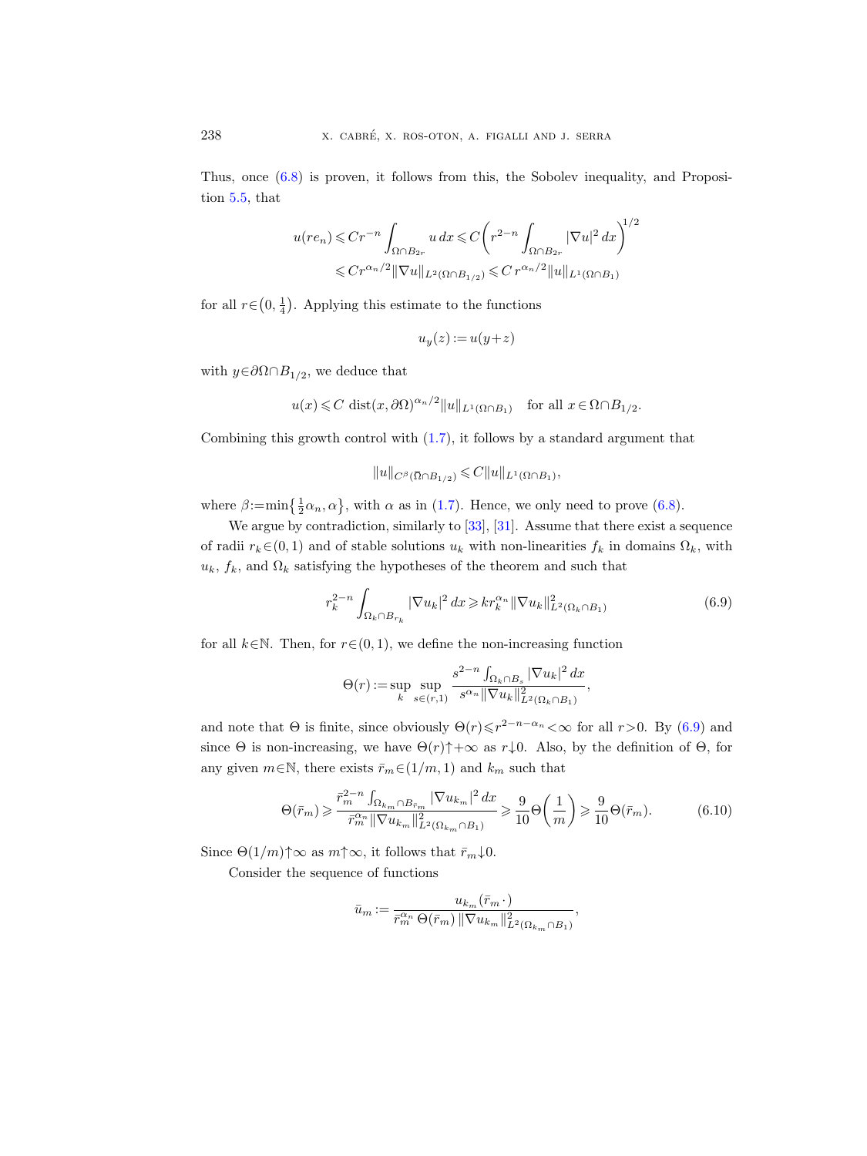Thus, once [\(6.8\)](#page-50-0) is proven, it follows from this, the Sobolev inequality, and Proposition [5.5,](#page-44-1) that

$$
u(re_n) \leqslant Cr^{-n} \int_{\Omega \cap B_{2r}} u \, dx \leqslant C \left( r^{2-n} \int_{\Omega \cap B_{2r}} |\nabla u|^2 \, dx \right)^{1/2}
$$
  

$$
\leqslant Cr^{\alpha_n/2} \|\nabla u\|_{L^2(\Omega \cap B_{1/2})} \leqslant Cr^{\alpha_n/2} \|u\|_{L^1(\Omega \cap B_1)}
$$

for all  $r \in (0, \frac{1}{4})$ . Applying this estimate to the functions

$$
u_y(z) := u(y+z)
$$

with  $y \in \partial \Omega \cap B_{1/2}$ , we deduce that

$$
u(x) \leq C \operatorname{dist}(x, \partial \Omega)^{\alpha_n/2} ||u||_{L^1(\Omega \cap B_1)}
$$
 for all  $x \in \Omega \cap B_{1/2}$ .  
\nis growth control with (1.7), it follows by a standard argument  
\n
$$
||u||_{C^{\beta}(\overline{\Omega} \cap B_{1/2})} \leq C ||u||_{L^1(\Omega \cap B_1)},
$$

Combining this growth control with [\(1.7\)](#page-4-3), it follows by a standard argument that

where  $\beta$ :=min $\{\frac{1}{2}\alpha_n, \alpha\}$ , with  $\alpha$  as in [\(1.7\)](#page-4-3). Hence, we only need to prove [\(6.8\)](#page-50-0).

We argue by contradiction, similarly to [\[33\]](#page-65-5), [\[31\]](#page-65-6). Assume that there exist a sequence of radii  $r_k \in (0, 1)$  and of stable solutions  $u_k$  with non-linearities  $f_k$  in domains  $\Omega_k$ , with  $u_k$ ,  $f_k$ , and  $\Omega_k$  satisfying the hypotheses of the theorem and such that

<span id="page-51-0"></span>
$$
r_k^{2-n} \int_{\Omega_k \cap B_{r_k}} |\nabla u_k|^2 dx \geqslant kr_k^{\alpha_n} ||\nabla u_k||_{L^2(\Omega_k \cap B_1)}^2 \tag{6.9}
$$

for all  $k \in \mathbb{N}$ . Then, for  $r \in (0, 1)$ , we define the non-increasing function

$$
\Theta(r) := \sup_{k} \sup_{s \in (r,1)} \frac{s^{2-n} \int_{\Omega_k \cap B_s} |\nabla u_k|^2 \, dx}{s^{\alpha_n} ||\nabla u_k||_{L^2(\Omega_k \cap B_1)}^2},
$$

and note that  $\Theta$  is finite, since obviously  $\Theta(r) \leq r^{2-n-\alpha_n} < \infty$  for all  $r > 0$ . By [\(6.9\)](#page-51-0) and since  $\Theta$  is non-increasing, we have  $\Theta(r)\uparrow +\infty$  as  $r\downarrow 0$ . Also, by the definition of  $\Theta$ , for any given  $m \in \mathbb{N}$ , there exists  $\bar{r}_m \in (1/m, 1)$  and  $k_m$  such that

<span id="page-51-1"></span>
$$
\Theta(\bar{r}_m) \geqslant \frac{\bar{r}_m^{2-n} \int_{\Omega_{k_m} \cap B_{\bar{r}_m}} |\nabla u_{k_m}|^2 dx}{\bar{r}_m^{\alpha_n} \|\nabla u_{k_m}\|_{L^2(\Omega_{k_m} \cap B_1)}^2} \geqslant \frac{9}{10} \Theta\left(\frac{1}{m}\right) \geqslant \frac{9}{10} \Theta(\bar{r}_m). \tag{6.10}
$$

Since  $\Theta(1/m) \uparrow \infty$  as  $m \uparrow \infty$ , it follows that  $\bar{r}_m \downarrow 0$ .

Consider the sequence of functions

$$
\bar{u}_m := \frac{u_{k_m}(\bar{r}_m \cdot)}{\bar{r}_m^{\alpha_n} \Theta(\bar{r}_m) \left\| \nabla u_{k_m} \right\|_{L^2(\Omega_{k_m} \cap B_1)}^2},
$$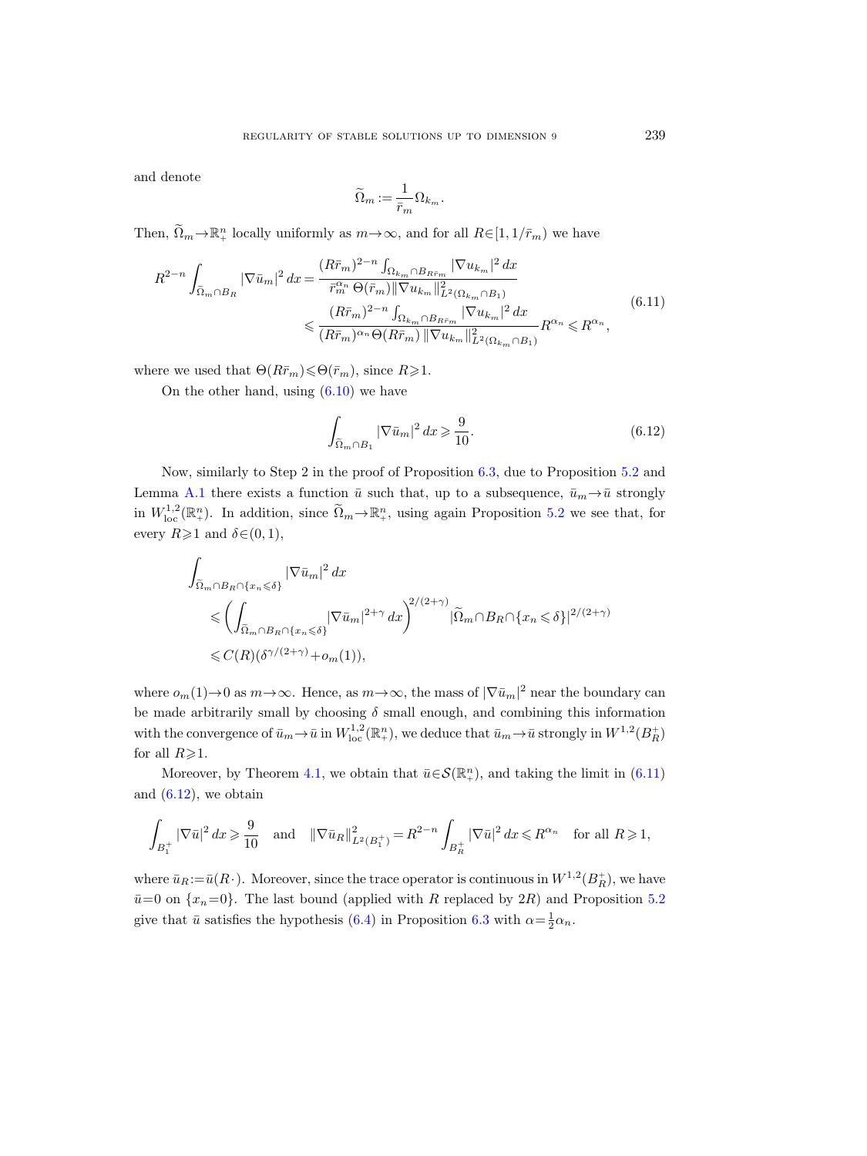and denote

$$
\widetilde{\Omega}_m:=\frac{1}{\bar{r}_m}\Omega_{k_m}.
$$

Then,  $\widetilde{\Omega}_m \to \mathbb{R}^n_+$  locally uniformly as  $m \to \infty$ , and for all  $R \in [1, 1/\bar{r}_m)$  we have

<span id="page-52-0"></span>
$$
R^{2-n} \int_{\tilde{\Omega}_{m} \cap B_{R}} |\nabla \bar{u}_{m}|^{2} dx = \frac{(R\bar{r}_{m})^{2-n} \int_{\Omega_{k_{m}} \cap B_{R\bar{r}_{m}}} |\nabla u_{k_{m}}|^{2} dx}{\bar{r}_{m}^{\alpha_{n}} \Theta(\bar{r}_{m}) ||\nabla u_{k_{m}}||_{L^{2}(\Omega_{k_{m}} \cap B_{1})}^{2}} \leq \frac{(R\bar{r}_{m})^{2-n} \int_{\Omega_{k_{m}} \cap B_{R\bar{r}_{m}}} |\nabla u_{k_{m}}|^{2} dx}{(R\bar{r}_{m})^{\alpha_{n}} \Theta(R\bar{r}_{m}) ||\nabla u_{k_{m}}||_{L^{2}(\Omega_{k_{m}} \cap B_{1})}^{2}} R^{\alpha_{n}} \leq R^{\alpha_{n}},
$$
\n(6.11)

where we used that  $\Theta(R\bar{r}_m) \le \Theta(\bar{r}_m)$ , since  $R \ge 1$ .

On the other hand, using [\(6.10\)](#page-51-1) we have

<span id="page-52-1"></span>
$$
\int_{\tilde{\Omega}_m \cap B_1} |\nabla \bar{u}_m|^2 dx \geqslant \frac{9}{10}.\tag{6.12}
$$

Now, similarly to Step 2 in the proof of Proposition [6.3,](#page-47-2) due to Proposition [5.2](#page-37-0) and Lemma [A.1](#page-57-1) there exists a function  $\bar{u}$  such that, up to a subsequence,  $\bar{u}_m \rightarrow \bar{u}$  strongly in  $W^{1,2}_{loc}(\mathbb{R}^n_+)$ . In addition, since  $\widetilde{\Omega}_m \to \mathbb{R}^n_+$ , using again Proposition [5.2](#page-37-0) we see that, for every  $R\geqslant 1$  and  $\delta\in(0,1)$ ,

$$
\int_{\tilde{\Omega}_m \cap B_R \cap \{x_n \le \delta\}} |\nabla \bar{u}_m|^2 dx
$$
\n
$$
\le \left( \int_{\tilde{\Omega}_m \cap B_R \cap \{x_n \le \delta\}} |\nabla \bar{u}_m|^{2+\gamma} dx \right)^{2/(2+\gamma)} |\tilde{\Omega}_m \cap B_R \cap \{x_n \le \delta\}|^{2/(2+\gamma)}
$$
\n
$$
\le C(R)(\delta^{\gamma/(2+\gamma)} + o_m(1)),
$$

where  $o_m(1) \rightarrow 0$  as  $m \rightarrow \infty$ . Hence, as  $m \rightarrow \infty$ , the mass of  $|\nabla \bar{u}_m|^2$  near the boundary can be made arbitrarily small by choosing  $\delta$  small enough, and combining this information with the convergence of  $\bar{u}_m \to \bar{u}$  in  $W^{1,2}_{loc}(\mathbb{R}^n_+)$ , we deduce that  $\bar{u}_m \to \bar{u}$  strongly in  $W^{1,2}(B_R^+)$ for all  $R\geqslant1$ .

Moreover, by Theorem [4.1,](#page-27-0) we obtain that  $\bar{u} \in \mathcal{S}(\mathbb{R}^n_+)$ , and taking the limit in  $(6.11)$ and  $(6.12)$ , we obtain

$$
\int_{B_1^+} |\nabla \bar{u}|^2 \, dx \geqslant \frac{9}{10} \quad \text{and} \quad \|\nabla \bar{u}_R\|_{L^2(B_1^+)}^2 = R^{2-n} \int_{B_R^+} |\nabla \bar{u}|^2 \, dx \leqslant R^{\alpha_n} \quad \text{for all } R \geqslant 1,
$$

where  $\bar{u}_R := \bar{u}(R)$ . Moreover, since the trace operator is continuous in  $W^{1,2}(B_R^+)$ , we have  $\bar{u}=0$  on  $\{x_n=0\}$ . The last bound (applied with R replaced by 2R) and Proposition [5.2](#page-37-0) give that  $\bar{u}$  satisfies the hypothesis [\(6.4\)](#page-47-1) in Proposition [6.3](#page-47-2) with  $\alpha = \frac{1}{2}\alpha_n$ .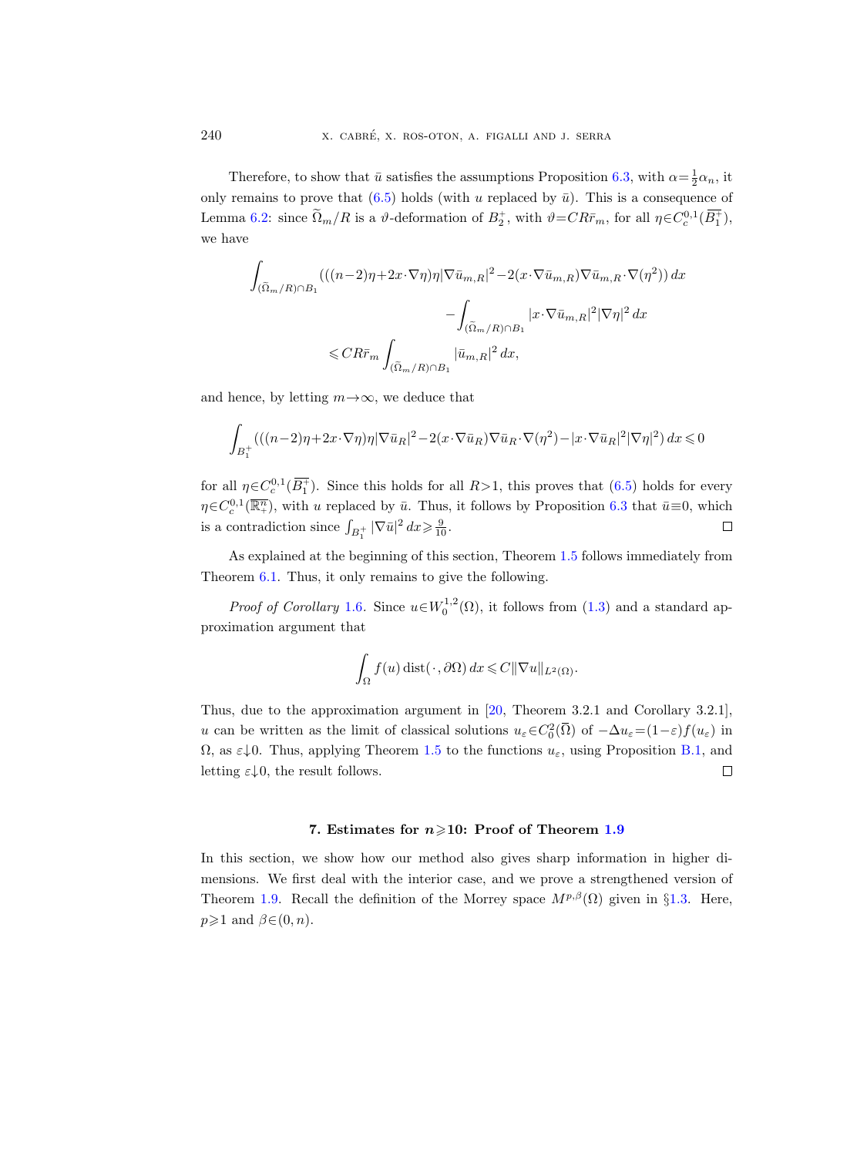Therefore, to show that  $\bar{u}$  satisfies the assumptions Proposition [6.3,](#page-47-2) with  $\alpha = \frac{1}{2}\alpha_n$ , it only remains to prove that  $(6.5)$  holds (with u replaced by  $\bar{u}$ ). This is a consequence of Lemma [6.2:](#page-45-0) since  $\tilde{\Omega}_m/R$  is a  $\vartheta$ -deformation of  $B_2^+$ , with  $\vartheta = CR\bar{r}_m$ , for all  $\eta \in C_c^{0,1}(\overline{B_1^+})$ , we have

$$
\int_{(\tilde{\Omega}_m/R)\cap B_1} (((n-2)\eta + 2x\cdot\nabla\eta)\eta |\nabla \bar{u}_{m,R}|^2 - 2(x\cdot\nabla \bar{u}_{m,R})\nabla \bar{u}_{m,R}\cdot\nabla(\eta^2)) dx
$$

$$
- \int_{(\tilde{\Omega}_m/R)\cap B_1} |x\cdot\nabla \bar{u}_{m,R}|^2 |\nabla\eta|^2 dx
$$

$$
\leq C R \bar{r}_m \int_{(\tilde{\Omega}_m/R)\cap B_1} |\bar{u}_{m,R}|^2 dx,
$$

and hence, by letting  $m \rightarrow \infty$ , we deduce that

$$
\int_{B_1^+} \left( \left( (n-2)\eta + 2\mathbf{x} \cdot \nabla \eta \right) \eta \left| \nabla \bar{u}_R \right|^2 - 2 \left( \mathbf{x} \cdot \nabla \bar{u}_R \right) \nabla \bar{u}_R \cdot \nabla (\eta^2) - \left| \mathbf{x} \cdot \nabla \bar{u}_R \right|^2 \left| \nabla \eta \right|^2 \right) dx \leqslant 0
$$

for all  $\eta \in C_c^{0,1}(\overline{B_1^+})$ . Since this holds for all  $R>1$ , this proves that  $(6.5)$  holds for every  $\eta \in C_c^{0,1}(\overline{\mathbb{R}^n_+})$ , with u replaced by  $\bar{u}$ . Thus, it follows by Proposition [6.3](#page-47-2) that  $\bar{u} \equiv 0$ , which is a contradiction since  $\int_{B_1^+} |\nabla \bar{u}|^2 dx \geq \frac{9}{10}$ .  $\Box$ 

As explained at the beginning of this section, Theorem [1.5](#page-5-1) follows immediately from Theorem [6.1.](#page-45-2) Thus, it only remains to give the following.

*Proof of Corollary* [1.6](#page-6-3). Since  $u \in W_0^{1,2}(\Omega)$ , it follows from [\(1.3\)](#page-4-5) and a standard approximation argument that

$$
\int_{\Omega} f(u) \operatorname{dist}(\cdot, \partial \Omega) dx \leqslant C ||\nabla u||_{L^{2}(\Omega)}.
$$

Thus, due to the approximation argument in [\[20,](#page-64-1) Theorem 3.2.1 and Corollary 3.2.1], u can be written as the limit of classical solutions  $u_{\varepsilon} \in C_0^2(\overline{\Omega})$  of  $-\Delta u_{\varepsilon} = (1-\varepsilon)f(u_{\varepsilon})$  in  $\Omega$ , as  $\varepsilon \downarrow 0$ . Thus, applying Theorem [1.5](#page-5-1) to the functions  $u_{\varepsilon}$ , using Proposition [B.1,](#page-62-1) and letting  $\varepsilon \downarrow 0$ , the result follows.  $\Box$ 

#### 7. Estimates for  $n \geq 10$ : Proof of Theorem [1.9](#page-8-1)

<span id="page-53-0"></span>In this section, we show how our method also gives sharp information in higher dimensions. We first deal with the interior case, and we prove a strengthened version of Theorem [1.9.](#page-8-1) Recall the definition of the Morrey space  $M^{p,\beta}(\Omega)$  given in §[1.3.](#page-8-0) Here,  $p\geqslant 1$  and  $\beta\in(0, n)$ .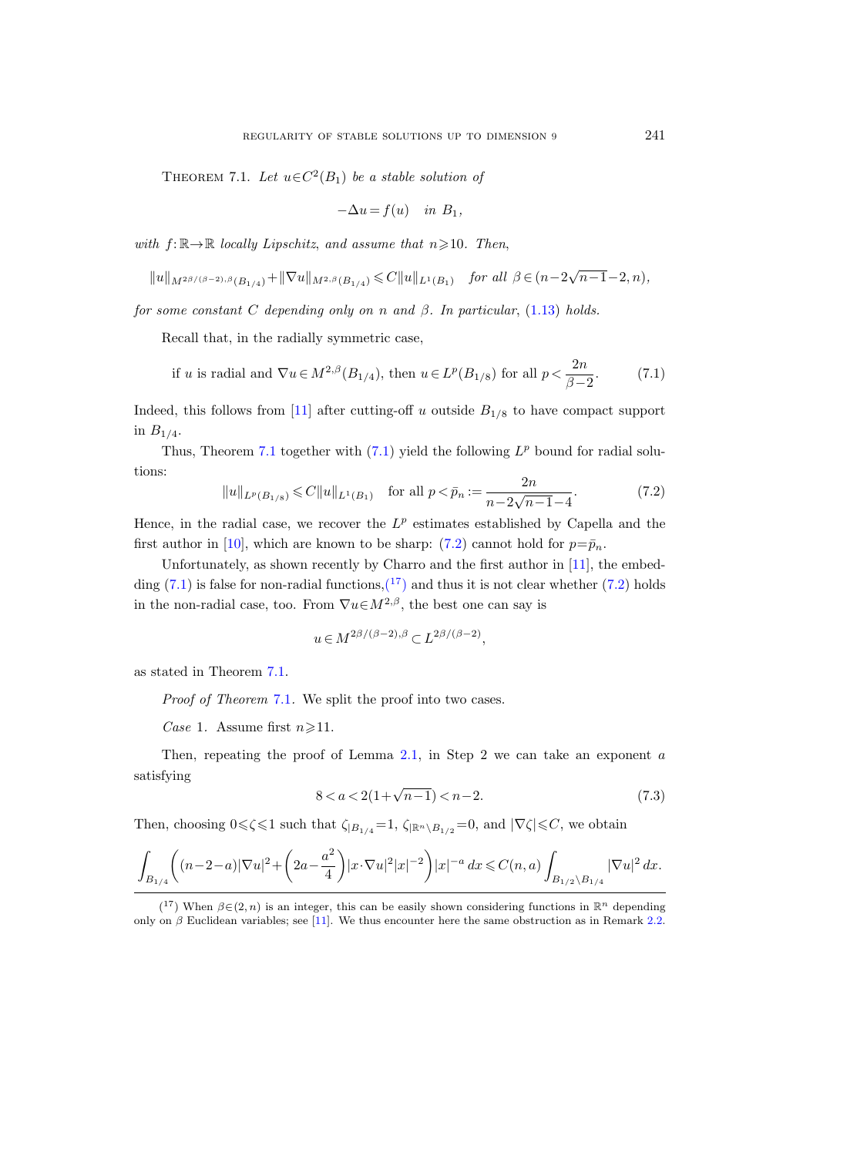<span id="page-54-0"></span>THEOREM 7.1. Let  $u \in C^2(B_1)$  be a stable solution of

$$
-\Delta u = f(u) \quad in \ B_1,
$$

with  $f: \mathbb{R} \rightarrow \mathbb{R}$  locally Lipschitz, and assume that  $n \geq 10$ . Then,

$$
||u||_{M^{2\beta/(\beta-2),\beta}(B_{1/4})} + ||\nabla u||_{M^{2,\beta}(B_{1/4})} \leq C||u||_{L^{1}(B_1)} \quad \text{for all } \beta \in (n-2\sqrt{n-1}-2,n),
$$

for some constant C depending only on n and  $\beta$ . In particular, [\(1.13\)](#page-8-2) holds.

Recall that, in the radially symmetric case,

<span id="page-54-1"></span>if *u* is radial and 
$$
\nabla u \in M^{2,\beta}(B_{1/4})
$$
, then  $u \in L^p(B_{1/8})$  for all  $p < \frac{2n}{\beta - 2}$ .  $(7.1)$ 

Indeed, this follows from [\[11\]](#page-64-17) after cutting-off u outside  $B_{1/8}$  to have compact support in  $B_{1/4}$ .

Thus, Theorem [7.1](#page-54-0) together with  $(7.1)$  yield the following  $L^p$  bound for radial solutions:

<span id="page-54-2"></span>
$$
||u||_{L^{p}(B_{1/8})} \leq C||u||_{L^{1}(B_{1})} \quad \text{for all } p < \bar{p}_{n} := \frac{2n}{n - 2\sqrt{n - 1} - 4}.
$$
 (7.2)

Hence, in the radial case, we recover the  $L^p$  estimates established by Capella and the first author in [\[10\]](#page-64-6), which are known to be sharp: [\(7.2\)](#page-54-2) cannot hold for  $p = \bar{p}_n$ .

Unfortunately, as shown recently by Charro and the first author in [\[11\]](#page-64-17), the embedding  $(7.1)$  is false for non-radial functions,  $\binom{17}{1}$  $\binom{17}{1}$  $\binom{17}{1}$  and thus it is not clear whether  $(7.2)$  holds in the non-radial case, too. From  $\nabla u \in M^{2,\beta}$ , the best one can say is

$$
u \in M^{2\beta/(\beta-2),\beta} \subset L^{2\beta/(\beta-2)},
$$

as stated in Theorem [7.1.](#page-54-0)

Proof of Theorem [7.1](#page-54-0). We split the proof into two cases.

Case 1. Assume first  $n \geq 11$ .

Then, repeating the proof of Lemma [2.1,](#page-12-2) in Step 2 we can take an exponent  $a$ satisfying

<span id="page-54-4"></span>
$$
8 < a < 2(1 + \sqrt{n-1}) < n - 2. \tag{7.3}
$$

Then, choosing  $0 \le \zeta \le 1$  such that  $\zeta_{|B_{1/4}} = 1$ ,  $\zeta_{|\mathbb{R}^n \setminus B_{1/2}} = 0$ , and  $|\nabla \zeta| \le C$ , we obtain

$$
\int_{B_{1/4}} \left( (n-2-a)|\nabla u|^2 + \left(2a - \frac{a^2}{4}\right) |x \cdot \nabla u|^2 |x|^{-2} \right) |x|^{-a} dx \leq C(n,a) \int_{B_{1/2} \setminus B_{1/4}} |\nabla u|^2 dx.
$$

<span id="page-54-3"></span><sup>(&</sup>lt;sup>17</sup>) When  $\beta \in (2, n)$  is an integer, this can be easily shown considering functions in  $\mathbb{R}^n$  depending only on  $\beta$  Euclidean variables; see [\[11\]](#page-64-17). We thus encounter here the same obstruction as in Remark [2.2.](#page-14-0)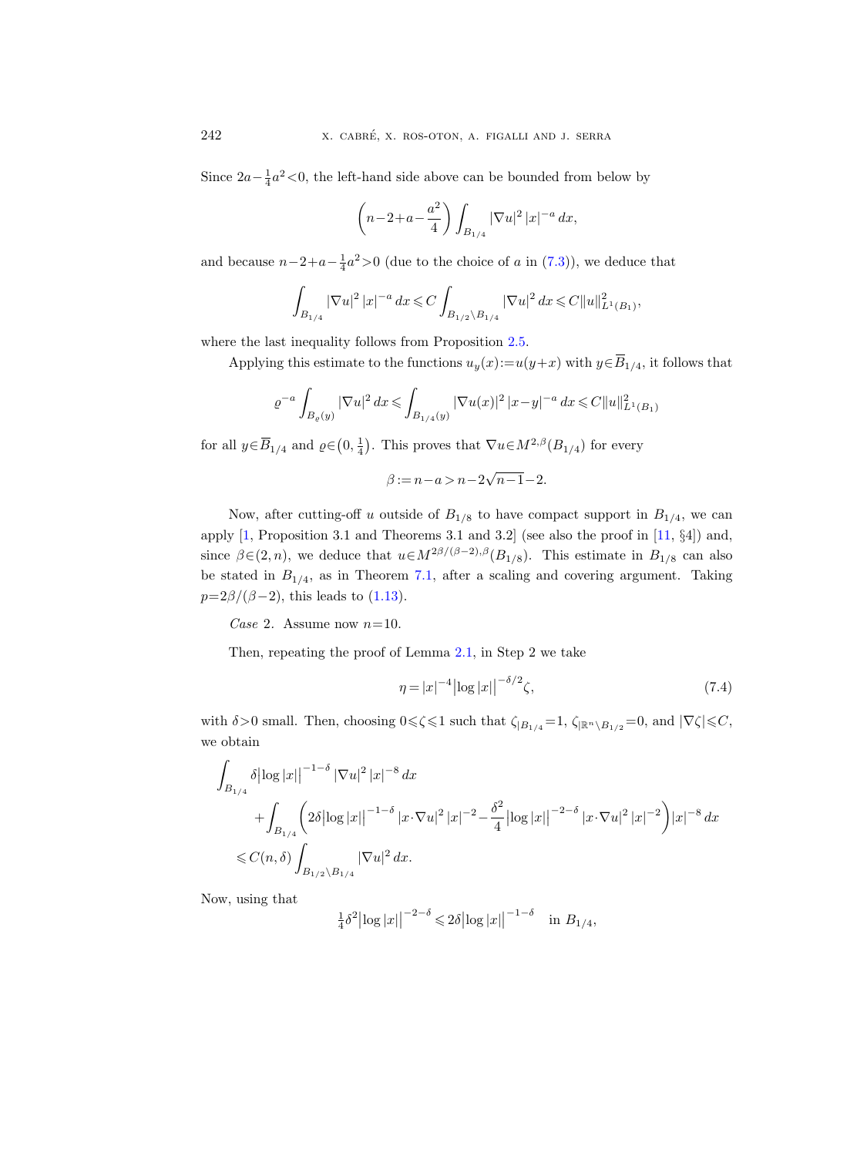Since  $2a - \frac{1}{4}a^2 < 0$ , the left-hand side above can be bounded from below by

$$
\left(n-2+a-\frac{a^2}{4}\right)\int_{B_{1/4}}|\nabla u|^2\,|x|^{-a}\,dx,
$$

and because  $n-2+a-\frac{1}{4}a^2>0$  (due to the choice of a in [\(7.3\)](#page-54-4)), we deduce that

$$
\int_{B_{1/4}} |\nabla u|^2 |x|^{-a} dx \leq C \int_{B_{1/2} \setminus B_{1/4}} |\nabla u|^2 dx \leq C ||u||_{L^1(B_1)}^2,
$$

where the last inequality follows from Proposition [2.5.](#page-19-0)

Applying this estimate to the functions  $u_y(x) := u(y+x)$  with  $y \in \overline{B}_{1/4}$ , it follows that

$$
\varrho^{-a} \int_{B_{\varrho}(y)} |\nabla u|^2 \, dx \le \int_{B_{1/4}(y)} |\nabla u(x)|^2 \, |x-y|^{-a} \, dx \le C ||u||_{L^1(B_1)}^2
$$

for all  $y \in \overline{B}_{1/4}$  and  $\varrho \in (0, \frac{1}{4})$ . This proves that  $\nabla u \in M^{2,\beta}(B_{1/4})$  for every

 $\beta := n - a > n - 2$ √  $n-1-2$ .

Now, after cutting-off u outside of  $B_{1/8}$  to have compact support in  $B_{1/4}$ , we can apply [\[1,](#page-63-6) Proposition 3.1 and Theorems 3.1 and 3.2] (see also the proof in [\[11,](#page-64-17) §4]) and, since  $\beta \in (2, n)$ , we deduce that  $u \in M^{2\beta/(\beta-2), \beta}(B_{1/8})$ . This estimate in  $B_{1/8}$  can also be stated in  $B_{1/4}$ , as in Theorem [7.1,](#page-54-0) after a scaling and covering argument. Taking  $p=2\beta/(\beta-2)$ , this leads to [\(1.13\)](#page-8-2).

Case 2. Assume now  $n=10$ .

Then, repeating the proof of Lemma [2.1,](#page-12-2) in Step 2 we take

$$
\eta = |x|^{-4} |\log |x||^{-\delta/2} \zeta,\tag{7.4}
$$

with  $\delta > 0$  small. Then, choosing  $0 \leq \zeta \leq 1$  such that  $\zeta_{|B_{1/4}} = 1$ ,  $\zeta_{|\mathbb{R}^n \setminus B_{1/2}} = 0$ , and  $|\nabla \zeta| \leq C$ , we obtain

$$
\int_{B_{1/4}} \delta \left| \log |x| \right|^{-1-\delta} |\nabla u|^2 |x|^{-8} dx
$$
\n
$$
+ \int_{B_{1/4}} \left( 2\delta \left| \log |x| \right|^{-1-\delta} |x \cdot \nabla u|^2 |x|^{-2} - \frac{\delta^2}{4} \left| \log |x| \right|^{-2-\delta} |x \cdot \nabla u|^2 |x|^{-2} \right) |x|^{-8} dx
$$
\n
$$
\leq C(n,\delta) \int_{B_{1/2} \setminus B_{1/4}} |\nabla u|^2 dx.
$$

Now, using that

$$
\frac{1}{4}\delta^2 |\log |x||^{-2-\delta} \le 2\delta |\log |x||^{-1-\delta} \quad \text{in } B_{1/4},
$$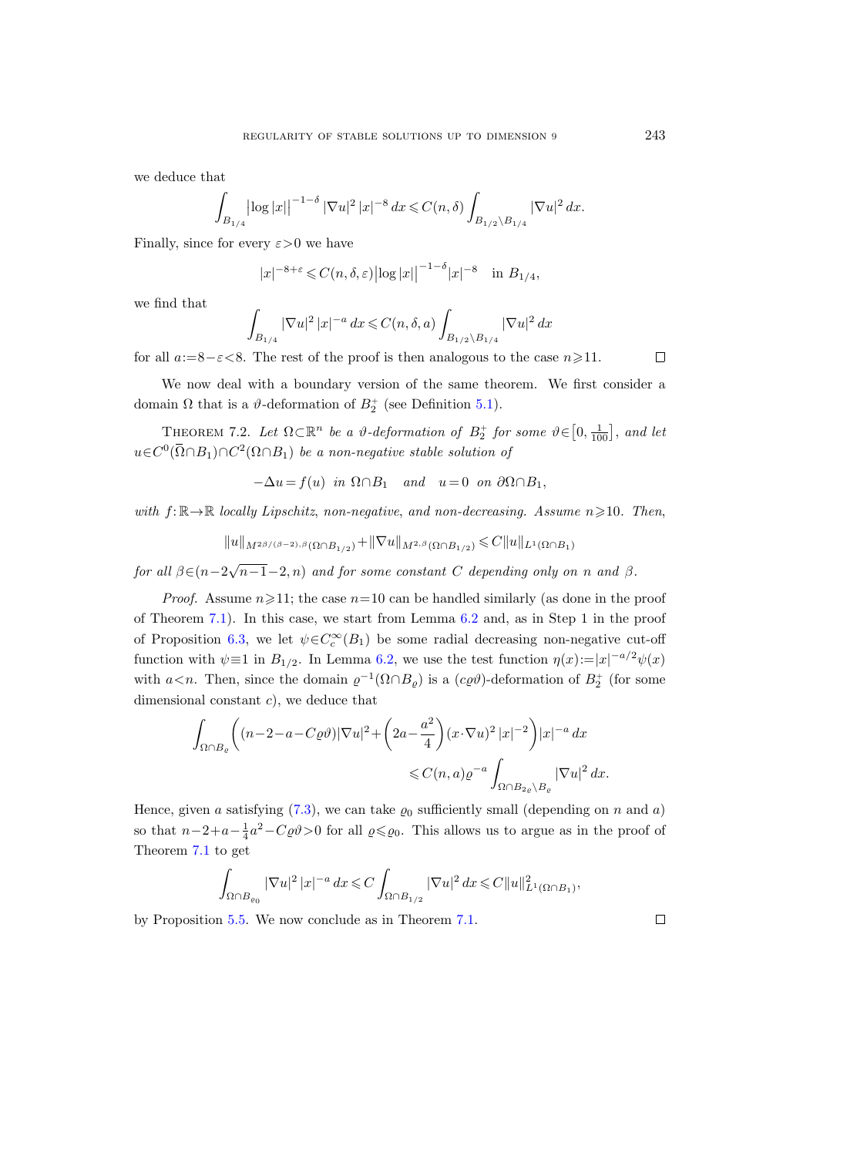we deduce that

$$
\int_{B_{1/4}} \left| \log |x| \right|^{-1-\delta} |\nabla u|^2 \, |x|^{-8} \, dx \leqslant C(n,\delta) \int_{B_{1/2} \backslash B_{1/4}} |\nabla u|^2 \, dx.
$$

Finally, since for every  $\varepsilon > 0$  we have

$$
|x|^{-8+\varepsilon} \leq C(n,\delta,\varepsilon) \left| \log |x| \right|^{-1-\delta} |x|^{-8} \quad \text{in } B_{1/4},
$$

we find that

$$
\int_{B_{1/4}} |\nabla u|^2 \, |x|^{-a} \, dx \leq C(n, \delta, a) \int_{B_{1/2} \setminus B_{1/4}} |\nabla u|^2 \, dx
$$

for all  $a:=8-\epsilon<8$ . The rest of the proof is then analogous to the case  $n\geq 11$ .  $\Box$ 

We now deal with a boundary version of the same theorem. We first consider a domain  $\Omega$  that is a  $\vartheta$ -deformation of  $B_2^+$  (see Definition [5.1\)](#page-36-1).

<span id="page-56-0"></span>THEOREM 7.2. Let  $\Omega \subset \mathbb{R}^n$  be a  $\vartheta$ -deformation of  $B_2^+$  for some  $\vartheta \in [0, \frac{1}{100}]$ , and let  $u \in C^0(\overline{\Omega} \cap B_1) \cap C^2(\Omega \cap B_1)$  be a non-negative stable solution of

$$
-\Delta u = f(u) \text{ in } \Omega \cap B_1 \text{ and } u = 0 \text{ on } \partial \Omega \cap B_1,
$$

with  $f: \mathbb{R} \to \mathbb{R}$  locally Lipschitz, non-negative, and non-decreasing. Assume  $n \geqslant 10$ . Then,

$$
\|u\|_{M^{2\beta/(\beta-2),\beta}(\Omega\cap B_{1/2})}+\|\nabla u\|_{M^{2,\beta}(\Omega\cap B_{1/2})}\leqslant C\|u\|_{L^1(\Omega\cap B_1)}
$$

for all  $\beta \in (n-2\sqrt{n-1}-2, n)$  and for some constant C depending only on n and  $\beta$ .

*Proof.* Assume  $n \ge 11$ ; the case  $n=10$  can be handled similarly (as done in the proof of Theorem [7.1\)](#page-54-0). In this case, we start from Lemma [6.2](#page-45-0) and, as in Step 1 in the proof of Proposition [6.3,](#page-47-2) we let  $\psi \in C_c^{\infty}(B_1)$  be some radial decreasing non-negative cut-off function with  $\psi \equiv 1$  in  $B_{1/2}$ . In Lemma [6.2,](#page-45-0) we use the test function  $\eta(x) := |x|^{-a/2} \psi(x)$ with  $a < n$ . Then, since the domain  $\varrho^{-1}(\Omega \cap B_{\varrho})$  is a  $(c\varrho \vartheta)$ -deformation of  $B_2^+$  (for some dimensional constant c), we deduce that

$$
\begin{aligned} \int_{\Omega \cap B_\varrho} \bigg( (n-2-a-C\varrho \vartheta) |\nabla u|^2 + \bigg( 2a - \frac{a^2}{4} \bigg) (x \cdot \nabla u)^2 \, |x|^{-2} \bigg) |x|^{-a} \, dx \\ \leqslant & C(n,a) \varrho^{-a} \int_{\Omega \cap B_{2\varrho} \backslash B_\varrho} |\nabla u|^2 \, dx. \end{aligned}
$$

Hence, given a satisfying [\(7.3\)](#page-54-4), we can take  $\varrho_0$  sufficiently small (depending on n and a) so that  $n-2+a-\frac{1}{4}a^2-C\varrho\vartheta>0$  for all  $\varrho \leq \varrho_0$ . This allows us to argue as in the proof of Theorem [7.1](#page-54-0) to get

$$
\int_{\Omega \cap B_{\varrho_0}} |\nabla u|^2 |x|^{-a} dx \leqslant C \int_{\Omega \cap B_{1/2}} |\nabla u|^2 dx \leqslant C ||u||_{L^1(\Omega \cap B_1)}^2,
$$

by Proposition [5.5.](#page-44-1) We now conclude as in Theorem [7.1.](#page-54-0)

 $\Box$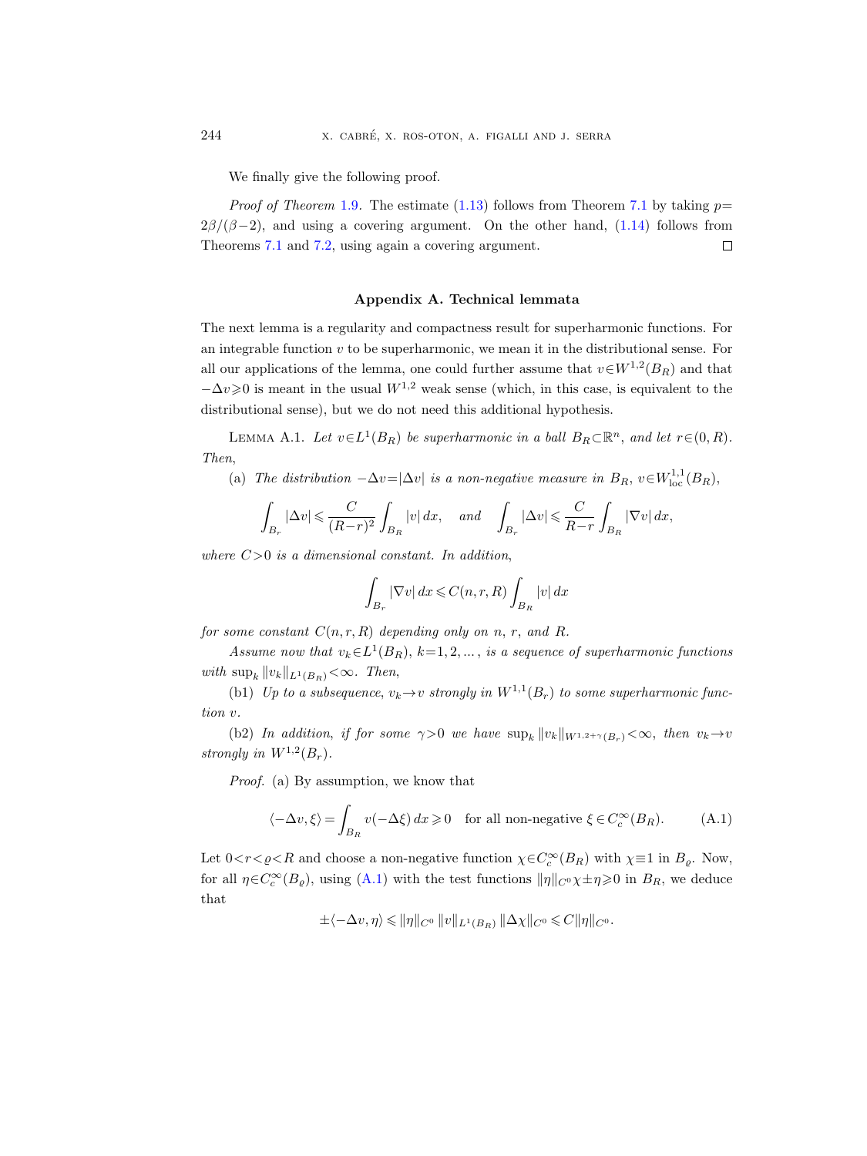We finally give the following proof.

*Proof of Theorem* [1.9](#page-8-1). The estimate  $(1.13)$  follows from Theorem [7.1](#page-54-0) by taking  $p=$  $2\beta/(\beta-2)$ , and using a covering argument. On the other hand, [\(1.14\)](#page-9-2) follows from Theorems [7.1](#page-54-0) and [7.2,](#page-56-0) using again a covering argument.  $\Box$ 

#### Appendix A. Technical lemmata

<span id="page-57-0"></span>The next lemma is a regularity and compactness result for superharmonic functions. For an integrable function  $v$  to be superharmonic, we mean it in the distributional sense. For all our applications of the lemma, one could further assume that  $v \in W^{1,2}(B_R)$  and that  $-\Delta v \geq 0$  is meant in the usual  $W^{1,2}$  weak sense (which, in this case, is equivalent to the distributional sense), but we do not need this additional hypothesis.

<span id="page-57-1"></span>LEMMA A.1. Let  $v \in L^1(B_R)$  be superharmonic in a ball  $B_R \subset \mathbb{R}^n$ , and let  $r \in (0, R)$ . Then,

(a) The distribution  $-\Delta v = |\Delta v|$  is a non-negative measure in  $B_R$ ,  $v \in W^{1,1}_{loc}(B_R)$ ,

$$
\int_{B_r} |\Delta v| \leqslant \frac{C}{(R-r)^2} \int_{B_R} |v| \, dx, \quad \text{and} \quad \int_{B_r} |\Delta v| \leqslant \frac{C}{R-r} \int_{B_R} |\nabla v| \, dx,
$$

where  $C>0$  is a dimensional constant. In addition,

$$
\int_{B_r} |\nabla v| \, dx \leqslant C(n,r,R) \int_{B_R} |v| \, dx
$$

for some constant  $C(n, r, R)$  depending only on n, r, and R.

Assume now that  $v_k \in L^1(B_R)$ ,  $k=1,2,...$ , is a sequence of superharmonic functions with  $\sup_k ||v_k||_{L^1(B_R)} < \infty$ . Then,

(b1) Up to a subsequence,  $v_k \rightarrow v$  strongly in  $W^{1,1}(B_r)$  to some superharmonic function v.

(b2) In addition, if for some  $\gamma > 0$  we have  $\sup_k ||v_k||_{W^{1,2+\gamma}(B_r)} < \infty$ , then  $v_k \to v$ strongly in  $W^{1,2}(B_r)$ .

Proof. (a) By assumption, we know that

<span id="page-57-2"></span>
$$
\langle -\Delta v, \xi \rangle = \int_{B_R} v(-\Delta \xi) \, dx \ge 0 \quad \text{for all non-negative } \xi \in C_c^{\infty}(B_R). \tag{A.1}
$$

Let  $0 < r < \varrho < R$  and choose a non-negative function  $\chi \in C_c^{\infty}(B_R)$  with  $\chi \equiv 1$  in  $B_{\varrho}$ . Now, for all  $\eta \in C_c^{\infty}(B_{\varrho})$ , using  $(A.1)$  with the test functions  $\|\eta\|_{C^0}\chi\pm\eta\geqslant 0$  in  $B_R$ , we deduce that

$$
\pm \langle -\Delta v, \eta \rangle \leqslant ||\eta||_{C^0} ||v||_{L^1(B_R)} ||\Delta \chi||_{C^0} \leqslant C ||\eta||_{C^0}.
$$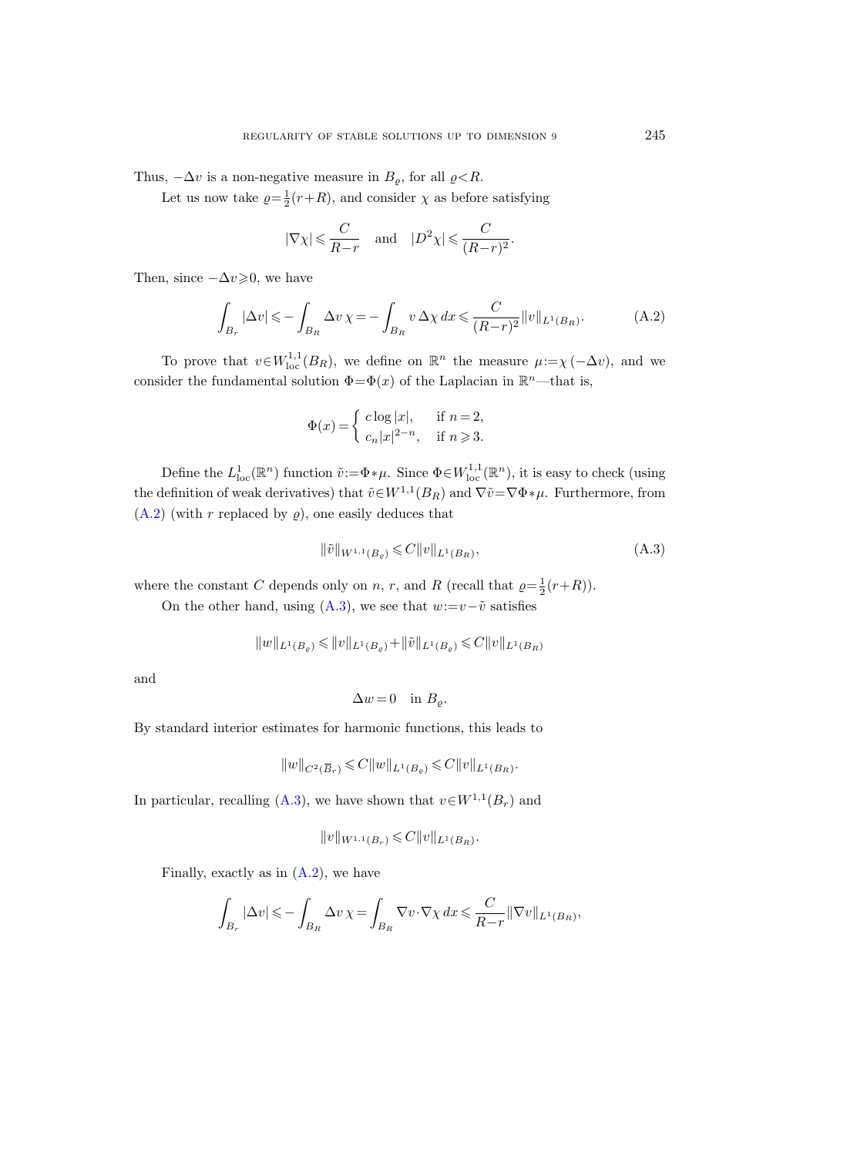Thus,  $-\Delta v$  is a non-negative measure in  $B_{\rho}$ , for all  $\rho < R$ .

Let us now take  $\rho = \frac{1}{2}(r+R)$ , and consider  $\chi$  as before satisfying

$$
|\nabla \chi| \leqslant \frac{C}{R-r} \quad \text{and} \quad |D^2 \chi| \leqslant \frac{C}{(R-r)^2}.
$$

Then, since  $-\Delta v \geq 0$ , we have

<span id="page-58-0"></span>
$$
\int_{B_r} |\Delta v| \leqslant -\int_{B_R} \Delta v \chi = -\int_{B_R} v \Delta \chi \, dx \leqslant \frac{C}{(R-r)^2} ||v||_{L^1(B_R)}.
$$
\n(A.2)

To prove that  $v \in W^{1,1}_{loc}(B_R)$ , we define on  $\mathbb{R}^n$  the measure  $\mu := \chi(-\Delta v)$ , and we consider the fundamental solution  $\Phi = \Phi(x)$  of the Laplacian in  $\mathbb{R}^n$ —that is,

$$
\Phi(x) = \begin{cases} c \log |x|, & \text{if } n = 2, \\ c_n |x|^{2-n}, & \text{if } n \geqslant 3. \end{cases}
$$

Define the  $L^1_{loc}(\mathbb{R}^n)$  function  $\tilde{v}:=\Phi*\mu$ . Since  $\Phi \in W^{1,1}_{loc}(\mathbb{R}^n)$ , it is easy to check (using the definition of weak derivatives) that  $\tilde{v} \in W^{1,1}(B_R)$  and  $\nabla \tilde{v} = \nabla \Phi * \mu$ . Furthermore, from  $(A.2)$  (with r replaced by  $\rho$ ), one easily deduces that

<span id="page-58-1"></span>
$$
\|\tilde{v}\|_{W^{1,1}(B_{\varrho})} \leqslant C \|v\|_{L^{1}(B_{R})},\tag{A.3}
$$

where the constant C depends only on n, r, and R (recall that  $\rho = \frac{1}{2}(r+R)$ ).

On the other hand, using [\(A.3\)](#page-58-1), we see that  $w:=v-\tilde{v}$  satisfies

$$
||w||_{L^1(B_\varrho )}\leqslant ||v||_{L^1(B_\varrho )}+||\tilde{v}||_{L^1(B_\varrho )}\leqslant C||v||_{L^1(B_R )}
$$

and

$$
\Delta w = 0 \quad \text{in } B_{\varrho}.
$$

By standard interior estimates for harmonic functions, this leads to

$$
\Delta w = 0 \quad \text{in } B_{\varrho}.
$$
  
imates for harmonic functions, this lead  

$$
||w||_{C^2(\overline{B}_r)} \leq C ||w||_{L^1(B_{\varrho})} \leq C ||v||_{L^1(B_R)}.
$$

In particular, recalling [\(A.3\)](#page-58-1), we have shown that  $v \in W^{1,1}(B_r)$  and

$$
||v||_{W^{1,1}(B_r)} \leqslant C||v||_{L^1(B_R)}.
$$

Finally, exactly as in  $(A.2)$ , we have

$$
\int_{B_r} |\Delta v| \leqslant - \int_{B_R} \Delta v \,\chi = \int_{B_R} \nabla v \cdot \nabla \chi \,dx \leqslant \frac{C}{R-r} ||\nabla v||_{L^1(B_R)},
$$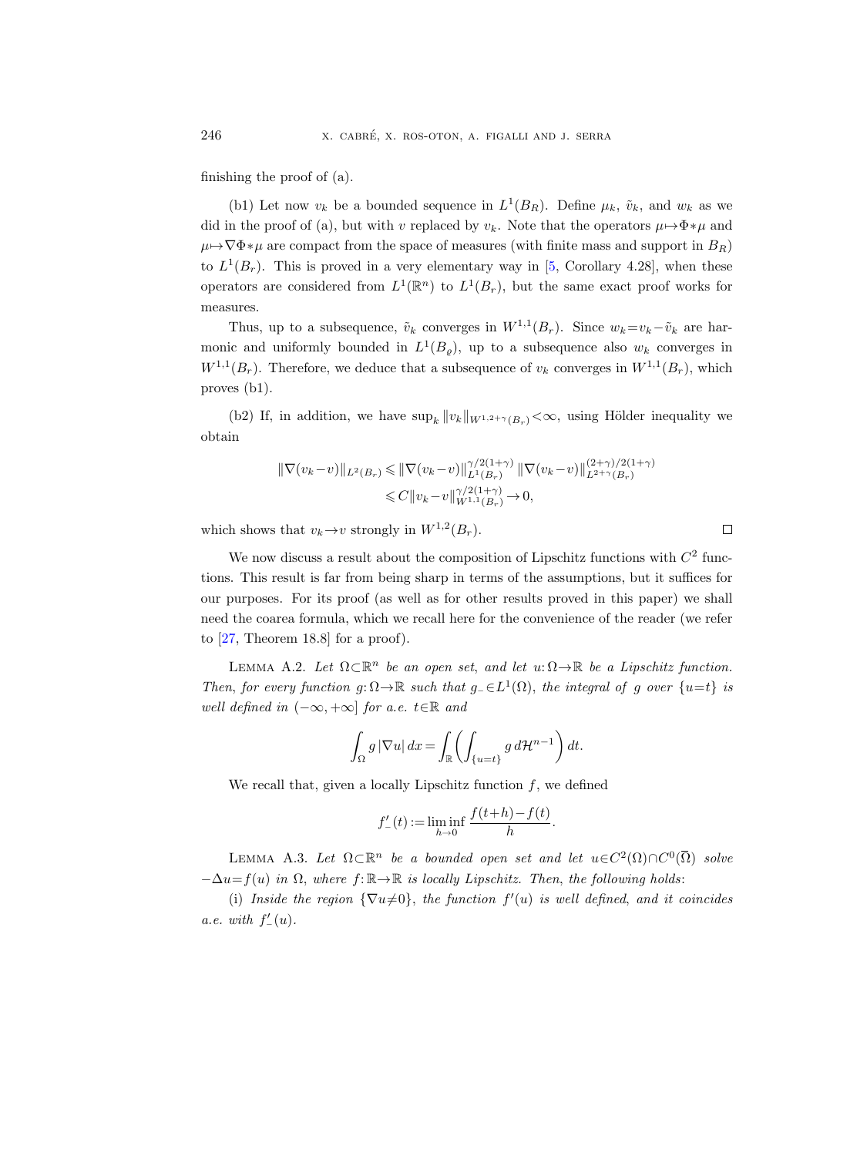finishing the proof of (a).

(b1) Let now  $v_k$  be a bounded sequence in  $L^1(B_R)$ . Define  $\mu_k$ ,  $\tilde{v}_k$ , and  $w_k$  as we did in the proof of (a), but with v replaced by  $v_k$ . Note that the operators  $\mu \mapsto \Phi * \mu$  and  $\mu \mapsto \nabla \Phi * \mu$  are compact from the space of measures (with finite mass and support in  $B_R$ ) to  $L^1(B_r)$ . This is proved in a very elementary way in [\[5,](#page-63-7) Corollary 4.28], when these operators are considered from  $L^1(\mathbb{R}^n)$  to  $L^1(B_r)$ , but the same exact proof works for measures.

Thus, up to a subsequence,  $\tilde{v}_k$  converges in  $W^{1,1}(B_r)$ . Since  $w_k = v_k - \tilde{v}_k$  are harmonic and uniformly bounded in  $L^1(B_{\varrho})$ , up to a subsequence also  $w_k$  converges in  $W^{1,1}(B_r)$ . Therefore, we deduce that a subsequence of  $v_k$  converges in  $W^{1,1}(B_r)$ , which proves (b1).

(b2) If, in addition, we have  $\sup_k ||v_k||_{W^{1,2+\gamma}(B_r)} < \infty$ , using Hölder inequality we obtain

$$
\begin{aligned} \|\nabla(v_k - v)\|_{L^2(B_r)} &\leq \|\nabla(v_k - v)\|_{L^1(B_r)}^{\gamma/2(1+\gamma)} \|\nabla(v_k - v)\|_{L^{2+\gamma}(B_r)}^{(2+\gamma)/2(1+\gamma)} \\ &\leq C \|v_k - v\|_{W^{1,1}(B_r)}^{\gamma/2(1+\gamma)} \to 0, \end{aligned}
$$

which shows that  $v_k \to v$  strongly in  $W^{1,2}(B_r)$ .

We now discuss a result about the composition of Lipschitz functions with  $C<sup>2</sup>$  functions. This result is far from being sharp in terms of the assumptions, but it suffices for our purposes. For its proof (as well as for other results proved in this paper) we shall need the coarea formula, which we recall here for the convenience of the reader (we refer to [\[27,](#page-64-18) Theorem 18.8] for a proof).

<span id="page-59-1"></span>LEMMA A.2. Let  $\Omega \subset \mathbb{R}^n$  be an open set, and let  $u: \Omega \to \mathbb{R}$  be a Lipschitz function. Then, for every function  $g: \Omega \to \mathbb{R}$  such that  $g_{-} \in L^{1}(\Omega)$ , the integral of g over  $\{u=t\}$  is well defined in  $(-\infty, +\infty]$  for a.e.  $t \in \mathbb{R}$  and

$$
\int_{\Omega} g \, |\nabla u| \, dx = \int_{\mathbb{R}} \left( \int_{\{u=t\}} g \, d\mathcal{H}^{n-1} \right) dt.
$$

We recall that, given a locally Lipschitz function  $f$ , we defined

$$
f'_{-}(t) := \liminf_{h \to 0} \frac{f(t+h) - f(t)}{h}.
$$

<span id="page-59-0"></span>LEMMA A.3. Let  $\Omega \subset \mathbb{R}^n$  be a bounded open set and let  $u \in C^2(\Omega) \cap C^0(\overline{\Omega})$  solve  $-\Delta u = f(u)$  in  $\Omega$ , where  $f: \mathbb{R} \to \mathbb{R}$  is locally Lipschitz. Then, the following holds:

(i) Inside the region  $\{\nabla u \neq 0\}$ , the function  $f'(u)$  is well defined, and it coincides a.e. with  $f'_{-}(u)$ .

 $\Box$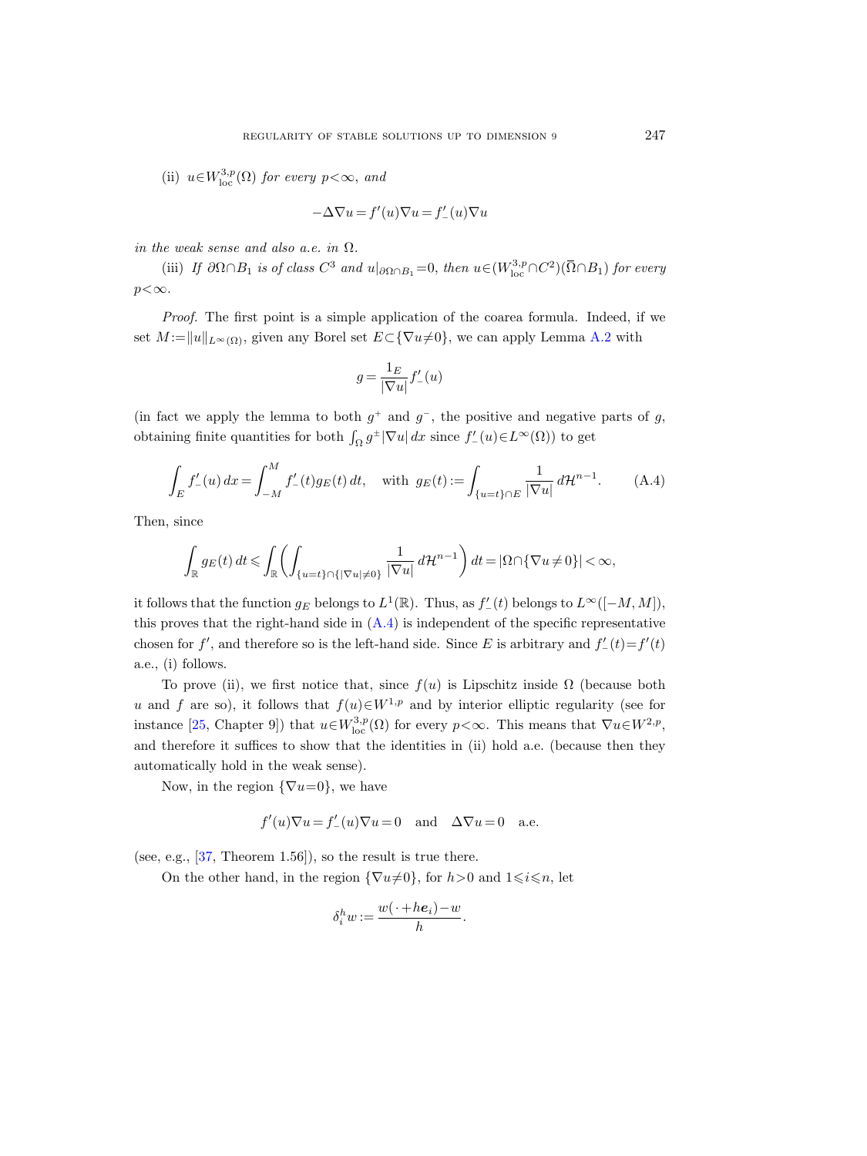(ii)  $u \in W^{3,p}_{loc}(\Omega)$  for every  $p < \infty$ , and

$$
-\Delta \nabla u = f'(u)\nabla u = f'_-(u)\nabla u
$$

in the weak sense and also a.e. in  $\Omega$ .

(iii) If  $\partial\Omega \cap B_1$  is of class  $C^3$  and  $u|_{\partial\Omega \cap B_1} = 0$ , then  $u \in (W^{3,p}_{\text{loc}} \cap C^2)(\overline{\Omega} \cap B_1)$  for every  $p<\infty$ .

Proof. The first point is a simple application of the coarea formula. Indeed, if we set  $M := ||u||_{L^{\infty}(\Omega)}$ , given any Borel set  $E \subset {\nabla u \neq 0}$ , we can apply Lemma [A.2](#page-59-1) with

$$
g=\frac{1_E}{|\nabla u|}f_-'(u)
$$

(in fact we apply the lemma to both  $g^+$  and  $g^-$ , the positive and negative parts of g, obtaining finite quantities for both  $\int_{\Omega} g^{\pm} |\nabla u| dx$  since  $f'_{-}(u) \in L^{\infty}(\Omega)$  to get

<span id="page-60-0"></span>
$$
\int_{E} f'_{-}(u) dx = \int_{-M}^{M} f'_{-}(t) g_{E}(t) dt, \text{ with } g_{E}(t) := \int_{\{u=t\} \cap E} \frac{1}{|\nabla u|} d\mathcal{H}^{n-1}.
$$
 (A.4)

Then, since

$$
\int_{\mathbb{R}} g_E(t) dt \leq \int_{\mathbb{R}} \left( \int_{\{u=t\} \cap \{|\nabla u| \neq 0\}} \frac{1}{|\nabla u|} d\mathcal{H}^{n-1} \right) dt = |\Omega \cap \{\nabla u \neq 0\}| < \infty,
$$

it follows that the function  $g_E$  belongs to  $L^1(\mathbb{R})$ . Thus, as  $f'_{-}(t)$  belongs to  $L^{\infty}([-M, M])$ , this proves that the right-hand side in  $(A.4)$  is independent of the specific representative chosen for f', and therefore so is the left-hand side. Since E is arbitrary and  $f'_{-}(t) = f'(t)$ a.e., (i) follows.

To prove (ii), we first notice that, since  $f(u)$  is Lipschitz inside  $\Omega$  (because both u and f are so), it follows that  $f(u) \in W^{1,p}$  and by interior elliptic regularity (see for instance [\[25,](#page-64-4) Chapter 9]) that  $u \in W^{3,p}_{loc}(\Omega)$  for every  $p < \infty$ . This means that  $\nabla u \in W^{2,p}$ , and therefore it suffices to show that the identities in (ii) hold a.e. (because then they automatically hold in the weak sense).

Now, in the region  $\{\nabla u=0\}$ , we have

$$
f'(u)\nabla u = f'_{-}(u)\nabla u = 0
$$
 and  $\Delta \nabla u = 0$  a.e.

(see, e.g., [\[37,](#page-65-4) Theorem 1.56]), so the result is true there.

On the other hand, in the region  $\{\nabla u\neq 0\}$ , for  $h>0$  and  $1\leq i\leq n$ , let

$$
\delta_i^h w := \frac{w(\cdot + h e_i) - w}{h}.
$$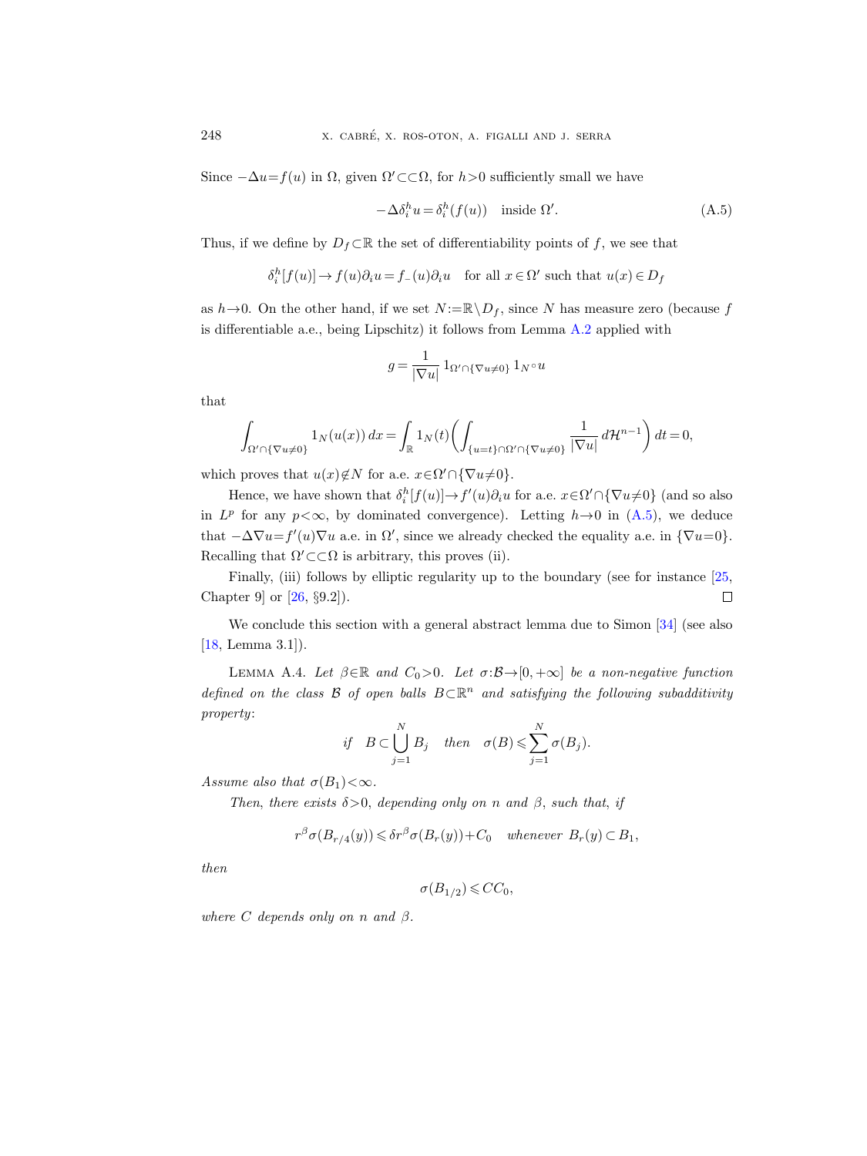Since  $-\Delta u = f(u)$  in  $\Omega$ , given  $\Omega' \subset \subset \Omega$ , for  $h > 0$  sufficiently small we have

<span id="page-61-1"></span>
$$
-\Delta \delta_i^h u = \delta_i^h (f(u)) \quad \text{inside } \Omega'. \tag{A.5}
$$

Thus, if we define by  $D_f \subset \mathbb{R}$  the set of differentiability points of f, we see that

$$
\delta_i^h[f(u)] \to f(u)\partial_i u = f_-(u)\partial_i u \quad \text{for all } x \in \Omega' \text{ such that } u(x) \in D_f
$$

as  $h \rightarrow 0$ . On the other hand, if we set  $N := \mathbb{R} \setminus D_f$ , since N has measure zero (because f is differentiable a.e., being Lipschitz) it follows from Lemma [A.2](#page-59-1) applied with

$$
g = \frac{1}{|\nabla u|} \mathbf{1}_{\Omega' \cap {\nabla u \neq 0}} \mathbf{1}_{N} \circ u
$$

that

$$
\int_{\Omega' \cap {\{\nabla u \neq 0\}}} 1_N(u(x)) dx = \int_{\mathbb{R}} 1_N(t) \left( \int_{\{u=t\} \cap \Omega' \cap {\{\nabla u \neq 0\}}} \frac{1}{|\nabla u|} d\mathcal{H}^{n-1} \right) dt = 0,
$$

which proves that  $u(x) \notin N$  for a.e.  $x \in \Omega' \cap {\nabla u \neq 0}$ .

Hence, we have shown that  $\delta_i^h[f(u)] \to f'(u)\partial_i u$  for a.e.  $x \in \Omega' \cap {\nabla u \neq 0}$  (and so also in  $L^p$  for any  $p < \infty$ , by dominated convergence). Letting  $h \rightarrow 0$  in  $(A.5)$ , we deduce that  $-\Delta \nabla u = f'(u)\nabla u$  a.e. in  $\Omega'$ , since we already checked the equality a.e. in  ${\nabla u = 0}$ . Recalling that  $\Omega' \subset \subset \Omega$  is arbitrary, this proves (ii).

Finally, (iii) follows by elliptic regularity up to the boundary (see for instance [\[25,](#page-64-4) Chapter 9] or [\[26,](#page-64-19) §9.2]).  $\Box$ 

We conclude this section with a general abstract lemma due to Simon [\[34\]](#page-65-7) (see also [\[18,](#page-64-20) Lemma 3.1]).

<span id="page-61-0"></span>LEMMA A.4. Let  $\beta \in \mathbb{R}$  and  $C_0 > 0$ . Let  $\sigma : \mathcal{B} \to [0, +\infty]$  be a non-negative function defined on the class  $\mathcal B$  of open balls  $B\subset\mathbb R^n$  and satisfying the following subadditivity property:

if 
$$
B \subset \bigcup_{j=1}^{N} B_j
$$
 then  $\sigma(B) \leq \sum_{j=1}^{N} \sigma(B_j)$ .

Assume also that  $\sigma(B_1)<\infty$ .

Then, there exists  $\delta > 0$ , depending only on n and  $\beta$ , such that, if

$$
r^{\beta} \sigma(B_{r/4}(y)) \leq \delta r^{\beta} \sigma(B_r(y)) + C_0 \quad \text{whenever} \ B_r(y) \subset B_1,
$$

then

 $\sigma(B_{1/2}) \leqslant CC_0,$ 

where C depends only on n and  $\beta$ .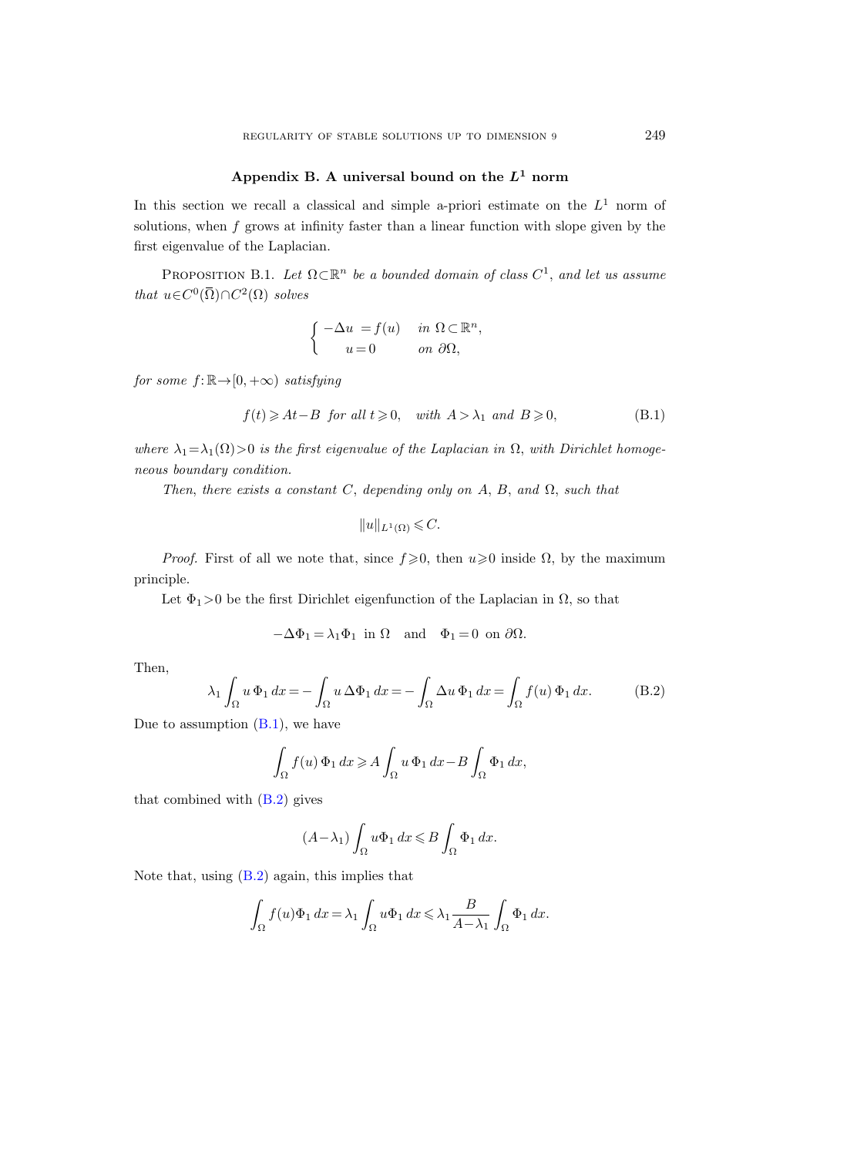## Appendix B. A universal bound on the  $L^1$  norm

<span id="page-62-0"></span>In this section we recall a classical and simple a-priori estimate on the  $L^1$  norm of solutions, when  $f$  grows at infinity faster than a linear function with slope given by the first eigenvalue of the Laplacian.

<span id="page-62-1"></span>PROPOSITION B.1. Let  $\Omega \subset \mathbb{R}^n$  be a bounded domain of class  $C^1$ , and let us assume that  $u \in C^0(\overline{\Omega}) \cap C^2(\Omega)$  solves

$$
\begin{cases}\n-\Delta u = f(u) & \text{in } \Omega \subset \mathbb{R}^n, \\
u = 0 & \text{on } \partial\Omega,\n\end{cases}
$$

for some  $f: \mathbb{R} \rightarrow [0, +\infty)$  satisfying

<span id="page-62-2"></span>
$$
f(t) \geqslant At - B \text{ for all } t \geqslant 0, \quad \text{with } A > \lambda_1 \text{ and } B \geqslant 0,
$$
 (B.1)

where  $\lambda_1 = \lambda_1(\Omega) > 0$  is the first eigenvalue of the Laplacian in  $\Omega$ , with Dirichlet homogeneous boundary condition.

Then, there exists a constant C, depending only on  $A$ ,  $B$ , and  $\Omega$ , such that

$$
||u||_{L^1(\Omega)} \leqslant C.
$$

*Proof.* First of all we note that, since  $f \ge 0$ , then  $u \ge 0$  inside  $\Omega$ , by the maximum principle.

Let  $\Phi_1>0$  be the first Dirichlet eigenfunction of the Laplacian in  $\Omega$ , so that

$$
-\Delta\Phi_1 = \lambda_1 \Phi_1 \text{ in } \Omega \text{ and } \Phi_1 = 0 \text{ on } \partial\Omega.
$$

Then,

<span id="page-62-3"></span>
$$
\lambda_1 \int_{\Omega} u \, \Phi_1 \, dx = -\int_{\Omega} u \, \Delta \Phi_1 \, dx = -\int_{\Omega} \Delta u \, \Phi_1 \, dx = \int_{\Omega} f(u) \, \Phi_1 \, dx. \tag{B.2}
$$

Due to assumption  $(B.1)$ , we have

$$
\int_{\Omega} f(u) \, \Phi_1 \, dx \geqslant A \int_{\Omega} u \, \Phi_1 \, dx - B \int_{\Omega} \Phi_1 \, dx,
$$

that combined with  $(B.2)$  gives

$$
(A - \lambda_1) \int_{\Omega} u \Phi_1 \, dx \leq B \int_{\Omega} \Phi_1 \, dx.
$$

Note that, using [\(B.2\)](#page-62-3) again, this implies that

$$
\int_{\Omega} f(u)\Phi_1 \, dx = \lambda_1 \int_{\Omega} u \Phi_1 \, dx \leq \lambda_1 \frac{B}{A - \lambda_1} \int_{\Omega} \Phi_1 \, dx.
$$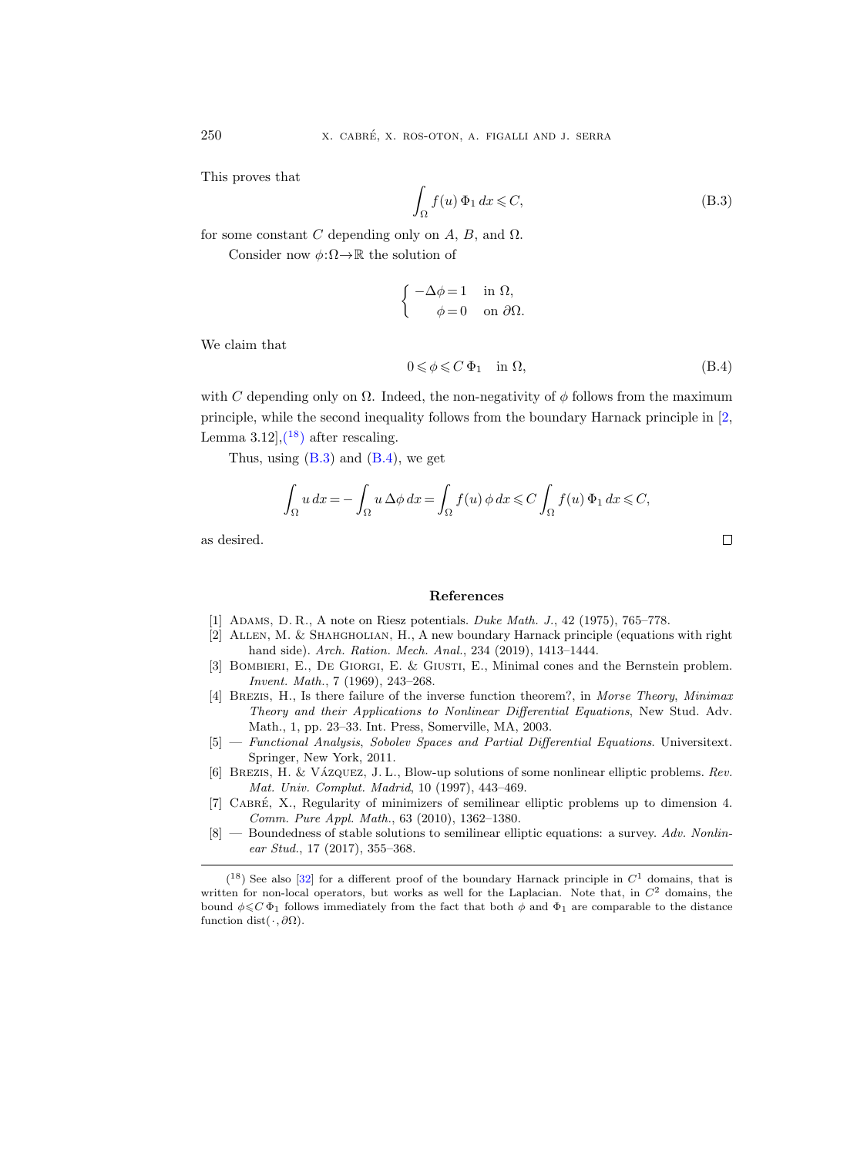This proves that

<span id="page-63-10"></span>
$$
\int_{\Omega} f(u) \, \Phi_1 \, dx \leqslant C,\tag{B.3}
$$

for some constant C depending only on  $A, B$ , and  $\Omega$ .

Consider now  $\phi:\Omega\to\mathbb{R}$  the solution of

$$
\begin{cases}\n-\Delta \phi = 1 & \text{in } \Omega, \\
\phi = 0 & \text{on } \partial \Omega.\n\end{cases}
$$

We claim that

<span id="page-63-0"></span>
$$
0 \leqslant \phi \leqslant C \Phi_1 \quad \text{in } \Omega,\tag{B.4}
$$

with C depending only on  $\Omega$ . Indeed, the non-negativity of φ follows from the maximum principle, while the second inequality follows from the boundary Harnack principle in [\[2,](#page-63-8) Lemma  $3.12$ ,  $\left(18\right)$  $\left(18\right)$  $\left(18\right)$  after rescaling.

Thus, using  $(B.3)$  and  $(B.4)$ , we get

$$
\int_{\Omega} u \, dx = -\int_{\Omega} u \, \Delta \phi \, dx = \int_{\Omega} f(u) \, \phi \, dx \leqslant C \int_{\Omega} f(u) \, \Phi_1 \, dx \leqslant C,
$$

as desired.

#### References

- <span id="page-63-6"></span>[1] Adams, D. R., A note on Riesz potentials. Duke Math. J., 42 (1975), 765–778.
- <span id="page-63-8"></span>[2] Allen, M. & Shahgholian, H., A new boundary Harnack principle (equations with right hand side). Arch. Ration. Mech. Anal., 234 (2019), 1413–1444.
- <span id="page-63-1"></span>[3] Bombieri, E., De Giorgi, E. & Giusti, E., Minimal cones and the Bernstein problem. Invent. Math., 7 (1969), 243–268.
- <span id="page-63-3"></span>[4] Brezis, H., Is there failure of the inverse function theorem?, in Morse Theory, Minimax Theory and their Applications to Nonlinear Differential Equations, New Stud. Adv. Math., 1, pp. 23–33. Int. Press, Somerville, MA, 2003.
- <span id="page-63-7"></span>[5] — Functional Analysis, Sobolev Spaces and Partial Differential Equations. Universitext. Springer, New York, 2011.
- <span id="page-63-4"></span>[6] BREZIS, H. & VÁZQUEZ, J. L., Blow-up solutions of some nonlinear elliptic problems. Rev. Mat. Univ. Complut. Madrid, 10 (1997), 443–469.
- <span id="page-63-2"></span>[7] CABRÉ, X., Regularity of minimizers of semilinear elliptic problems up to dimension 4. Comm. Pure Appl. Math., 63 (2010), 1362–1380.
- <span id="page-63-5"></span> $[8]$  — Boundedness of stable solutions to semilinear elliptic equations: a survey. Adv. Nonlinear Stud., 17 (2017), 355–368.

 $\Box$ 

<span id="page-63-9"></span> $(18)$  See also [\[32\]](#page-65-8) for a different proof of the boundary Harnack principle in  $C<sup>1</sup>$  domains, that is written for non-local operators, but works as well for the Laplacian. Note that, in  $C<sup>2</sup>$  domains, the bound  $\phi \leqslant C \Phi_1$  follows immediately from the fact that both  $\phi$  and  $\Phi_1$  are comparable to the distance function dist( $\cdot$ ,  $\partial\Omega$ ).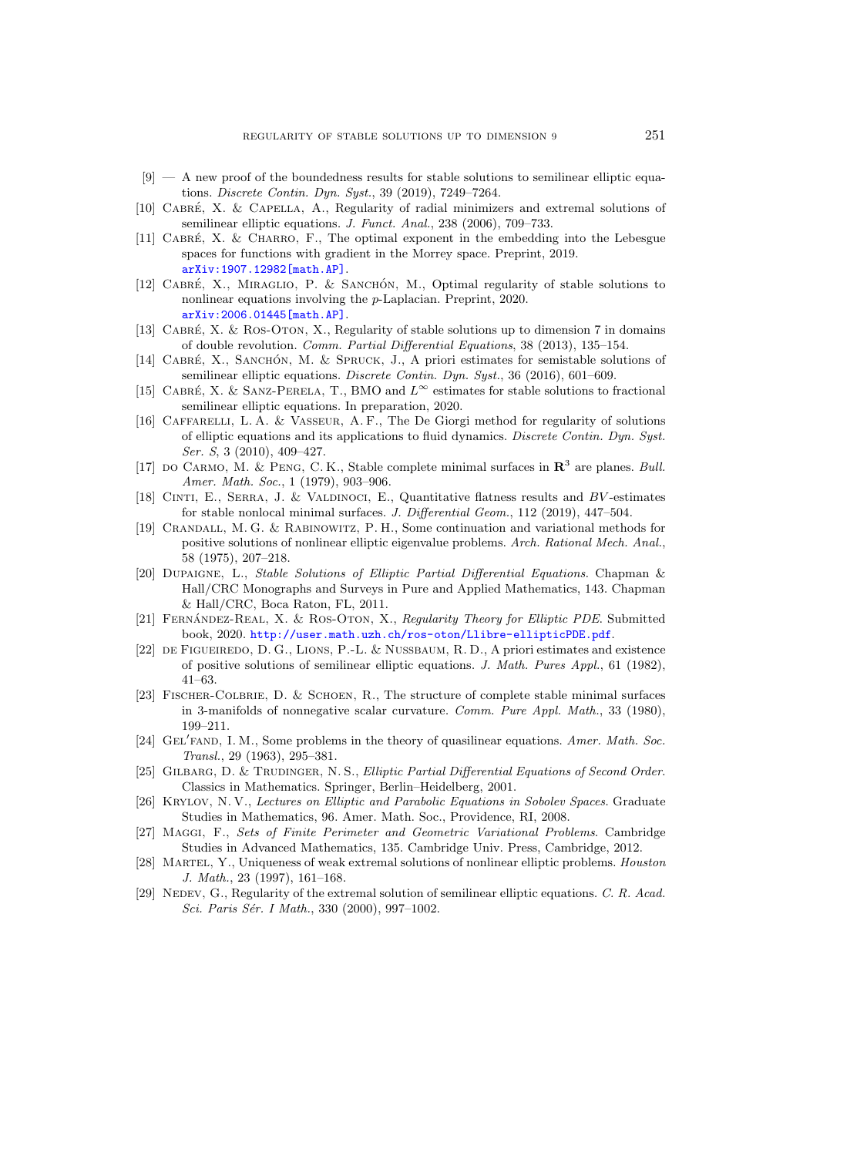- <span id="page-64-7"></span> $[9]$  — A new proof of the boundedness results for stable solutions to semilinear elliptic equations. Discrete Contin. Dyn. Syst., 39 (2019), 7249–7264.
- <span id="page-64-6"></span>[10] CABRÉ, X. & CAPELLA, A., Regularity of radial minimizers and extremal solutions of semilinear elliptic equations. J. Funct. Anal., 238 (2006), 709-733.
- <span id="page-64-17"></span> $[11]$  CABRÉ, X. & CHARRO, F., The optimal exponent in the embedding into the Lebesgue spaces for functions with gradient in the Morrey space. Preprint, 2019. [arXiv:1907.12982\[math.AP\]](http://arxiv.org/abs/1907.12982).
- <span id="page-64-12"></span>[12] CABRÉ, X., MIRAGLIO, P. & SANCHÓN, M., Optimal regularity of stable solutions to nonlinear equations involving the p-Laplacian. Preprint, 2020. [arXiv:2006.01445\[math.AP\]](http://arxiv.org/abs/2006.01445).
- <span id="page-64-8"></span>[13] CABRÉ, X. & ROS-OTON, X., Regularity of stable solutions up to dimension 7 in domains of double revolution. Comm. Partial Differential Equations, 38 (2013), 135–154.
- <span id="page-64-9"></span>[14] CABRÉ, X., SANCHÓN, M. & SPRUCK, J., A priori estimates for semistable solutions of semilinear elliptic equations. Discrete Contin. Dyn. Syst., 36 (2016), 601–609.
- <span id="page-64-13"></span>[15] CABRÉ, X. & SANZ-PERELA, T., BMO and  $L^{\infty}$  estimates for stable solutions to fractional semilinear elliptic equations. In preparation, 2020.
- <span id="page-64-15"></span>[16] Caffarelli, L. A. & Vasseur, A. F., The De Giorgi method for regularity of solutions of elliptic equations and its applications to fluid dynamics. Discrete Contin. Dyn. Syst. Ser. S, 3 (2010), 409–427.
- <span id="page-64-3"></span>[17] DO CARMO, M. & PENG, C. K., Stable complete minimal surfaces in  $\mathbb{R}^3$  are planes. Bull. Amer. Math. Soc., 1 (1979), 903–906.
- <span id="page-64-20"></span>[18] CINTI, E., SERRA, J. & VALDINOCI, E., Quantitative flatness results and BV-estimates for stable nonlocal minimal surfaces. J. Differential Geom., 112 (2019), 447–504.
- <span id="page-64-0"></span>[19] Crandall, M. G. & Rabinowitz, P. H., Some continuation and variational methods for positive solutions of nonlinear elliptic eigenvalue problems. Arch. Rational Mech. Anal., 58 (1975), 207–218.
- <span id="page-64-1"></span>[20] Dupaigne, L., Stable Solutions of Elliptic Partial Differential Equations. Chapman & Hall/CRC Monographs and Surveys in Pure and Applied Mathematics, 143. Chapman & Hall/CRC, Boca Raton, FL, 2011.
- <span id="page-64-16"></span>[21] FERNÁNDEZ-REAL, X. & ROS-OTON, X., Regularity Theory for Elliptic PDE. Submitted book, 2020. <http://user.math.uzh.ch/ros-oton/Llibre-ellipticPDE.pdf>.
- <span id="page-64-14"></span>[22] de Figueiredo, D. G., Lions, P.-L. & Nussbaum, R. D., A priori estimates and existence of positive solutions of semilinear elliptic equations. J. Math. Pures Appl., 61 (1982), 41–63.
- <span id="page-64-2"></span>[23] Fischer-Colbrie, D. & Schoen, R., The structure of complete stable minimal surfaces in 3-manifolds of nonnegative scalar curvature. Comm. Pure Appl. Math., 33 (1980), 199–211.
- <span id="page-64-10"></span>[24] GEL'FAND, I. M., Some problems in the theory of quasilinear equations. Amer. Math. Soc. Transl., 29 (1963), 295–381.
- <span id="page-64-4"></span>[25] GILBARG, D. & TRUDINGER, N. S., Elliptic Partial Differential Equations of Second Order. Classics in Mathematics. Springer, Berlin–Heidelberg, 2001.
- <span id="page-64-19"></span>[26] Krylov, N. V., Lectures on Elliptic and Parabolic Equations in Sobolev Spaces. Graduate Studies in Mathematics, 96. Amer. Math. Soc., Providence, RI, 2008.
- <span id="page-64-18"></span>[27] Maggi, F., Sets of Finite Perimeter and Geometric Variational Problems. Cambridge Studies in Advanced Mathematics, 135. Cambridge Univ. Press, Cambridge, 2012.
- <span id="page-64-11"></span>[28] Martel, Y., Uniqueness of weak extremal solutions of nonlinear elliptic problems. Houston J. Math., 23 (1997), 161–168.
- <span id="page-64-5"></span>[29] NEDEV, G., Regularity of the extremal solution of semilinear elliptic equations. C. R. Acad. Sci. Paris Sér. I Math., 330 (2000), 997-1002.